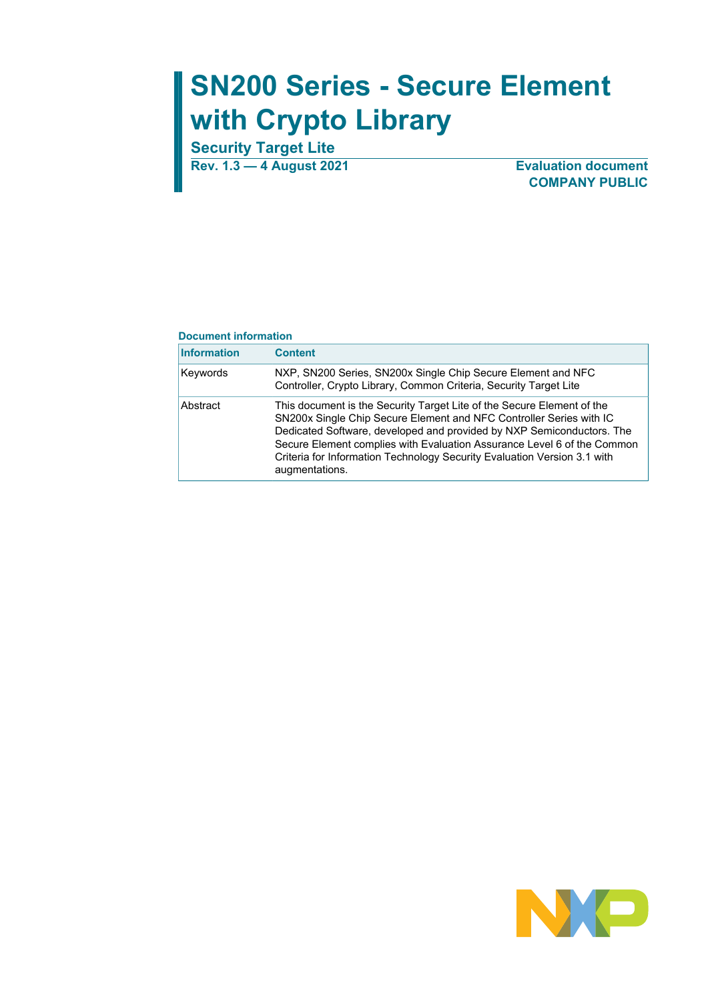# **SN200 Series - Secure Element with Crypto Library**

**Security Target Lite**

**Rev. 1.3 — 4 August 2021 Evaluation document COMPANY PUBLIC**

#### **Document information**

| <b>Information</b> | <b>Content</b>                                                                                                                                                                                                                                                                                                                                                                                  |
|--------------------|-------------------------------------------------------------------------------------------------------------------------------------------------------------------------------------------------------------------------------------------------------------------------------------------------------------------------------------------------------------------------------------------------|
| Keywords           | NXP, SN200 Series, SN200x Single Chip Secure Element and NFC<br>Controller, Crypto Library, Common Criteria, Security Target Lite                                                                                                                                                                                                                                                               |
| Abstract           | This document is the Security Target Lite of the Secure Element of the<br>SN200x Single Chip Secure Element and NFC Controller Series with IC<br>Dedicated Software, developed and provided by NXP Semiconductors. The<br>Secure Element complies with Evaluation Assurance Level 6 of the Common<br>Criteria for Information Technology Security Evaluation Version 3.1 with<br>augmentations. |

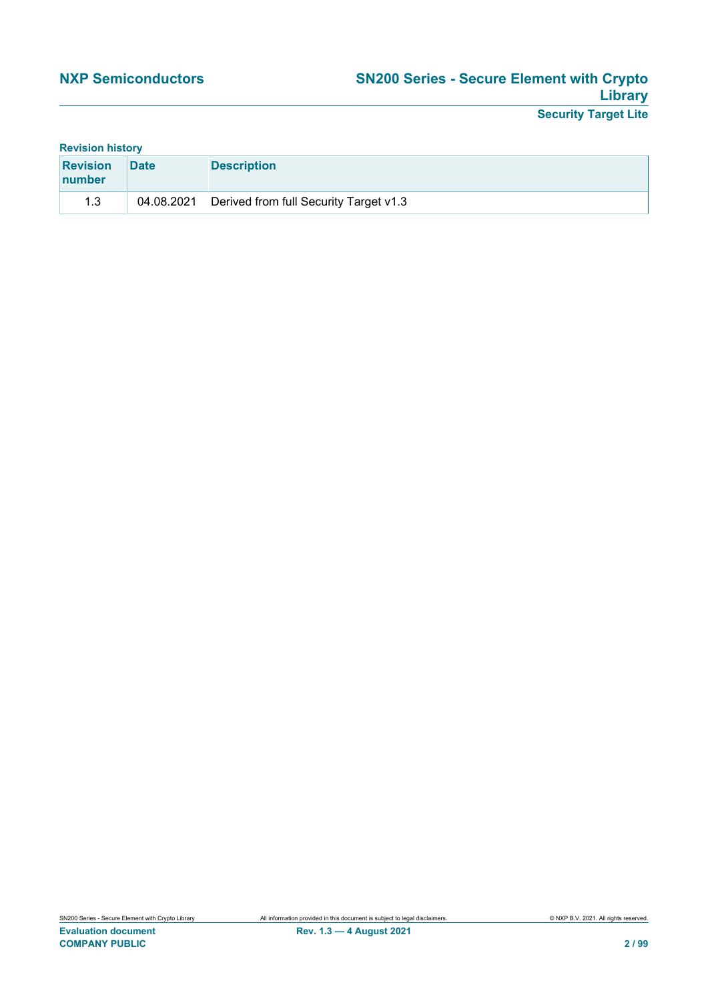|  | <b>Revision history</b> |  |
|--|-------------------------|--|
|  |                         |  |

| <b>Revision</b><br><b>Inumber</b> | <b>Date</b> | <b>Description</b>                     |
|-----------------------------------|-------------|----------------------------------------|
| 1.3                               | 04.08.2021  | Derived from full Security Target v1.3 |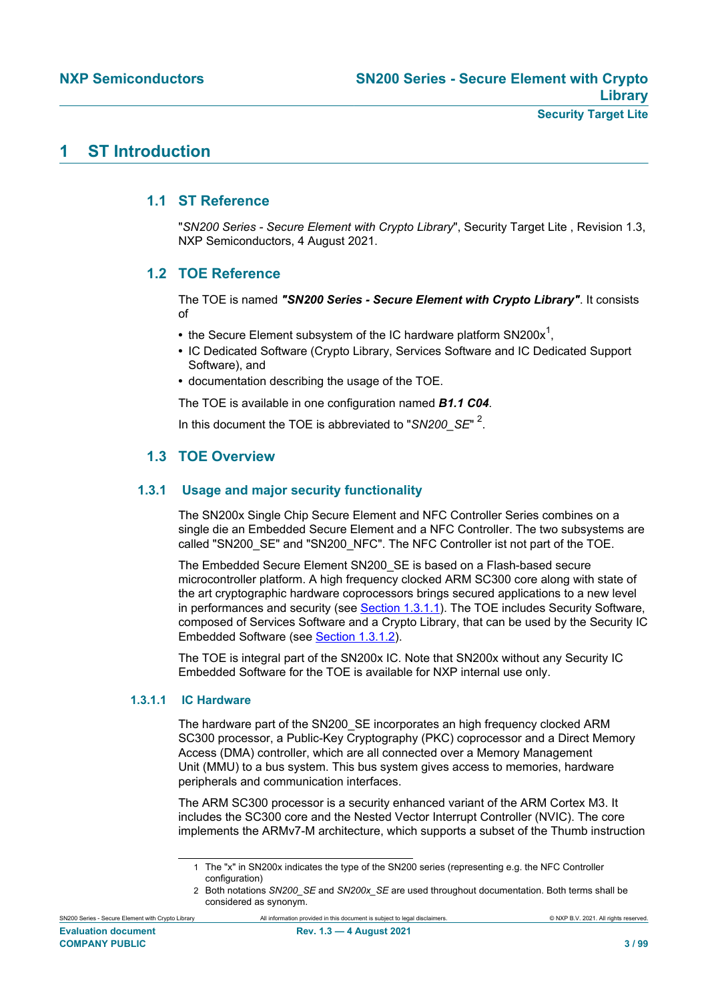## **1 ST Introduction**

#### **1.1 ST Reference**

"*SN200 Series - Secure Element with Crypto Library*", Security Target Lite , Revision 1.3, NXP Semiconductors, 4 August 2021.

### **1.2 TOE Reference**

The TOE is named *"SN200 Series - Secure Element with Crypto Library"*. It consists of

- the Secure Element subsystem of the IC hardware platform SN200x<sup>1</sup>,
- **•** IC Dedicated Software (Crypto Library, Services Software and IC Dedicated Support Software), and
- **•** documentation describing the usage of the TOE.

The TOE is available in one configuration named *B1.1 C04*.

In this document the TOE is abbreviated to "*SN200\_SE*" <sup>2</sup> .

### **1.3 TOE Overview**

#### **1.3.1 Usage and major security functionality**

The SN200x Single Chip Secure Element and NFC Controller Series combines on a single die an Embedded Secure Element and a NFC Controller. The two subsystems are called "SN200\_SE" and "SN200\_NFC". The NFC Controller ist not part of the TOE.

The Embedded Secure Element SN200\_SE is based on a Flash-based secure microcontroller platform. A high frequency clocked ARM SC300 core along with state of the art cryptographic hardware coprocessors brings secured applications to a new level in performances and security (see [Section 1.3.1.1\)](#page-2-0). The TOE includes Security Software, composed of Services Software and a Crypto Library, that can be used by the Security IC Embedded Software (see [Section 1.3.1.2](#page-4-0)).

The TOE is integral part of the SN200x IC. Note that SN200x without any Security IC Embedded Software for the TOE is available for NXP internal use only.

#### **1.3.1.1 IC Hardware**

<span id="page-2-0"></span>The hardware part of the SN200\_SE incorporates an high frequency clocked ARM SC300 processor, a Public-Key Cryptography (PKC) coprocessor and a Direct Memory Access (DMA) controller, which are all connected over a Memory Management Unit (MMU) to a bus system. This bus system gives access to memories, hardware peripherals and communication interfaces.

The ARM SC300 processor is a security enhanced variant of the ARM Cortex M3. It includes the SC300 core and the Nested Vector Interrupt Controller (NVIC). The core implements the ARMv7-M architecture, which supports a subset of the Thumb instruction

<sup>1</sup> The "x" in SN200x indicates the type of the SN200 series (representing e.g. the NFC Controller configuration)

<sup>2</sup> Both notations *SN200\_SE* and *SN200x\_SE* are used throughout documentation. Both terms shall be considered as synonym.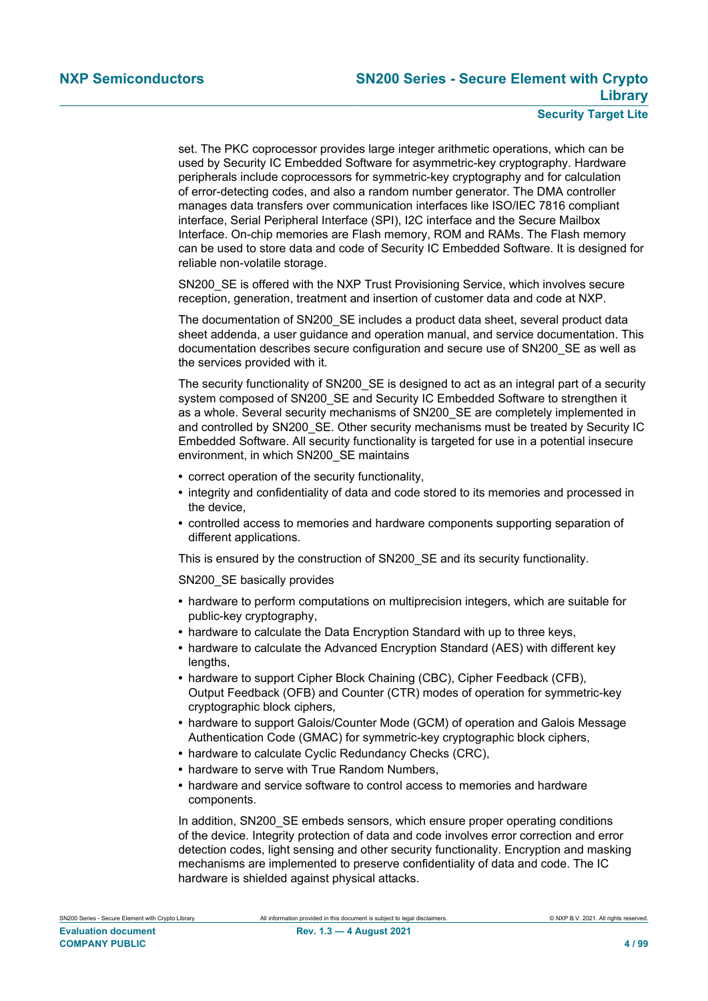set. The PKC coprocessor provides large integer arithmetic operations, which can be used by Security IC Embedded Software for asymmetric-key cryptography. Hardware peripherals include coprocessors for symmetric-key cryptography and for calculation of error-detecting codes, and also a random number generator. The DMA controller manages data transfers over communication interfaces like ISO/IEC 7816 compliant interface, Serial Peripheral Interface (SPI), I2C interface and the Secure Mailbox Interface. On-chip memories are Flash memory, ROM and RAMs. The Flash memory can be used to store data and code of Security IC Embedded Software. It is designed for reliable non-volatile storage.

SN200\_SE is offered with the NXP Trust Provisioning Service, which involves secure reception, generation, treatment and insertion of customer data and code at NXP.

The documentation of SN200\_SE includes a product data sheet, several product data sheet addenda, a user guidance and operation manual, and service documentation. This documentation describes secure configuration and secure use of SN200\_SE as well as the services provided with it.

The security functionality of SN200 SE is designed to act as an integral part of a security system composed of SN200\_SE and Security IC Embedded Software to strengthen it as a whole. Several security mechanisms of SN200 SE are completely implemented in and controlled by SN200 SE. Other security mechanisms must be treated by Security IC Embedded Software. All security functionality is targeted for use in a potential insecure environment, in which SN200\_SE maintains

- **•** correct operation of the security functionality,
- **•** integrity and confidentiality of data and code stored to its memories and processed in the device,
- **•** controlled access to memories and hardware components supporting separation of different applications.

This is ensured by the construction of SN200\_SE and its security functionality.

SN200\_SE basically provides

- **•** hardware to perform computations on multiprecision integers, which are suitable for public-key cryptography,
- **•** hardware to calculate the Data Encryption Standard with up to three keys,
- **•** hardware to calculate the Advanced Encryption Standard (AES) with different key lengths,
- **•** hardware to support Cipher Block Chaining (CBC), Cipher Feedback (CFB), Output Feedback (OFB) and Counter (CTR) modes of operation for symmetric-key cryptographic block ciphers,
- **•** hardware to support Galois/Counter Mode (GCM) of operation and Galois Message Authentication Code (GMAC) for symmetric-key cryptographic block ciphers,
- **•** hardware to calculate Cyclic Redundancy Checks (CRC),
- **•** hardware to serve with True Random Numbers,
- **•** hardware and service software to control access to memories and hardware components.

In addition, SN200 SE embeds sensors, which ensure proper operating conditions of the device. Integrity protection of data and code involves error correction and error detection codes, light sensing and other security functionality. Encryption and masking mechanisms are implemented to preserve confidentiality of data and code. The IC hardware is shielded against physical attacks.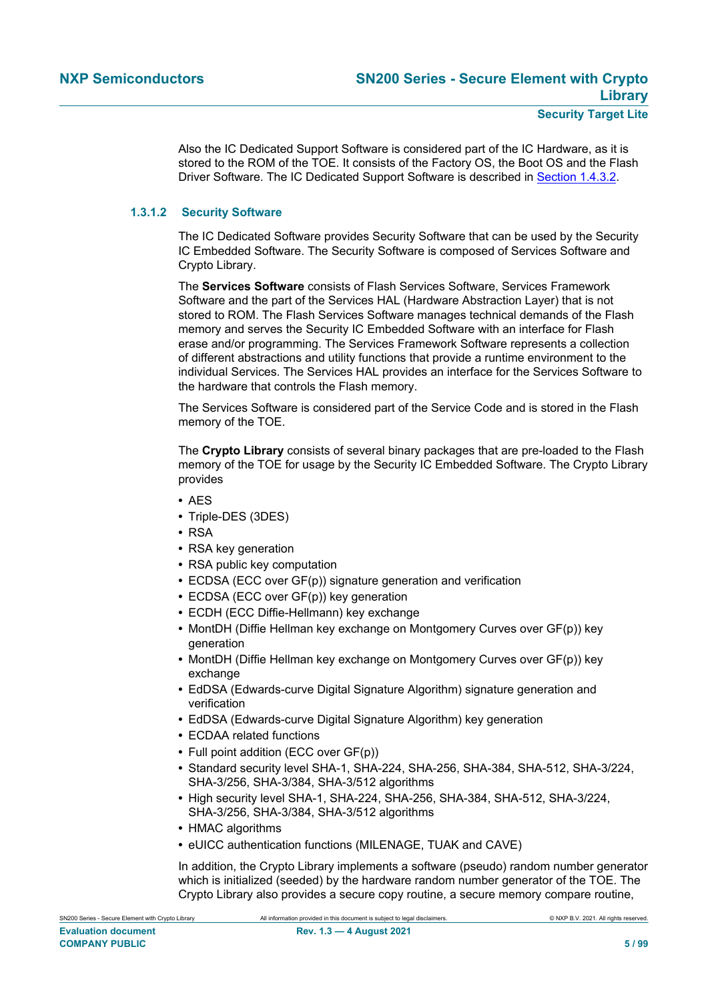Also the IC Dedicated Support Software is considered part of the IC Hardware, as it is stored to the ROM of the TOE. It consists of the Factory OS, the Boot OS and the Flash Driver Software. The IC Dedicated Support Software is described in [Section 1.4.3.2](#page-15-0).

#### **1.3.1.2 Security Software**

<span id="page-4-0"></span>The IC Dedicated Software provides Security Software that can be used by the Security IC Embedded Software. The Security Software is composed of Services Software and Crypto Library.

The **Services Software** consists of Flash Services Software, Services Framework Software and the part of the Services HAL (Hardware Abstraction Layer) that is not stored to ROM. The Flash Services Software manages technical demands of the Flash memory and serves the Security IC Embedded Software with an interface for Flash erase and/or programming. The Services Framework Software represents a collection of different abstractions and utility functions that provide a runtime environment to the individual Services. The Services HAL provides an interface for the Services Software to the hardware that controls the Flash memory.

The Services Software is considered part of the Service Code and is stored in the Flash memory of the TOE.

The **Crypto Library** consists of several binary packages that are pre-loaded to the Flash memory of the TOE for usage by the Security IC Embedded Software. The Crypto Library provides

- **•** AES
- **•** Triple-DES (3DES)
- **•** RSA
- **•** RSA key generation
- **•** RSA public key computation
- **•** ECDSA (ECC over GF(p)) signature generation and verification
- **•** ECDSA (ECC over GF(p)) key generation
- **•** ECDH (ECC Diffie-Hellmann) key exchange
- **•** MontDH (Diffie Hellman key exchange on Montgomery Curves over GF(p)) key generation
- **•** MontDH (Diffie Hellman key exchange on Montgomery Curves over GF(p)) key exchange
- **•** EdDSA (Edwards-curve Digital Signature Algorithm) signature generation and verification
- **•** EdDSA (Edwards-curve Digital Signature Algorithm) key generation
- **•** ECDAA related functions
- **•** Full point addition (ECC over GF(p))
- **•** Standard security level SHA-1, SHA-224, SHA-256, SHA-384, SHA-512, SHA-3/224, SHA-3/256, SHA-3/384, SHA-3/512 algorithms
- **•** High security level SHA-1, SHA-224, SHA-256, SHA-384, SHA-512, SHA-3/224, SHA-3/256, SHA-3/384, SHA-3/512 algorithms
- **HMAC** algorithms
- **•** eUICC authentication functions (MILENAGE, TUAK and CAVE)

In addition, the Crypto Library implements a software (pseudo) random number generator which is initialized (seeded) by the hardware random number generator of the TOE. The Crypto Library also provides a secure copy routine, a secure memory compare routine,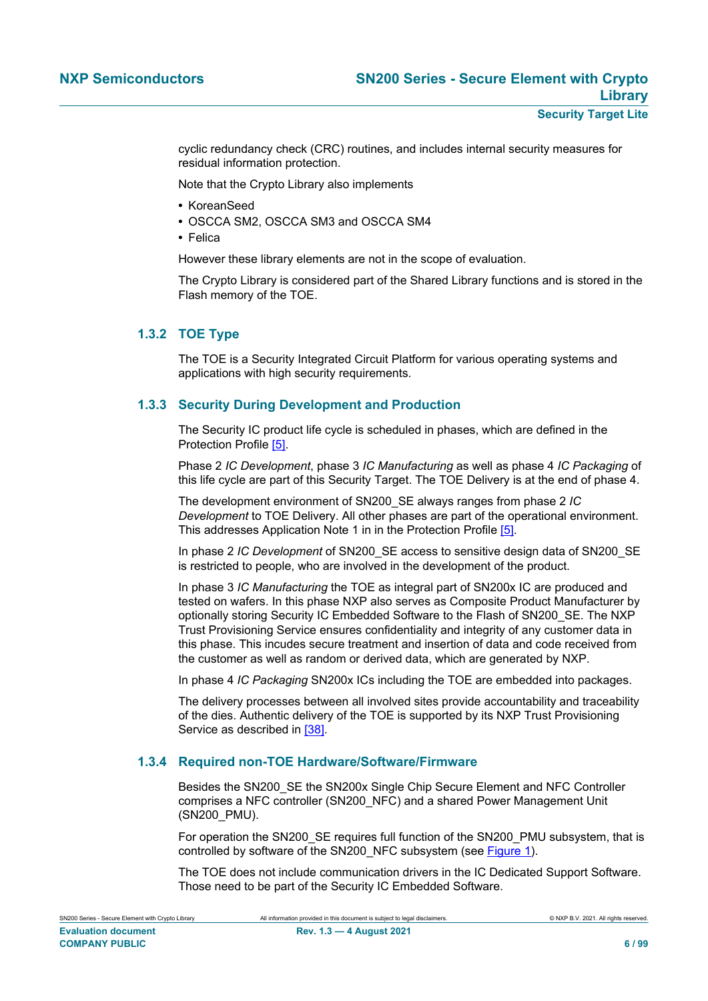cyclic redundancy check (CRC) routines, and includes internal security measures for residual information protection.

Note that the Crypto Library also implements

- **•** KoreanSeed
- **•** OSCCA SM2, OSCCA SM3 and OSCCA SM4
- **•** Felica

However these library elements are not in the scope of evaluation.

The Crypto Library is considered part of the Shared Library functions and is stored in the Flash memory of the TOE.

#### **1.3.2 TOE Type**

<span id="page-5-0"></span>The TOE is a Security Integrated Circuit Platform for various operating systems and applications with high security requirements.

#### **1.3.3 Security During Development and Production**

The Security IC product life cycle is scheduled in phases, which are defined in the Protection Profile [\[5\].](#page-90-0)

Phase 2 *IC Development*, phase 3 *IC Manufacturing* as well as phase 4 *IC Packaging* of this life cycle are part of this Security Target. The TOE Delivery is at the end of phase 4.

The development environment of SN200\_SE always ranges from phase 2 *IC Development* to TOE Delivery. All other phases are part of the operational environment. This addresses Application Note 1 in in the Protection Profile [\[5\]](#page-90-0).

In phase 2 *IC Development* of SN200\_SE access to sensitive design data of SN200\_SE is restricted to people, who are involved in the development of the product.

In phase 3 *IC Manufacturing* the TOE as integral part of SN200x IC are produced and tested on wafers. In this phase NXP also serves as Composite Product Manufacturer by optionally storing Security IC Embedded Software to the Flash of SN200\_SE. The NXP Trust Provisioning Service ensures confidentiality and integrity of any customer data in this phase. This incudes secure treatment and insertion of data and code received from the customer as well as random or derived data, which are generated by NXP.

In phase 4 *IC Packaging* SN200x ICs including the TOE are embedded into packages.

The delivery processes between all involved sites provide accountability and traceability of the dies. Authentic delivery of the TOE is supported by its NXP Trust Provisioning Service as described in [\[38\].](#page-91-0)

#### **1.3.4 Required non-TOE Hardware/Software/Firmware**

Besides the SN200\_SE the SN200x Single Chip Secure Element and NFC Controller comprises a NFC controller (SN200\_NFC) and a shared Power Management Unit (SN200\_PMU).

For operation the SN200\_SE requires full function of the SN200\_PMU subsystem, that is controlled by software of the SN200\_NFC subsystem (see [Figure 1\)](#page-6-0).

The TOE does not include communication drivers in the IC Dedicated Support Software. Those need to be part of the Security IC Embedded Software.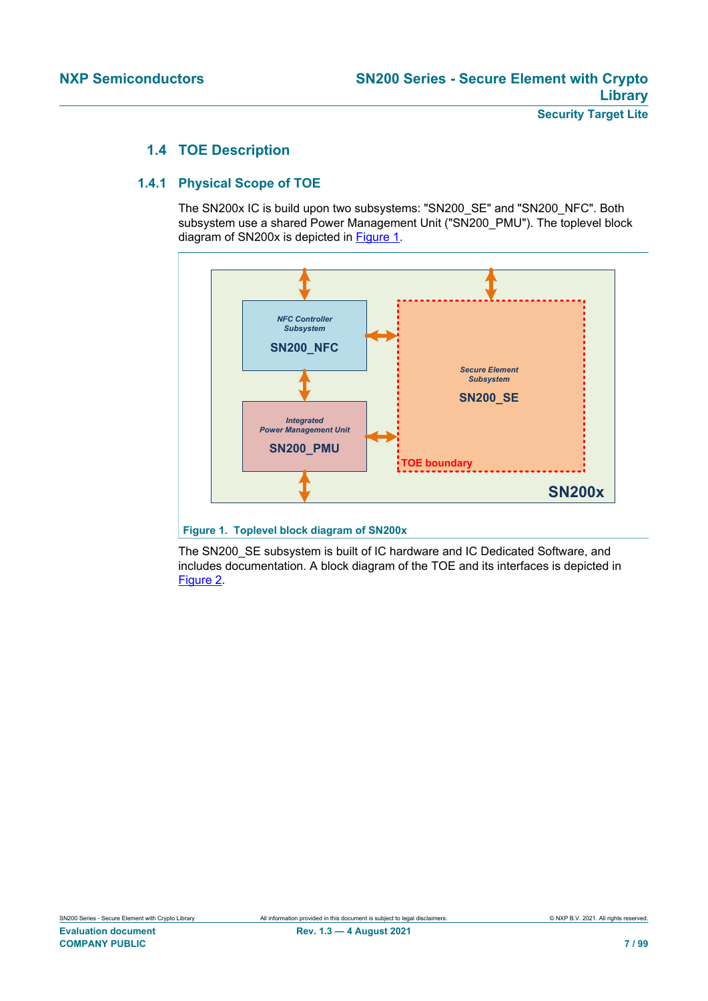## **1.4 TOE Description**

#### **1.4.1 Physical Scope of TOE**

<span id="page-6-1"></span>The SN200x IC is build upon two subsystems: "SN200\_SE" and "SN200\_NFC". Both subsystem use a shared Power Management Unit ("SN200\_PMU"). The toplevel block diagram of SN200x is depicted in [Figure 1](#page-6-0).

<span id="page-6-0"></span>

**Figure 1. Toplevel block diagram of SN200x**

The SN200 SE subsystem is built of IC hardware and IC Dedicated Software, and includes documentation. A block diagram of the TOE and its interfaces is depicted in [Figure 2.](#page-7-0)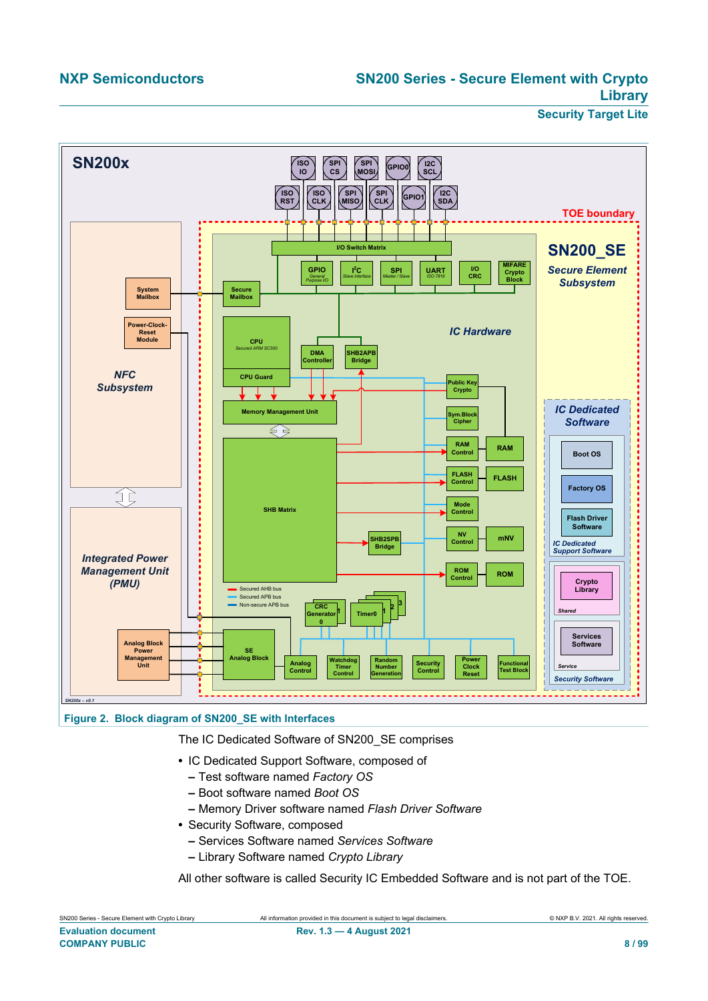<span id="page-7-0"></span>



The IC Dedicated Software of SN200\_SE comprises

- **•** IC Dedicated Support Software, composed of
	- **–** Test software named *Factory OS*
	- **–** Boot software named *Boot OS*
	- **–** Memory Driver software named *Flash Driver Software*
- **•** Security Software, composed
	- **–** Services Software named *Services Software*
	- **–** Library Software named *Crypto Library*

All other software is called Security IC Embedded Software and is not part of the TOE.

| SN200 Series - Secure Element with Crypto Library | All information provided in this document is subject to legal disclaimers. | © NXP B.V. 2021. All rights reserved. |
|---------------------------------------------------|----------------------------------------------------------------------------|---------------------------------------|
| <b>Evaluation document</b>                        | <b>Rev. 1.3 - 4 August 2021</b>                                            |                                       |
| <b>COMPANY PUBLIC</b>                             |                                                                            | 8/99                                  |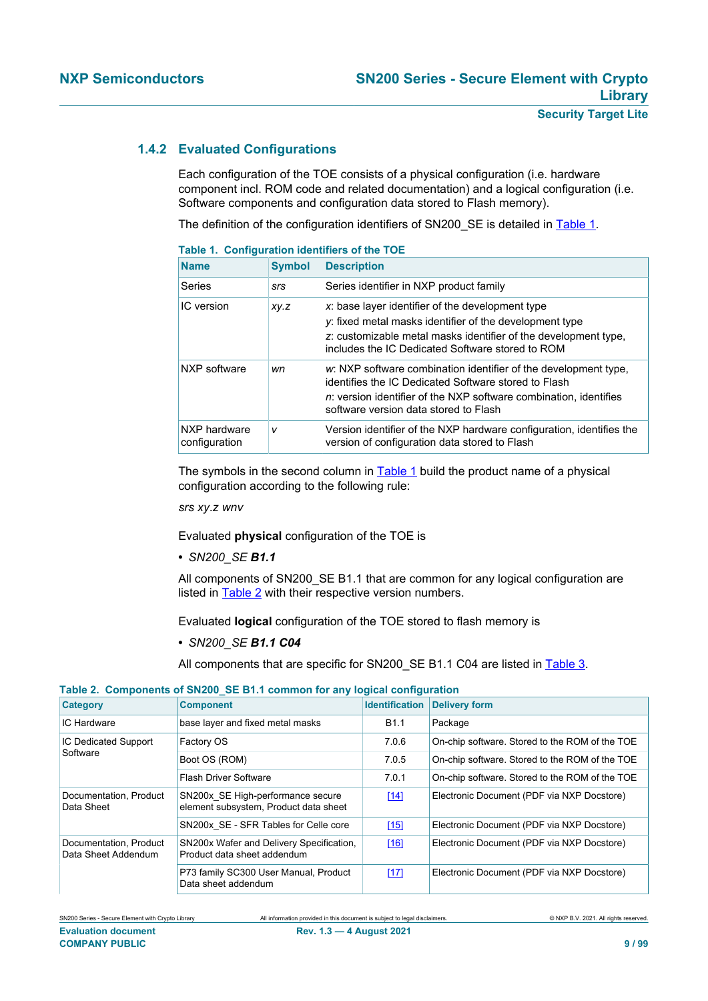#### **1.4.2 Evaluated Configurations**

<span id="page-8-2"></span>Each configuration of the TOE consists of a physical configuration (i.e. hardware component incl. ROM code and related documentation) and a logical configuration (i.e. Software components and configuration data stored to Flash memory).

The definition of the configuration identifiers of SN200\_SE is detailed in [Table 1](#page-8-0).

| <b>Table 1. Configuration identifiers of the TOE</b> |               |                                                                                                                                                                                                                                               |  |
|------------------------------------------------------|---------------|-----------------------------------------------------------------------------------------------------------------------------------------------------------------------------------------------------------------------------------------------|--|
| <b>Name</b>                                          | <b>Symbol</b> | <b>Description</b>                                                                                                                                                                                                                            |  |
| Series                                               | srs           | Series identifier in NXP product family                                                                                                                                                                                                       |  |
| IC version                                           | XY.Z          | x: base layer identifier of the development type<br>y: fixed metal masks identifier of the development type<br>z: customizable metal masks identifier of the development type,<br>includes the IC Dedicated Software stored to ROM            |  |
| NXP software                                         | wn            | w: NXP software combination identifier of the development type.<br>identifies the IC Dedicated Software stored to Flash<br><i>n</i> : version identifier of the NXP software combination, identifies<br>software version data stored to Flash |  |
| NXP hardware<br>configuration                        | v             | Version identifier of the NXP hardware configuration, identifies the<br>version of configuration data stored to Flash                                                                                                                         |  |

### <span id="page-8-0"></span>**Table 1. Configuration identifiers of the TOE**

The symbols in the second column in [Table 1](#page-8-0) build the product name of a physical configuration according to the following rule:

*srs xy*.*z wnv*

Evaluated **physical** configuration of the TOE is

**•** *SN200\_SE B1.1*

All components of SN200\_SE B1.1 that are common for any logical configuration are listed in [Table 2](#page-8-1) with their respective version numbers.

Evaluated **logical** configuration of the TOE stored to flash memory is

**•** *SN200\_SE B1.1 C04*

<span id="page-8-1"></span>All components that are specific for SN200\_SE B1.1 C04 are listed in [Table 3](#page-9-0).

#### **Table 2. Components of SN200\_SE B1.1 common for any logical configuration**

| <b>Category</b>                               | <b>Component</b>                                                           | <b>Identification</b> | <b>Delivery form</b>                           |
|-----------------------------------------------|----------------------------------------------------------------------------|-----------------------|------------------------------------------------|
| <b>IC Hardware</b>                            | base layer and fixed metal masks                                           | <b>B1.1</b>           | Package                                        |
| IC Dedicated Support                          | Factory OS                                                                 | 7.0.6                 | On-chip software. Stored to the ROM of the TOE |
| Software                                      | Boot OS (ROM)                                                              | 7.0.5                 | On-chip software. Stored to the ROM of the TOE |
|                                               | <b>Flash Driver Software</b>                                               | 7.0.1                 | On-chip software. Stored to the ROM of the TOE |
| Documentation, Product<br>Data Sheet          | SN200x SE High-performance secure<br>element subsystem, Product data sheet | [14]                  | Electronic Document (PDF via NXP Docstore)     |
|                                               | SN200x SE - SFR Tables for Celle core                                      | [15]                  | Electronic Document (PDF via NXP Docstore)     |
| Documentation, Product<br>Data Sheet Addendum | SN200x Wafer and Delivery Specification.<br>Product data sheet addendum    | [16]                  | Electronic Document (PDF via NXP Docstore)     |
|                                               | P73 family SC300 User Manual, Product<br>Data sheet addendum               | [17]                  | Electronic Document (PDF via NXP Docstore)     |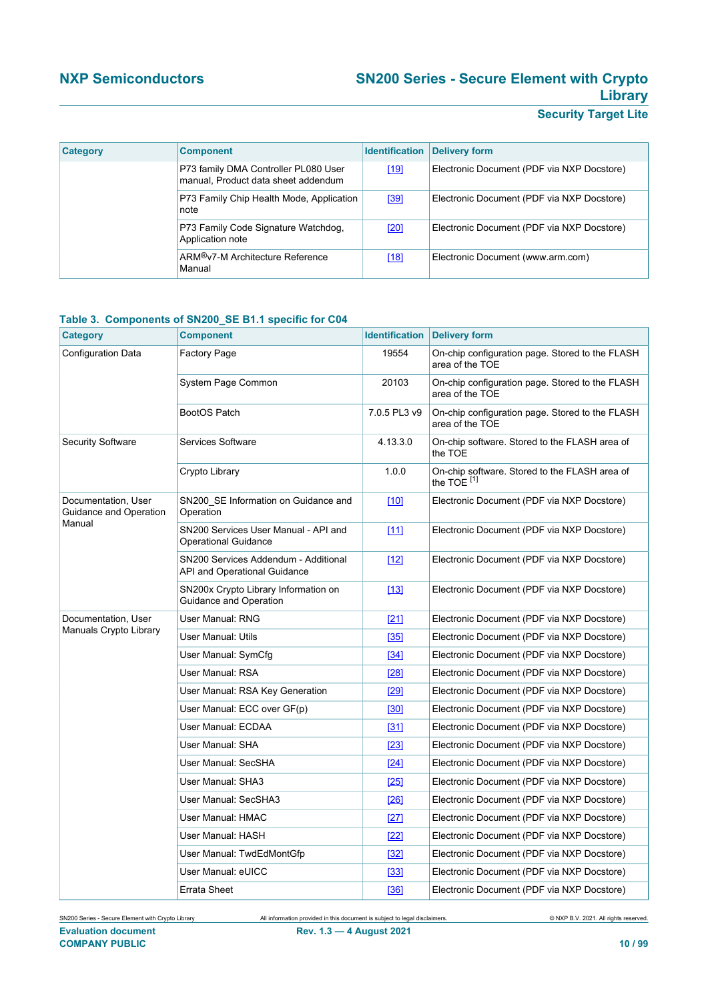## **NXP Semiconductors SN200 Series - Secure Element with Crypto Library**

## **Security Target Lite**

| <b>Category</b> | <b>Component</b>                                                            | <b>Identification</b> | <b>Delivery form</b>                       |
|-----------------|-----------------------------------------------------------------------------|-----------------------|--------------------------------------------|
|                 | P73 family DMA Controller PL080 User<br>manual, Product data sheet addendum | $[19]$                | Electronic Document (PDF via NXP Docstore) |
|                 | P73 Family Chip Health Mode, Application<br>note                            | <u>[39]</u>           | Electronic Document (PDF via NXP Docstore) |
|                 | P73 Family Code Signature Watchdog,<br>Application note                     | <u>[20]</u>           | Electronic Document (PDF via NXP Docstore) |
|                 | ARM <sup>®</sup> v7-M Architecture Reference<br>Manual                      | $[18]$                | Electronic Document (www.arm.com)          |

#### <span id="page-9-0"></span>**Table 3. Components of SN200\_SE B1.1 specific for C04**

| Category                                      | <b>Component</b>                                                     |              | <b>Identification Delivery form</b>                                     |
|-----------------------------------------------|----------------------------------------------------------------------|--------------|-------------------------------------------------------------------------|
| Configuration Data                            | <b>Factory Page</b>                                                  | 19554        | On-chip configuration page. Stored to the FLASH<br>area of the TOE      |
|                                               | System Page Common                                                   | 20103        | On-chip configuration page. Stored to the FLASH<br>area of the TOE      |
|                                               | BootOS Patch                                                         | 7.0.5 PL3 v9 | On-chip configuration page. Stored to the FLASH<br>area of the TOE      |
| Security Software                             | Services Software                                                    | 4.13.3.0     | On-chip software. Stored to the FLASH area of<br>the TOE                |
|                                               | Crypto Library                                                       | 1.0.0        | On-chip software. Stored to the FLASH area of<br>the TOE <sup>[1]</sup> |
| Documentation, User<br>Guidance and Operation | SN200 SE Information on Guidance and<br>Operation                    | [10]         | Electronic Document (PDF via NXP Docstore)                              |
| Manual                                        | SN200 Services User Manual - API and<br><b>Operational Guidance</b>  | $[11]$       | Electronic Document (PDF via NXP Docstore)                              |
|                                               | SN200 Services Addendum - Additional<br>API and Operational Guidance | $[12]$       | Electronic Document (PDF via NXP Docstore)                              |
|                                               | SN200x Crypto Library Information on<br>Guidance and Operation       | [13]         | Electronic Document (PDF via NXP Docstore)                              |
| Documentation, User                           | User Manual: RNG                                                     | [21]         | Electronic Document (PDF via NXP Docstore)                              |
| Manuals Crypto Library                        | User Manual: Utils                                                   | [35]         | Electronic Document (PDF via NXP Docstore)                              |
|                                               | User Manual: SymCfg                                                  | [34]         | Electronic Document (PDF via NXP Docstore)                              |
|                                               | User Manual: RSA                                                     | <b>[28]</b>  | Electronic Document (PDF via NXP Docstore)                              |
|                                               | User Manual: RSA Key Generation                                      | [29]         | Electronic Document (PDF via NXP Docstore)                              |
|                                               | User Manual: ECC over GF(p)                                          | [30]         | Electronic Document (PDF via NXP Docstore)                              |
|                                               | User Manual: ECDAA                                                   | [31]         | Electronic Document (PDF via NXP Docstore)                              |
|                                               | User Manual: SHA                                                     | $[23]$       | Electronic Document (PDF via NXP Docstore)                              |
|                                               | User Manual: SecSHA                                                  | [24]         | Electronic Document (PDF via NXP Docstore)                              |
|                                               | User Manual: SHA3                                                    | [25]         | Electronic Document (PDF via NXP Docstore)                              |
|                                               | User Manual: SecSHA3                                                 | [26]         | Electronic Document (PDF via NXP Docstore)                              |
|                                               | User Manual: HMAC                                                    | [27]         | Electronic Document (PDF via NXP Docstore)                              |
|                                               | User Manual: HASH                                                    | $[22]$       | Electronic Document (PDF via NXP Docstore)                              |
|                                               | User Manual: TwdEdMontGfp                                            | [32]         | Electronic Document (PDF via NXP Docstore)                              |
|                                               | User Manual: eUICC                                                   | [33]         | Electronic Document (PDF via NXP Docstore)                              |
|                                               | Errata Sheet                                                         | [36]         | Electronic Document (PDF via NXP Docstore)                              |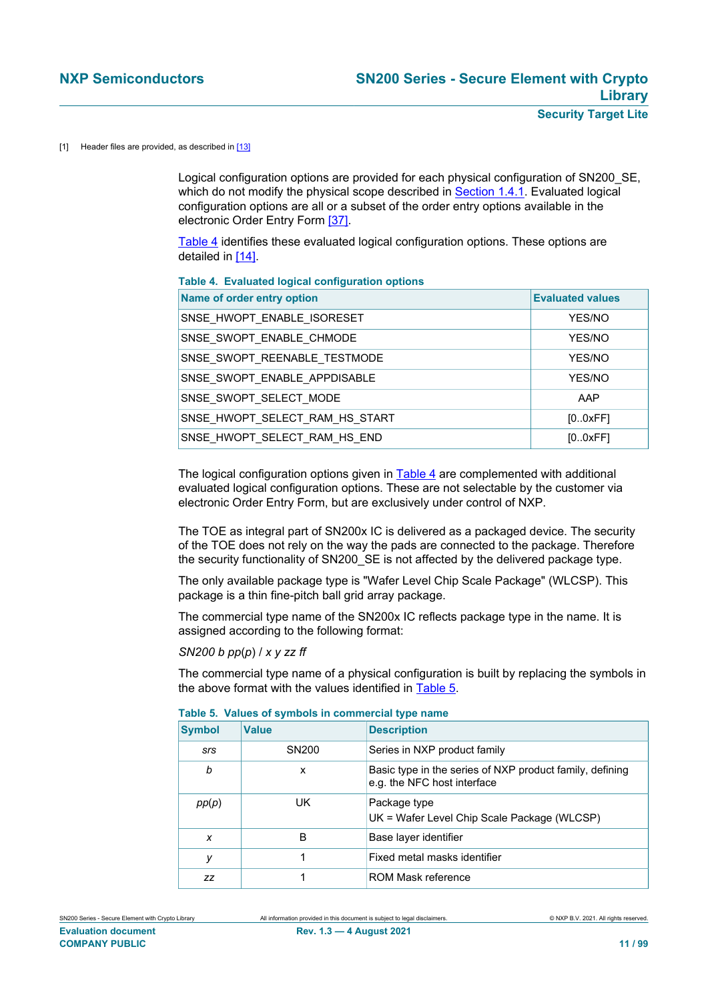#### <span id="page-10-0"></span>[1] Header files are provided, as described in  $[13]$

Logical configuration options are provided for each physical configuration of SN200\_SE, which do not modify the physical scope described in [Section 1.4.1](#page-6-1). Evaluated logical configuration options are all or a subset of the order entry options available in the electronic Order Entry Form [\[37\].](#page-91-19)

[Table 4](#page-10-1) identifies these evaluated logical configuration options. These options are detailed in [\[14\].](#page-90-1)

#### <span id="page-10-1"></span>**Table 4. Evaluated logical configuration options**

| Name of order entry option     | <b>Evaluated values</b> |
|--------------------------------|-------------------------|
| SNSE HWOPT ENABLE ISORESET     | YES/NO                  |
| SNSE_SWOPT_ENABLE_CHMODE       | YES/NO                  |
| SNSE SWOPT REENABLE TESTMODE   | YES/NO                  |
| SNSE SWOPT ENABLE APPDISABLE   | YES/NO                  |
| SNSE SWOPT SELECT MODE         | AAP                     |
| SNSE HWOPT SELECT RAM HS START | [0.0xFF]                |
| SNSE HWOPT SELECT RAM HS END   | [0.0xFF]                |

The logical configuration options given in [Table 4](#page-10-1) are complemented with additional evaluated logical configuration options. These are not selectable by the customer via electronic Order Entry Form, but are exclusively under control of NXP.

The TOE as integral part of SN200x IC is delivered as a packaged device. The security of the TOE does not rely on the way the pads are connected to the package. Therefore the security functionality of SN200\_SE is not affected by the delivered package type.

The only available package type is "Wafer Level Chip Scale Package" (WLCSP). This package is a thin fine-pitch ball grid array package.

The commercial type name of the SN200x IC reflects package type in the name. It is assigned according to the following format:

#### *SN200 b pp*(*p*) / *x y zz ff*

The commercial type name of a physical configuration is built by replacing the symbols in the above format with the values identified in [Table 5](#page-10-2).

| <b>Symbol</b> | <b>Value</b>      | <b>Description</b>                                                                      |
|---------------|-------------------|-----------------------------------------------------------------------------------------|
| <b>SrS</b>    | SN <sub>200</sub> | Series in NXP product family                                                            |
| b             | x                 | Basic type in the series of NXP product family, defining<br>e.g. the NFC host interface |
| pp(p)         | UK                | Package type<br>UK = Wafer Level Chip Scale Package (WLCSP)                             |
| X             | B                 | Base layer identifier                                                                   |
| у             |                   | Fixed metal masks identifier                                                            |
| <b>ZZ</b>     |                   | ROM Mask reference                                                                      |

<span id="page-10-2"></span>

|  |  |  | Table 5. Values of symbols in commercial type name |  |
|--|--|--|----------------------------------------------------|--|
|--|--|--|----------------------------------------------------|--|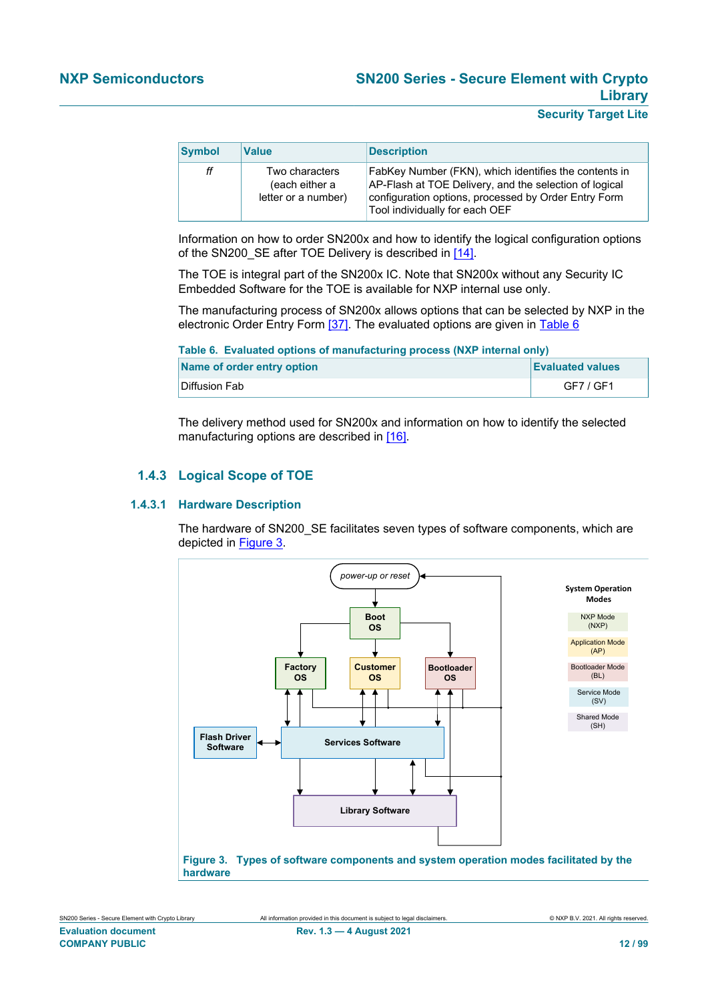| <b>Symbol</b> | <b>Value</b>                                            | <b>Description</b>                                                                                                                                                                                        |
|---------------|---------------------------------------------------------|-----------------------------------------------------------------------------------------------------------------------------------------------------------------------------------------------------------|
| ff            | Two characters<br>(each either a<br>letter or a number) | FabKey Number (FKN), which identifies the contents in<br>AP-Flash at TOE Delivery, and the selection of logical<br>configuration options, processed by Order Entry Form<br>Tool individually for each OEF |

Information on how to order SN200x and how to identify the logical configuration options of the SN200 SE after TOE Delivery is described in [\[14\]](#page-90-1).

The TOE is integral part of the SN200x IC. Note that SN200x without any Security IC Embedded Software for the TOE is available for NXP internal use only.

The manufacturing process of SN200x allows options that can be selected by NXP in the electronic Order Entry Form [\[37\].](#page-91-19) The evaluated options are given in [Table 6](#page-11-0)

<span id="page-11-0"></span>**Table 6. Evaluated options of manufacturing process (NXP internal only)**

| Name of order entry option | <b>Evaluated values</b> |
|----------------------------|-------------------------|
| Diffusion Fab              | GF7 / GF1               |

The delivery method used for SN200x and information on how to identify the selected manufacturing options are described in [\[16\].](#page-90-3)

#### **1.4.3 Logical Scope of TOE**

#### **1.4.3.1 Hardware Description**

The hardware of SN200 SE facilitates seven types of software components, which are depicted in [Figure 3.](#page-11-1)

<span id="page-11-1"></span>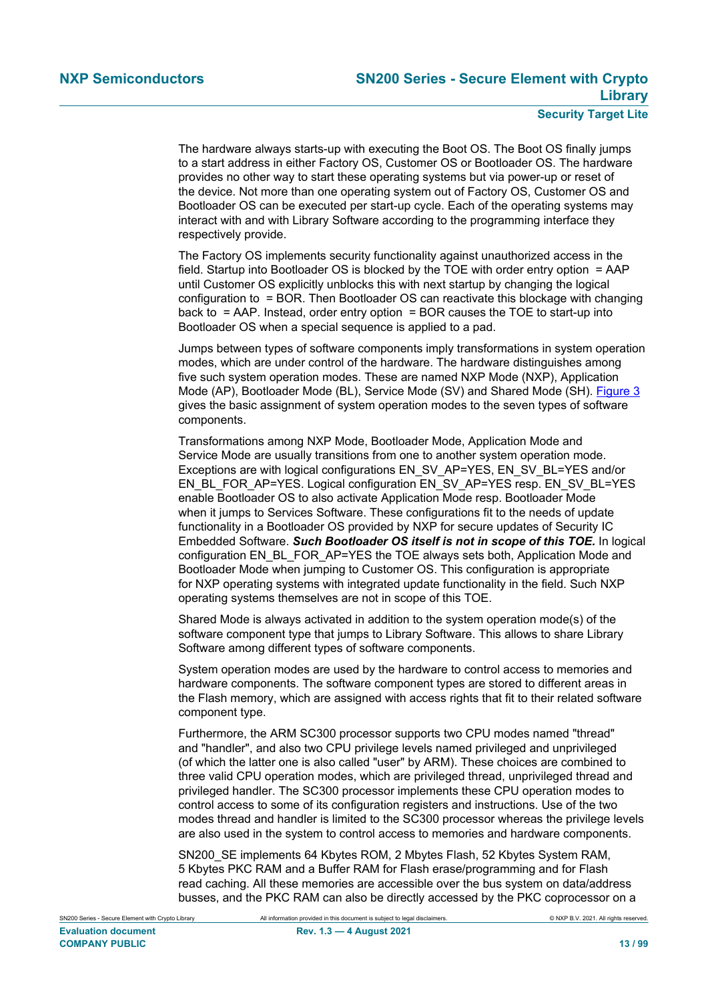The hardware always starts-up with executing the Boot OS. The Boot OS finally jumps to a start address in either Factory OS, Customer OS or Bootloader OS. The hardware provides no other way to start these operating systems but via power-up or reset of the device. Not more than one operating system out of Factory OS, Customer OS and Bootloader OS can be executed per start-up cycle. Each of the operating systems may interact with and with Library Software according to the programming interface they respectively provide.

The Factory OS implements security functionality against unauthorized access in the field. Startup into Bootloader OS is blocked by the TOE with order entry option = AAP until Customer OS explicitly unblocks this with next startup by changing the logical configuration to = BOR. Then Bootloader OS can reactivate this blockage with changing back to  $=$  AAP. Instead, order entry option  $=$  BOR causes the TOE to start-up into Bootloader OS when a special sequence is applied to a pad.

Jumps between types of software components imply transformations in system operation modes, which are under control of the hardware. The hardware distinguishes among five such system operation modes. These are named NXP Mode (NXP), Application Mode (AP), Bootloader Mode (BL), Service Mode (SV) and Shared Mode (SH). [Figure 3](#page-11-1) gives the basic assignment of system operation modes to the seven types of software components.

Transformations among NXP Mode, Bootloader Mode, Application Mode and Service Mode are usually transitions from one to another system operation mode. Exceptions are with logical configurations EN\_SV\_AP=YES, EN\_SV\_BL=YES and/or EN\_BL\_FOR\_AP=YES. Logical configuration EN\_SV\_AP=YES resp. EN\_SV\_BL=YES enable Bootloader OS to also activate Application Mode resp. Bootloader Mode when it jumps to Services Software. These configurations fit to the needs of update functionality in a Bootloader OS provided by NXP for secure updates of Security IC Embedded Software. *Such Bootloader OS itself is not in scope of this TOE.* In logical configuration EN\_BL\_FOR\_AP=YES the TOE always sets both, Application Mode and Bootloader Mode when jumping to Customer OS. This configuration is appropriate for NXP operating systems with integrated update functionality in the field. Such NXP operating systems themselves are not in scope of this TOE.

Shared Mode is always activated in addition to the system operation mode(s) of the software component type that jumps to Library Software. This allows to share Library Software among different types of software components.

System operation modes are used by the hardware to control access to memories and hardware components. The software component types are stored to different areas in the Flash memory, which are assigned with access rights that fit to their related software component type.

Furthermore, the ARM SC300 processor supports two CPU modes named "thread" and "handler", and also two CPU privilege levels named privileged and unprivileged (of which the latter one is also called "user" by ARM). These choices are combined to three valid CPU operation modes, which are privileged thread, unprivileged thread and privileged handler. The SC300 processor implements these CPU operation modes to control access to some of its configuration registers and instructions. Use of the two modes thread and handler is limited to the SC300 processor whereas the privilege levels are also used in the system to control access to memories and hardware components.

SN200\_SE implements 64 Kbytes ROM, 2 Mbytes Flash, 52 Kbytes System RAM, 5 Kbytes PKC RAM and a Buffer RAM for Flash erase/programming and for Flash read caching. All these memories are accessible over the bus system on data/address busses, and the PKC RAM can also be directly accessed by the PKC coprocessor on a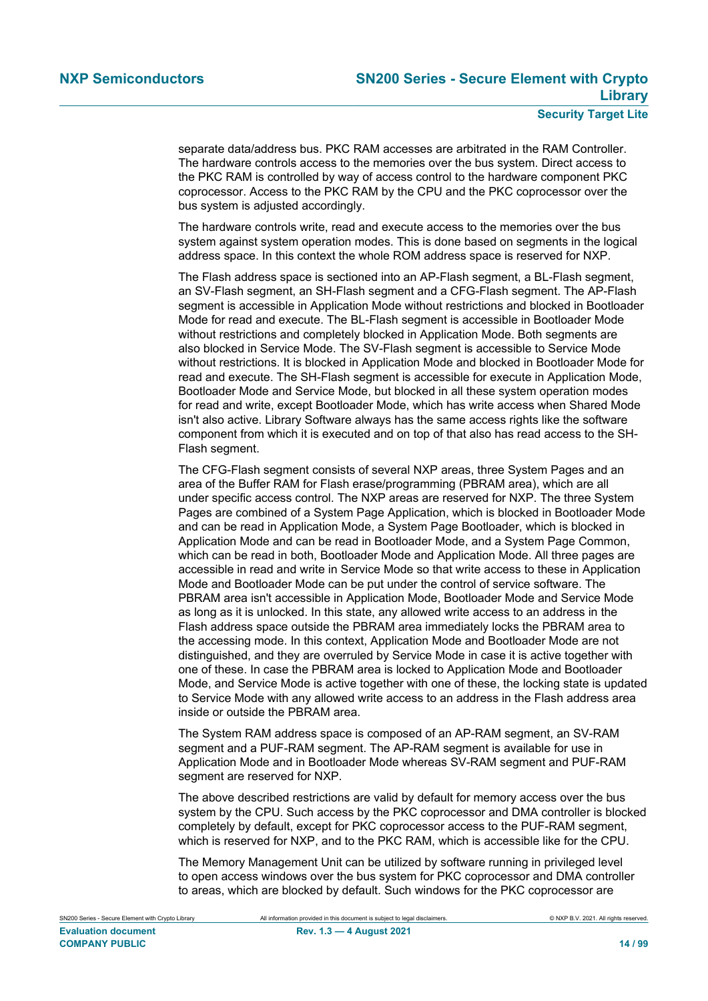separate data/address bus. PKC RAM accesses are arbitrated in the RAM Controller. The hardware controls access to the memories over the bus system. Direct access to the PKC RAM is controlled by way of access control to the hardware component PKC coprocessor. Access to the PKC RAM by the CPU and the PKC coprocessor over the bus system is adjusted accordingly.

The hardware controls write, read and execute access to the memories over the bus system against system operation modes. This is done based on segments in the logical address space. In this context the whole ROM address space is reserved for NXP.

The Flash address space is sectioned into an AP-Flash segment, a BL-Flash segment, an SV-Flash segment, an SH-Flash segment and a CFG-Flash segment. The AP-Flash segment is accessible in Application Mode without restrictions and blocked in Bootloader Mode for read and execute. The BL-Flash segment is accessible in Bootloader Mode without restrictions and completely blocked in Application Mode. Both segments are also blocked in Service Mode. The SV-Flash segment is accessible to Service Mode without restrictions. It is blocked in Application Mode and blocked in Bootloader Mode for read and execute. The SH-Flash segment is accessible for execute in Application Mode, Bootloader Mode and Service Mode, but blocked in all these system operation modes for read and write, except Bootloader Mode, which has write access when Shared Mode isn't also active. Library Software always has the same access rights like the software component from which it is executed and on top of that also has read access to the SH-Flash segment.

The CFG-Flash segment consists of several NXP areas, three System Pages and an area of the Buffer RAM for Flash erase/programming (PBRAM area), which are all under specific access control. The NXP areas are reserved for NXP. The three System Pages are combined of a System Page Application, which is blocked in Bootloader Mode and can be read in Application Mode, a System Page Bootloader, which is blocked in Application Mode and can be read in Bootloader Mode, and a System Page Common, which can be read in both, Bootloader Mode and Application Mode. All three pages are accessible in read and write in Service Mode so that write access to these in Application Mode and Bootloader Mode can be put under the control of service software. The PBRAM area isn't accessible in Application Mode, Bootloader Mode and Service Mode as long as it is unlocked. In this state, any allowed write access to an address in the Flash address space outside the PBRAM area immediately locks the PBRAM area to the accessing mode. In this context, Application Mode and Bootloader Mode are not distinguished, and they are overruled by Service Mode in case it is active together with one of these. In case the PBRAM area is locked to Application Mode and Bootloader Mode, and Service Mode is active together with one of these, the locking state is updated to Service Mode with any allowed write access to an address in the Flash address area inside or outside the PBRAM area.

The System RAM address space is composed of an AP-RAM segment, an SV-RAM segment and a PUF-RAM segment. The AP-RAM segment is available for use in Application Mode and in Bootloader Mode whereas SV-RAM segment and PUF-RAM segment are reserved for NXP.

The above described restrictions are valid by default for memory access over the bus system by the CPU. Such access by the PKC coprocessor and DMA controller is blocked completely by default, except for PKC coprocessor access to the PUF-RAM segment, which is reserved for NXP, and to the PKC RAM, which is accessible like for the CPU.

The Memory Management Unit can be utilized by software running in privileged level to open access windows over the bus system for PKC coprocessor and DMA controller to areas, which are blocked by default. Such windows for the PKC coprocessor are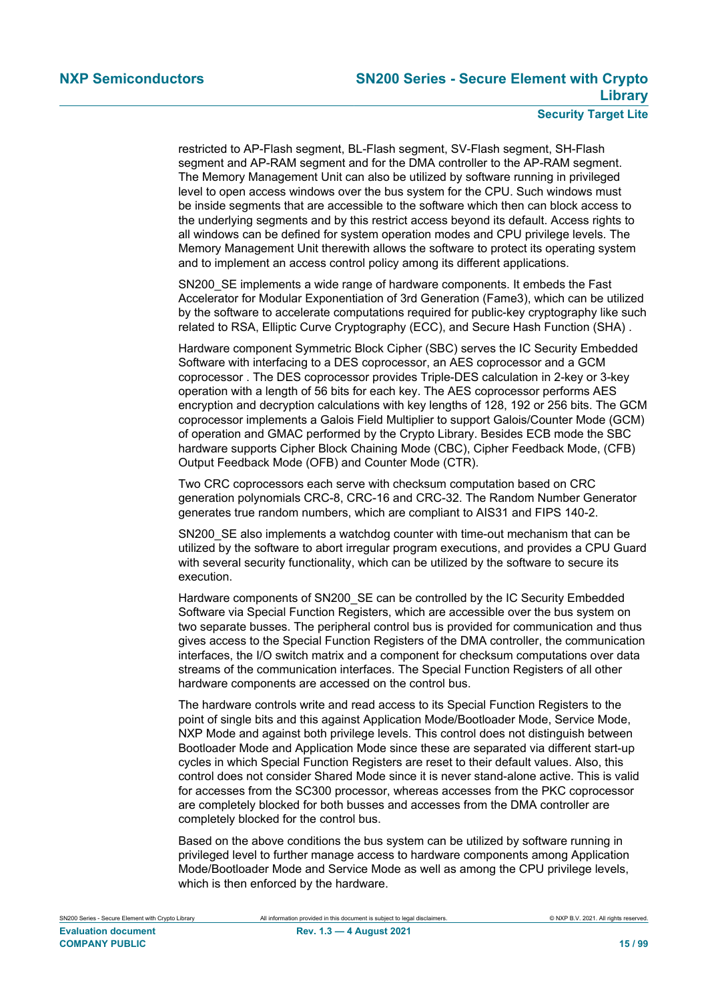restricted to AP-Flash segment, BL-Flash segment, SV-Flash segment, SH-Flash segment and AP-RAM segment and for the DMA controller to the AP-RAM segment. The Memory Management Unit can also be utilized by software running in privileged level to open access windows over the bus system for the CPU. Such windows must be inside segments that are accessible to the software which then can block access to the underlying segments and by this restrict access beyond its default. Access rights to all windows can be defined for system operation modes and CPU privilege levels. The Memory Management Unit therewith allows the software to protect its operating system and to implement an access control policy among its different applications.

SN200\_SE implements a wide range of hardware components. It embeds the Fast Accelerator for Modular Exponentiation of 3rd Generation (Fame3), which can be utilized by the software to accelerate computations required for public-key cryptography like such related to RSA, Elliptic Curve Cryptography (ECC), and Secure Hash Function (SHA) .

Hardware component Symmetric Block Cipher (SBC) serves the IC Security Embedded Software with interfacing to a DES coprocessor, an AES coprocessor and a GCM coprocessor . The DES coprocessor provides Triple-DES calculation in 2-key or 3-key operation with a length of 56 bits for each key. The AES coprocessor performs AES encryption and decryption calculations with key lengths of 128, 192 or 256 bits. The GCM coprocessor implements a Galois Field Multiplier to support Galois/Counter Mode (GCM) of operation and GMAC performed by the Crypto Library. Besides ECB mode the SBC hardware supports Cipher Block Chaining Mode (CBC), Cipher Feedback Mode, (CFB) Output Feedback Mode (OFB) and Counter Mode (CTR).

Two CRC coprocessors each serve with checksum computation based on CRC generation polynomials CRC-8, CRC-16 and CRC-32. The Random Number Generator generates true random numbers, which are compliant to AIS31 and FIPS 140-2.

SN200 SE also implements a watchdog counter with time-out mechanism that can be utilized by the software to abort irregular program executions, and provides a CPU Guard with several security functionality, which can be utilized by the software to secure its execution.

Hardware components of SN200\_SE can be controlled by the IC Security Embedded Software via Special Function Registers, which are accessible over the bus system on two separate busses. The peripheral control bus is provided for communication and thus gives access to the Special Function Registers of the DMA controller, the communication interfaces, the I/O switch matrix and a component for checksum computations over data streams of the communication interfaces. The Special Function Registers of all other hardware components are accessed on the control bus.

The hardware controls write and read access to its Special Function Registers to the point of single bits and this against Application Mode/Bootloader Mode, Service Mode, NXP Mode and against both privilege levels. This control does not distinguish between Bootloader Mode and Application Mode since these are separated via different start-up cycles in which Special Function Registers are reset to their default values. Also, this control does not consider Shared Mode since it is never stand-alone active. This is valid for accesses from the SC300 processor, whereas accesses from the PKC coprocessor are completely blocked for both busses and accesses from the DMA controller are completely blocked for the control bus.

Based on the above conditions the bus system can be utilized by software running in privileged level to further manage access to hardware components among Application Mode/Bootloader Mode and Service Mode as well as among the CPU privilege levels, which is then enforced by the hardware.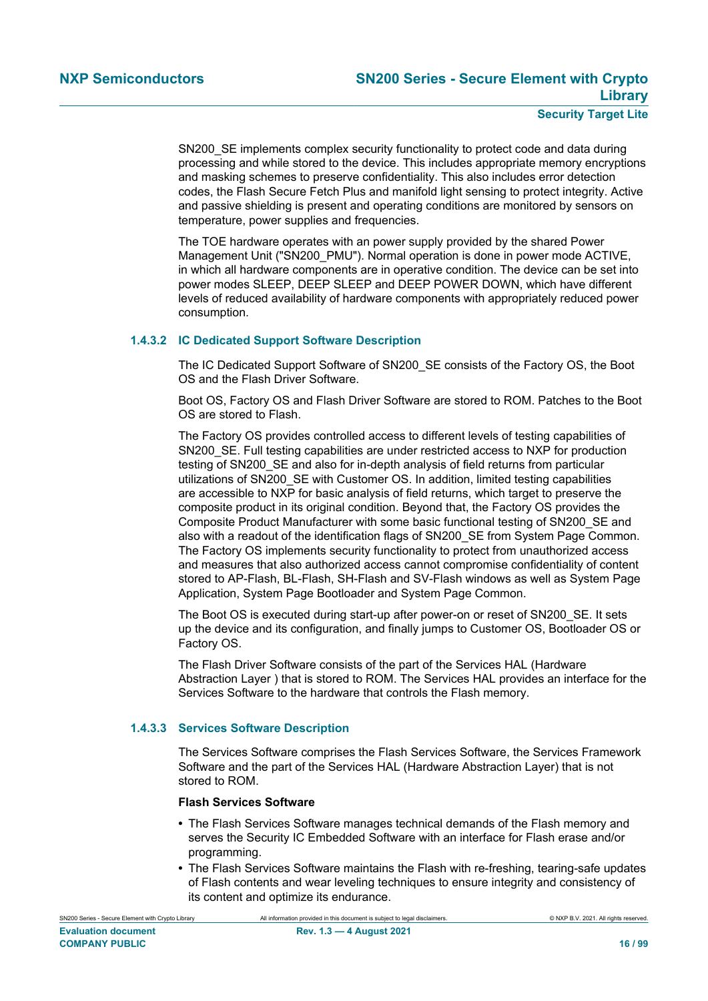SN200\_SE implements complex security functionality to protect code and data during processing and while stored to the device. This includes appropriate memory encryptions and masking schemes to preserve confidentiality. This also includes error detection codes, the Flash Secure Fetch Plus and manifold light sensing to protect integrity. Active and passive shielding is present and operating conditions are monitored by sensors on temperature, power supplies and frequencies.

The TOE hardware operates with an power supply provided by the shared Power Management Unit ("SN200\_PMU"). Normal operation is done in power mode ACTIVE, in which all hardware components are in operative condition. The device can be set into power modes SLEEP, DEEP SLEEP and DEEP POWER DOWN, which have different levels of reduced availability of hardware components with appropriately reduced power consumption.

#### **1.4.3.2 IC Dedicated Support Software Description**

<span id="page-15-0"></span>The IC Dedicated Support Software of SN200\_SE consists of the Factory OS, the Boot OS and the Flash Driver Software.

Boot OS, Factory OS and Flash Driver Software are stored to ROM. Patches to the Boot OS are stored to Flash.

The Factory OS provides controlled access to different levels of testing capabilities of SN200\_SE. Full testing capabilities are under restricted access to NXP for production testing of SN200 SE and also for in-depth analysis of field returns from particular utilizations of SN200\_SE with Customer OS. In addition, limited testing capabilities are accessible to NXP for basic analysis of field returns, which target to preserve the composite product in its original condition. Beyond that, the Factory OS provides the Composite Product Manufacturer with some basic functional testing of SN200\_SE and also with a readout of the identification flags of SN200 SE from System Page Common. The Factory OS implements security functionality to protect from unauthorized access and measures that also authorized access cannot compromise confidentiality of content stored to AP-Flash, BL-Flash, SH-Flash and SV-Flash windows as well as System Page Application, System Page Bootloader and System Page Common.

The Boot OS is executed during start-up after power-on or reset of SN200\_SE. It sets up the device and its configuration, and finally jumps to Customer OS, Bootloader OS or Factory OS.

The Flash Driver Software consists of the part of the Services HAL (Hardware Abstraction Layer ) that is stored to ROM. The Services HAL provides an interface for the Services Software to the hardware that controls the Flash memory.

#### **1.4.3.3 Services Software Description**

The Services Software comprises the Flash Services Software, the Services Framework Software and the part of the Services HAL (Hardware Abstraction Layer) that is not stored to ROM.

#### **Flash Services Software**

- **•** The Flash Services Software manages technical demands of the Flash memory and serves the Security IC Embedded Software with an interface for Flash erase and/or programming.
- **•** The Flash Services Software maintains the Flash with re-freshing, tearing-safe updates of Flash contents and wear leveling techniques to ensure integrity and consistency of its content and optimize its endurance.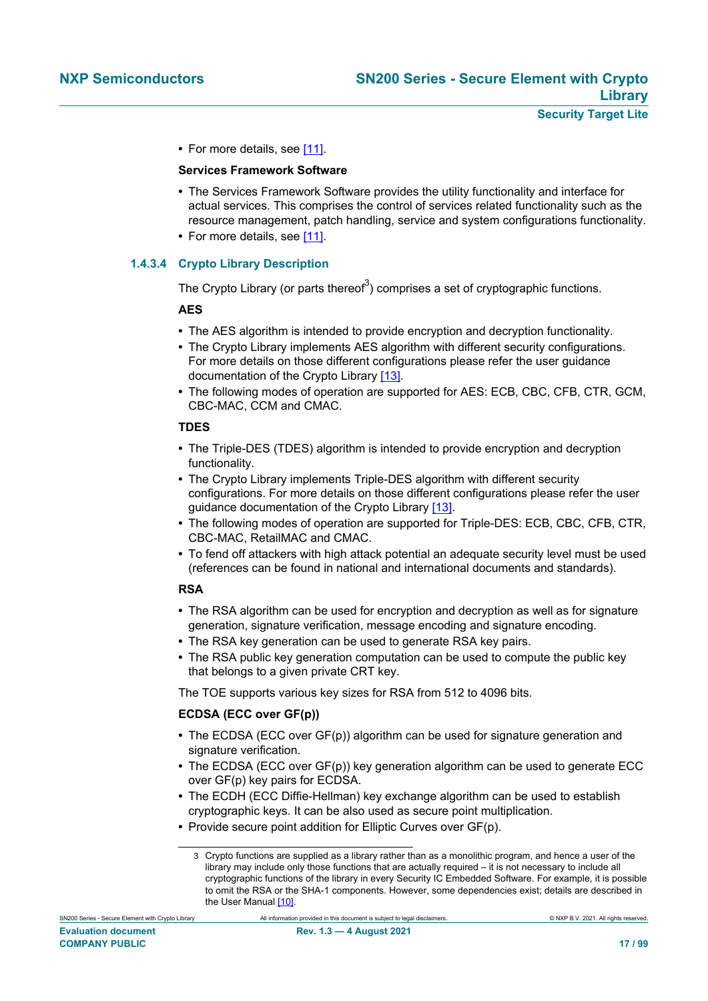• For more details, see [\[11\].](#page-90-8)

#### **Services Framework Software**

- **•** The Services Framework Software provides the utility functionality and interface for actual services. This comprises the control of services related functionality such as the resource management, patch handling, service and system configurations functionality.
- **•** For more details, see [\[11\].](#page-90-8)

#### **1.4.3.4 Crypto Library Description**

The Crypto Library (or parts thereof<sup>3</sup>) comprises a set of cryptographic functions.

#### **AES**

- **•** The AES algorithm is intended to provide encryption and decryption functionality.
- **•** The Crypto Library implements AES algorithm with different security configurations. For more details on those different configurations please refer the user guidance documentation of the Crypto Library [\[13\].](#page-90-10)
- The following modes of operation are supported for AES: ECB, CBC, CFB, CTR, GCM, CBC-MAC, CCM and CMAC.

#### **TDES**

- **•** The Triple-DES (TDES) algorithm is intended to provide encryption and decryption functionality.
- **•** The Crypto Library implements Triple-DES algorithm with different security configurations. For more details on those different configurations please refer the user quidance documentation of the Crypto Library [\[13\]](#page-90-10).
- **•** The following modes of operation are supported for Triple-DES: ECB, CBC, CFB, CTR, CBC-MAC, RetailMAC and CMAC.
- **•** To fend off attackers with high attack potential an adequate security level must be used (references can be found in national and international documents and standards).

#### **RSA**

- The RSA algorithm can be used for encryption and decryption as well as for signature generation, signature verification, message encoding and signature encoding.
- **•** The RSA key generation can be used to generate RSA key pairs.
- **•** The RSA public key generation computation can be used to compute the public key that belongs to a given private CRT key.

The TOE supports various key sizes for RSA from 512 to 4096 bits.

#### **ECDSA (ECC over GF(p))**

- **•** The ECDSA (ECC over GF(p)) algorithm can be used for signature generation and signature verification.
- **•** The ECDSA (ECC over GF(p)) key generation algorithm can be used to generate ECC over GF(p) key pairs for ECDSA.
- **•** The ECDH (ECC Diffie-Hellman) key exchange algorithm can be used to establish cryptographic keys. It can be also used as secure point multiplication.
- **•** Provide secure point addition for Elliptic Curves over GF(p).

<sup>3</sup> Crypto functions are supplied as a library rather than as a monolithic program, and hence a user of the library may include only those functions that are actually required – it is not necessary to include all cryptographic functions of the library in every Security IC Embedded Software. For example, it is possible to omit the RSA or the SHA-1 components. However, some dependencies exist; details are described in the User Manual [\[10\].](#page-90-7)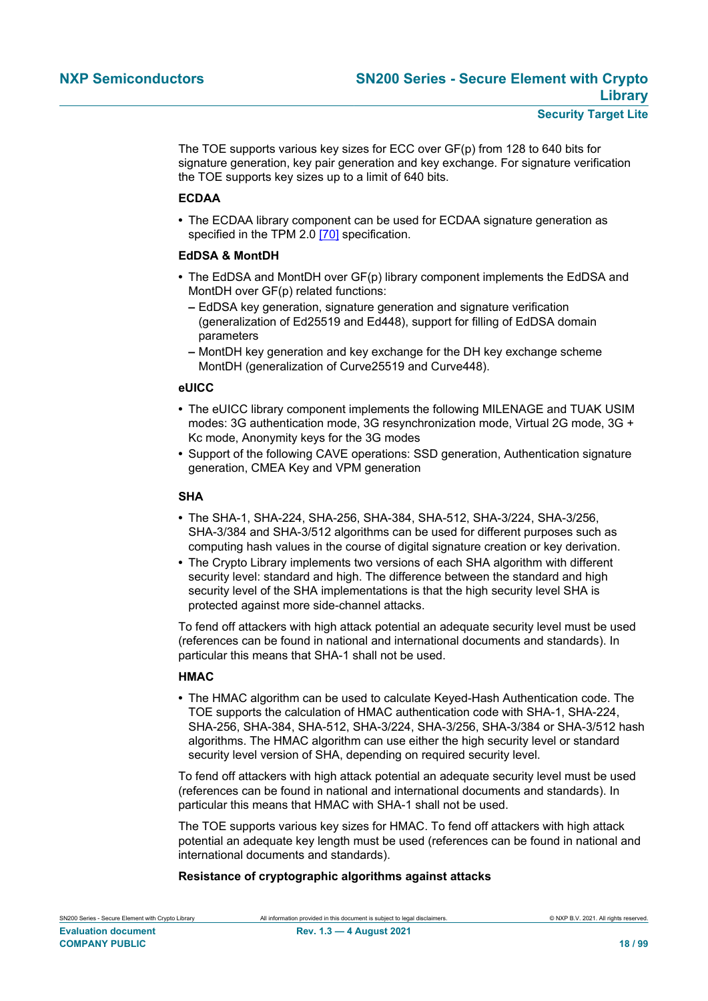The TOE supports various key sizes for ECC over GF(p) from 128 to 640 bits for signature generation, key pair generation and key exchange. For signature verification the TOE supports key sizes up to a limit of 640 bits.

#### **ECDAA**

**•** The ECDAA library component can be used for ECDAA signature generation as specified in the TPM 2.0 [\[70\]](#page-93-0) specification.

#### **EdDSA & MontDH**

- **•** The EdDSA and MontDH over GF(p) library component implements the EdDSA and MontDH over GF(p) related functions:
	- **–** EdDSA key generation, signature generation and signature verification (generalization of Ed25519 and Ed448), support for filling of EdDSA domain parameters
	- **–** MontDH key generation and key exchange for the DH key exchange scheme MontDH (generalization of Curve25519 and Curve448).

#### **eUICC**

- **•** The eUICC library component implements the following MILENAGE and TUAK USIM modes: 3G authentication mode, 3G resynchronization mode, Virtual 2G mode, 3G + Kc mode, Anonymity keys for the 3G modes
- **•** Support of the following CAVE operations: SSD generation, Authentication signature generation, CMEA Key and VPM generation

#### **SHA**

- **•** The SHA-1, SHA-224, SHA-256, SHA-384, SHA-512, SHA-3/224, SHA-3/256, SHA-3/384 and SHA-3/512 algorithms can be used for different purposes such as computing hash values in the course of digital signature creation or key derivation.
- **•** The Crypto Library implements two versions of each SHA algorithm with different security level: standard and high. The difference between the standard and high security level of the SHA implementations is that the high security level SHA is protected against more side-channel attacks.

To fend off attackers with high attack potential an adequate security level must be used (references can be found in national and international documents and standards). In particular this means that SHA-1 shall not be used.

#### **HMAC**

**•** The HMAC algorithm can be used to calculate Keyed-Hash Authentication code. The TOE supports the calculation of HMAC authentication code with SHA-1, SHA-224, SHA-256, SHA-384, SHA-512, SHA-3/224, SHA-3/256, SHA-3/384 or SHA-3/512 hash algorithms. The HMAC algorithm can use either the high security level or standard security level version of SHA, depending on required security level.

To fend off attackers with high attack potential an adequate security level must be used (references can be found in national and international documents and standards). In particular this means that HMAC with SHA-1 shall not be used.

The TOE supports various key sizes for HMAC. To fend off attackers with high attack potential an adequate key length must be used (references can be found in national and international documents and standards).

#### **Resistance of cryptographic algorithms against attacks**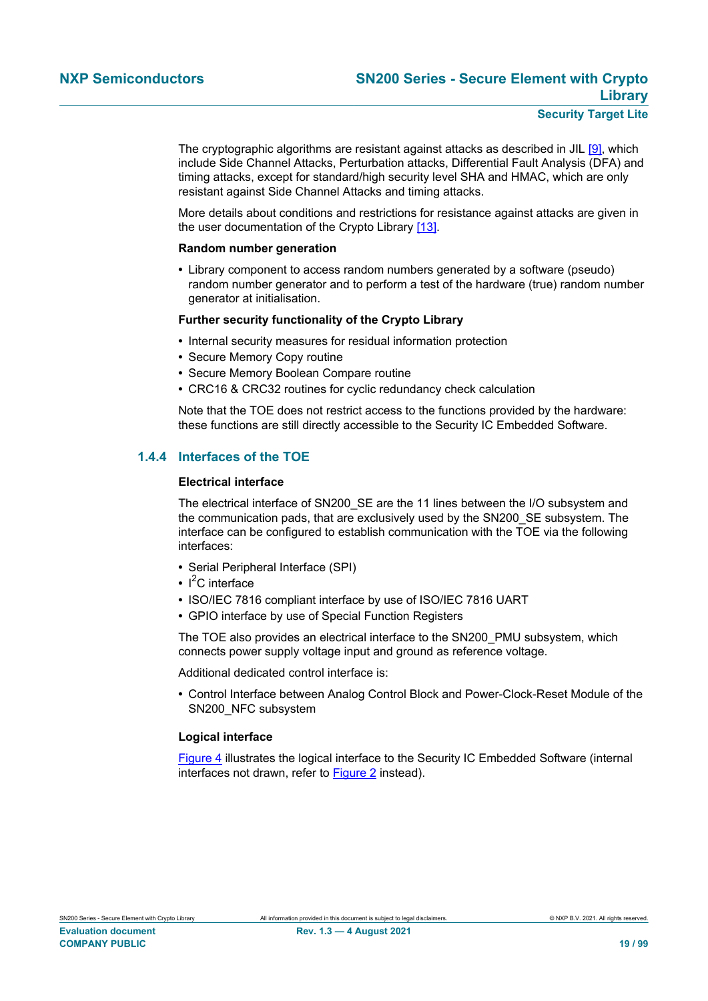The cryptographic algorithms are resistant against attacks as described in JIL [\[9\]](#page-90-11), which include Side Channel Attacks, Perturbation attacks, Differential Fault Analysis (DFA) and timing attacks, except for standard/high security level SHA and HMAC, which are only resistant against Side Channel Attacks and timing attacks.

More details about conditions and restrictions for resistance against attacks are given in the user documentation of the Crypto Library [\[13\]](#page-90-10).

#### **Random number generation**

**•** Library component to access random numbers generated by a software (pseudo) random number generator and to perform a test of the hardware (true) random number generator at initialisation.

#### **Further security functionality of the Crypto Library**

- **•** Internal security measures for residual information protection
- **•** Secure Memory Copy routine
- **•** Secure Memory Boolean Compare routine
- **•** CRC16 & CRC32 routines for cyclic redundancy check calculation

Note that the TOE does not restrict access to the functions provided by the hardware: these functions are still directly accessible to the Security IC Embedded Software.

#### **1.4.4 Interfaces of the TOE**

#### <span id="page-18-0"></span>**Electrical interface**

The electrical interface of SN200 SE are the 11 lines between the I/O subsystem and the communication pads, that are exclusively used by the SN200\_SE subsystem. The interface can be configured to establish communication with the TOE via the following interfaces:

- **•** Serial Peripheral Interface (SPI)
- I<sup>2</sup>C interface
- **•** ISO/IEC 7816 compliant interface by use of ISO/IEC 7816 UART
- **•** GPIO interface by use of Special Function Registers

The TOE also provides an electrical interface to the SN200\_PMU subsystem, which connects power supply voltage input and ground as reference voltage.

Additional dedicated control interface is:

**•** Control Interface between Analog Control Block and Power-Clock-Reset Module of the SN200\_NFC subsystem

#### **Logical interface**

[Figure 4](#page-19-0) illustrates the logical interface to the Security IC Embedded Software (internal interfaces not drawn, refer to [Figure 2](#page-7-0) instead).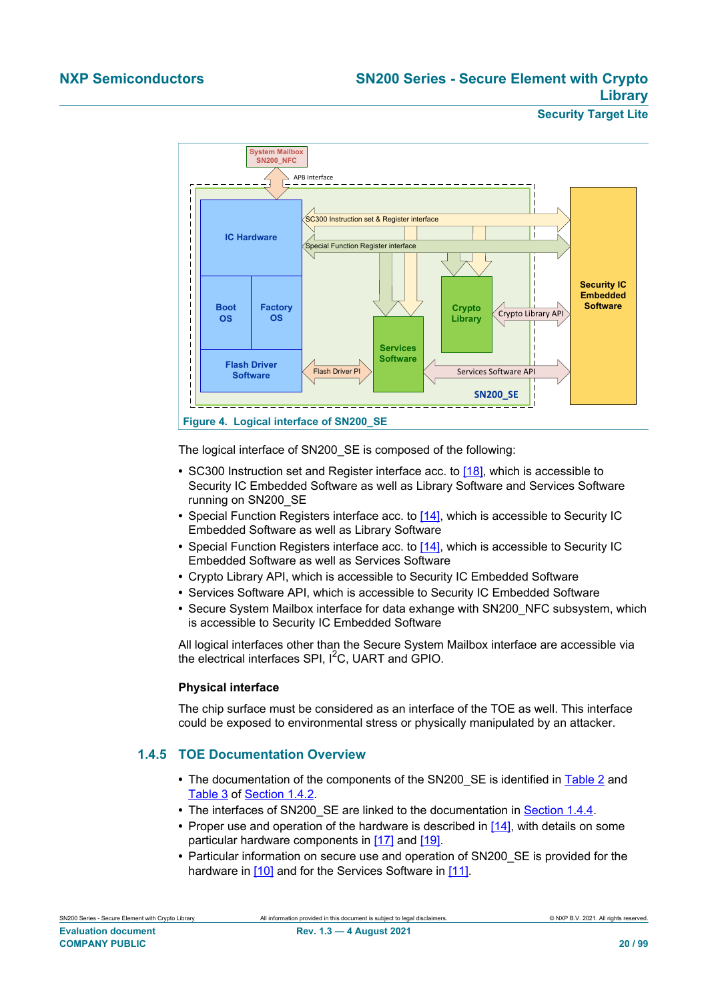<span id="page-19-0"></span>

The logical interface of SN200\_SE is composed of the following:

- **•** SC300 Instruction set and Register interface acc. to [\[18\]](#page-90-6), which is accessible to Security IC Embedded Software as well as Library Software and Services Software running on SN200\_SE
- Special Function Registers interface acc. to [\[14\]](#page-90-1), which is accessible to Security IC Embedded Software as well as Library Software
- **•** Special Function Registers interface acc. to [\[14\]](#page-90-1), which is accessible to Security IC Embedded Software as well as Services Software
- **•** Crypto Library API, which is accessible to Security IC Embedded Software
- **•** Services Software API, which is accessible to Security IC Embedded Software
- **•** Secure System Mailbox interface for data exhange with SN200\_NFC subsystem, which is accessible to Security IC Embedded Software

All logical interfaces other than the Secure System Mailbox interface are accessible via the electrical interfaces SPI,  $I^2C$ , UART and GPIO.

#### **Physical interface**

The chip surface must be considered as an interface of the TOE as well. This interface could be exposed to environmental stress or physically manipulated by an attacker.

#### **1.4.5 TOE Documentation Overview**

- **•** The documentation of the components of the SN200\_SE is identified in [Table 2](#page-8-1) and [Table 3](#page-9-0) of [Section 1.4.2](#page-8-2).
- The interfaces of SN200 SE are linked to the documentation in [Section 1.4.4.](#page-18-0)
- **•** Proper use and operation of the hardware is described in [\[14\],](#page-90-1) with details on some particular hardware components in [\[17\]](#page-90-4) and [\[19\]](#page-90-5).
- **•** Particular information on secure use and operation of SN200\_SE is provided for the hardware in [\[10\]](#page-90-7) and for the Services Software in [\[11\].](#page-90-8)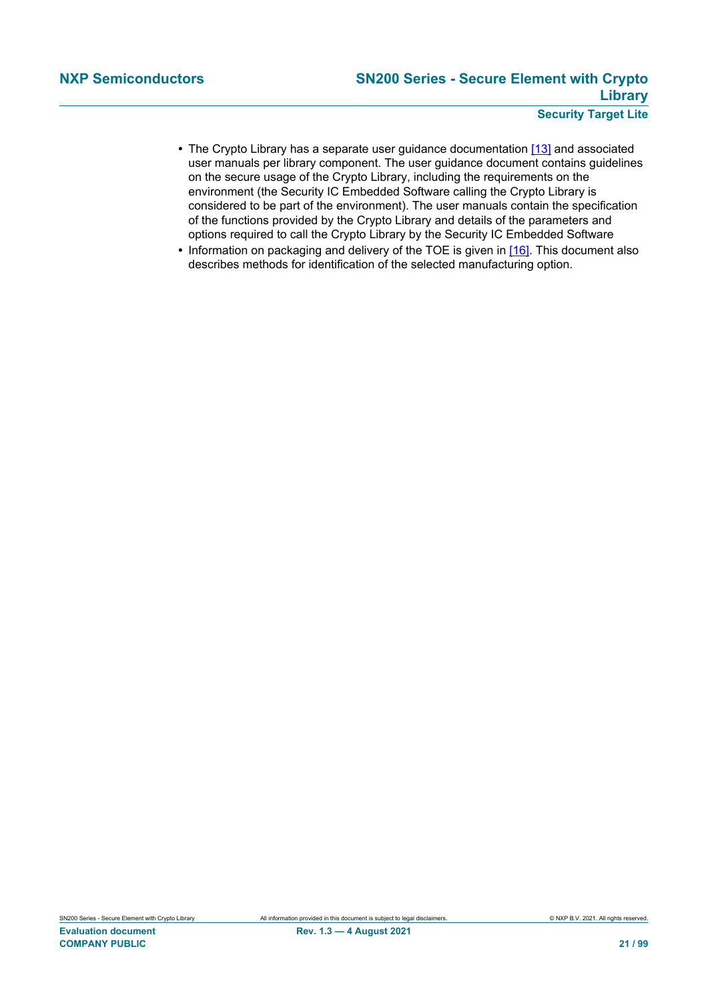- The Crypto Library has a separate user guidance documentation [\[13\]](#page-90-10) and associated user manuals per library component. The user guidance document contains guidelines on the secure usage of the Crypto Library, including the requirements on the environment (the Security IC Embedded Software calling the Crypto Library is considered to be part of the environment). The user manuals contain the specification of the functions provided by the Crypto Library and details of the parameters and options required to call the Crypto Library by the Security IC Embedded Software
- Information on packaging and delivery of the TOE is given in [\[16\]](#page-90-3). This document also describes methods for identification of the selected manufacturing option.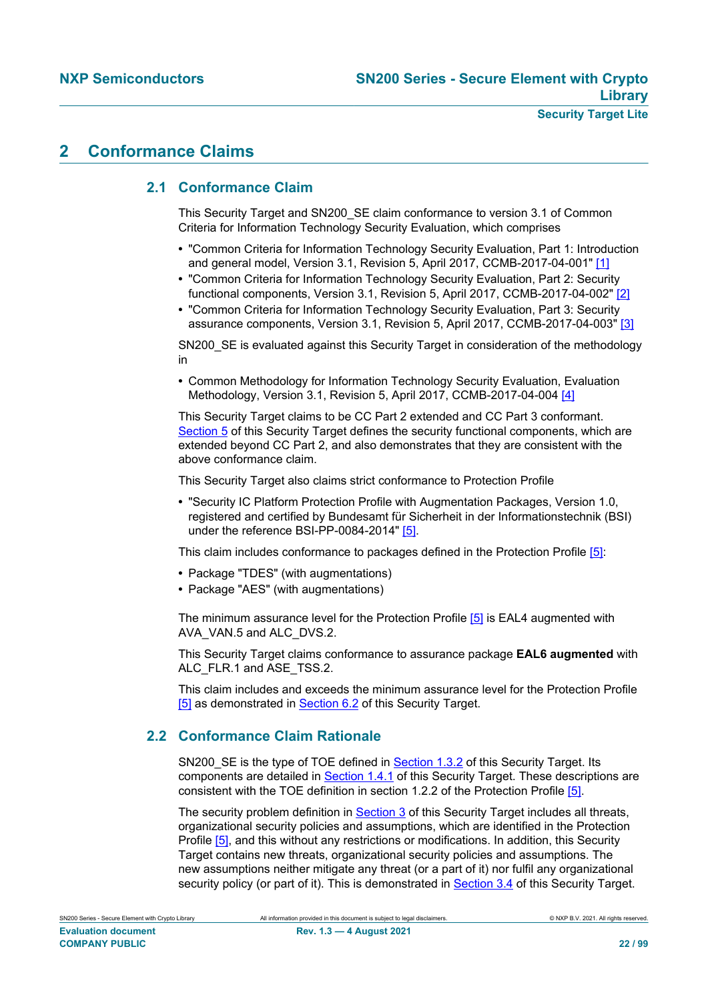## **2 Conformance Claims**

### **2.1 Conformance Claim**

This Security Target and SN200\_SE claim conformance to version 3.1 of Common Criteria for Information Technology Security Evaluation, which comprises

- **•** "Common Criteria for Information Technology Security Evaluation, Part 1: Introduction and general model, Version 3.1, Revision 5, April 2017, CCMB-2017-04-001" [\[1\]](#page-90-12)
- **•** "Common Criteria for Information Technology Security Evaluation, Part 2: Security functional components, Version 3.1, Revision 5, April 2017, CCMB-2017-04-002" [\[2\]](#page-90-13)
- **•** "Common Criteria for Information Technology Security Evaluation, Part 3: Security assurance components, Version 3.1, Revision 5, April 2017, CCMB-2017-04-003" [\[3\]](#page-90-14)

SN200\_SE is evaluated against this Security Target in consideration of the methodology in

**•** Common Methodology for Information Technology Security Evaluation, Evaluation Methodology, Version 3.1, Revision 5, April 2017, CCMB-2017-04-004 [\[4\]](#page-90-15)

This Security Target claims to be CC Part 2 extended and CC Part 3 conformant. [Section 5](#page-36-0) of this Security Target defines the security functional components, which are extended beyond CC Part 2, and also demonstrates that they are consistent with the above conformance claim.

This Security Target also claims strict conformance to Protection Profile

**•** "Security IC Platform Protection Profile with Augmentation Packages, Version 1.0, registered and certified by Bundesamt für Sicherheit in der Informationstechnik (BSI) under the reference BSI-PP-0084-2014" [\[5\].](#page-90-0)

This claim includes conformance to packages defined in the Protection Profile [\[5\]](#page-90-0):

- **•** Package "TDES" (with augmentations)
- **•** Package "AES" (with augmentations)

The minimum assurance level for the Protection Profile [\[5\]](#page-90-0) is EAL4 augmented with AVA\_VAN.5 and ALC\_DVS.2.

This Security Target claims conformance to assurance package **EAL6 augmented** with ALC FLR.1 and ASE TSS.2.

This claim includes and exceeds the minimum assurance level for the Protection Profile [\[5\]](#page-90-0) as demonstrated in [Section 6.2](#page-64-0) of this Security Target.

#### **2.2 Conformance Claim Rationale**

SN200\_SE is the type of TOE defined in **Section 1.3.2** of this Security Target. Its components are detailed in **[Section 1.4.1](#page-6-1)** of this Security Target. These descriptions are consistent with the TOE definition in section 1.2.2 of the Protection Profile [\[5\].](#page-90-0)

The security problem definition in **Section 3** of this Security Target includes all threats, organizational security policies and assumptions, which are identified in the Protection Profile [\[5\]](#page-90-0), and this without any restrictions or modifications. In addition, this Security Target contains new threats, organizational security policies and assumptions. The new assumptions neither mitigate any threat (or a part of it) nor fulfil any organizational security policy (or part of it). This is demonstrated in [Section 3.4](#page-26-0) of this Security Target.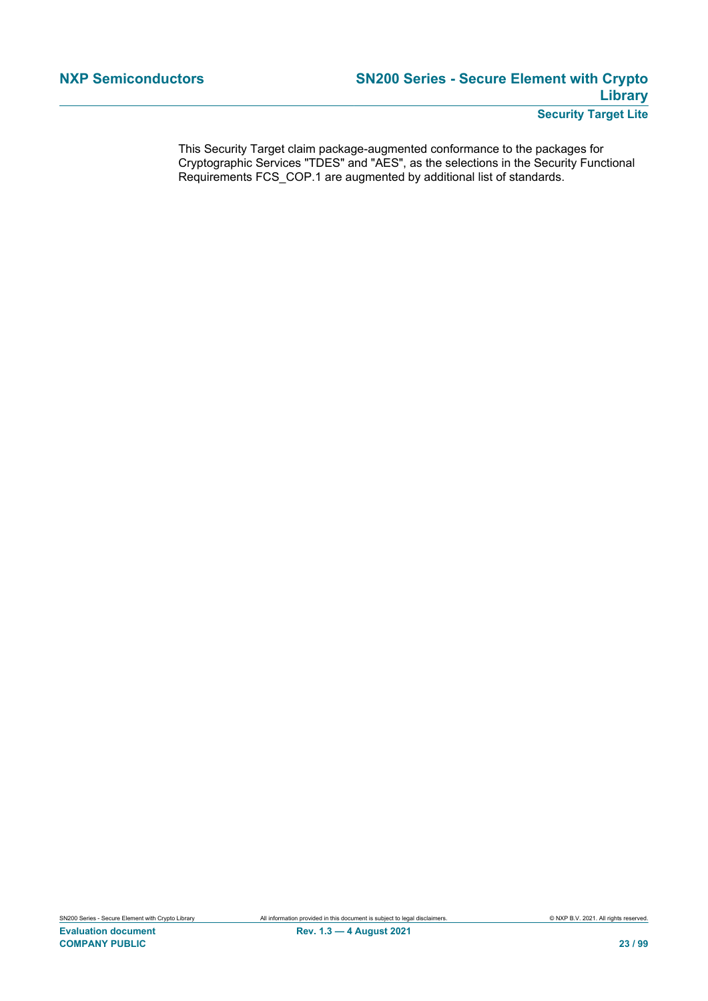This Security Target claim package-augmented conformance to the packages for Cryptographic Services "TDES" and "AES", as the selections in the Security Functional Requirements FCS\_COP.1 are augmented by additional list of standards.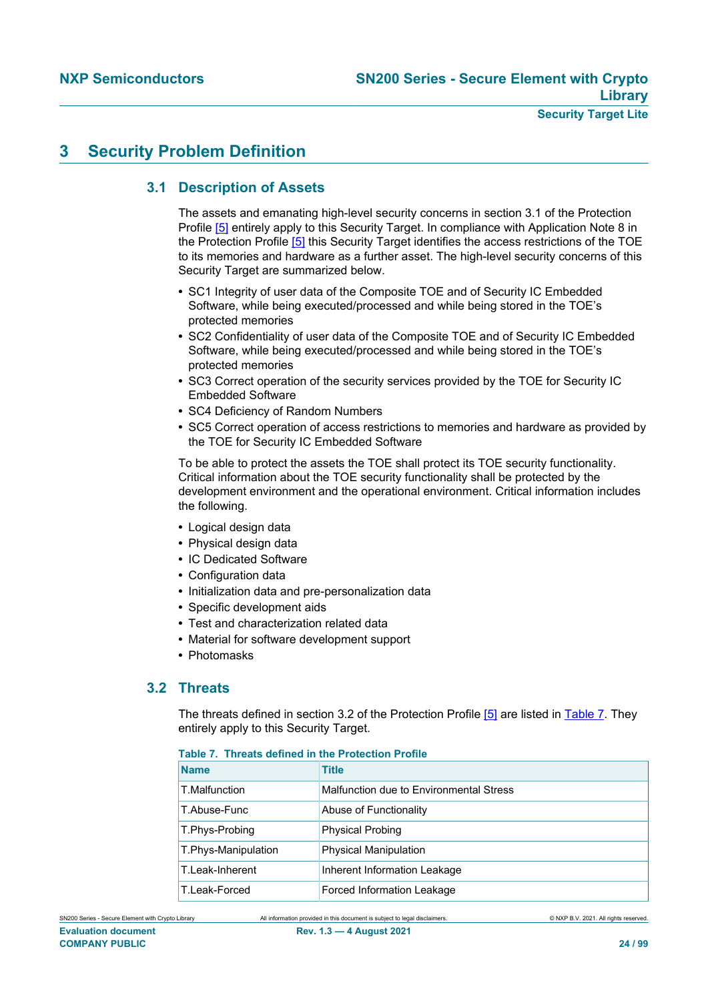## <span id="page-23-0"></span>**3 Security Problem Definition**

## **3.1 Description of Assets**

The assets and emanating high-level security concerns in section 3.1 of the Protection Profile [\[5\]](#page-90-0) entirely apply to this Security Target. In compliance with Application Note 8 in the Protection Profile [\[5\]](#page-90-0) this Security Target identifies the access restrictions of the TOE to its memories and hardware as a further asset. The high-level security concerns of this Security Target are summarized below.

- **•** SC1 Integrity of user data of the Composite TOE and of Security IC Embedded Software, while being executed/processed and while being stored in the TOE's protected memories
- **•** SC2 Confidentiality of user data of the Composite TOE and of Security IC Embedded Software, while being executed/processed and while being stored in the TOE's protected memories
- **•** SC3 Correct operation of the security services provided by the TOE for Security IC Embedded Software
- **•** SC4 Deficiency of Random Numbers
- **•** SC5 Correct operation of access restrictions to memories and hardware as provided by the TOE for Security IC Embedded Software

To be able to protect the assets the TOE shall protect its TOE security functionality. Critical information about the TOE security functionality shall be protected by the development environment and the operational environment. Critical information includes the following.

- **•** Logical design data
- **•** Physical design data
- **•** IC Dedicated Software
- **•** Configuration data
- **•** Initialization data and pre-personalization data
- **•** Specific development aids
- **•** Test and characterization related data
- **•** Material for software development support
- **•** Photomasks

#### **3.2 Threats**

The threats defined in section 3.2 of the Protection Profile [\[5\]](#page-90-0) are listed in [Table 7](#page-23-1). They entirely apply to this Security Target.

#### <span id="page-23-1"></span>**Table 7. Threats defined in the Protection Profile**

| <b>Name</b>         | <b>Title</b>                            |
|---------------------|-----------------------------------------|
| T.Malfunction       | Malfunction due to Environmental Stress |
| T.Abuse-Func        | Abuse of Functionality                  |
| T.Phys-Probing      | <b>Physical Probing</b>                 |
| T.Phys-Manipulation | <b>Physical Manipulation</b>            |
| T.Leak-Inherent     | Inherent Information Leakage            |
| T.Leak-Forced       | Forced Information Leakage              |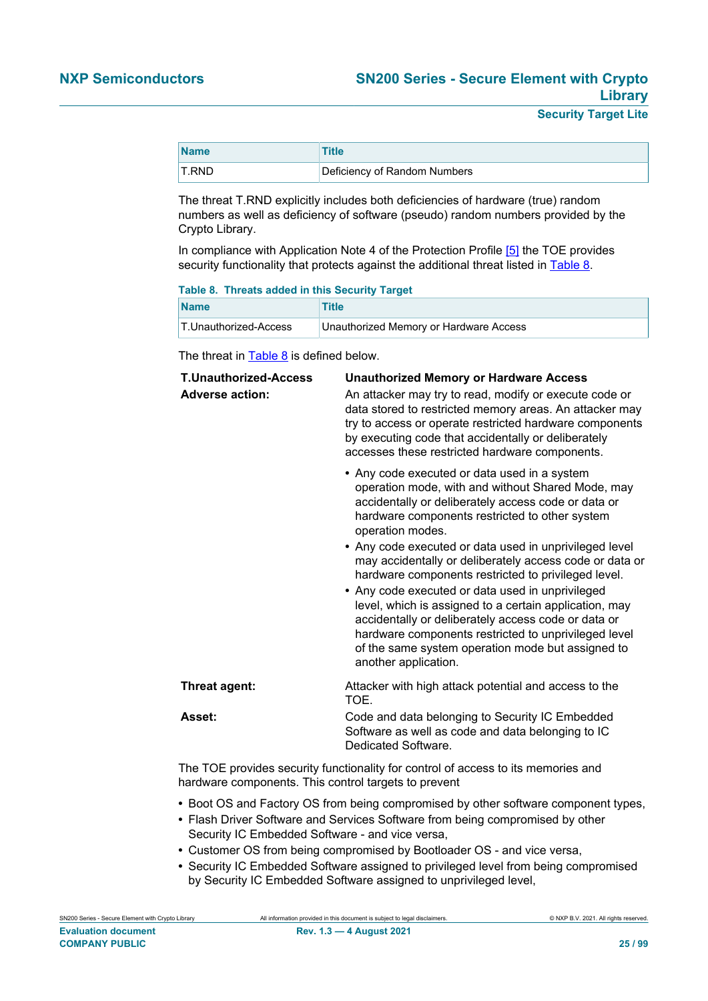| <b>Name</b> | <b>Title</b>                 |
|-------------|------------------------------|
| T.RND       | Deficiency of Random Numbers |

The threat T.RND explicitly includes both deficiencies of hardware (true) random numbers as well as deficiency of software (pseudo) random numbers provided by the Crypto Library.

In compliance with Application Note 4 of the Protection Profile [\[5\]](#page-90-0) the TOE provides security functionality that protects against the additional threat listed in [Table 8](#page-24-0).

#### <span id="page-24-0"></span>**Table 8. Threats added in this Security Target**

| <b>Name</b>           | Title                                  |
|-----------------------|----------------------------------------|
| T.Unauthorized-Access | Unauthorized Memory or Hardware Access |

The threat in  $Table 8$  is defined below.

| <b>T.Unauthorized-Access</b><br><b>Adverse action:</b> | <b>Unauthorized Memory or Hardware Access</b><br>An attacker may try to read, modify or execute code or<br>data stored to restricted memory areas. An attacker may<br>try to access or operate restricted hardware components<br>by executing code that accidentally or deliberately<br>accesses these restricted hardware components.                                                                                                                                             |
|--------------------------------------------------------|------------------------------------------------------------------------------------------------------------------------------------------------------------------------------------------------------------------------------------------------------------------------------------------------------------------------------------------------------------------------------------------------------------------------------------------------------------------------------------|
|                                                        | • Any code executed or data used in a system<br>operation mode, with and without Shared Mode, may<br>accidentally or deliberately access code or data or<br>hardware components restricted to other system<br>operation modes.                                                                                                                                                                                                                                                     |
|                                                        | • Any code executed or data used in unprivileged level<br>may accidentally or deliberately access code or data or<br>hardware components restricted to privileged level.<br>• Any code executed or data used in unprivileged<br>level, which is assigned to a certain application, may<br>accidentally or deliberately access code or data or<br>hardware components restricted to unprivileged level<br>of the same system operation mode but assigned to<br>another application. |
| Threat agent:                                          | Attacker with high attack potential and access to the<br>TOE.                                                                                                                                                                                                                                                                                                                                                                                                                      |
| Asset:                                                 | Code and data belonging to Security IC Embedded<br>Software as well as code and data belonging to IC<br>Dedicated Software.                                                                                                                                                                                                                                                                                                                                                        |
|                                                        |                                                                                                                                                                                                                                                                                                                                                                                                                                                                                    |

The TOE provides security functionality for control of access to its memories and hardware components. This control targets to prevent

- **•** Boot OS and Factory OS from being compromised by other software component types,
- **•** Flash Driver Software and Services Software from being compromised by other Security IC Embedded Software - and vice versa,
- **•** Customer OS from being compromised by Bootloader OS and vice versa,
- **•** Security IC Embedded Software assigned to privileged level from being compromised by Security IC Embedded Software assigned to unprivileged level,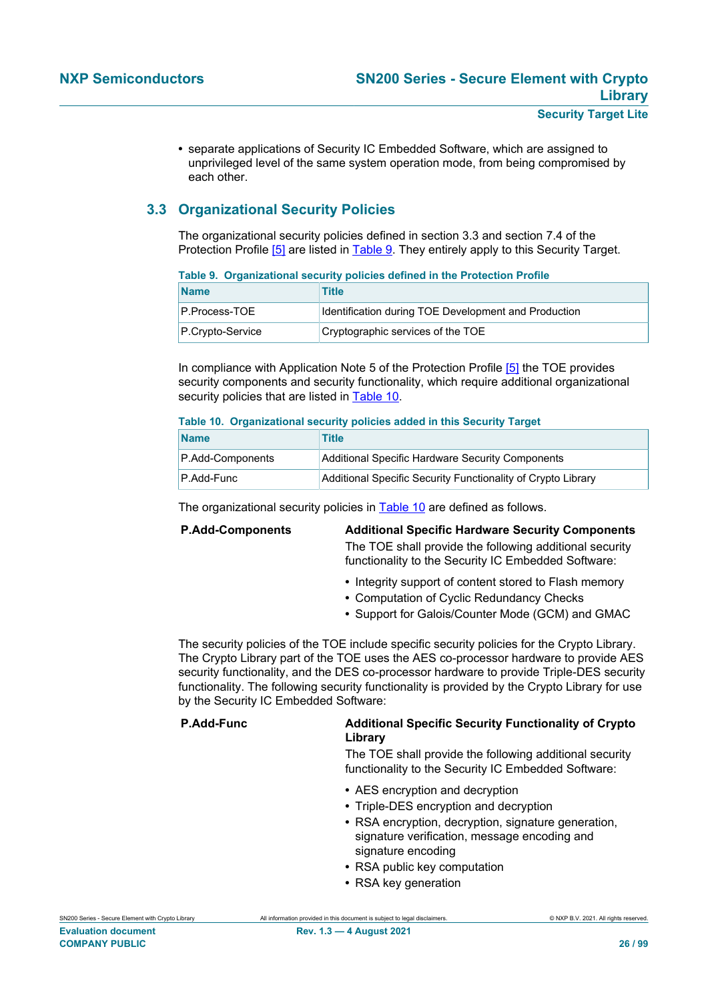**•** separate applications of Security IC Embedded Software, which are assigned to unprivileged level of the same system operation mode, from being compromised by each other.

## **3.3 Organizational Security Policies**

The organizational security policies defined in section 3.3 and section 7.4 of the Protection Profile [\[5\]](#page-90-0) are listed in [Table 9.](#page-25-0) They entirely apply to this Security Target.

<span id="page-25-0"></span>

| Table 9. Organizational security policies defined in the Protection Profile |                                                      |
|-----------------------------------------------------------------------------|------------------------------------------------------|
| <b>Name</b>                                                                 | Title                                                |
| P.Process-TOE                                                               | Identification during TOE Development and Production |
| $P.Crvpto$ -Service                                                         | Cryptographic services of the TOE                    |

In compliance with Application Note 5 of the Protection Profile [\[5\]](#page-90-0) the TOE provides security components and security functionality, which require additional organizational security policies that are listed in [Table 10.](#page-25-1)

#### <span id="page-25-1"></span>**Table 10. Organizational security policies added in this Security Target**

| <b>Name</b>      | Title                                                        |
|------------------|--------------------------------------------------------------|
| P.Add-Components | Additional Specific Hardware Security Components             |
| P.Add-Func       | Additional Specific Security Functionality of Crypto Library |

The organizational security policies in [Table 10](#page-25-1) are defined as follows.

| <b>P.Add-Components</b> | <b>Additional Specific Hardware Security Components</b>                                                        |
|-------------------------|----------------------------------------------------------------------------------------------------------------|
|                         | The TOE shall provide the following additional security<br>functionality to the Security IC Embedded Software: |
|                         | • Integrity support of content stored to Flash memory                                                          |

- **•** Computation of Cyclic Redundancy Checks
- **•** Support for Galois/Counter Mode (GCM) and GMAC

The security policies of the TOE include specific security policies for the Crypto Library. The Crypto Library part of the TOE uses the AES co-processor hardware to provide AES security functionality, and the DES co-processor hardware to provide Triple-DES security functionality. The following security functionality is provided by the Crypto Library for use by the Security IC Embedded Software:

#### **P.Add-Func Additional Specific Security Functionality of Crypto Library**

The TOE shall provide the following additional security functionality to the Security IC Embedded Software:

- **•** AES encryption and decryption
- **•** Triple-DES encryption and decryption
- **•** RSA encryption, decryption, signature generation, signature verification, message encoding and signature encoding
- **•** RSA public key computation
- **•** RSA key generation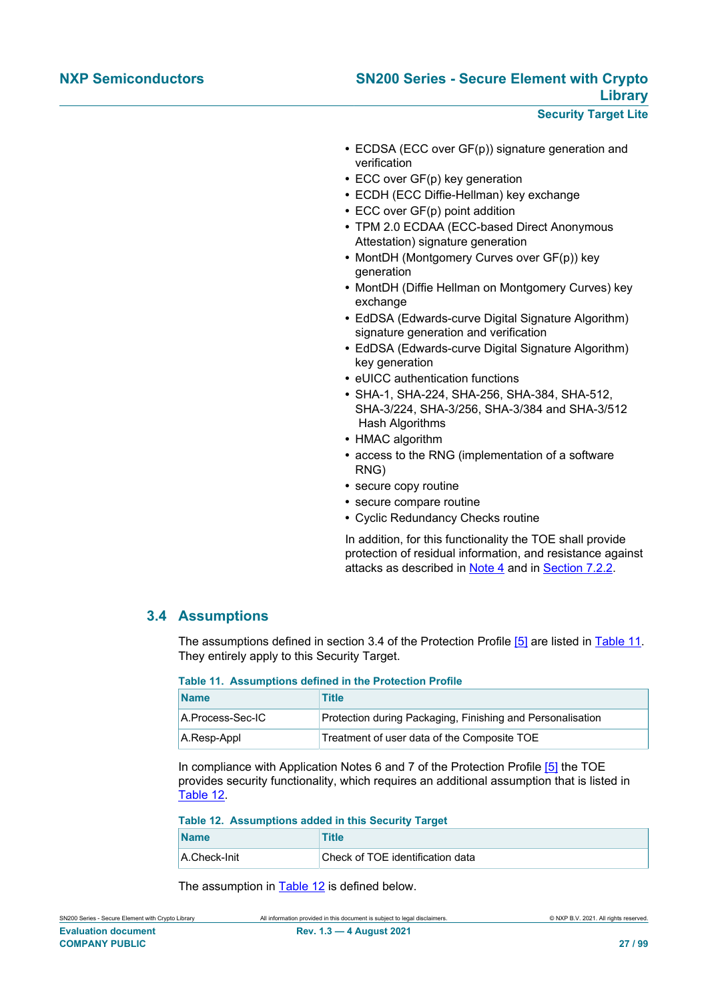- **•** ECDSA (ECC over GF(p)) signature generation and verification
- **•** ECC over GF(p) key generation
- **•** ECDH (ECC Diffie-Hellman) key exchange
- **•** ECC over GF(p) point addition
- **•** TPM 2.0 ECDAA (ECC-based Direct Anonymous Attestation) signature generation
- **•** MontDH (Montgomery Curves over GF(p)) key generation
- **•** MontDH (Diffie Hellman on Montgomery Curves) key exchange
- **•** EdDSA (Edwards-curve Digital Signature Algorithm) signature generation and verification
- **•** EdDSA (Edwards-curve Digital Signature Algorithm) key generation
- **•** eUICC authentication functions
- **•** SHA-1, SHA-224, SHA-256, SHA-384, SHA-512, SHA-3/224, SHA-3/256, SHA-3/384 and SHA-3/512 Hash Algorithms
- **•** HMAC algorithm
- **•** access to the RNG (implementation of a software RNG)
- **•** secure copy routine
- **•** secure compare routine
- **•** Cyclic Redundancy Checks routine

In addition, for this functionality the TOE shall provide protection of residual information, and resistance against attacks as described in Note 4 and in [Section 7.2.2](#page-89-0).

### **3.4 Assumptions**

<span id="page-26-0"></span>The assumptions defined in section 3.4 of the Protection Profile [\[5\]](#page-90-0) are listed in [Table 11](#page-26-1). They entirely apply to this Security Target.

#### <span id="page-26-1"></span>**Table 11. Assumptions defined in the Protection Profile**

| <b>Name</b>      | Title                                                      |
|------------------|------------------------------------------------------------|
| A.Process-Sec-IC | Protection during Packaging, Finishing and Personalisation |
| A.Resp-Appl      | Treatment of user data of the Composite TOE                |

In compliance with Application Notes 6 and 7 of the Protection Profile [\[5\]](#page-90-0) the TOE provides security functionality, which requires an additional assumption that is listed in [Table 12.](#page-26-2)

<span id="page-26-2"></span>**Table 12. Assumptions added in this Security Target**

| <b>Name</b>  | Title                            |
|--------------|----------------------------------|
| A.Check-Init | Check of TOE identification data |

The assumption in [Table 12](#page-26-2) is defined below.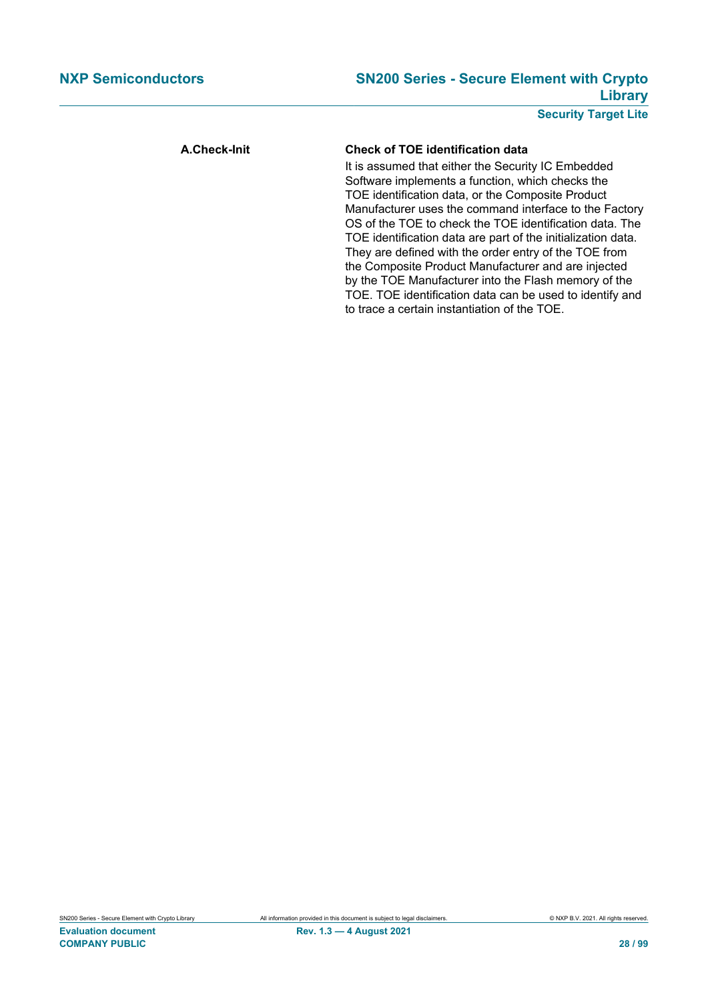## **NXP Semiconductors SN200 Series - Secure Element with Crypto Library**

**Security Target Lite**

#### **A.Check-Init Check of TOE identification data**

It is assumed that either the Security IC Embedded Software implements a function, which checks the TOE identification data, or the Composite Product Manufacturer uses the command interface to the Factory OS of the TOE to check the TOE identification data. The TOE identification data are part of the initialization data. They are defined with the order entry of the TOE from the Composite Product Manufacturer and are injected by the TOE Manufacturer into the Flash memory of the TOE. TOE identification data can be used to identify and to trace a certain instantiation of the TOE.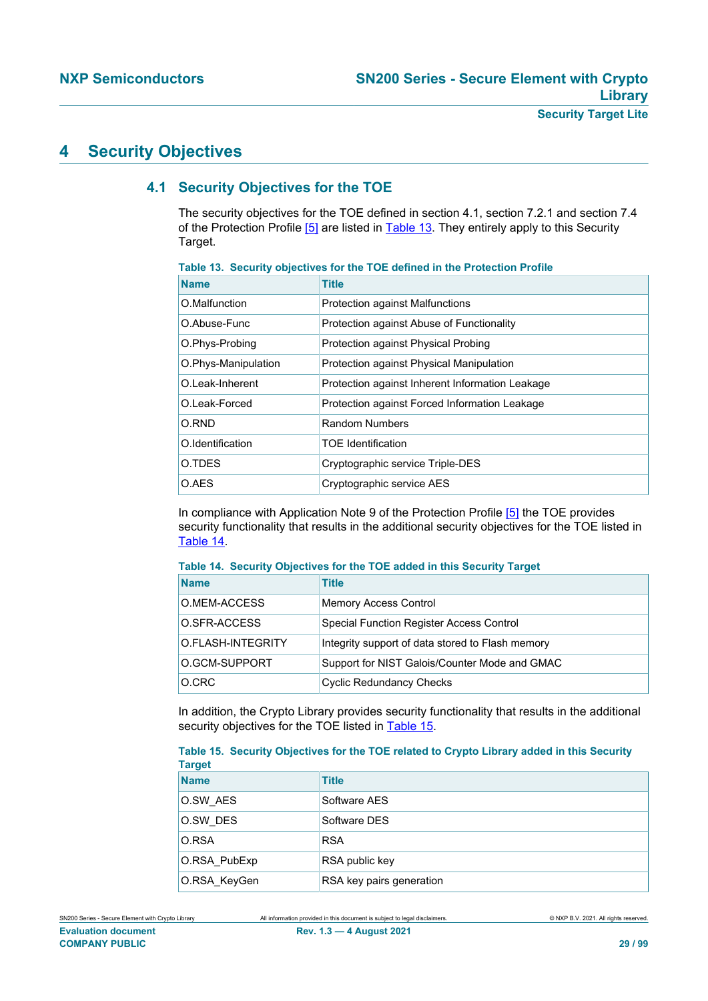## **4 Security Objectives**

## **4.1 Security Objectives for the TOE**

<span id="page-28-3"></span>The security objectives for the TOE defined in section 4.1, section 7.2.1 and section 7.4 of the Protection Profile [\[5\]](#page-90-0) are listed in **Table 13**. They entirely apply to this Security Target.

| <b>Name</b>         | <b>Title</b>                                    |
|---------------------|-------------------------------------------------|
| O.Malfunction       | <b>Protection against Malfunctions</b>          |
| O.Abuse-Func        | Protection against Abuse of Functionality       |
| O.Phys-Probing      | Protection against Physical Probing             |
| O.Phys-Manipulation | Protection against Physical Manipulation        |
| O.Leak-Inherent     | Protection against Inherent Information Leakage |
| O.Leak-Forced       | Protection against Forced Information Leakage   |
| O.RND               | <b>Random Numbers</b>                           |
| O.Identification    | <b>TOE Identification</b>                       |
| O.TDES              | Cryptographic service Triple-DES                |
| O.AES               | Cryptographic service AES                       |

<span id="page-28-0"></span>**Table 13. Security objectives for the TOE defined in the Protection Profile**

In compliance with Application Note 9 of the Protection Profile [\[5\]](#page-90-0) the TOE provides security functionality that results in the additional security objectives for the TOE listed in [Table 14.](#page-28-1)

#### <span id="page-28-1"></span>**Table 14. Security Objectives for the TOE added in this Security Target**

| <b>Name</b>       | Title                                            |
|-------------------|--------------------------------------------------|
| O.MEM-ACCESS      | <b>Memory Access Control</b>                     |
| O.SFR-ACCESS      | Special Function Register Access Control         |
| O.FLASH-INTEGRITY | Integrity support of data stored to Flash memory |
| O.GCM-SUPPORT     | Support for NIST Galois/Counter Mode and GMAC    |
| O.CRC             | <b>Cyclic Redundancy Checks</b>                  |

In addition, the Crypto Library provides security functionality that results in the additional security objectives for the TOE listed in [Table 15](#page-28-2).

<span id="page-28-2"></span>**Table 15. Security Objectives for the TOE related to Crypto Library added in this Security Target**

| .            |                          |
|--------------|--------------------------|
| <b>Name</b>  | <b>Title</b>             |
| O.SW AES     | Software AES             |
| O.SW DES     | Software DES             |
| O.RSA        | <b>RSA</b>               |
| O.RSA PubExp | RSA public key           |
| O.RSA_KeyGen | RSA key pairs generation |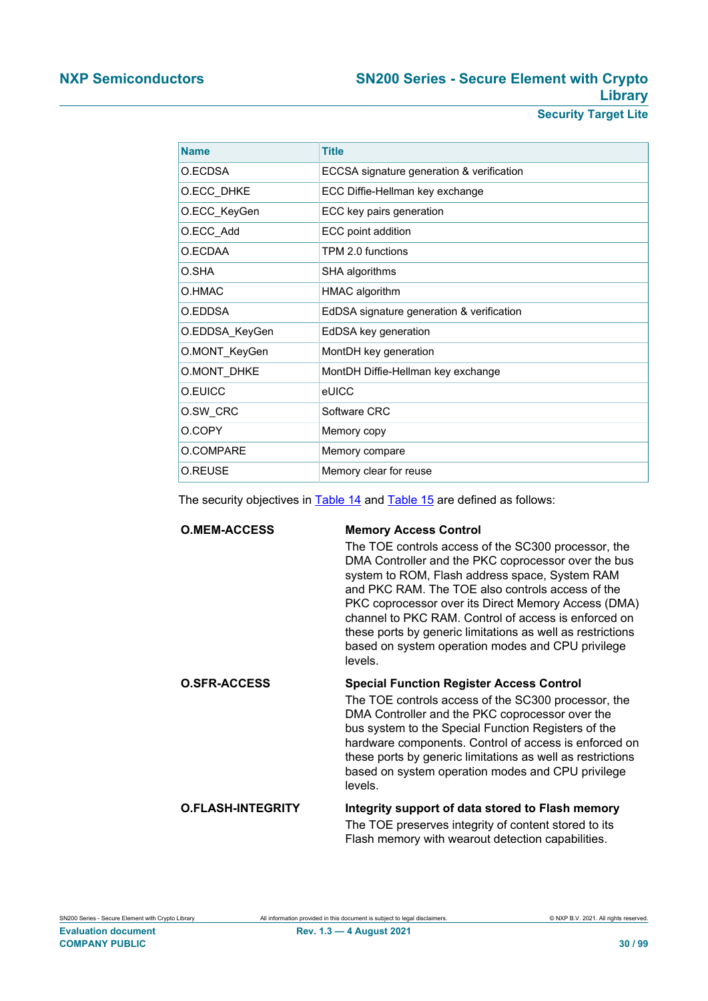## **NXP Semiconductors SN200 Series - Secure Element with Crypto Library**

**Security Target Lite**

| <b>Name</b>    | <b>Title</b>                              |
|----------------|-------------------------------------------|
| O.ECDSA        | ECCSA signature generation & verification |
| O.ECC_DHKE     | ECC Diffie-Hellman key exchange           |
| O.ECC KeyGen   | ECC key pairs generation                  |
| O.ECC_Add      | ECC point addition                        |
| O FCDAA        | TPM 2.0 functions                         |
| O.SHA          | SHA algorithms                            |
| O.HMAC         | HMAC algorithm                            |
| O.EDDSA        | EdDSA signature generation & verification |
| O.EDDSA_KeyGen | EdDSA key generation                      |
| O.MONT KeyGen  | MontDH key generation                     |
| O.MONT_DHKE    | MontDH Diffie-Hellman key exchange        |
| O.EUICC        | eUICC                                     |
| O.SW CRC       | Software CRC                              |
| O.COPY         | Memory copy                               |
| O.COMPARE      | Memory compare                            |
| O.REUSE        | Memory clear for reuse                    |

The security objectives in [Table 14](#page-28-1) and [Table 15](#page-28-2) are defined as follows:

| <b>O.MEM-ACCESS</b>      | <b>Memory Access Control</b>                                                                                                                                                                                                                                                                                                                                                                                                                                  |  |
|--------------------------|---------------------------------------------------------------------------------------------------------------------------------------------------------------------------------------------------------------------------------------------------------------------------------------------------------------------------------------------------------------------------------------------------------------------------------------------------------------|--|
|                          | The TOE controls access of the SC300 processor, the<br>DMA Controller and the PKC coprocessor over the bus<br>system to ROM, Flash address space, System RAM<br>and PKC RAM. The TOE also controls access of the<br>PKC coprocessor over its Direct Memory Access (DMA)<br>channel to PKC RAM. Control of access is enforced on<br>these ports by generic limitations as well as restrictions<br>based on system operation modes and CPU privilege<br>levels. |  |
| <b>O.SFR-ACCESS</b>      | <b>Special Function Register Access Control</b>                                                                                                                                                                                                                                                                                                                                                                                                               |  |
|                          | The TOE controls access of the SC300 processor, the<br>DMA Controller and the PKC coprocessor over the<br>bus system to the Special Function Registers of the<br>hardware components. Control of access is enforced on<br>these ports by generic limitations as well as restrictions<br>based on system operation modes and CPU privilege<br>levels.                                                                                                          |  |
| <b>O.FLASH-INTEGRITY</b> | Integrity support of data stored to Flash memory<br>The TOE preserves integrity of content stored to its                                                                                                                                                                                                                                                                                                                                                      |  |
|                          | Flash memory with wearout detection capabilities.                                                                                                                                                                                                                                                                                                                                                                                                             |  |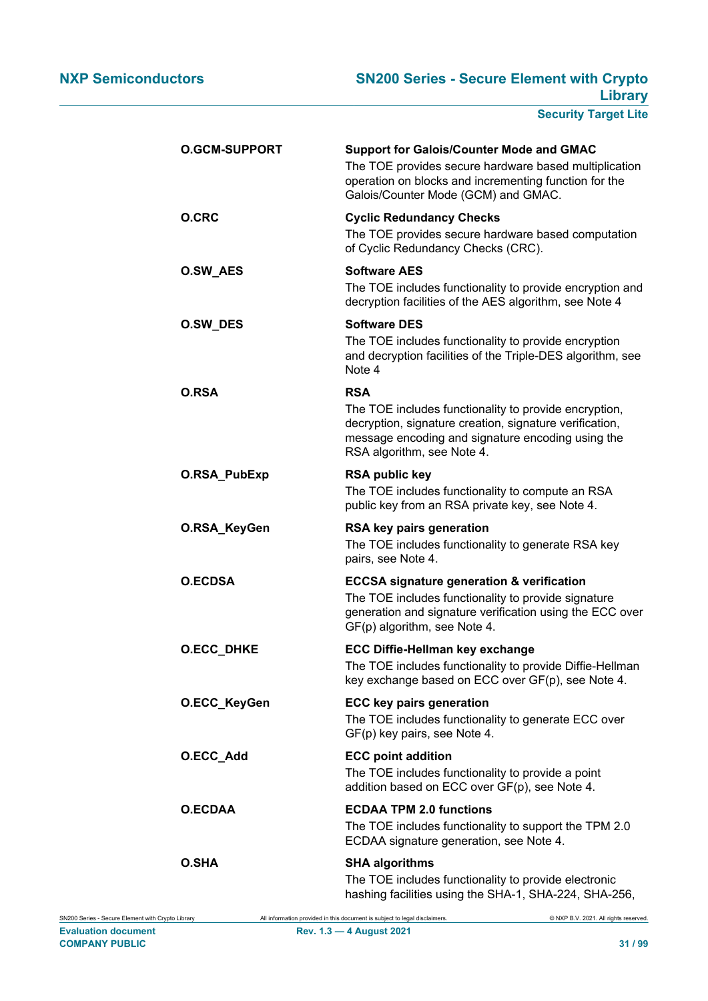| <b>O.GCM-SUPPORT</b> | <b>Support for Galois/Counter Mode and GMAC</b><br>The TOE provides secure hardware based multiplication<br>operation on blocks and incrementing function for the<br>Galois/Counter Mode (GCM) and GMAC.   |
|----------------------|------------------------------------------------------------------------------------------------------------------------------------------------------------------------------------------------------------|
| <b>O.CRC</b>         | <b>Cyclic Redundancy Checks</b><br>The TOE provides secure hardware based computation<br>of Cyclic Redundancy Checks (CRC).                                                                                |
| <b>O.SW_AES</b>      | <b>Software AES</b><br>The TOE includes functionality to provide encryption and<br>decryption facilities of the AES algorithm, see Note 4                                                                  |
| O.SW_DES             | <b>Software DES</b><br>The TOE includes functionality to provide encryption<br>and decryption facilities of the Triple-DES algorithm, see<br>Note 4                                                        |
| O.RSA                | RSA<br>The TOE includes functionality to provide encryption,<br>decryption, signature creation, signature verification,<br>message encoding and signature encoding using the<br>RSA algorithm, see Note 4. |
| O.RSA_PubExp         | <b>RSA public key</b><br>The TOE includes functionality to compute an RSA<br>public key from an RSA private key, see Note 4.                                                                               |
| O.RSA_KeyGen         | RSA key pairs generation<br>The TOE includes functionality to generate RSA key                                                                                                                             |
|                      | pairs, see Note 4.                                                                                                                                                                                         |
| <b>O.ECDSA</b>       | <b>ECCSA signature generation &amp; verification</b><br>The TOE includes functionality to provide signature<br>generation and signature verification using the ECC over<br>GF(p) algorithm, see Note 4.    |
| O.ECC_DHKE           | <b>ECC Diffie-Hellman key exchange</b><br>The TOE includes functionality to provide Diffie-Hellman<br>key exchange based on ECC over GF(p), see Note 4.                                                    |
| O.ECC_KeyGen         | <b>ECC key pairs generation</b><br>The TOE includes functionality to generate ECC over<br>GF(p) key pairs, see Note 4.                                                                                     |
| O.ECC_Add            | <b>ECC point addition</b><br>The TOE includes functionality to provide a point<br>addition based on ECC over GF(p), see Note 4.                                                                            |
| <b>O.ECDAA</b>       | <b>ECDAA TPM 2.0 functions</b><br>The TOE includes functionality to support the TPM 2.0<br>ECDAA signature generation, see Note 4.                                                                         |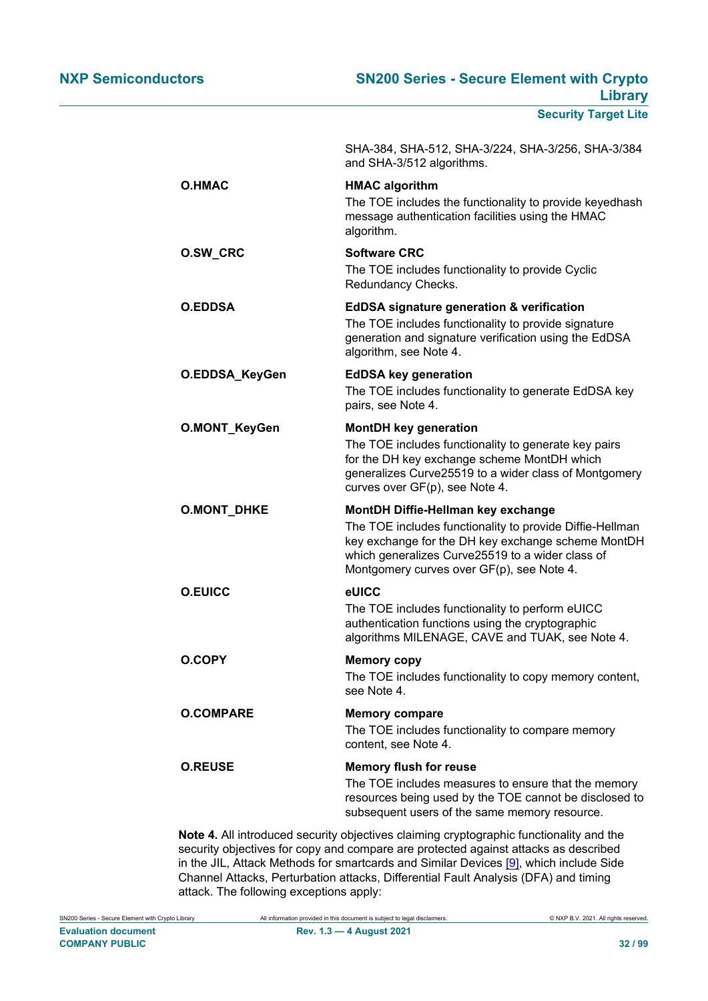|                    | SHA-384, SHA-512, SHA-3/224, SHA-3/256, SHA-3/384<br>and SHA-3/512 algorithms.                                                                                                                                                                        |
|--------------------|-------------------------------------------------------------------------------------------------------------------------------------------------------------------------------------------------------------------------------------------------------|
| <b>O.HMAC</b>      | <b>HMAC algorithm</b><br>The TOE includes the functionality to provide keyedhash<br>message authentication facilities using the HMAC<br>algorithm.                                                                                                    |
| O.SW_CRC           | <b>Software CRC</b><br>The TOE includes functionality to provide Cyclic<br>Redundancy Checks.                                                                                                                                                         |
| <b>O.EDDSA</b>     | <b>EdDSA signature generation &amp; verification</b><br>The TOE includes functionality to provide signature<br>generation and signature verification using the EdDSA<br>algorithm, see Note 4.                                                        |
| O.EDDSA_KeyGen     | <b>EdDSA key generation</b><br>The TOE includes functionality to generate EdDSA key<br>pairs, see Note 4.                                                                                                                                             |
| O.MONT_KeyGen      | <b>MontDH key generation</b><br>The TOE includes functionality to generate key pairs<br>for the DH key exchange scheme MontDH which<br>generalizes Curve25519 to a wider class of Montgomery<br>curves over GF(p), see Note 4.                        |
| <b>O.MONT_DHKE</b> | MontDH Diffie-Hellman key exchange<br>The TOE includes functionality to provide Diffie-Hellman<br>key exchange for the DH key exchange scheme MontDH<br>which generalizes Curve25519 to a wider class of<br>Montgomery curves over GF(p), see Note 4. |
| <b>O.EUICC</b>     | eUICC<br>The TOE includes functionality to perform eUICC<br>authentication functions using the cryptographic<br>algorithms MILENAGE, CAVE and TUAK, see Note 4.                                                                                       |
| <b>O.COPY</b>      | <b>Memory copy</b><br>The TOE includes functionality to copy memory content,<br>see Note 4.                                                                                                                                                           |
| <b>O.COMPARE</b>   | <b>Memory compare</b><br>The TOE includes functionality to compare memory<br>content, see Note 4.                                                                                                                                                     |
| <b>O.REUSE</b>     | <b>Memory flush for reuse</b><br>The TOE includes measures to ensure that the memory<br>resources being used by the TOE cannot be disclosed to<br>subsequent users of the same memory resource.                                                       |

**Note 4.** All introduced security objectives claiming cryptographic functionality and the security objectives for copy and compare are protected against attacks as described in the JIL, Attack Methods for smartcards and Similar Devices [\[9\],](#page-90-11) which include Side Channel Attacks, Perturbation attacks, Differential Fault Analysis (DFA) and timing attack. The following exceptions apply: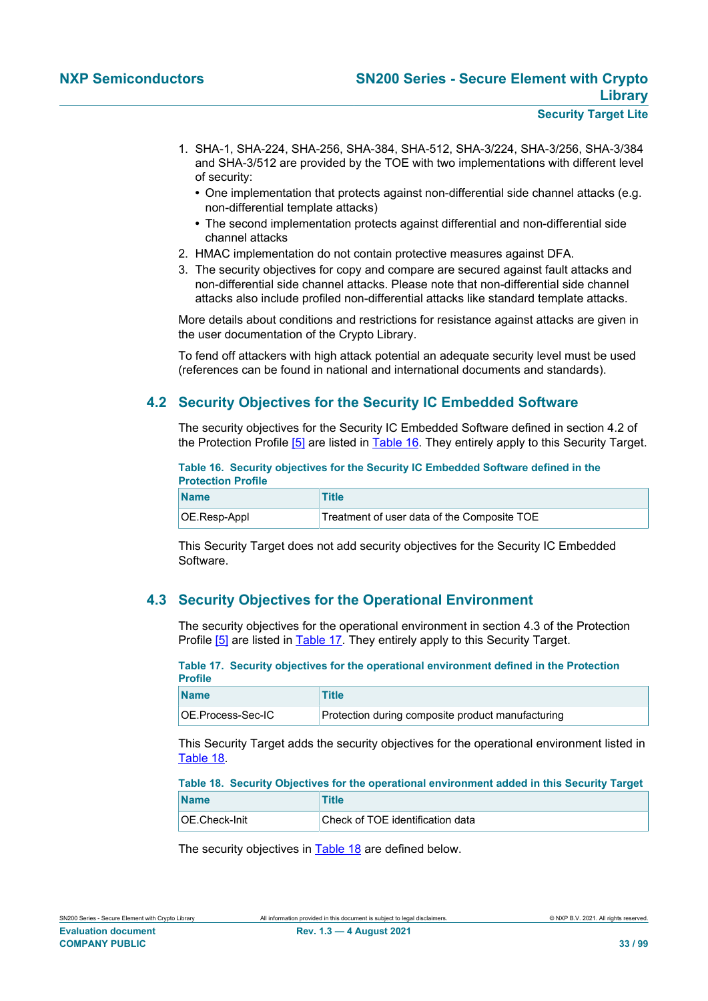- 1. SHA-1, SHA-224, SHA-256, SHA-384, SHA-512, SHA-3/224, SHA-3/256, SHA-3/384 and SHA-3/512 are provided by the TOE with two implementations with different level of security:
	- **•** One implementation that protects against non-differential side channel attacks (e.g. non-differential template attacks)
	- **•** The second implementation protects against differential and non-differential side channel attacks
- 2. HMAC implementation do not contain protective measures against DFA.
- 3. The security objectives for copy and compare are secured against fault attacks and non-differential side channel attacks. Please note that non-differential side channel attacks also include profiled non-differential attacks like standard template attacks.

More details about conditions and restrictions for resistance against attacks are given in the user documentation of the Crypto Library.

To fend off attackers with high attack potential an adequate security level must be used (references can be found in national and international documents and standards).

### **4.2 Security Objectives for the Security IC Embedded Software**

<span id="page-32-3"></span>The security objectives for the Security IC Embedded Software defined in section 4.2 of the Protection Profile [\[5\]](#page-90-0) are listed in [Table 16](#page-32-0). They entirely apply to this Security Target.

<span id="page-32-0"></span>**Table 16. Security objectives for the Security IC Embedded Software defined in the Protection Profile**

| <b>Name</b>  | <b>Title</b>                                |
|--------------|---------------------------------------------|
| OE.Resp-Appl | Treatment of user data of the Composite TOE |

This Security Target does not add security objectives for the Security IC Embedded Software.

### <span id="page-32-4"></span>**4.3 Security Objectives for the Operational Environment**

The security objectives for the operational environment in section 4.3 of the Protection Profile [\[5\]](#page-90-0) are listed in [Table 17.](#page-32-1) They entirely apply to this Security Target.

<span id="page-32-1"></span>

|                | Table 17. Security objectives for the operational environment defined in the Protection |  |  |
|----------------|-----------------------------------------------------------------------------------------|--|--|
| <b>Profile</b> |                                                                                         |  |  |
|                |                                                                                         |  |  |

| <b>Name</b>        | <b>Title</b>                                      |
|--------------------|---------------------------------------------------|
| OE.Process-Sec-IC_ | Protection during composite product manufacturing |

This Security Target adds the security objectives for the operational environment listed in [Table 18.](#page-32-2)

#### <span id="page-32-2"></span>**Table 18. Security Objectives for the operational environment added in this Security Target**

| <b>Name</b>   | Title                            |
|---------------|----------------------------------|
| OE.Check-Init | Check of TOE identification data |

The security objectives in [Table 18](#page-32-2) are defined below.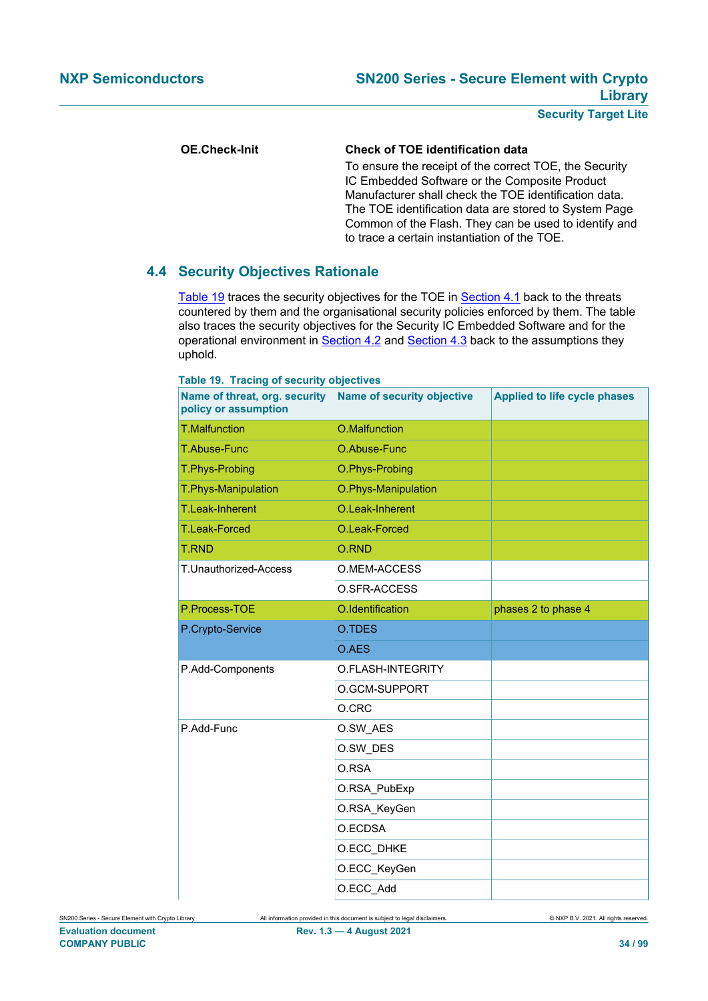#### **OE.Check-Init Check of TOE identification data**

To ensure the receipt of the correct TOE, the Security IC Embedded Software or the Composite Product Manufacturer shall check the TOE identification data. The TOE identification data are stored to System Page Common of the Flash. They can be used to identify and to trace a certain instantiation of the TOE.

#### **4.4 Security Objectives Rationale**

[Table 19](#page-33-0) traces the security objectives for the TOE in [Section 4.1](#page-28-3) back to the threats countered by them and the organisational security policies enforced by them. The table also traces the security objectives for the Security IC Embedded Software and for the operational environment in [Section 4.2](#page-32-3) and [Section 4.3](#page-32-4) back to the assumptions they uphold.

| Name of threat, org. security<br>policy or assumption | <b>Name of security objective</b> | <b>Applied to life cycle phases</b> |
|-------------------------------------------------------|-----------------------------------|-------------------------------------|
| <b>T.Malfunction</b>                                  | O.Malfunction                     |                                     |
| T.Abuse-Func                                          | O.Abuse-Func                      |                                     |
| T.Phys-Probing                                        | O.Phys-Probing                    |                                     |
| T.Phys-Manipulation                                   | O.Phys-Manipulation               |                                     |
| T.Leak-Inherent                                       | O.Leak-Inherent                   |                                     |
| <b>T.Leak-Forced</b>                                  | O.Leak-Forced                     |                                     |
| <b>T.RND</b>                                          | O.RND                             |                                     |
| T.Unauthorized-Access                                 | O.MEM-ACCESS                      |                                     |
|                                                       | O.SFR-ACCESS                      |                                     |
| P.Process-TOE                                         | O.Identification                  | phases 2 to phase 4                 |
| P.Crypto-Service                                      | O.TDES                            |                                     |
|                                                       |                                   |                                     |
|                                                       | O.AES                             |                                     |
| P.Add-Components                                      | O.FLASH-INTEGRITY                 |                                     |
|                                                       | O.GCM-SUPPORT                     |                                     |
|                                                       | O.CRC                             |                                     |
| P.Add-Func                                            | O.SW AES                          |                                     |
|                                                       | O.SW DES                          |                                     |
|                                                       | O.RSA                             |                                     |
|                                                       | O.RSA_PubExp                      |                                     |
|                                                       | O.RSA KeyGen                      |                                     |
|                                                       | O.ECDSA                           |                                     |
|                                                       | O.ECC_DHKE                        |                                     |
|                                                       | O.ECC_KeyGen                      |                                     |

<span id="page-33-0"></span>**Table 19. Tracing of security objectives**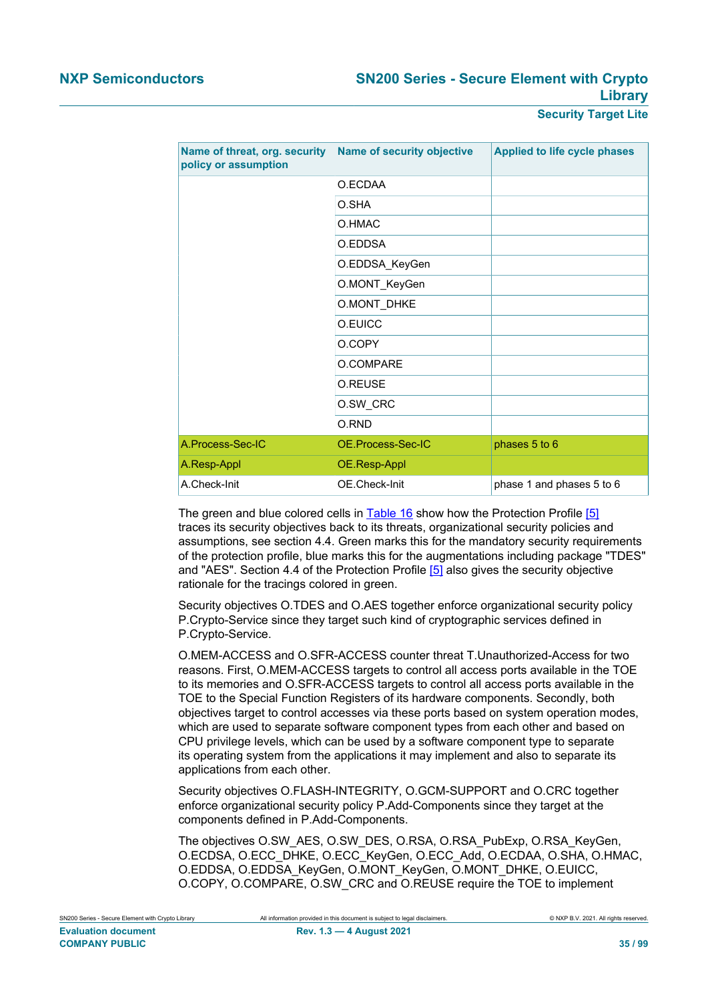| Name of threat, org. security<br>policy or assumption | <b>Name of security objective</b> | <b>Applied to life cycle phases</b> |
|-------------------------------------------------------|-----------------------------------|-------------------------------------|
|                                                       | O.ECDAA                           |                                     |
|                                                       | O.SHA                             |                                     |
|                                                       | O.HMAC                            |                                     |
|                                                       | O.EDDSA                           |                                     |
|                                                       | O.EDDSA_KeyGen                    |                                     |
|                                                       | O.MONT_KeyGen                     |                                     |
|                                                       | O.MONT_DHKE                       |                                     |
|                                                       | O.EUICC                           |                                     |
|                                                       | O.COPY                            |                                     |
|                                                       | O.COMPARE                         |                                     |
|                                                       | O.REUSE                           |                                     |
|                                                       | O.SW_CRC                          |                                     |
|                                                       | O.RND                             |                                     |
| A.Process-Sec-IC                                      | OE.Process-Sec-IC                 | phases 5 to 6                       |
| A.Resp-Appl                                           | OE.Resp-Appl                      |                                     |
| A.Check-Init                                          | OE.Check-Init                     | phase 1 and phases 5 to 6           |

The green and blue colored cells in [Table 16](#page-32-0) show how the Protection Profile [\[5\]](#page-90-0) traces its security objectives back to its threats, organizational security policies and assumptions, see section 4.4. Green marks this for the mandatory security requirements of the protection profile, blue marks this for the augmentations including package "TDES" and "AES". Section 4.4 of the Protection Profile [\[5\]](#page-90-0) also gives the security objective rationale for the tracings colored in green.

Security objectives O.TDES and O.AES together enforce organizational security policy P.Crypto-Service since they target such kind of cryptographic services defined in P.Crypto-Service.

O.MEM-ACCESS and O.SFR-ACCESS counter threat T.Unauthorized-Access for two reasons. First, O.MEM-ACCESS targets to control all access ports available in the TOE to its memories and O.SFR-ACCESS targets to control all access ports available in the TOE to the Special Function Registers of its hardware components. Secondly, both objectives target to control accesses via these ports based on system operation modes, which are used to separate software component types from each other and based on CPU privilege levels, which can be used by a software component type to separate its operating system from the applications it may implement and also to separate its applications from each other.

Security objectives O.FLASH-INTEGRITY, O.GCM-SUPPORT and O.CRC together enforce organizational security policy P.Add-Components since they target at the components defined in P.Add-Components.

The objectives O.SW\_AES, O.SW\_DES, O.RSA, O.RSA\_PubExp, O.RSA\_KeyGen, O.ECDSA, O.ECC\_DHKE, O.ECC\_KeyGen, O.ECC\_Add, O.ECDAA, O.SHA, O.HMAC, O.EDDSA, O.EDDSA\_KeyGen, O.MONT\_KeyGen, O.MONT\_DHKE, O.EUICC, O.COPY, O.COMPARE, O.SW\_CRC and O.REUSE require the TOE to implement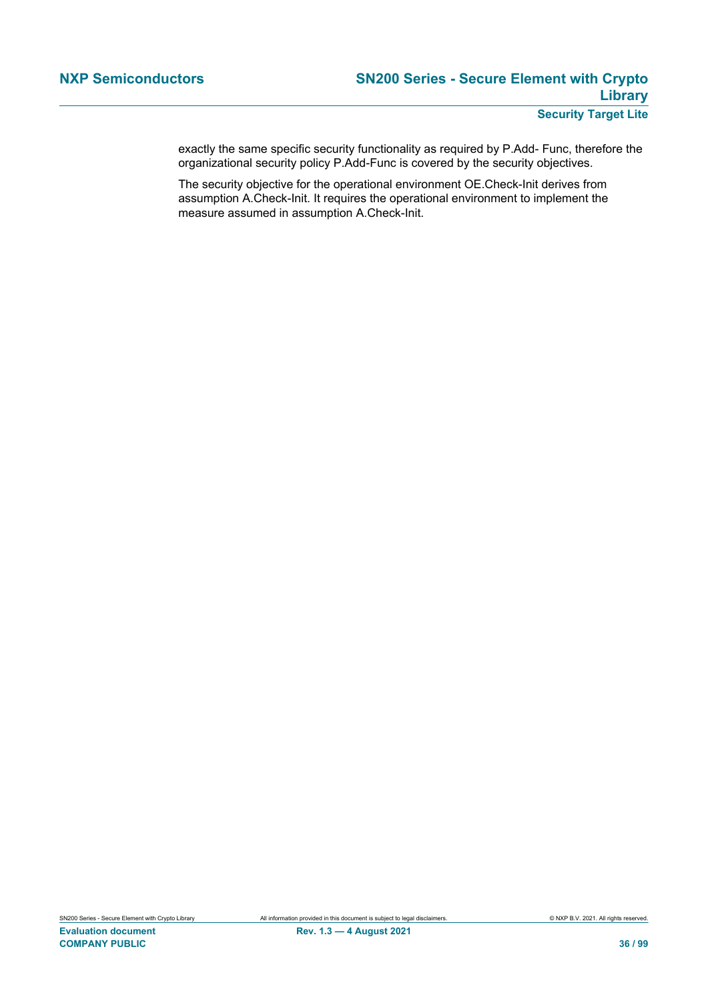exactly the same specific security functionality as required by P.Add- Func, therefore the organizational security policy P.Add-Func is covered by the security objectives.

The security objective for the operational environment OE.Check-Init derives from assumption A.Check-Init. It requires the operational environment to implement the measure assumed in assumption A.Check-Init.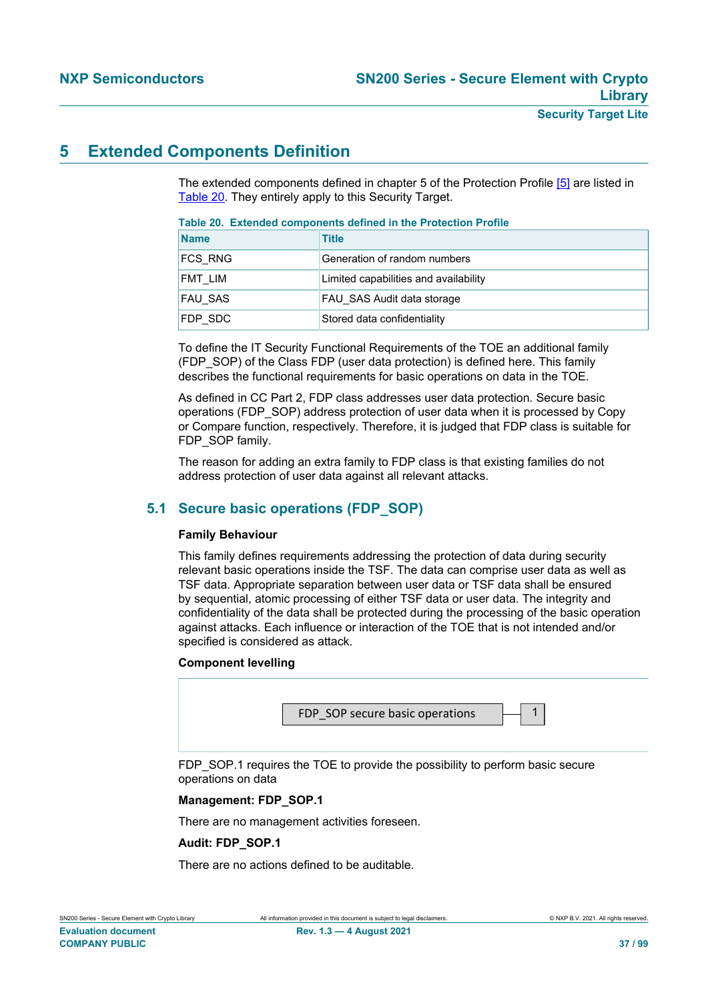# **5 Extended Components Definition**

The extended components defined in chapter 5 of the Protection Profile [\[5\]](#page-90-0) are listed in [Table 20.](#page-36-0) They entirely apply to this Security Target.

#### <span id="page-36-0"></span>**Table 20. Extended components defined in the Protection Profile**

| <b>Name</b> | <b>Title</b>                          |
|-------------|---------------------------------------|
| FCS RNG     | Generation of random numbers          |
| FMT LIM     | Limited capabilities and availability |
| FAU SAS     | FAU SAS Audit data storage            |
| FDP SDC     | Stored data confidentiality           |

To define the IT Security Functional Requirements of the TOE an additional family (FDP\_SOP) of the Class FDP (user data protection) is defined here. This family describes the functional requirements for basic operations on data in the TOE.

As defined in CC Part 2, FDP class addresses user data protection. Secure basic operations (FDP\_SOP) address protection of user data when it is processed by Copy or Compare function, respectively. Therefore, it is judged that FDP class is suitable for FDP\_SOP family.

The reason for adding an extra family to FDP class is that existing families do not address protection of user data against all relevant attacks.

# **5.1 Secure basic operations (FDP\_SOP)**

# <span id="page-36-1"></span>**Family Behaviour**

This family defines requirements addressing the protection of data during security relevant basic operations inside the TSF. The data can comprise user data as well as TSF data. Appropriate separation between user data or TSF data shall be ensured by sequential, atomic processing of either TSF data or user data. The integrity and confidentiality of the data shall be protected during the processing of the basic operation against attacks. Each influence or interaction of the TOE that is not intended and/or specified is considered as attack.

# **Component levelling**



# **Management: FDP\_SOP.1**

There are no management activities foreseen.

# **Audit: FDP\_SOP.1**

There are no actions defined to be auditable.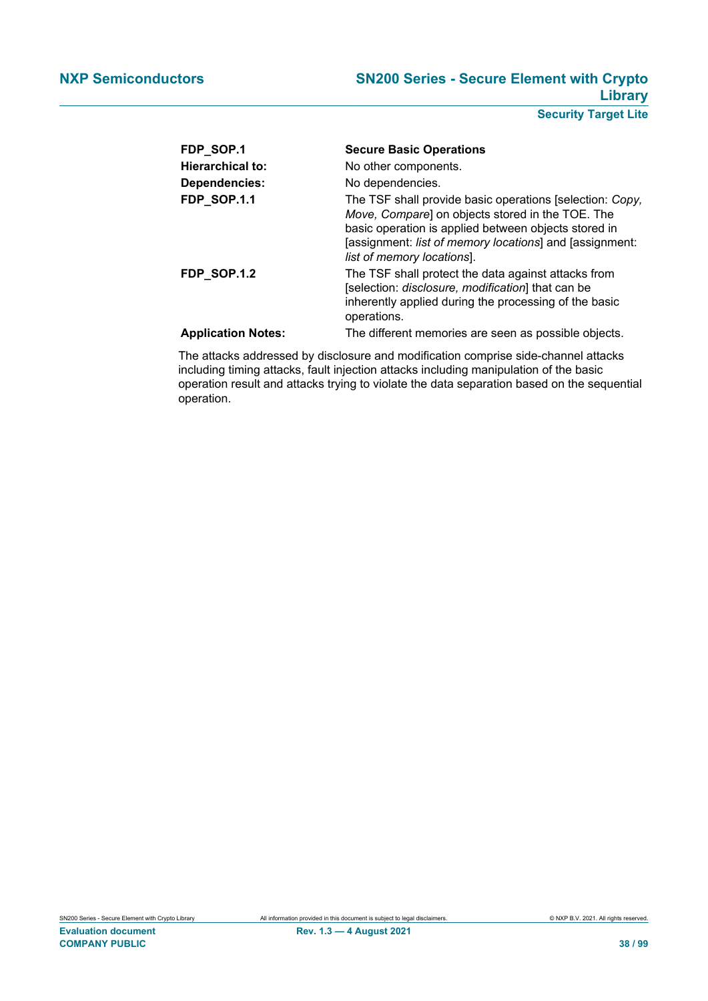| FDP_SOP.1                 | <b>Secure Basic Operations</b>                                                                                                                                                                                                                                |
|---------------------------|---------------------------------------------------------------------------------------------------------------------------------------------------------------------------------------------------------------------------------------------------------------|
| <b>Hierarchical to:</b>   | No other components.                                                                                                                                                                                                                                          |
| Dependencies:             | No dependencies.                                                                                                                                                                                                                                              |
| <b>FDP_SOP.1.1</b>        | The TSF shall provide basic operations [selection: Copy,<br>Move, Compare] on objects stored in the TOE. The<br>basic operation is applied between objects stored in<br>[assignment: list of memory locations] and [assignment:<br>list of memory locations]. |
| <b>FDP_SOP.1.2</b>        | The TSF shall protect the data against attacks from<br>[selection: disclosure, modification] that can be<br>inherently applied during the processing of the basic<br>operations.                                                                              |
| <b>Application Notes:</b> | The different memories are seen as possible objects.                                                                                                                                                                                                          |

The attacks addressed by disclosure and modification comprise side-channel attacks including timing attacks, fault injection attacks including manipulation of the basic operation result and attacks trying to violate the data separation based on the sequential operation.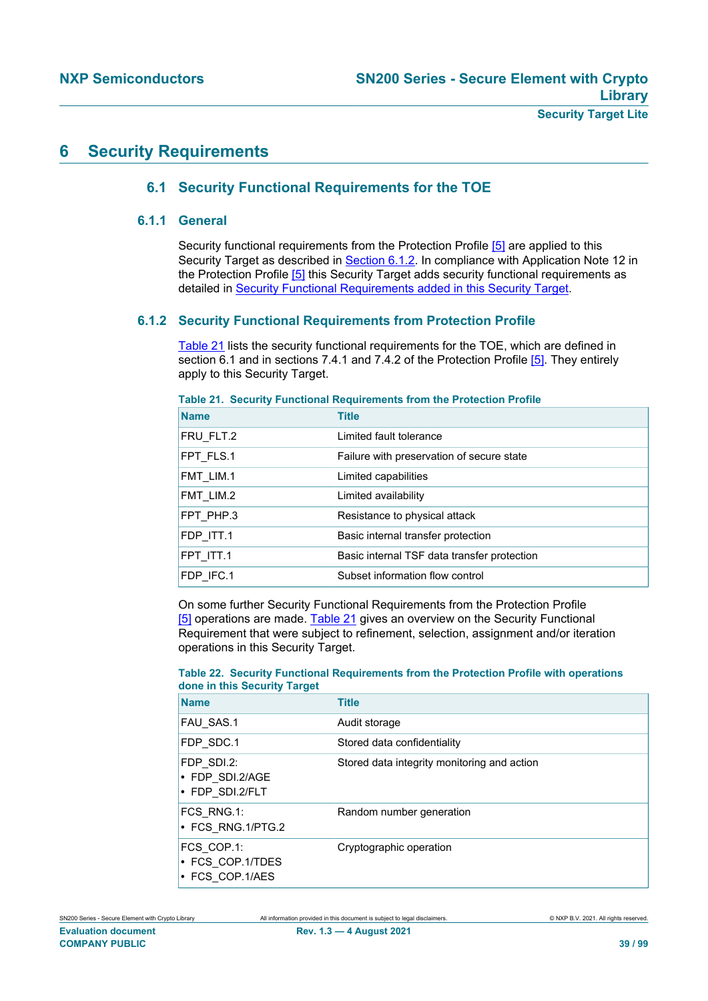# **6 Security Requirements**

# **6.1 Security Functional Requirements for the TOE**

# **6.1.1 General**

Security functional requirements from the Protection Profile [\[5\]](#page-90-0) are applied to this Security Target as described in [Section 6.1.2.](#page-38-0) In compliance with Application Note 12 in the Protection Profile [\[5\]](#page-90-0) this Security Target adds security functional requirements as detailed in Security Functional Requirements added in this Security Target.

# **6.1.2 Security Functional Requirements from Protection Profile**

<span id="page-38-0"></span>[Table 21](#page-38-1) lists the security functional requirements for the TOE, which are defined in section 6.1 and in sections 7.4.1 and 7.4.2 of the Protection Profile [\[5\].](#page-90-0) They entirely apply to this Security Target.

| <b>Name</b> | <b>Title</b>                                |
|-------------|---------------------------------------------|
| FRU FLT.2   | Limited fault tolerance                     |
| FPT FLS.1   | Failure with preservation of secure state   |
| FMT LIM.1   | Limited capabilities                        |
| FMT LIM.2   | Limited availability                        |
| FPT PHP.3   | Resistance to physical attack               |
| FDP ITT.1   | Basic internal transfer protection          |
| FPT ITT.1   | Basic internal TSF data transfer protection |
| FDP IFC.1   | Subset information flow control             |

<span id="page-38-1"></span>**Table 21. Security Functional Requirements from the Protection Profile**

On some further Security Functional Requirements from the Protection Profile [\[5\]](#page-90-0) operations are made. [Table 21](#page-38-1) gives an overview on the Security Functional Requirement that were subject to refinement, selection, assignment and/or iteration operations in this Security Target.

# **Table 22. Security Functional Requirements from the Protection Profile with operations done in this Security Target**

| <b>Name</b>                                       | <b>Title</b>                                |
|---------------------------------------------------|---------------------------------------------|
| FAU SAS.1                                         | Audit storage                               |
| FDP SDC.1                                         | Stored data confidentiality                 |
| FDP SDI.2:<br>• FDP SDI.2/AGE<br>• FDP SDI.2/FLT  | Stored data integrity monitoring and action |
| FCS_RNG.1:<br>• FCS RNG.1/PTG.2                   | Random number generation                    |
| FCS COP.1:<br>• FCS COP.1/TDES<br>• FCS COP.1/AES | Cryptographic operation                     |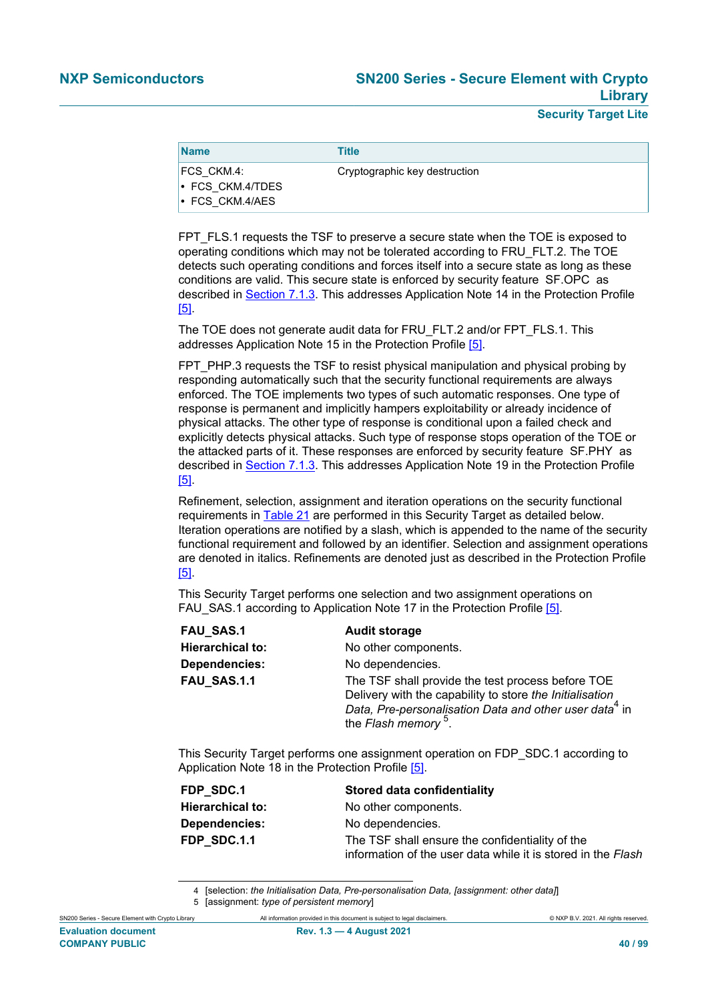| <b>Name</b>                                                   | <b>Title</b>                  |
|---------------------------------------------------------------|-------------------------------|
| FCS CKM.4:<br>$\cdot$ FCS CKM.4/TDES<br>$\cdot$ FCS CKM.4/AES | Cryptographic key destruction |

FPT FLS.1 requests the TSF to preserve a secure state when the TOE is exposed to operating conditions which may not be tolerated according to FRU\_FLT.2. The TOE detects such operating conditions and forces itself into a secure state as long as these conditions are valid. This secure state is enforced by security feature SF.OPC as described in [Section 7.1.3.](#page-84-0) This addresses Application Note 14 in the Protection Profile [\[5\]](#page-90-0).

The TOE does not generate audit data for FRU\_FLT.2 and/or FPT\_FLS.1. This addresses Application Note 15 in the Protection Profile [\[5\]](#page-90-0).

FPT\_PHP.3 requests the TSF to resist physical manipulation and physical probing by responding automatically such that the security functional requirements are always enforced. The TOE implements two types of such automatic responses. One type of response is permanent and implicitly hampers exploitability or already incidence of physical attacks. The other type of response is conditional upon a failed check and explicitly detects physical attacks. Such type of response stops operation of the TOE or the attacked parts of it. These responses are enforced by security feature SF.PHY as described in [Section 7.1.3.](#page-84-0) This addresses Application Note 19 in the Protection Profile [\[5\]](#page-90-0).

Refinement, selection, assignment and iteration operations on the security functional requirements in [Table 21](#page-38-1) are performed in this Security Target as detailed below. Iteration operations are notified by a slash, which is appended to the name of the security functional requirement and followed by an identifier. Selection and assignment operations are denoted in italics. Refinements are denoted just as described in the Protection Profile [\[5\]](#page-90-0).

| This Security Target performs one selection and two assignment operations on |  |
|------------------------------------------------------------------------------|--|
| FAU_SAS.1 according to Application Note 17 in the Protection Profile [5].    |  |

| <b>FAU SAS.1</b>        | <b>Audit storage</b>                                                                                                                                                                                                   |
|-------------------------|------------------------------------------------------------------------------------------------------------------------------------------------------------------------------------------------------------------------|
| <b>Hierarchical to:</b> | No other components.                                                                                                                                                                                                   |
| Dependencies:           | No dependencies.                                                                                                                                                                                                       |
| FAU SAS.1.1             | The TSF shall provide the test process before TOE<br>Delivery with the capability to store the Initialisation<br>Data, Pre-personalisation Data and other user data <sup>4</sup> in<br>the Flash memory <sup>5</sup> . |

This Security Target performs one assignment operation on FDP\_SDC.1 according to Application Note 18 in the Protection Profile [\[5\].](#page-90-0)

| FDP SDC.1               | Stored data confidentiality                                  |
|-------------------------|--------------------------------------------------------------|
| <b>Hierarchical to:</b> | No other components.                                         |
| <b>Dependencies:</b>    | No dependencies.                                             |
| FDP SDC.1.1             | The TSF shall ensure the confidentiality of the              |
|                         | information of the user data while it is stored in the Flash |

4 [selection: *the Initialisation Data, Pre-personalisation Data, [assignment: other data]*]

SN200 Series - Secure Element with Crypto Library All information provided in this document is subject to legal disclaimers. © NXP B.V. 2021. All rights reserved.

<sup>5</sup> [assignment: *type of persistent memory*]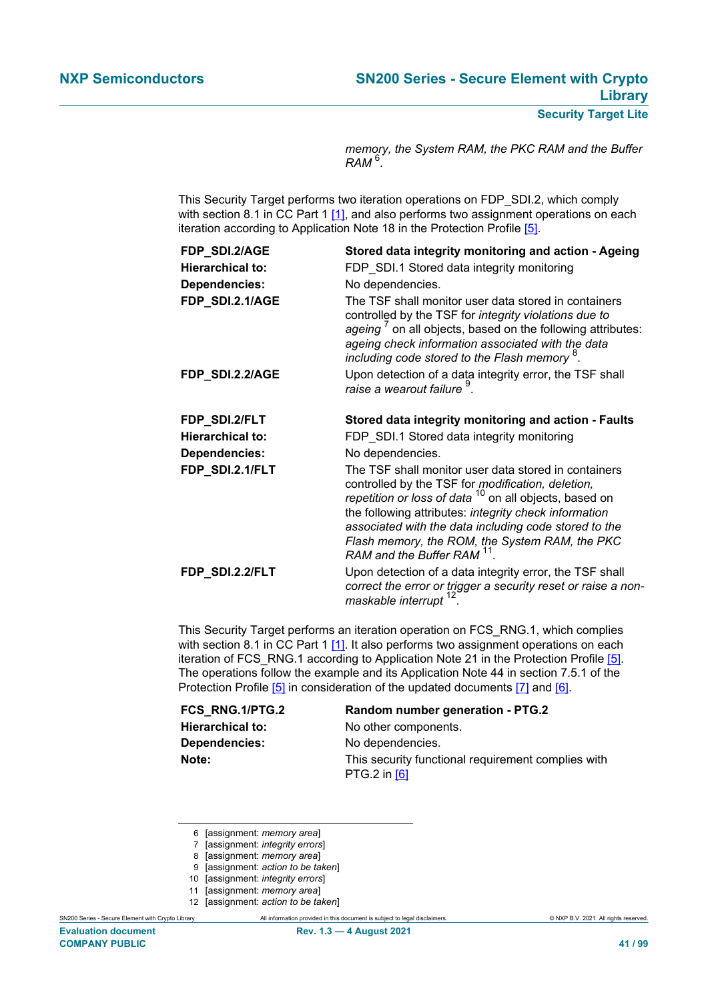*memory, the System RAM, the PKC RAM and the Buffer RAM* <sup>6</sup> .

This Security Target performs two iteration operations on FDP\_SDI.2, which comply with section 8.1 in CC Part 1 [\[1\],](#page-90-1) and also performs two assignment operations on each iteration according to Application Note 18 in the Protection Profile [\[5\]](#page-90-0).

| FDP_SDI.2/AGE           | Stored data integrity monitoring and action - Ageing                                                                                                                                                                                                                                                                                                                             |
|-------------------------|----------------------------------------------------------------------------------------------------------------------------------------------------------------------------------------------------------------------------------------------------------------------------------------------------------------------------------------------------------------------------------|
| <b>Hierarchical to:</b> | FDP_SDI.1 Stored data integrity monitoring                                                                                                                                                                                                                                                                                                                                       |
| <b>Dependencies:</b>    | No dependencies.                                                                                                                                                                                                                                                                                                                                                                 |
| FDP_SDI.2.1/AGE         | The TSF shall monitor user data stored in containers<br>controlled by the TSF for integrity violations due to<br>ageing ' on all objects, based on the following attributes:<br>ageing check information associated with the data<br>including code stored to the Flash memory <sup>8</sup> .                                                                                    |
| FDP_SDI.2.2/AGE         | Upon detection of a data integrity error, the TSF shall<br>raise a wearout failure <sup>9</sup> .                                                                                                                                                                                                                                                                                |
| FDP_SDI.2/FLT           | Stored data integrity monitoring and action - Faults                                                                                                                                                                                                                                                                                                                             |
| <b>Hierarchical to:</b> | FDP SDI.1 Stored data integrity monitoring                                                                                                                                                                                                                                                                                                                                       |
| <b>Dependencies:</b>    | No dependencies.                                                                                                                                                                                                                                                                                                                                                                 |
| FDP_SDI.2.1/FLT         | The TSF shall monitor user data stored in containers<br>controlled by the TSF for modification, deletion,<br>repetition or loss of data <sup>10</sup> on all objects, based on<br>the following attributes: integrity check information<br>associated with the data including code stored to the<br>Flash memory, the ROM, the System RAM, the PKC<br>RAM and the Buffer RAM 11. |
| FDP_SDI.2.2/FLT         | Upon detection of a data integrity error, the TSF shall<br>correct the error or trigger a security reset or raise a non-                                                                                                                                                                                                                                                         |

This Security Target performs an iteration operation on FCS\_RNG.1, which complies with section 8.1 in CC Part 1 [\[1\].](#page-90-1) It also performs two assignment operations on each iteration of FCS\_RNG.1 according to Application Note 21 in the Protection Profile [\[5\]](#page-90-0). The operations follow the example and its Application Note 44 in section 7.5.1 of the Protection Profile [\[5\]](#page-90-0) in consideration of the updated documents [\[7\]](#page-90-2) and [\[6\]](#page-90-3).

# **FCS\_RNG.1/PTG.2 Random number generation - PTG.2**

**Hierarchical to:** No other components. **Dependencies:** No dependencies. **Note:** This security functional requirement complies with PTG.2 in [\[6\]](#page-90-3)

12 [assignment: *action to be taken*]

SN200 Series - Secure Element with Crypto Library All information provided in this document is subject to legal disclaimers. © NXP B.V. 2021. All rights reserved.

<sup>6</sup> [assignment: *memory area*]

<sup>7</sup> [assignment: *integrity errors*]

<sup>8</sup> [assignment: *memory area*]

<sup>9</sup> [assignment: *action to be taken*]

<sup>10</sup> [assignment: *integrity errors*]

<sup>11</sup> [assignment: *memory area*]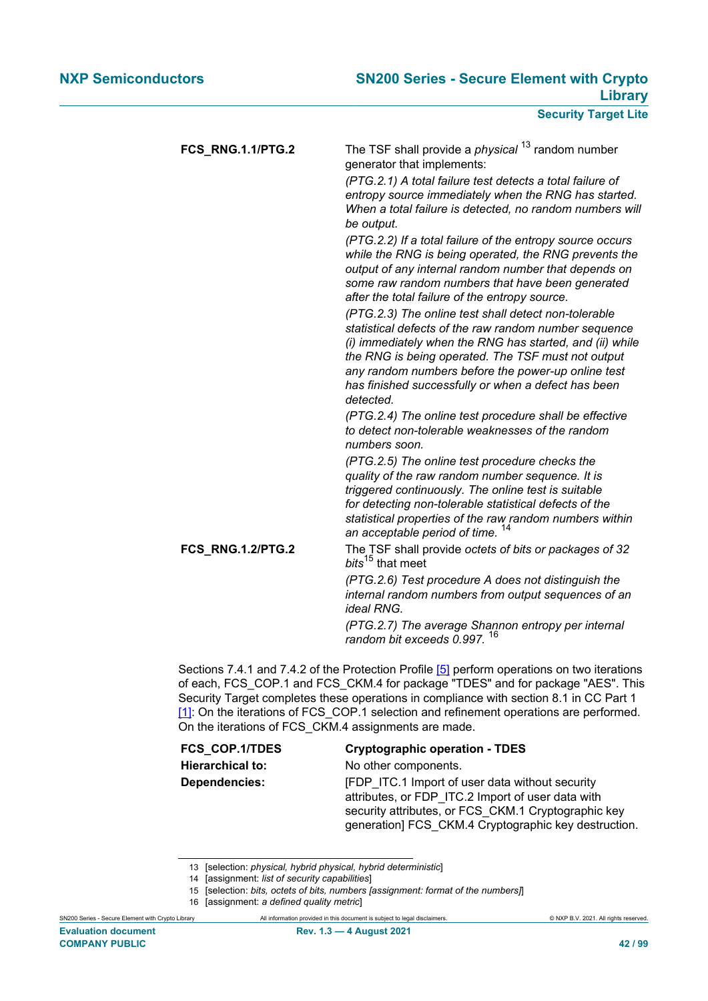| FCS_RNG.1.1/PTG.2 | The TSF shall provide a <i>physical</i> <sup>13</sup> random number<br>generator that implements:<br>(PTG.2.1) A total failure test detects a total failure of<br>entropy source immediately when the RNG has started.<br>When a total failure is detected, no random numbers will<br>be output.<br>(PTG.2.2) If a total failure of the entropy source occurs<br>while the RNG is being operated, the RNG prevents the<br>output of any internal random number that depends on<br>some raw random numbers that have been generated<br>after the total failure of the entropy source. |
|-------------------|--------------------------------------------------------------------------------------------------------------------------------------------------------------------------------------------------------------------------------------------------------------------------------------------------------------------------------------------------------------------------------------------------------------------------------------------------------------------------------------------------------------------------------------------------------------------------------------|
|                   | (PTG.2.3) The online test shall detect non-tolerable<br>statistical defects of the raw random number sequence<br>(i) immediately when the RNG has started, and (ii) while<br>the RNG is being operated. The TSF must not output<br>any random numbers before the power-up online test<br>has finished successfully or when a defect has been<br>detected.<br>(PTG.2.4) The online test procedure shall be effective                                                                                                                                                                  |
|                   | to detect non-tolerable weaknesses of the random<br>numbers soon.<br>(PTG.2.5) The online test procedure checks the<br>quality of the raw random number sequence. It is                                                                                                                                                                                                                                                                                                                                                                                                              |
|                   | triggered continuously. The online test is suitable<br>for detecting non-tolerable statistical defects of the<br>statistical properties of the raw random numbers within<br>an acceptable period of time. <sup>14</sup>                                                                                                                                                                                                                                                                                                                                                              |
| FCS_RNG.1.2/PTG.2 | The TSF shall provide octets of bits or packages of 32<br>bits <sup>15</sup> that meet<br>(PTG.2.6) Test procedure A does not distinguish the<br>internal random numbers from output sequences of an<br><i>ideal RNG.</i><br>(PTG.2.7) The average Shannon entropy per internal<br>16<br>random bit exceeds 0.997.                                                                                                                                                                                                                                                                   |
|                   |                                                                                                                                                                                                                                                                                                                                                                                                                                                                                                                                                                                      |

Sections 7.4.1 and 7.4.2 of the Protection Profile [\[5\]](#page-90-0) perform operations on two iterations of each, FCS\_COP.1 and FCS\_CKM.4 for package "TDES" and for package "AES". This Security Target completes these operations in compliance with section 8.1 in CC Part 1 [\[1\]](#page-90-1): On the iterations of FCS COP.1 selection and refinement operations are performed. On the iterations of FCS\_CKM.4 assignments are made.

| <b>FCS COP.1/TDES</b>   | <b>Cryptographic operation - TDES</b>                                                                                                                                                                                     |
|-------------------------|---------------------------------------------------------------------------------------------------------------------------------------------------------------------------------------------------------------------------|
| <b>Hierarchical to:</b> | No other components.                                                                                                                                                                                                      |
| Dependencies:           | <b>FDP</b> ITC.1 Import of user data without security<br>attributes, or FDP ITC.2 Import of user data with<br>security attributes, or FCS CKM.1 Cryptographic key<br>generation] FCS CKM.4 Cryptographic key destruction. |

<sup>13</sup> [selection: *physical, hybrid physical, hybrid deterministic*]

<sup>14</sup> [assignment: *list of security capabilities*]

<sup>15</sup> [selection: *bits, octets of bits, numbers [assignment: format of the numbers]*]

<sup>16</sup> [assignment: *a defined quality metric*]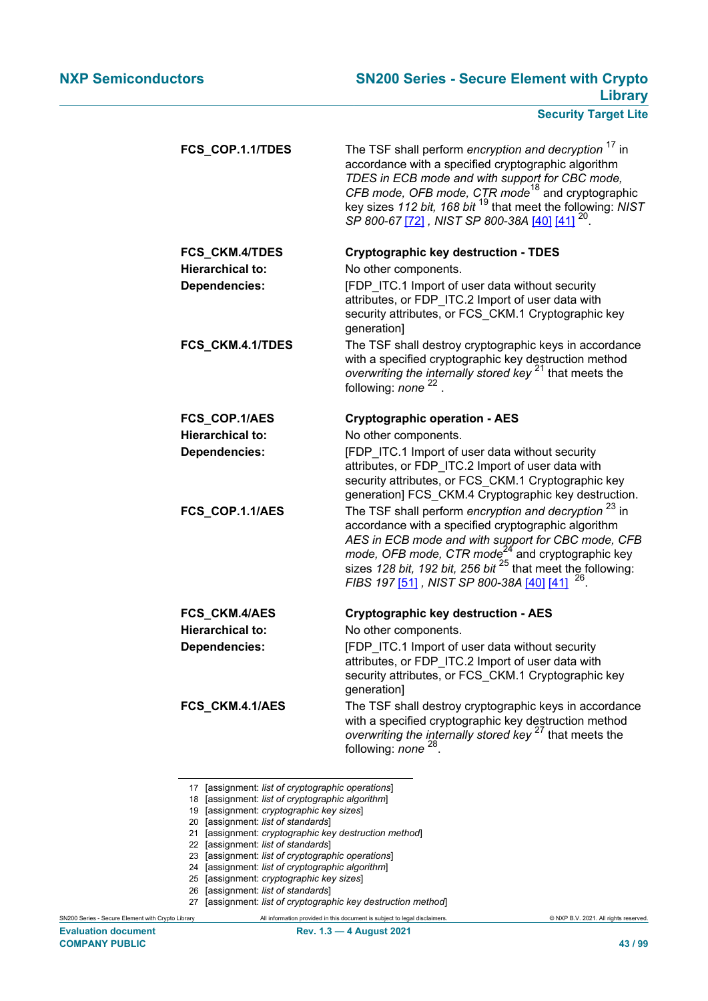| FCS_COP.1.1/TDES        | The TSF shall perform encryption and decryption <sup>17</sup> in<br>accordance with a specified cryptographic algorithm<br>TDES in ECB mode and with support for CBC mode,<br>CFB mode, OFB mode, CTR mode <sup>18</sup> and cryptographic<br>key sizes 112 bit, 168 bit <sup>19</sup> that meet the following: NIST<br>SP 800-67 [72] , NIST SP 800-38A [40] [41] <sup>20</sup> . |
|-------------------------|------------------------------------------------------------------------------------------------------------------------------------------------------------------------------------------------------------------------------------------------------------------------------------------------------------------------------------------------------------------------------------|
| FCS_CKM.4/TDES          | <b>Cryptographic key destruction - TDES</b>                                                                                                                                                                                                                                                                                                                                        |
| <b>Hierarchical to:</b> | No other components.                                                                                                                                                                                                                                                                                                                                                               |
| <b>Dependencies:</b>    | [FDP ITC.1 Import of user data without security<br>attributes, or FDP ITC.2 Import of user data with<br>security attributes, or FCS_CKM.1 Cryptographic key<br>generation]                                                                                                                                                                                                         |
| FCS_CKM.4.1/TDES        | The TSF shall destroy cryptographic keys in accordance<br>with a specified cryptographic key destruction method<br>overwriting the internally stored key <sup>21</sup> that meets the<br>following: none <sup>22</sup>                                                                                                                                                             |
| FCS_COP.1/AES           | <b>Cryptographic operation - AES</b>                                                                                                                                                                                                                                                                                                                                               |
| <b>Hierarchical to:</b> | No other components.                                                                                                                                                                                                                                                                                                                                                               |
| <b>Dependencies:</b>    | [FDP ITC.1 Import of user data without security<br>attributes, or FDP_ITC.2 Import of user data with<br>security attributes, or FCS_CKM.1 Cryptographic key<br>generation] FCS_CKM.4 Cryptographic key destruction.                                                                                                                                                                |
| FCS_COP.1.1/AES         | The TSF shall perform encryption and decryption <sup>23</sup> in<br>accordance with a specified cryptographic algorithm<br>AES in ECB mode and with support for CBC mode, CFB<br>mode, OFB mode, CTR mode <sup><math>24</math></sup> and cryptographic key<br>sizes 128 bit, 192 bit, 256 bit $^{25}$ that meet the following:<br>FIBS 197 [51], NIST SP 800-38A [40] [41]         |
| FCS_CKM.4/AES           | <b>Cryptographic key destruction - AES</b>                                                                                                                                                                                                                                                                                                                                         |
| <b>Hierarchical to:</b> | No other components.                                                                                                                                                                                                                                                                                                                                                               |
| <b>Dependencies:</b>    | [FDP ITC.1 Import of user data without security<br>attributes, or FDP_ITC.2 Import of user data with<br>security attributes, or FCS_CKM.1 Cryptographic key<br>generation]                                                                                                                                                                                                         |
| FCS_CKM.4.1/AES         | The TSF shall destroy cryptographic keys in accordance<br>with a specified cryptographic key destruction method<br>overwriting the internally stored key <sup>27</sup> that meets the<br>following: none <sup>28</sup> .                                                                                                                                                           |

<sup>17</sup> [assignment: *list of cryptographic operations*]

- 18 [assignment: *list of cryptographic algorithm*]
- 19 [assignment: *cryptographic key sizes*]
- 20 [assignment: *list of standards*]
- 21 [assignment: *cryptographic key destruction method*]
- 22 [assignment: *list of standards*]
- 23 [assignment: *list of cryptographic operations*]
- 24 [assignment: *list of cryptographic algorithm*]
- 25 [assignment: *cryptographic key sizes*]
- 26 [assignment: *list of standards*]
- 27 [assignment: *list of cryptographic key destruction method*]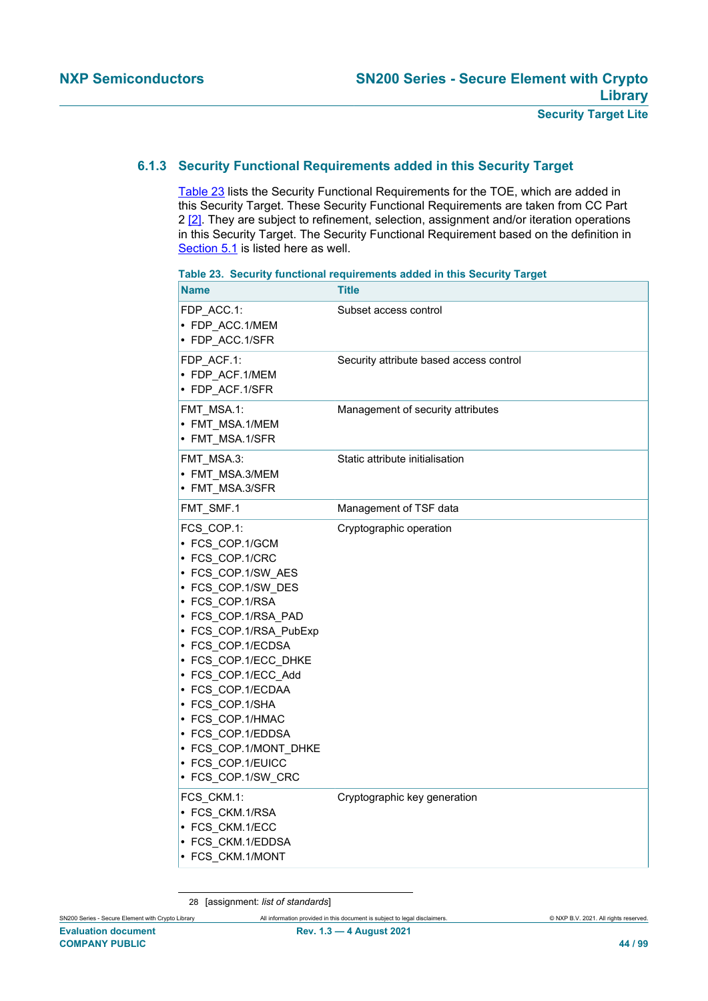# **6.1.3 Security Functional Requirements added in this Security Target**

[Table 23](#page-43-0) lists the Security Functional Requirements for the TOE, which are added in this Security Target. These Security Functional Requirements are taken from CC Part 2 [\[2\]](#page-90-4). They are subject to refinement, selection, assignment and/or iteration operations in this Security Target. The Security Functional Requirement based on the definition in [Section 5.1](#page-36-1) is listed here as well.

| <b>Name</b>                                                                                                                                                                                                                                                                                                                                                                               | <b>Title</b>                            |
|-------------------------------------------------------------------------------------------------------------------------------------------------------------------------------------------------------------------------------------------------------------------------------------------------------------------------------------------------------------------------------------------|-----------------------------------------|
| FDP ACC.1:<br>• FDP_ACC.1/MEM<br>• FDP ACC.1/SFR                                                                                                                                                                                                                                                                                                                                          | Subset access control                   |
| FDP ACF.1:<br>• FDP ACF.1/MEM<br>• FDP ACF.1/SFR                                                                                                                                                                                                                                                                                                                                          | Security attribute based access control |
| FMT MSA.1:<br>• FMT MSA.1/MEM<br>• FMT MSA.1/SFR                                                                                                                                                                                                                                                                                                                                          | Management of security attributes       |
| FMT_MSA.3:<br>• FMT_MSA.3/MEM<br>• FMT_MSA.3/SFR                                                                                                                                                                                                                                                                                                                                          | Static attribute initialisation         |
| FMT_SMF.1                                                                                                                                                                                                                                                                                                                                                                                 | Management of TSF data                  |
| FCS_COP.1:<br>• FCS_COP.1/GCM<br>• FCS COP.1/CRC<br>• FCS_COP.1/SW_AES<br>· FCS_COP.1/SW_DES<br>• FCS COP.1/RSA<br>• FCS_COP.1/RSA_PAD<br>• FCS_COP.1/RSA_PubExp<br>• FCS COP.1/ECDSA<br>• FCS COP.1/ECC DHKE<br>• FCS COP.1/ECC Add<br>• FCS_COP.1/ECDAA<br>• FCS COP.1/SHA<br>• FCS_COP.1/HMAC<br>• FCS COP.1/EDDSA<br>• FCS COP.1/MONT DHKE<br>· FCS_COP.1/EUICC<br>• FCS_COP.1/SW_CRC | Cryptographic operation                 |
| FCS_CKM.1:<br>• FCS CKM.1/RSA<br>• FCS CKM.1/ECC<br>• FCS_CKM.1/EDDSA<br>• FCS_CKM.1/MONT                                                                                                                                                                                                                                                                                                 | Cryptographic key generation            |

<span id="page-43-0"></span>**Table 23. Security functional requirements added in this Security Target**

28 [assignment: *list of standards*]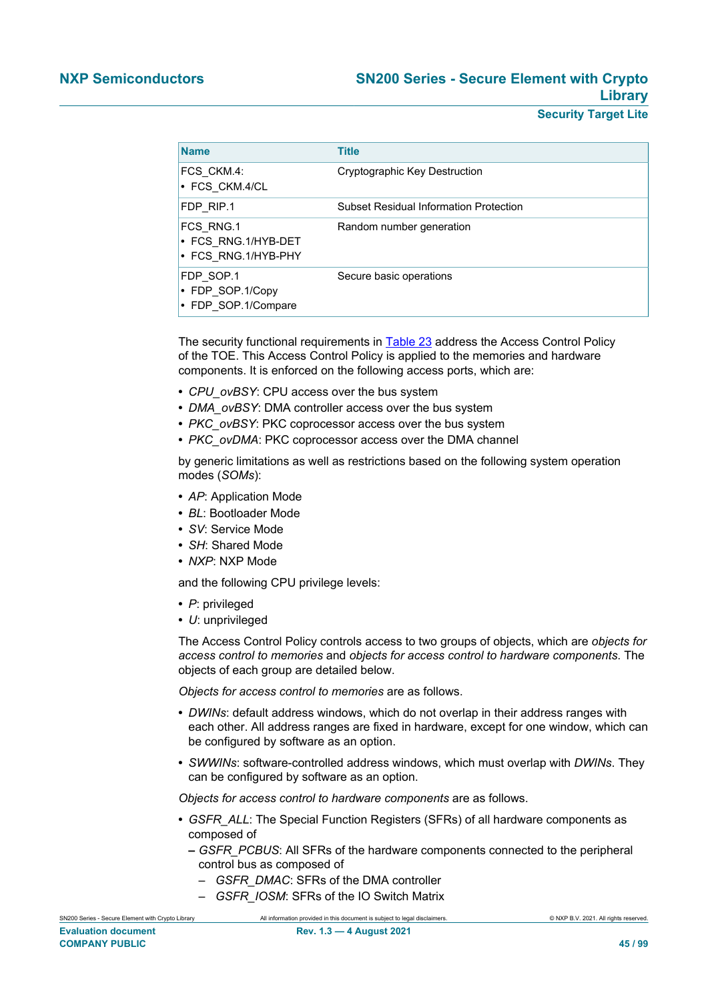| <b>Name</b>                                             | <b>Title</b>                                  |
|---------------------------------------------------------|-----------------------------------------------|
| FCS_CKM.4:<br>• FCS CKM.4/CL                            | Cryptographic Key Destruction                 |
| FDP RIP.1                                               | <b>Subset Residual Information Protection</b> |
| FCS RNG.1<br>• FCS RNG.1/HYB-DET<br>• FCS RNG.1/HYB-PHY | Random number generation                      |
| FDP SOP.1<br>• FDP SOP.1/Copy<br>• FDP SOP.1/Compare    | Secure basic operations                       |

The security functional requirements in [Table 23](#page-43-0) address the Access Control Policy of the TOE. This Access Control Policy is applied to the memories and hardware components. It is enforced on the following access ports, which are:

- **•** *CPU\_ovBSY*: CPU access over the bus system
- **•** *DMA\_ovBSY*: DMA controller access over the bus system
- **•** *PKC\_ovBSY*: PKC coprocessor access over the bus system
- **•** *PKC\_ovDMA*: PKC coprocessor access over the DMA channel

by generic limitations as well as restrictions based on the following system operation modes (*SOMs*):

- **•** *AP*: Application Mode
- **•** *BL*: Bootloader Mode
- **•** *SV*: Service Mode
- **•** *SH*: Shared Mode
- **•** *NXP*: NXP Mode

and the following CPU privilege levels:

- **•** *P*: privileged
- **•** *U*: unprivileged

The Access Control Policy controls access to two groups of objects, which are *objects for access control to memories* and *objects for access control to hardware components*. The objects of each group are detailed below.

*Objects for access control to memories* are as follows.

- **•** *DWINs*: default address windows, which do not overlap in their address ranges with each other. All address ranges are fixed in hardware, except for one window, which can be configured by software as an option.
- **•** *SWWINs*: software-controlled address windows, which must overlap with *DWINs*. They can be configured by software as an option.

*Objects for access control to hardware components* are as follows.

- **•** *GSFR\_ALL*: The Special Function Registers (SFRs) of all hardware components as composed of
	- **–** *GSFR\_PCBUS*: All SFRs of the hardware components connected to the peripheral control bus as composed of
		- *GSFR\_DMAC*: SFRs of the DMA controller
		- *GSFR\_IOSM*: SFRs of the IO Switch Matrix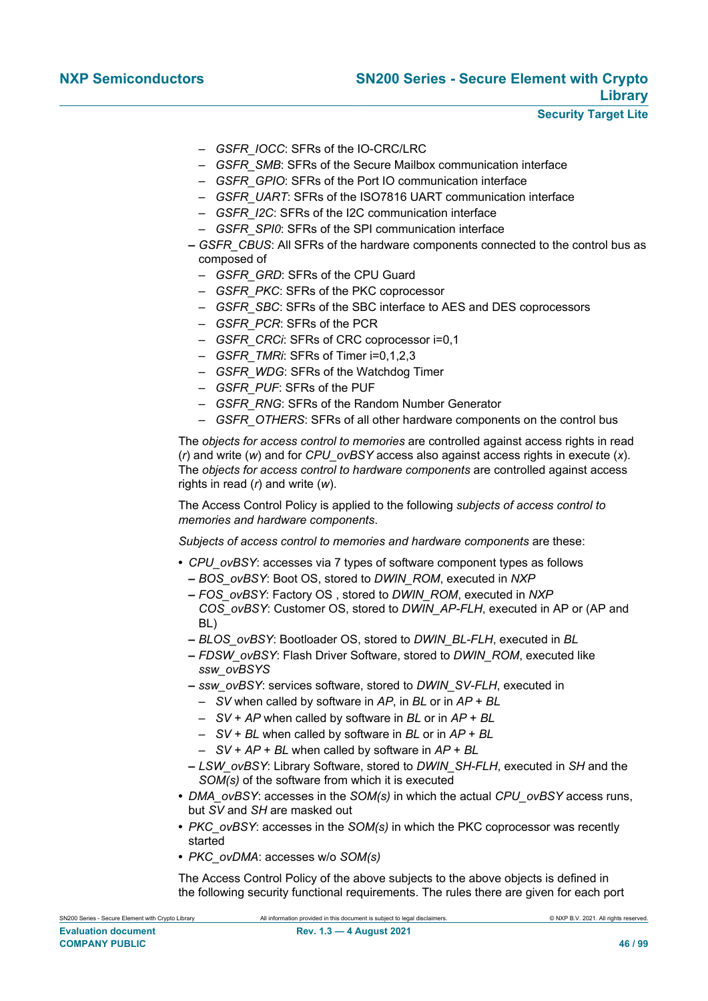- *GSFR\_IOCC*: SFRs of the IO-CRC/LRC
- *GSFR\_SMB*: SFRs of the Secure Mailbox communication interface
- *GSFR\_GPIO*: SFRs of the Port IO communication interface
- *GSFR\_UART*: SFRs of the ISO7816 UART communication interface
- *GSFR\_I2C*: SFRs of the I2C communication interface
- *GSFR\_SPI0*: SFRs of the SPI communication interface
- **–** *GSFR\_CBUS*: All SFRs of the hardware components connected to the control bus as composed of
	- *GSFR\_GRD*: SFRs of the CPU Guard
	- *GSFR\_PKC*: SFRs of the PKC coprocessor
	- *GSFR\_SBC*: SFRs of the SBC interface to AES and DES coprocessors
	- *GSFR\_PCR*: SFRs of the PCR
	- *GSFR\_CRCi*: SFRs of CRC coprocessor i=0,1
	- *GSFR\_TMRi*: SFRs of Timer i=0,1,2,3
	- *GSFR\_WDG*: SFRs of the Watchdog Timer
	- *GSFR\_PUF*: SFRs of the PUF
	- *GSFR\_RNG*: SFRs of the Random Number Generator
	- *GSFR\_OTHERS*: SFRs of all other hardware components on the control bus

The *objects for access control to memories* are controlled against access rights in read (*r*) and write (*w*) and for *CPU\_ovBSY* access also against access rights in execute (*x*). The *objects for access control to hardware components* are controlled against access rights in read (*r*) and write (*w*).

The Access Control Policy is applied to the following *subjects of access control to memories and hardware components*.

*Subjects of access control to memories and hardware components* are these:

- **•** *CPU\_ovBSY*: accesses via 7 types of software component types as follows **–** *BOS\_ovBSY*: Boot OS, stored to *DWIN\_ROM*, executed in *NXP*
	- **–** *FOS\_ovBSY*: Factory OS , stored to *DWIN\_ROM*, executed in *NXP COS\_ovBSY*: Customer OS, stored to *DWIN\_AP-FLH*, executed in AP or (AP and BL)
	- **–** *BLOS\_ovBSY*: Bootloader OS, stored to *DWIN\_BL-FLH*, executed in *BL*
	- **–** *FDSW\_ovBSY*: Flash Driver Software, stored to *DWIN\_ROM*, executed like *ssw\_ovBSYS*
	- **–** *ssw\_ovBSY*: services software, stored to *DWIN\_SV-FLH*, executed in
		- *SV* when called by software in *AP*, in *BL* or in *AP* + *BL*
		- *SV* + *AP* when called by software in *BL* or in *AP* + *BL*
		- *SV* + *BL* when called by software in *BL* or in *AP* + *BL*
		- *SV* + *AP* + *BL* when called by software in *AP* + *BL*
	- **–** *LSW\_ovBSY*: Library Software, stored to *DWIN\_SH-FLH*, executed in *SH* and the *SOM(s)* of the software from which it is executed
- **•** *DMA\_ovBSY*: accesses in the *SOM(s)* in which the actual *CPU\_ovBSY* access runs, but *SV* and *SH* are masked out
- **•** *PKC\_ovBSY*: accesses in the *SOM(s)* in which the PKC coprocessor was recently started
- **•** *PKC\_ovDMA*: accesses w/o *SOM(s)*

The Access Control Policy of the above subjects to the above objects is defined in the following security functional requirements. The rules there are given for each port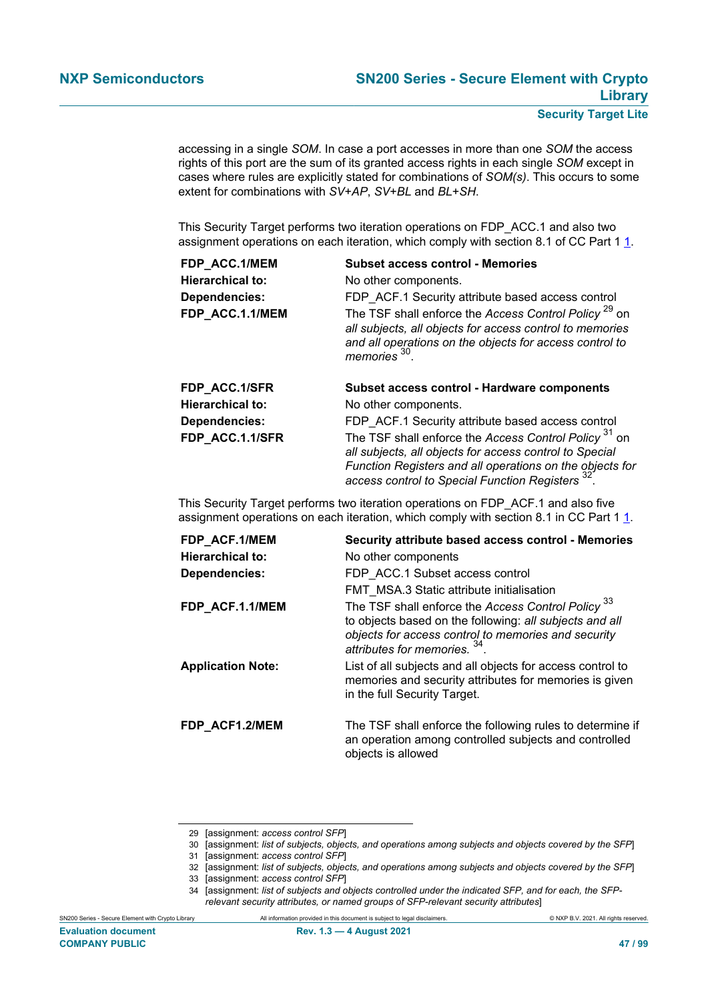accessing in a single *SOM*. In case a port accesses in more than one *SOM* the access rights of this port are the sum of its granted access rights in each single *SOM* except in cases where rules are explicitly stated for combinations of *SOM(s)*. This occurs to some extent for combinations with *SV*+*AP*, *SV*+*BL* and *BL*+*SH*.

This Security Target performs two iteration operations on FDP\_ACC.1 and also two assignment operations on each iteration, which comply with section 8.1 of CC Part 1 1.

| FDP ACC.1/MEM           | <b>Subset access control - Memories</b>                                                                                                                                                                           |
|-------------------------|-------------------------------------------------------------------------------------------------------------------------------------------------------------------------------------------------------------------|
| <b>Hierarchical to:</b> | No other components.                                                                                                                                                                                              |
| <b>Dependencies:</b>    | FDP ACF.1 Security attribute based access control                                                                                                                                                                 |
| FDP ACC.1.1/MEM         | The TSF shall enforce the Access Control Policy <sup>29</sup> on<br>all subjects, all objects for access control to memories<br>and all operations on the objects for access control to<br>memories <sup>30</sup> |
|                         |                                                                                                                                                                                                                   |
| FDP_ACC.1/SFR           | Subset access control - Hardware components                                                                                                                                                                       |
| <b>Hierarchical to:</b> | No other components.                                                                                                                                                                                              |
| Dependencies:           | FDP ACF.1 Security attribute based access control                                                                                                                                                                 |

This Security Target performs two iteration operations on FDP\_ACF.1 and also five assignment operations on each iteration, which comply with section 8.1 in CC Part 1 1.

| FDP_ACF.1/MEM            | Security attribute based access control - Memories                                                                                                                              |
|--------------------------|---------------------------------------------------------------------------------------------------------------------------------------------------------------------------------|
| <b>Hierarchical to:</b>  | No other components                                                                                                                                                             |
| Dependencies:            | FDP ACC.1 Subset access control                                                                                                                                                 |
|                          | <b>FMT MSA.3 Static attribute initialisation</b>                                                                                                                                |
| FDP ACF.1.1/MEM          | The TSF shall enforce the Access Control Policy <sup>33</sup><br>to objects based on the following: all subjects and all<br>objects for access control to memories and security |
|                          | attributes for memories. $34$ .                                                                                                                                                 |
| <b>Application Note:</b> | List of all subjects and all objects for access control to<br>memories and security attributes for memories is given<br>in the full Security Target.                            |
| FDP_ACF1.2/MEM           | The TSF shall enforce the following rules to determine if<br>an operation among controlled subjects and controlled<br>objects is allowed                                        |

<sup>29</sup> [assignment: *access control SFP*]

<sup>30</sup> [assignment: *list of subjects, objects, and operations among subjects and objects covered by the SFP*]

<sup>31</sup> [assignment: *access control SFP*]

<sup>32</sup> [assignment: *list of subjects, objects, and operations among subjects and objects covered by the SFP*] 33 [assignment: *access control SFP*]

<sup>34</sup> [assignment: *list of subjects and objects controlled under the indicated SFP, and for each, the SFPrelevant security attributes, or named groups of SFP-relevant security attributes*]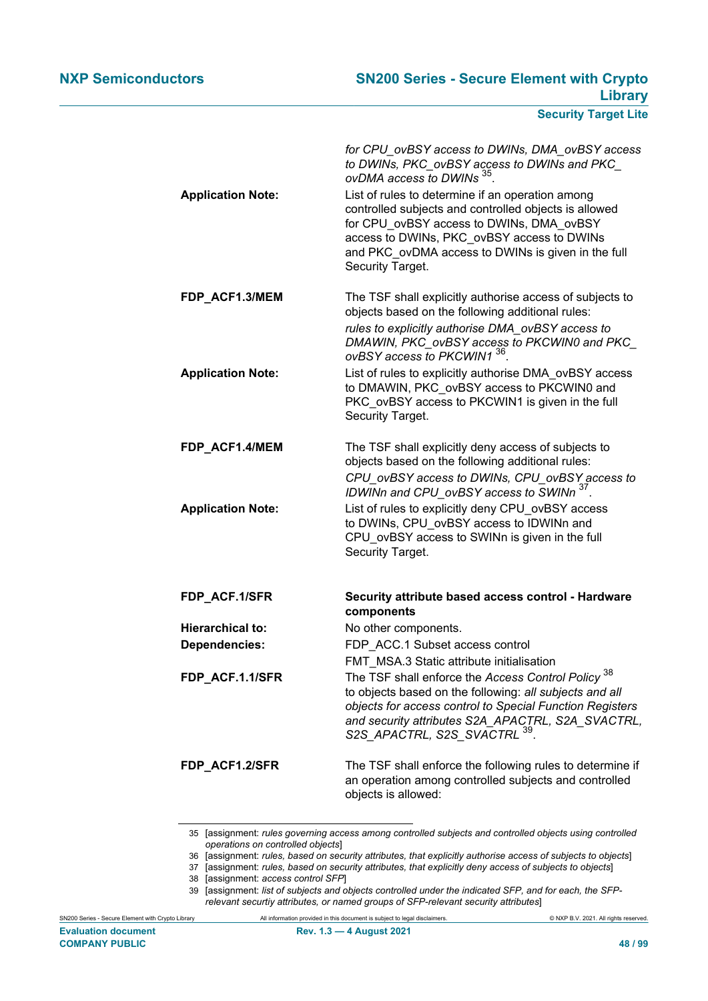| <b>Application Note:</b> | for CPU_ovBSY access to DWINs, DMA_ovBSY access<br>to DWINs, PKC_ovBSY access to DWINs and PKC_<br>ovDMA access to DWINs 35.<br>List of rules to determine if an operation among<br>controlled subjects and controlled objects is allowed<br>for CPU ovBSY access to DWINs, DMA ovBSY<br>access to DWINs, PKC ovBSY access to DWINs<br>and PKC ovDMA access to DWINs is given in the full<br>Security Target. |
|--------------------------|---------------------------------------------------------------------------------------------------------------------------------------------------------------------------------------------------------------------------------------------------------------------------------------------------------------------------------------------------------------------------------------------------------------|
| FDP_ACF1.3/MEM           | The TSF shall explicitly authorise access of subjects to<br>objects based on the following additional rules:<br>rules to explicitly authorise DMA_ovBSY access to<br>DMAWIN, PKC_ovBSY access to PKCWIN0 and PKC_<br>ovBSY access to PKCWIN1 36                                                                                                                                                               |
| <b>Application Note:</b> | List of rules to explicitly authorise DMA_ovBSY access<br>to DMAWIN, PKC ovBSY access to PKCWIN0 and<br>PKC_ovBSY access to PKCWIN1 is given in the full<br>Security Target.                                                                                                                                                                                                                                  |
| FDP_ACF1.4/MEM           | The TSF shall explicitly deny access of subjects to<br>objects based on the following additional rules:<br>CPU ovBSY access to DWINs, CPU ovBSY access to<br>IDWINn and CPU_ovBSY access to SWINn <sup>37</sup> .                                                                                                                                                                                             |
| <b>Application Note:</b> | List of rules to explicitly deny CPU_ovBSY access<br>to DWINs, CPU ovBSY access to IDWINn and<br>CPU ovBSY access to SWINn is given in the full<br>Security Target.                                                                                                                                                                                                                                           |
| FDP_ACF.1/SFR            | Security attribute based access control - Hardware<br>components                                                                                                                                                                                                                                                                                                                                              |
| <b>Hierarchical to:</b>  | No other components.                                                                                                                                                                                                                                                                                                                                                                                          |
| <b>Dependencies:</b>     | FDP ACC.1 Subset access control                                                                                                                                                                                                                                                                                                                                                                               |
| FDP_ACF.1.1/SFR          | FMT MSA.3 Static attribute initialisation<br>38<br>The TSF shall enforce the Access Control Policy<br>to objects based on the following: all subjects and all<br>objects for access control to Special Function Registers<br>and security attributes S2A_APACTRL, S2A_SVACTRL,<br>S2S_APACTRL, S2S_SVACTRL <sup>39</sup> .                                                                                    |
| FDP ACF1.2/SFR           | The TSF shall enforce the following rules to determine if<br>an operation among controlled subjects and controlled<br>objects is allowed:                                                                                                                                                                                                                                                                     |

<sup>35</sup> [assignment: *rules governing access among controlled subjects and controlled objects using controlled operations on controlled objects*]

<sup>36</sup> [assignment: *rules, based on security attributes, that explicitly authorise access of subjects to objects*]

<sup>37</sup> [assignment: *rules, based on security attributes, that explicitly deny access of subjects to objects*] 38 [assignment: *access control SFP*]

<sup>39</sup> [assignment: *list of subjects and objects controlled under the indicated SFP, and for each, the SFPrelevant securtiy attributes, or named groups of SFP-relevant security attributes*]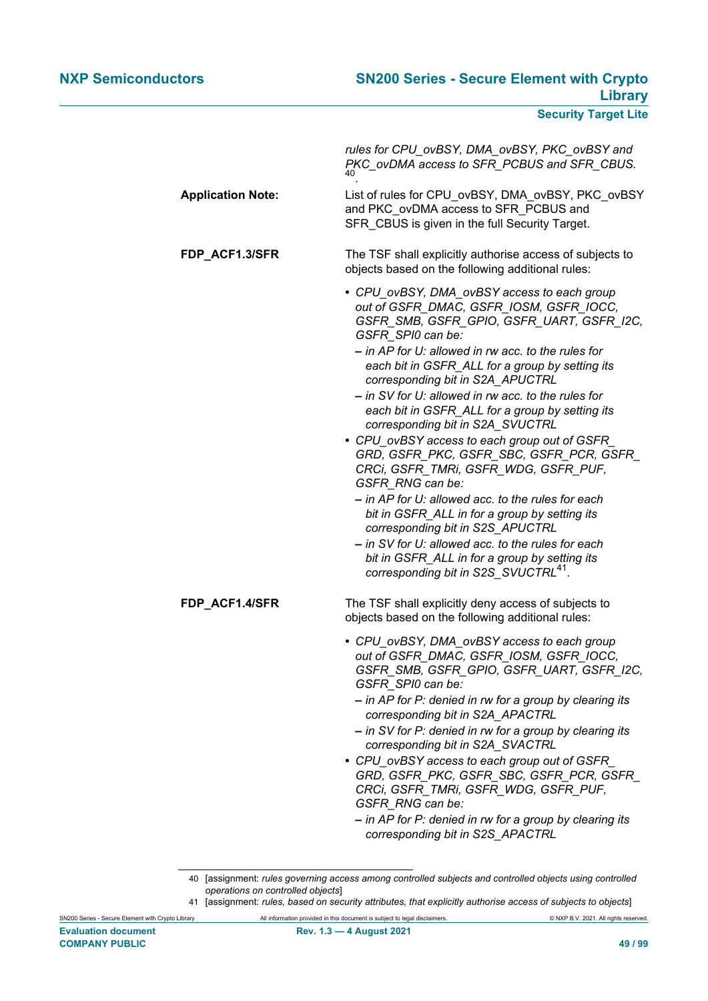| rules for CPU_ovBSY, DMA_ovBSY, PKC_ovBSY and<br>PKC_ovDMA access to SFR_PCBUS and SFR_CBUS.<br>40                                                                                                                                                                                                                                                                                                                                                                                                                                                                                                             |
|----------------------------------------------------------------------------------------------------------------------------------------------------------------------------------------------------------------------------------------------------------------------------------------------------------------------------------------------------------------------------------------------------------------------------------------------------------------------------------------------------------------------------------------------------------------------------------------------------------------|
| List of rules for CPU_ovBSY, DMA_ovBSY, PKC_ovBSY<br>and PKC ovDMA access to SFR PCBUS and<br>SFR_CBUS is given in the full Security Target.                                                                                                                                                                                                                                                                                                                                                                                                                                                                   |
| The TSF shall explicitly authorise access of subjects to<br>objects based on the following additional rules:                                                                                                                                                                                                                                                                                                                                                                                                                                                                                                   |
| • CPU_ovBSY, DMA_ovBSY access to each group<br>out of GSFR_DMAC, GSFR_IOSM, GSFR_IOCC,<br>GSFR_SMB, GSFR_GPIO, GSFR_UART, GSFR_I2C,<br>GSFR_SPI0 can be:<br>- in AP for U: allowed in rw acc. to the rules for<br>each bit in GSFR_ALL for a group by setting its<br>corresponding bit in S2A_APUCTRL<br>- in SV for U: allowed in rw acc. to the rules for<br>each bit in GSFR_ALL for a group by setting its<br>corresponding bit in S2A SVUCTRL<br>• CPU ovBSY access to each group out of GSFR<br>GRD, GSFR_PKC, GSFR_SBC, GSFR_PCR, GSFR_                                                                 |
| CRCi, GSFR_TMRi, GSFR_WDG, GSFR_PUF,<br>GSFR RNG can be:<br>- in AP for U: allowed acc. to the rules for each<br>bit in GSFR_ALL in for a group by setting its<br>corresponding bit in S2S_APUCTRL<br>- in SV for U: allowed acc. to the rules for each<br>bit in GSFR_ALL in for a group by setting its<br>corresponding bit in S2S_SVUCTRL <sup>41</sup> .                                                                                                                                                                                                                                                   |
| The TSF shall explicitly deny access of subjects to<br>objects based on the following additional rules:                                                                                                                                                                                                                                                                                                                                                                                                                                                                                                        |
| • CPU_ovBSY, DMA_ovBSY access to each group<br>out of GSFR_DMAC, GSFR_IOSM, GSFR_IOCC,<br>GSFR_SMB, GSFR_GPIO, GSFR_UART, GSFR_I2C,<br>GSFR_SPI0 can be:<br>- in AP for P: denied in rw for a group by clearing its<br>corresponding bit in S2A_APACTRL<br>- in SV for P: denied in rw for a group by clearing its<br>corresponding bit in S2A_SVACTRL<br>• CPU_ovBSY access to each group out of GSFR_<br>GRD, GSFR_PKC, GSFR_SBC, GSFR_PCR, GSFR_<br>CRCi, GSFR_TMRi, GSFR_WDG, GSFR_PUF,<br>GSFR RNG can be:<br>- in AP for P: denied in rw for a group by clearing its<br>corresponding bit in S2S_APACTRL |
|                                                                                                                                                                                                                                                                                                                                                                                                                                                                                                                                                                                                                |

<sup>40</sup> [assignment: *rules governing access among controlled subjects and controlled objects using controlled operations on controlled objects*]

<sup>41</sup> [assignment: *rules, based on security attributes, that explicitly authorise access of subjects to objects*]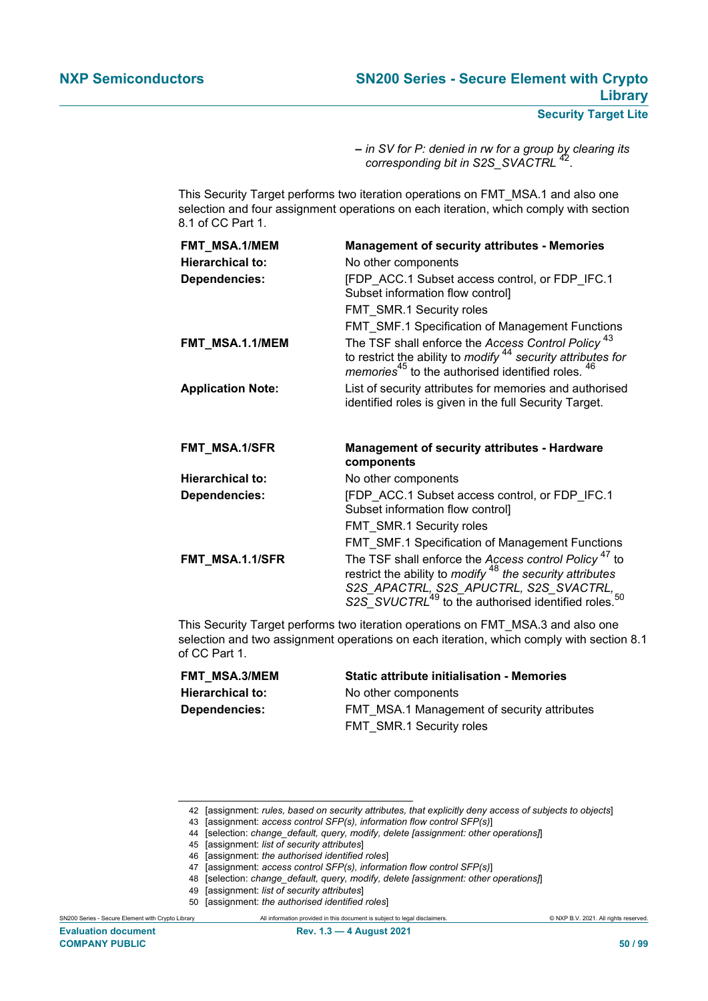**–** *in SV for P: denied in rw for a group by clearing its corresponding bit in S2S\_SVACTRL* <sup>42</sup> .

This Security Target performs two iteration operations on FMT\_MSA.1 and also one selection and four assignment operations on each iteration, which comply with section 8.1 of CC Part 1.

| FMT_MSA.1/MEM            | <b>Management of security attributes - Memories</b>                                                                                                                                                           |
|--------------------------|---------------------------------------------------------------------------------------------------------------------------------------------------------------------------------------------------------------|
| <b>Hierarchical to:</b>  | No other components                                                                                                                                                                                           |
| <b>Dependencies:</b>     | [FDP ACC.1 Subset access control, or FDP IFC.1<br>Subset information flow control]                                                                                                                            |
|                          | FMT SMR.1 Security roles                                                                                                                                                                                      |
|                          | FMT SMF.1 Specification of Management Functions                                                                                                                                                               |
| FMT_MSA.1.1/MEM          | The TSF shall enforce the Access Control Policy <sup>43</sup><br>to restrict the ability to <i>modify</i> $44$ security attributes for <i>memories</i> <sup>45</sup> to the authorised identified roles. $46$ |
| <b>Application Note:</b> | List of security attributes for memories and authorised<br>identified roles is given in the full Security Target.                                                                                             |
|                          |                                                                                                                                                                                                               |
| FMT_MSA.1/SFR            | <b>Management of security attributes - Hardware</b><br>components                                                                                                                                             |
| <b>Hierarchical to:</b>  | No other components                                                                                                                                                                                           |
| <b>Dependencies:</b>     | [FDP ACC.1 Subset access control, or FDP IFC.1<br>Subset information flow control]                                                                                                                            |
|                          | FMT SMR.1 Security roles                                                                                                                                                                                      |
|                          | FMT_SMF.1 Specification of Management Functions<br>The TSF shall enforce the Access control Policy <sup>47</sup> to                                                                                           |

This Security Target performs two iteration operations on FMT\_MSA.3 and also one selection and two assignment operations on each iteration, which comply with section 8.1 of CC Part 1.

| FMT MSA.3/MEM        | <b>Static attribute initialisation - Memories</b> |
|----------------------|---------------------------------------------------|
| Hierarchical to:     | No other components                               |
| <b>Dependencies:</b> | FMT MSA.1 Management of security attributes       |
|                      | FMT SMR.1 Security roles                          |

<sup>42</sup> [assignment: *rules, based on security attributes, that explicitly deny access of subjects to objects*]

<sup>43</sup> [assignment: *access control SFP(s), information flow control SFP(s)*]

<sup>44</sup> [selection: *change\_default, query, modify, delete [assignment: other operations]*]

<sup>45</sup> [assignment: *list of security attributes*]

<sup>46</sup> [assignment: *the authorised identified roles*]

<sup>47</sup> [assignment: *access control SFP(s), information flow control SFP(s)*]

<sup>48</sup> [selection: *change\_default, query, modify, delete [assignment: other operations]*]

<sup>49</sup> [assignment: *list of security attributes*]

<sup>50</sup> [assignment: *the authorised identified roles*]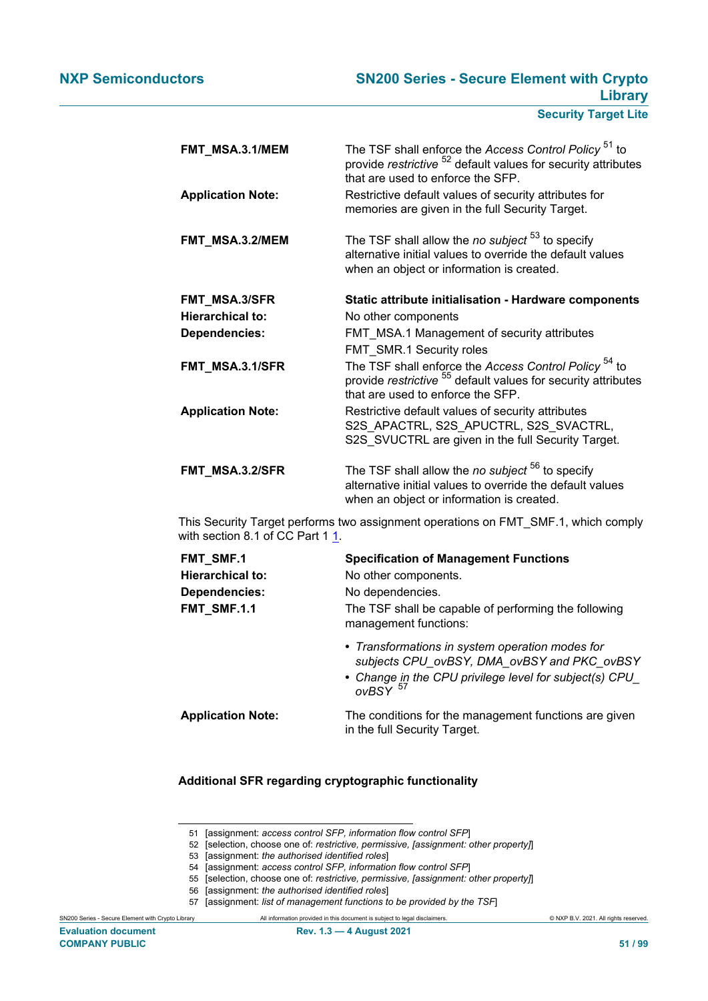| FMT_MSA.3.1/MEM          | The TSF shall enforce the Access Control Policy <sup>51</sup> to<br>provide restrictive <sup>52</sup> default values for security attributes<br>that are used to enforce the SFP. |
|--------------------------|-----------------------------------------------------------------------------------------------------------------------------------------------------------------------------------|
| <b>Application Note:</b> | Restrictive default values of security attributes for<br>memories are given in the full Security Target.                                                                          |
| FMT_MSA.3.2/MEM          | The TSF shall allow the no subject <sup>53</sup> to specify<br>alternative initial values to override the default values<br>when an object or information is created.             |
| FMT_MSA.3/SFR            | Static attribute initialisation - Hardware components                                                                                                                             |
| <b>Hierarchical to:</b>  | No other components                                                                                                                                                               |
| Dependencies:            | FMT_MSA.1 Management of security attributes                                                                                                                                       |
|                          | FMT_SMR.1 Security roles                                                                                                                                                          |
| FMT_MSA.3.1/SFR          | The TSF shall enforce the Access Control Policy <sup>54</sup> to<br>provide restrictive <sup>55</sup> default values for security attributes<br>that are used to enforce the SFP. |
| <b>Application Note:</b> | Restrictive default values of security attributes<br>S2S APACTRL, S2S APUCTRL, S2S SVACTRL,<br>S2S_SVUCTRL are given in the full Security Target.                                 |
| FMT_MSA.3.2/SFR          | The TSF shall allow the no subject <sup>56</sup> to specify<br>alternative initial values to override the default values<br>when an object or information is created.             |

This Security Target performs two assignment operations on FMT\_SMF.1, which comply with section 8.1 of CC Part 1 1.

| FMT_SMF.1                | <b>Specification of Management Functions</b>                                                                                                                                      |
|--------------------------|-----------------------------------------------------------------------------------------------------------------------------------------------------------------------------------|
| <b>Hierarchical to:</b>  | No other components.                                                                                                                                                              |
| Dependencies:            | No dependencies.                                                                                                                                                                  |
| FMT_SMF.1.1              | The TSF shall be capable of performing the following<br>management functions:                                                                                                     |
|                          | • Transformations in system operation modes for<br>subjects CPU ovBSY, DMA ovBSY and PKC ovBSY<br>• Change in the CPU privilege level for subject(s) CPU<br>$ovBSY$ <sup>57</sup> |
| <b>Application Note:</b> | The conditions for the management functions are given<br>in the full Security Target.                                                                                             |

**Additional SFR regarding cryptographic functionality**

<sup>51</sup> [assignment: *access control SFP, information flow control SFP*]

<sup>52</sup> [selection, choose one of: *restrictive, permissive, [assignment: other property]*]

<sup>53</sup> [assignment: *the authorised identified roles*]

<sup>54</sup> [assignment: *access control SFP, information flow control SFP*]

<sup>55</sup> [selection, choose one of: *restrictive, permissive, [assignment: other property]*]

<sup>56</sup> [assignment: *the authorised identified roles*]

<sup>57</sup> [assignment: *list of management functions to be provided by the TSF*]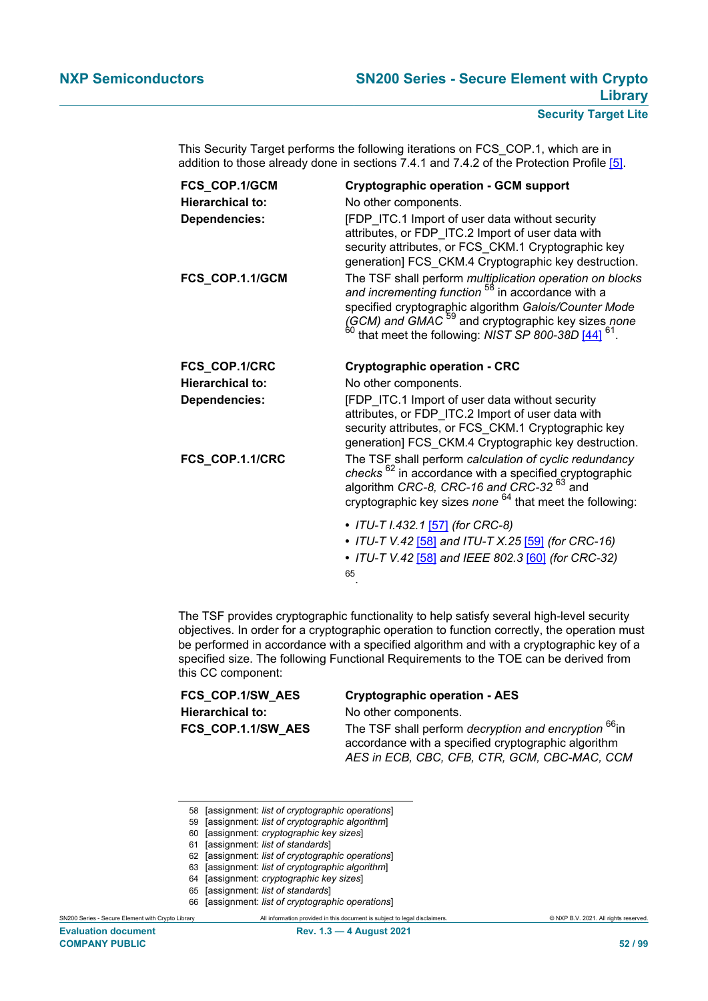| FCS_COP.1/GCM           | <b>Cryptographic operation - GCM support</b>                                                                                                                                                                                                                                                                        |
|-------------------------|---------------------------------------------------------------------------------------------------------------------------------------------------------------------------------------------------------------------------------------------------------------------------------------------------------------------|
| <b>Hierarchical to:</b> | No other components.                                                                                                                                                                                                                                                                                                |
| <b>Dependencies:</b>    | [FDP ITC.1 Import of user data without security<br>attributes, or FDP_ITC.2 Import of user data with<br>security attributes, or FCS_CKM.1 Cryptographic key<br>generation] FCS_CKM.4 Cryptographic key destruction.                                                                                                 |
| FCS_COP.1.1/GCM         | The TSF shall perform <i>multiplication operation on blocks</i><br>and incrementing function <sup>58</sup> in accordance with a<br>specified cryptographic algorithm Galois/Counter Mode<br>(GCM) and GMAC <sup>59</sup> and cryptographic key sizes none<br>60<br>that meet the following: NIST SP 800-38D [44] 61 |
| FCS_COP.1/CRC           | <b>Cryptographic operation - CRC</b>                                                                                                                                                                                                                                                                                |
| <b>Hierarchical to:</b> | No other components.                                                                                                                                                                                                                                                                                                |
| <b>Dependencies:</b>    | [FDP ITC.1 Import of user data without security<br>attributes, or FDP ITC.2 Import of user data with<br>security attributes, or FCS_CKM.1 Cryptographic key<br>generation] FCS_CKM.4 Cryptographic key destruction.                                                                                                 |
| FCS_COP.1.1/CRC         | The TSF shall perform calculation of cyclic redundancy<br>checks <sup>62</sup> in accordance with a specified cryptographic<br>algorithm CRC-8, CRC-16 and CRC-32 <sup>63</sup> and<br>cryptographic key sizes none <sup>64</sup> that meet the following:                                                          |
|                         | • ITU-T I.432.1 [57] (for CRC-8)<br>• ITU-T V.42 [58] and ITU-T X.25 [59] (for CRC-16)<br>• ITU-T V.42 [58] and IEEE 802.3 [60] (for CRC-32)                                                                                                                                                                        |

This Security Target performs the following iterations on FCS\_COP.1, which are in addition to those already done in sections 7.4.1 and 7.4.2 of the Protection Profile [\[5\].](#page-90-0)

65 .

The TSF provides cryptographic functionality to help satisfy several high-level security objectives. In order for a cryptographic operation to function correctly, the operation must be performed in accordance with a specified algorithm and with a cryptographic key of a specified size. The following Functional Requirements to the TOE can be derived from this CC component:

# **Hierarchical to:** No other components.

# **FCS\_COP.1/SW\_AES Cryptographic operation - AES**

**FCS COP.1.1/SW AES** The TSF shall perform *decryption and encryption* <sup>66</sup>in accordance with a specified cryptographic algorithm *AES in ECB, CBC, CFB, CTR, GCM, CBC-MAC, CCM*

<sup>58</sup> [assignment: *list of cryptographic operations*]

<sup>59</sup> [assignment: *list of cryptographic algorithm*]

<sup>60</sup> [assignment: *cryptographic key sizes*]

<sup>61</sup> [assignment: *list of standards*]

<sup>62</sup> [assignment: *list of cryptographic operations*]

<sup>63</sup> [assignment: *list of cryptographic algorithm*]

<sup>64</sup> [assignment: *cryptographic key sizes*]

<sup>65</sup> [assignment: *list of standards*]

<sup>66</sup> [assignment: *list of cryptographic operations*]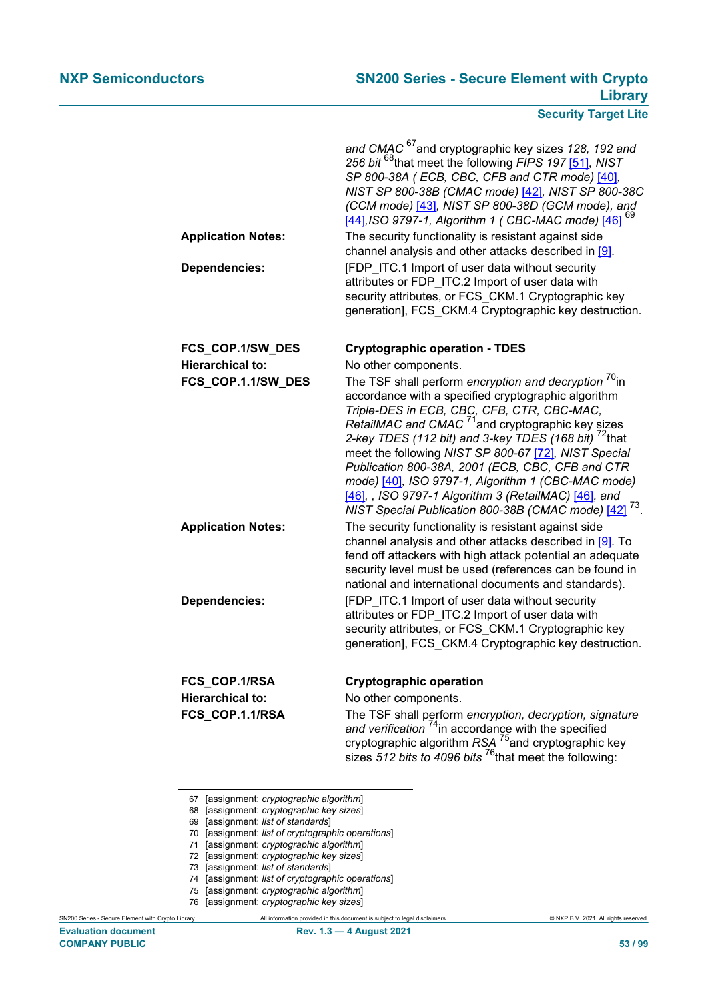|                           | and CMAC <sup>67</sup> and cryptographic key sizes 128, 192 and<br>256 bit <sup>68</sup> that meet the following FIPS 197 [51], NIST<br>SP 800-38A (ECB, CBC, CFB and CTR mode) [40],<br>NIST SP 800-38B (CMAC mode) [42], NIST SP 800-38C<br>(CCM mode) [43], NIST SP 800-38D (GCM mode), and<br>[44], ISO 9797-1, Algorithm 1 (CBC-MAC mode) [46] <sup>69</sup>                                                                                                                                                                                                                                        |
|---------------------------|----------------------------------------------------------------------------------------------------------------------------------------------------------------------------------------------------------------------------------------------------------------------------------------------------------------------------------------------------------------------------------------------------------------------------------------------------------------------------------------------------------------------------------------------------------------------------------------------------------|
| <b>Application Notes:</b> | The security functionality is resistant against side<br>channel analysis and other attacks described in [9].                                                                                                                                                                                                                                                                                                                                                                                                                                                                                             |
| <b>Dependencies:</b>      | [FDP ITC.1 Import of user data without security<br>attributes or FDP_ITC.2 Import of user data with<br>security attributes, or FCS_CKM.1 Cryptographic key<br>generation], FCS_CKM.4 Cryptographic key destruction.                                                                                                                                                                                                                                                                                                                                                                                      |
| FCS_COP.1/SW_DES          | <b>Cryptographic operation - TDES</b>                                                                                                                                                                                                                                                                                                                                                                                                                                                                                                                                                                    |
| <b>Hierarchical to:</b>   | No other components.                                                                                                                                                                                                                                                                                                                                                                                                                                                                                                                                                                                     |
| FCS_COP.1.1/SW_DES        | The TSF shall perform encryption and decryption <sup>70</sup> in<br>accordance with a specified cryptographic algorithm<br>Triple-DES in ECB, CBC, CFB, CTR, CBC-MAC,<br>RetailMAC and CMAC <sup>71</sup> and cryptographic key sizes<br>2-key TDES (112 bit) and 3-key TDES (168 bit) <sup>72</sup> that<br>meet the following NIST SP 800-67 [72], NIST Special<br>Publication 800-38A, 2001 (ECB, CBC, CFB and CTR<br>mode) [40], ISO 9797-1, Algorithm 1 (CBC-MAC mode)<br>[46], , ISO 9797-1 Algorithm 3 (RetailMAC) [46], and<br>NIST Special Publication 800-38B (CMAC mode) [42] <sup>73</sup> . |
| <b>Application Notes:</b> | The security functionality is resistant against side<br>channel analysis and other attacks described in [9]. To<br>fend off attackers with high attack potential an adequate<br>security level must be used (references can be found in<br>national and international documents and standards).                                                                                                                                                                                                                                                                                                          |
| <b>Dependencies:</b>      | [FDP_ITC.1 Import of user data without security<br>attributes or FDP ITC.2 Import of user data with<br>security attributes, or FCS_CKM.1 Cryptographic key<br>generation], FCS CKM.4 Cryptographic key destruction.                                                                                                                                                                                                                                                                                                                                                                                      |
| FCS_COP.1/RSA             | <b>Cryptographic operation</b>                                                                                                                                                                                                                                                                                                                                                                                                                                                                                                                                                                           |
| <b>Hierarchical to:</b>   | No other components.                                                                                                                                                                                                                                                                                                                                                                                                                                                                                                                                                                                     |
| FCS_COP.1.1/RSA           | The TSF shall perform encryption, decryption, signature<br>and verification <sup>74</sup> in accordance with the specified<br>cryptographic algorithm $RSA$ <sup>75</sup> and cryptographic key<br>sizes $512$ bits to 4096 bits $^{76}$ that meet the following:                                                                                                                                                                                                                                                                                                                                        |

- 67 [assignment: *cryptographic algorithm*]
- 68 [assignment: *cryptographic key sizes*]
- 69 [assignment: *list of standards*]
- 70 [assignment: *list of cryptographic operations*]
- 71 [assignment: *cryptographic algorithm*]
- 72 [assignment: *cryptographic key sizes*]
- 73 [assignment: *list of standards*]
- 74 [assignment: *list of cryptographic operations*]
- 75 [assignment: *cryptographic algorithm*]
- 76 [assignment: *cryptographic key sizes*]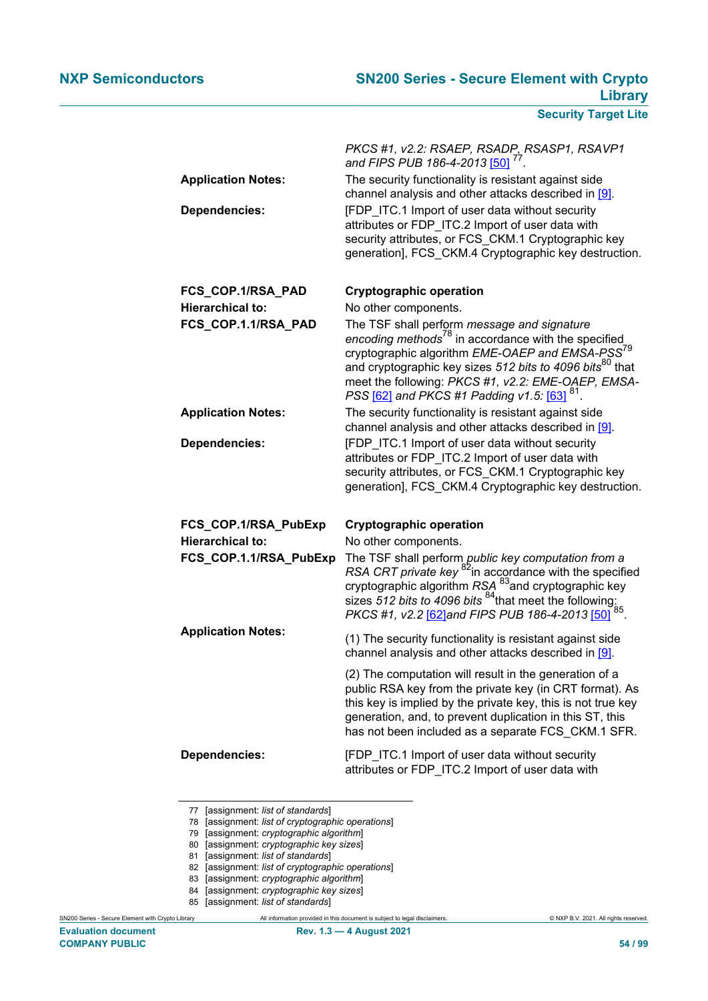| <b>Application Notes:</b> | PKCS #1, v2.2: RSAEP, RSADP, RSASP1, RSAVP1<br>and FIPS PUB 186-4-2013 [50]<br>The security functionality is resistant against side                                                                                                                                                                                                                                    |
|---------------------------|------------------------------------------------------------------------------------------------------------------------------------------------------------------------------------------------------------------------------------------------------------------------------------------------------------------------------------------------------------------------|
|                           | channel analysis and other attacks described in [9].                                                                                                                                                                                                                                                                                                                   |
| <b>Dependencies:</b>      | [FDP ITC.1 Import of user data without security<br>attributes or FDP ITC.2 Import of user data with<br>security attributes, or FCS_CKM.1 Cryptographic key<br>generation], FCS_CKM.4 Cryptographic key destruction.                                                                                                                                                    |
| FCS_COP.1/RSA_PAD         | <b>Cryptographic operation</b>                                                                                                                                                                                                                                                                                                                                         |
| <b>Hierarchical to:</b>   | No other components.                                                                                                                                                                                                                                                                                                                                                   |
| FCS_COP.1.1/RSA_PAD       | The TSF shall perform message and signature<br>encoding methods <sup>78</sup> in accordance with the specified<br>cryptographic algorithm EME-OAEP and EMSA-PSS <sup>79</sup><br>and cryptographic key sizes 512 bits to 4096 bits <sup>80</sup> that<br>meet the following: PKCS #1, v2.2: EME-OAEP, EMSA-<br>PSS [62] and PKCS #1 Padding v1.5: [63] <sup>81</sup> . |
| <b>Application Notes:</b> | The security functionality is resistant against side<br>channel analysis and other attacks described in [9].                                                                                                                                                                                                                                                           |
| <b>Dependencies:</b>      | [FDP_ITC.1 Import of user data without security<br>attributes or FDP ITC.2 Import of user data with<br>security attributes, or FCS CKM.1 Cryptographic key<br>generation], FCS CKM.4 Cryptographic key destruction.                                                                                                                                                    |
| FCS_COP.1/RSA_PubExp      | <b>Cryptographic operation</b>                                                                                                                                                                                                                                                                                                                                         |
| <b>Hierarchical to:</b>   | No other components.                                                                                                                                                                                                                                                                                                                                                   |
| FCS_COP.1.1/RSA_PubExp    | The TSF shall perform public key computation from a<br>RSA CRT private key $^{82}$ in accordance with the specified<br>cryptographic algorithm RSA $^{83}$ and cryptographic key<br>sizes 512 bits to 4096 bits $^{84}$ that meet the following:<br>PKCS #1, v2.2 [62]and FIPS PUB 186-4-2013 [50]                                                                     |
| <b>Application Notes:</b> | (1) The security functionality is resistant against side<br>channel analysis and other attacks described in [9].                                                                                                                                                                                                                                                       |
|                           | (2) The computation will result in the generation of a<br>public RSA key from the private key (in CRT format). As<br>this key is implied by the private key, this is not true key<br>generation, and, to prevent duplication in this ST, this<br>has not been included as a separate FCS_CKM.1 SFR.                                                                    |
| <b>Dependencies:</b>      | [FDP_ITC.1 Import of user data without security<br>attributes or FDP_ITC.2 Import of user data with                                                                                                                                                                                                                                                                    |
|                           |                                                                                                                                                                                                                                                                                                                                                                        |

77 [assignment: *list of standards*]

- 78 [assignment: *list of cryptographic operations*]
- 79 [assignment: *cryptographic algorithm*]
- 80 [assignment: *cryptographic key sizes*]
- 81 [assignment: *list of standards*]
- 82 [assignment: *list of cryptographic operations*]
- 83 [assignment: *cryptographic algorithm*]
- 84 [assignment: *cryptographic key sizes*]
- 85 [assignment: *list of standards*]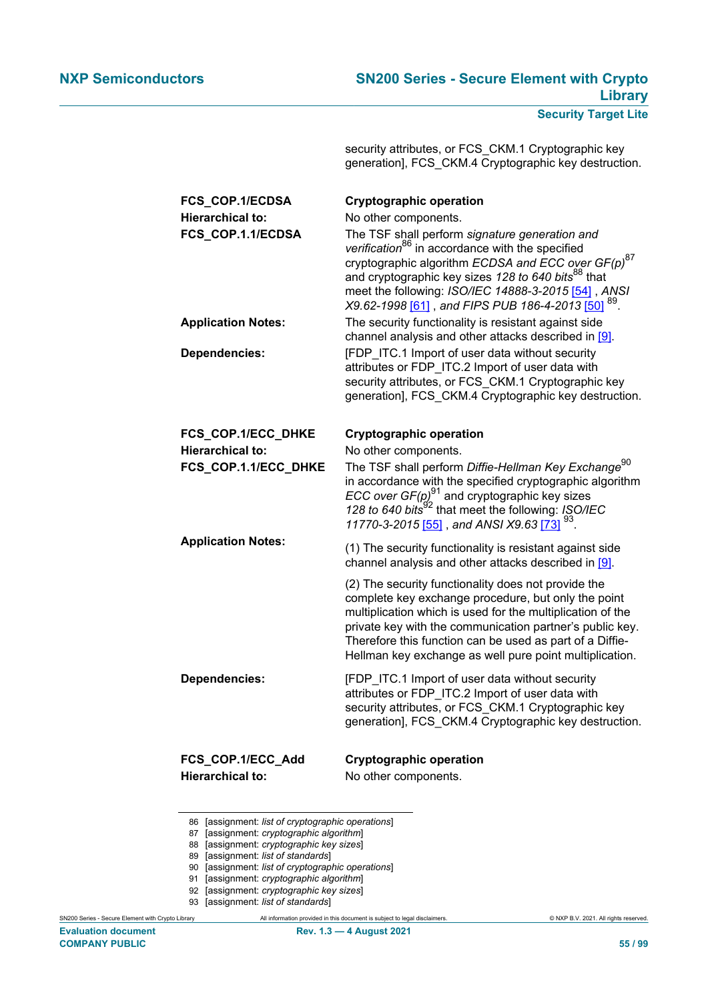security attributes, or FCS\_CKM.1 Cryptographic key generation], FCS\_CKM.4 Cryptographic key destruction.

| FCS_COP.1/ECDSA<br><b>Hierarchical to:</b><br>FCS_COP.1.1/ECDSA | <b>Cryptographic operation</b><br>No other components.<br>The TSF shall perform signature generation and<br>verification <sup>86</sup> in accordance with the specified<br>cryptographic algorithm ECDSA and ECC over GF(p) <sup>87</sup><br>and cryptographic key sizes 128 to 640 bits <sup>88</sup> that<br>meet the following: ISO/IEC 14888-3-2015 [54], ANSI<br>X9.62-1998 [61] , and FIPS PUB 186-4-2013 [50] $^{89}$ . |
|-----------------------------------------------------------------|--------------------------------------------------------------------------------------------------------------------------------------------------------------------------------------------------------------------------------------------------------------------------------------------------------------------------------------------------------------------------------------------------------------------------------|
| <b>Application Notes:</b>                                       | The security functionality is resistant against side<br>channel analysis and other attacks described in [9].                                                                                                                                                                                                                                                                                                                   |
| <b>Dependencies:</b>                                            | [FDP_ITC.1 Import of user data without security<br>attributes or FDP_ITC.2 Import of user data with<br>security attributes, or FCS CKM.1 Cryptographic key<br>generation], FCS CKM.4 Cryptographic key destruction.                                                                                                                                                                                                            |
| FCS_COP.1/ECC_DHKE                                              | <b>Cryptographic operation</b>                                                                                                                                                                                                                                                                                                                                                                                                 |
| Hierarchical to:                                                | No other components.                                                                                                                                                                                                                                                                                                                                                                                                           |
| FCS_COP.1.1/ECC_DHKE                                            | The TSF shall perform Diffie-Hellman Key Exchange <sup>90</sup><br>in accordance with the specified cryptographic algorithm<br>ECC over $GF(p)^{91}$ and cryptographic key sizes<br>128 to 640 bits <sup>92</sup> that meet the following: ISO/IEC                                                                                                                                                                             |
| <b>Application Notes:</b>                                       | (1) The security functionality is resistant against side<br>channel analysis and other attacks described in [9].                                                                                                                                                                                                                                                                                                               |
|                                                                 | (2) The security functionality does not provide the<br>complete key exchange procedure, but only the point<br>multiplication which is used for the multiplication of the<br>private key with the communication partner's public key.<br>Therefore this function can be used as part of a Diffie-<br>Hellman key exchange as well pure point multiplication.                                                                    |
| Dependencies:                                                   | [FDP ITC.1 Import of user data without security<br>attributes or FDP_ITC.2 Import of user data with<br>security attributes, or FCS_CKM.1 Cryptographic key<br>generation], FCS CKM.4 Cryptographic key destruction.                                                                                                                                                                                                            |
| FCS_COP.1/ECC_Add<br><b>Hierarchical to:</b>                    | <b>Cryptographic operation</b><br>No other components.                                                                                                                                                                                                                                                                                                                                                                         |

- 86 [assignment: *list of cryptographic operations*]
- 87 [assignment: *cryptographic algorithm*]
- 88 [assignment: *cryptographic key sizes*]
- 89 [assignment: *list of standards*]
- 90 [assignment: *list of cryptographic operations*]
- 91 [assignment: *cryptographic algorithm*]
- 92 [assignment: *cryptographic key sizes*]
- 93 [assignment: *list of standards*]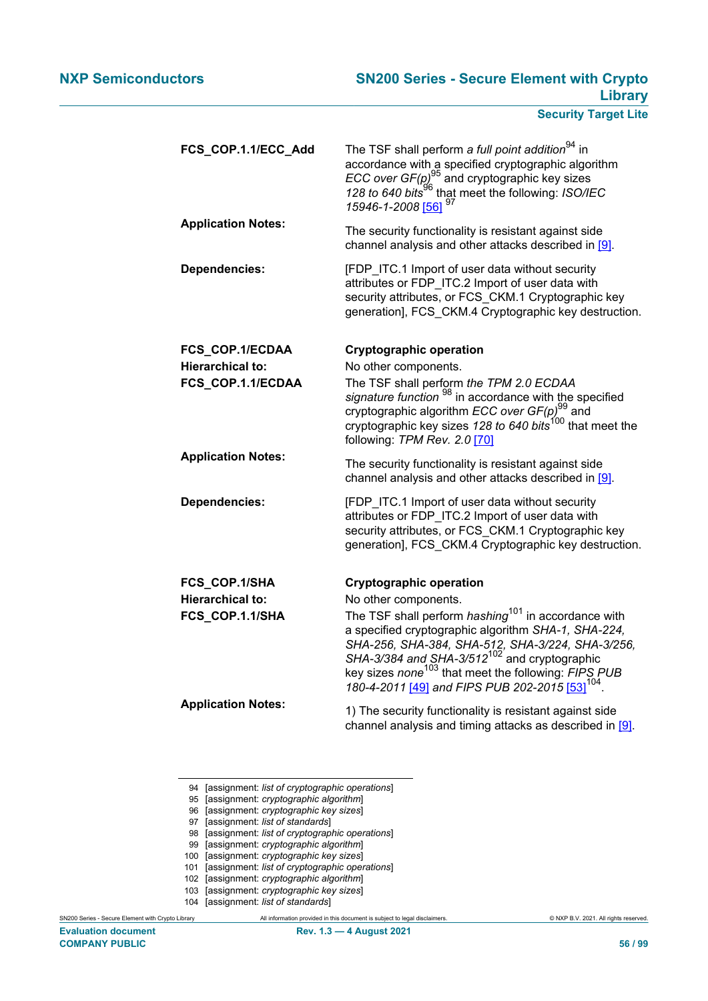| FCS_COP.1.1/ECC_Add       | The TSF shall perform a full point addition <sup>94</sup> in<br>accordance with a specified cryptographic algorithm<br>ECC over $GF(p)^{95}$ and cryptographic key sizes<br>128 to 640 bits <sup>96</sup> that meet the following: ISO/IEC<br>15946-1-2008 <mark>[5</mark> 6] <sup>97</sup>                                                                                     |
|---------------------------|---------------------------------------------------------------------------------------------------------------------------------------------------------------------------------------------------------------------------------------------------------------------------------------------------------------------------------------------------------------------------------|
| <b>Application Notes:</b> | The security functionality is resistant against side<br>channel analysis and other attacks described in [9].                                                                                                                                                                                                                                                                    |
| <b>Dependencies:</b>      | [FDP_ITC.1 Import of user data without security<br>attributes or FDP_ITC.2 Import of user data with<br>security attributes, or FCS_CKM.1 Cryptographic key<br>generation], FCS CKM.4 Cryptographic key destruction.                                                                                                                                                             |
| FCS_COP.1/ECDAA           | <b>Cryptographic operation</b>                                                                                                                                                                                                                                                                                                                                                  |
| <b>Hierarchical to:</b>   | No other components.                                                                                                                                                                                                                                                                                                                                                            |
| FCS_COP.1.1/ECDAA         | The TSF shall perform the TPM 2.0 ECDAA<br>signature function <sup>98</sup> in accordance with the specified<br>cryptographic algorithm <i>ECC</i> over GF(p) <sup>99</sup> and<br>cryptographic key sizes 128 to 640 bits <sup>100</sup> that meet the<br>following: TPM Rev. 2.0 [70]                                                                                         |
| <b>Application Notes:</b> | The security functionality is resistant against side<br>channel analysis and other attacks described in [9].                                                                                                                                                                                                                                                                    |
| <b>Dependencies:</b>      | [FDP ITC.1 Import of user data without security<br>attributes or FDP ITC.2 Import of user data with<br>security attributes, or FCS CKM.1 Cryptographic key<br>generation], FCS CKM.4 Cryptographic key destruction.                                                                                                                                                             |
| FCS_COP.1/SHA             | <b>Cryptographic operation</b>                                                                                                                                                                                                                                                                                                                                                  |
| <b>Hierarchical to:</b>   | No other components.                                                                                                                                                                                                                                                                                                                                                            |
| FCS_COP.1.1/SHA           | The TSF shall perform <i>hashing</i> <sup>101</sup> in accordance with<br>a specified cryptographic algorithm SHA-1, SHA-224,<br>SHA-256, SHA-384, SHA-512, SHA-3/224, SHA-3/256,<br>SHA-3/384 and SHA-3/512 <sup>102</sup> and cryptographic<br>key sizes none <sup>103</sup> that meet the following: FIPS PUB<br>180-4-2011 [49] and FIPS PUB 202-2015 [53] <sup>104</sup> . |
| <b>Application Notes:</b> | 1) The security functionality is resistant against side<br>channel analysis and timing attacks as described in [9].                                                                                                                                                                                                                                                             |

- 94 [assignment: *list of cryptographic operations*]
- 95 [assignment: *cryptographic algorithm*]
- 96 [assignment: *cryptographic key sizes*]
- 97 [assignment: *list of standards*]
- 98 [assignment: *list of cryptographic operations*]
- 99 [assignment: *cryptographic algorithm*]
- 100 [assignment: *cryptographic key sizes*]
- 101 [assignment: *list of cryptographic operations*]
- 102 [assignment: *cryptographic algorithm*]
- 103 [assignment: *cryptographic key sizes*]
- 104 [assignment: *list of standards*]

SN200 Series - Secure Element with Crypto Library All information provided in this document is subject to legal disclaimers. © NXP B.V. 2021. All rights reserved.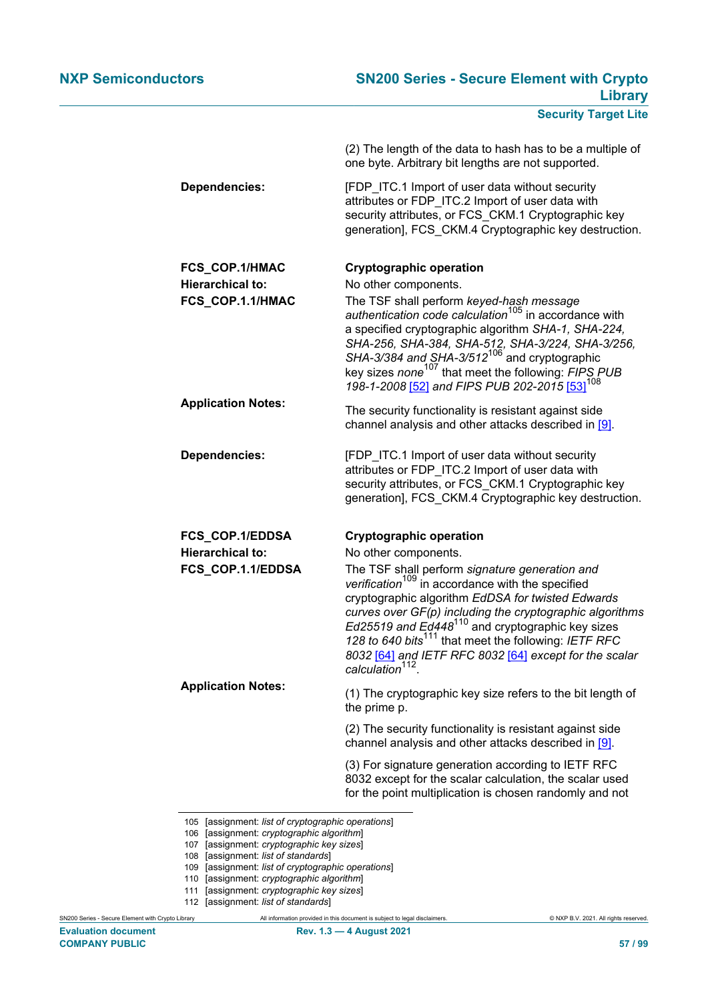|                                             | (2) The length of the data to hash has to be a multiple of<br>one byte. Arbitrary bit lengths are not supported.                                                                                                                                                                                                                                                                                                                                           |
|---------------------------------------------|------------------------------------------------------------------------------------------------------------------------------------------------------------------------------------------------------------------------------------------------------------------------------------------------------------------------------------------------------------------------------------------------------------------------------------------------------------|
| <b>Dependencies:</b>                        | [FDP ITC.1 Import of user data without security<br>attributes or FDP_ITC.2 Import of user data with<br>security attributes, or FCS_CKM.1 Cryptographic key<br>generation], FCS CKM.4 Cryptographic key destruction.                                                                                                                                                                                                                                        |
| FCS_COP.1/HMAC                              | <b>Cryptographic operation</b>                                                                                                                                                                                                                                                                                                                                                                                                                             |
| <b>Hierarchical to:</b><br>FCS_COP.1.1/HMAC | No other components.<br>The TSF shall perform keyed-hash message<br>authentication code calculation <sup>105</sup> in accordance with<br>a specified cryptographic algorithm SHA-1, SHA-224,<br>SHA-256, SHA-384, SHA-512, SHA-3/224, SHA-3/256,<br>SHA-3/384 and SHA-3/512 <sup>106</sup> and cryptographic<br>key sizes none <sup>107</sup> that meet the following: FIPS PUB<br>198-1-2008 [52] and FIPS PUB 202-2015 [53] <sup>108</sup>               |
| <b>Application Notes:</b>                   | The security functionality is resistant against side<br>channel analysis and other attacks described in [9].                                                                                                                                                                                                                                                                                                                                               |
| <b>Dependencies:</b>                        | [FDP_ITC.1 Import of user data without security<br>attributes or FDP_ITC.2 Import of user data with<br>security attributes, or FCS CKM.1 Cryptographic key<br>generation], FCS CKM.4 Cryptographic key destruction.                                                                                                                                                                                                                                        |
| FCS_COP.1/EDDSA                             | <b>Cryptographic operation</b>                                                                                                                                                                                                                                                                                                                                                                                                                             |
| <b>Hierarchical to:</b>                     | No other components.                                                                                                                                                                                                                                                                                                                                                                                                                                       |
| FCS_COP.1.1/EDDSA                           | The TSF shall perform signature generation and<br>verification <sup>109</sup> in accordance with the specified<br>cryptographic algorithm EdDSA for twisted Edwards<br>curves over GF(p) including the cryptographic algorithms<br>Ed25519 and Ed448 <sup>110</sup> and cryptographic key sizes<br>128 to 640 bits <sup>111</sup> that meet the following: IETF RFC<br>8032 [64] and IETF RFC 8032 [64] except for the scalar calculation <sup>112</sup> . |
| <b>Application Notes:</b>                   | (1) The cryptographic key size refers to the bit length of<br>the prime p.                                                                                                                                                                                                                                                                                                                                                                                 |
|                                             | (2) The security functionality is resistant against side<br>channel analysis and other attacks described in [9].                                                                                                                                                                                                                                                                                                                                           |
|                                             | (3) For signature generation according to IETF RFC<br>8032 except for the scalar calculation, the scalar used<br>for the point multiplication is chosen randomly and not                                                                                                                                                                                                                                                                                   |

- 106 [assignment: *cryptographic algorithm*]
- 107 [assignment: *cryptographic key sizes*]
- 108 [assignment: *list of standards*]
- 109 [assignment: *list of cryptographic operations*]
- 110 [assignment: *cryptographic algorithm*]
- 111 [assignment: *cryptographic key sizes*]
- 112 [assignment: *list of standards*]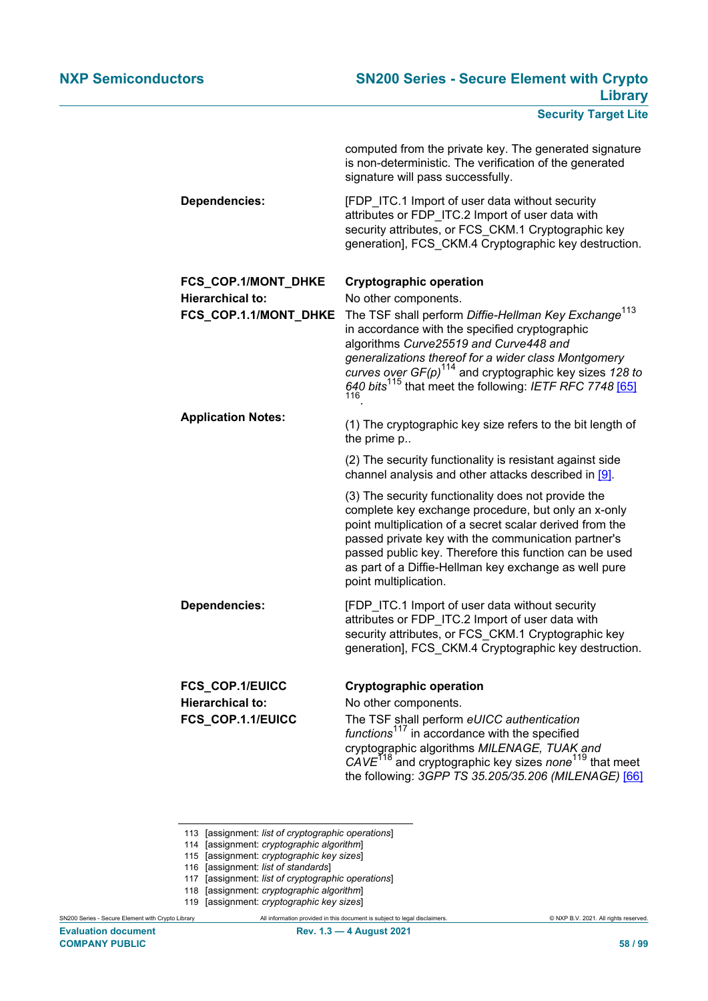|                           | computed from the private key. The generated signature<br>is non-deterministic. The verification of the generated<br>signature will pass successfully.                                                                                                                                                                                                                    |
|---------------------------|---------------------------------------------------------------------------------------------------------------------------------------------------------------------------------------------------------------------------------------------------------------------------------------------------------------------------------------------------------------------------|
| <b>Dependencies:</b>      | [FDP_ITC.1 Import of user data without security<br>attributes or FDP ITC.2 Import of user data with<br>security attributes, or FCS_CKM.1 Cryptographic key<br>generation], FCS_CKM.4 Cryptographic key destruction.                                                                                                                                                       |
| FCS_COP.1/MONT_DHKE       | <b>Cryptographic operation</b>                                                                                                                                                                                                                                                                                                                                            |
| <b>Hierarchical to:</b>   | No other components.                                                                                                                                                                                                                                                                                                                                                      |
| FCS_COP.1.1/MONT_DHKE     | The TSF shall perform Diffie-Hellman Key Exchange <sup>113</sup><br>in accordance with the specified cryptographic<br>algorithms Curve25519 and Curve448 and<br>generalizations thereof for a wider class Montgomery<br>curves over $GF(p)^{114}$ and cryptographic key sizes 128 to<br>640 bits <sup>115</sup> that meet the following: IETF RFC 7748 [65]               |
| <b>Application Notes:</b> | (1) The cryptographic key size refers to the bit length of<br>the prime p                                                                                                                                                                                                                                                                                                 |
|                           | (2) The security functionality is resistant against side<br>channel analysis and other attacks described in [9].                                                                                                                                                                                                                                                          |
|                           | (3) The security functionality does not provide the<br>complete key exchange procedure, but only an x-only<br>point multiplication of a secret scalar derived from the<br>passed private key with the communication partner's<br>passed public key. Therefore this function can be used<br>as part of a Diffie-Hellman key exchange as well pure<br>point multiplication. |
| <b>Dependencies:</b>      | [FDP ITC.1 Import of user data without security<br>attributes or FDP_ITC.2 Import of user data with<br>security attributes, or FCS_CKM.1 Cryptographic key<br>generation], FCS_CKM.4 Cryptographic key destruction.                                                                                                                                                       |
| FCS_COP.1/EUICC           | <b>Cryptographic operation</b>                                                                                                                                                                                                                                                                                                                                            |
| <b>Hierarchical to:</b>   | No other components.                                                                                                                                                                                                                                                                                                                                                      |
| FCS_COP.1.1/EUICC         | The TSF shall perform eUICC authentication<br>functions <sup>117</sup> in accordance with the specified<br>cryptographic algorithms MILENAGE, TUAK and<br>$CAVE118$ and cryptographic key sizes none <sup>119</sup> that meet<br>the following: 3GPP TS 35.205/35.206 (MILENAGE) [66]                                                                                     |

- 113 [assignment: *list of cryptographic operations*]
- 114 [assignment: *cryptographic algorithm*]
- 115 [assignment: *cryptographic key sizes*]
- 116 [assignment: *list of standards*]
- 117 [assignment: *list of cryptographic operations*]
- 118 [assignment: *cryptographic algorithm*]
- 119 [assignment: *cryptographic key sizes*]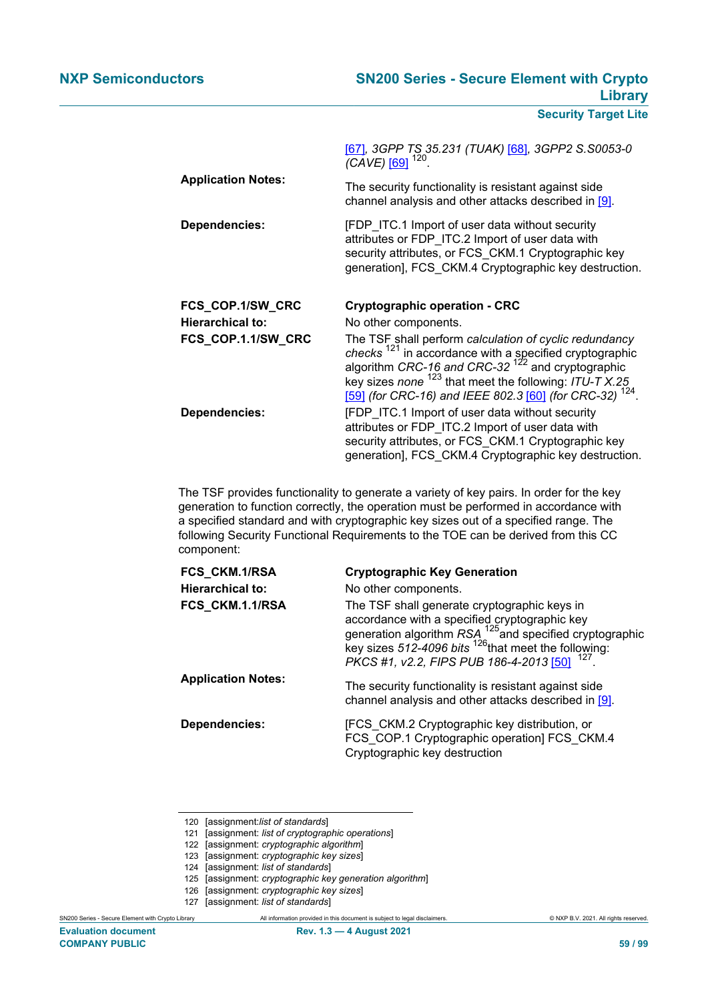|                           | [67], 3GPP TS 35.231 (TUAK) [68], 3GPP2 S.S0053-0<br>(CAVE) [69] <sup>120</sup> .                                                                                                                                                               |
|---------------------------|-------------------------------------------------------------------------------------------------------------------------------------------------------------------------------------------------------------------------------------------------|
| <b>Application Notes:</b> | The security functionality is resistant against side<br>channel analysis and other attacks described in [9].                                                                                                                                    |
| Dependencies:             | [FDP ITC.1 Import of user data without security<br>attributes or FDP ITC.2 Import of user data with<br>security attributes, or FCS CKM.1 Cryptographic key<br>generation], FCS CKM.4 Cryptographic key destruction.                             |
| FCS_COP.1/SW_CRC          | <b>Cryptographic operation - CRC</b>                                                                                                                                                                                                            |
| <b>Hierarchical to:</b>   | No other components.                                                                                                                                                                                                                            |
| FCS_COP.1.1/SW_CRC        | The TSF shall perform calculation of cyclic redundancy<br>checks $^{121}$ in accordance with a specified cryptographic<br>algorithm CRC-16 and CRC-32 $^{122}$ and cryptographic<br>key sizes none $^{123}$ that meet the following: ITU-T X.25 |
|                           | [59] (for CRC-16) and IEEE 802.3 [60] (for CRC-32) <sup>124</sup> .                                                                                                                                                                             |

The TSF provides functionality to generate a variety of key pairs. In order for the key generation to function correctly, the operation must be performed in accordance with a specified standard and with cryptographic key sizes out of a specified range. The following Security Functional Requirements to the TOE can be derived from this CC component:

| FCS_CKM.1/RSA             | <b>Cryptographic Key Generation</b>                                                                                                                                                                                                                                   |
|---------------------------|-----------------------------------------------------------------------------------------------------------------------------------------------------------------------------------------------------------------------------------------------------------------------|
| <b>Hierarchical to:</b>   | No other components.                                                                                                                                                                                                                                                  |
| FCS CKM.1.1/RSA           | The TSF shall generate cryptographic keys in<br>accordance with a specified cryptographic key<br>generation algorithm $RSA^{125}$ and specified cryptographic<br>key sizes 512-4096 bits $^{126}$ that meet the following:<br>PKCS #1, v2.2, FIPS PUB 186-4-2013 [50] |
| <b>Application Notes:</b> | The security functionality is resistant against side<br>channel analysis and other attacks described in [9].                                                                                                                                                          |
| <b>Dependencies:</b>      | [FCS CKM.2 Cryptographic key distribution, or<br>FCS COP.1 Cryptographic operation] FCS CKM.4<br>Cryptographic key destruction                                                                                                                                        |

- 126 [assignment: *cryptographic key sizes*]
- 127 [assignment: *list of standards*]

<sup>120</sup> [assignment:*list of standards*]

<sup>121</sup> [assignment: *list of cryptographic operations*]

<sup>122</sup> [assignment: *cryptographic algorithm*]

<sup>123</sup> [assignment: *cryptographic key sizes*]

<sup>124</sup> [assignment: *list of standards*]

<sup>125</sup> [assignment: *cryptographic key generation algorithm*]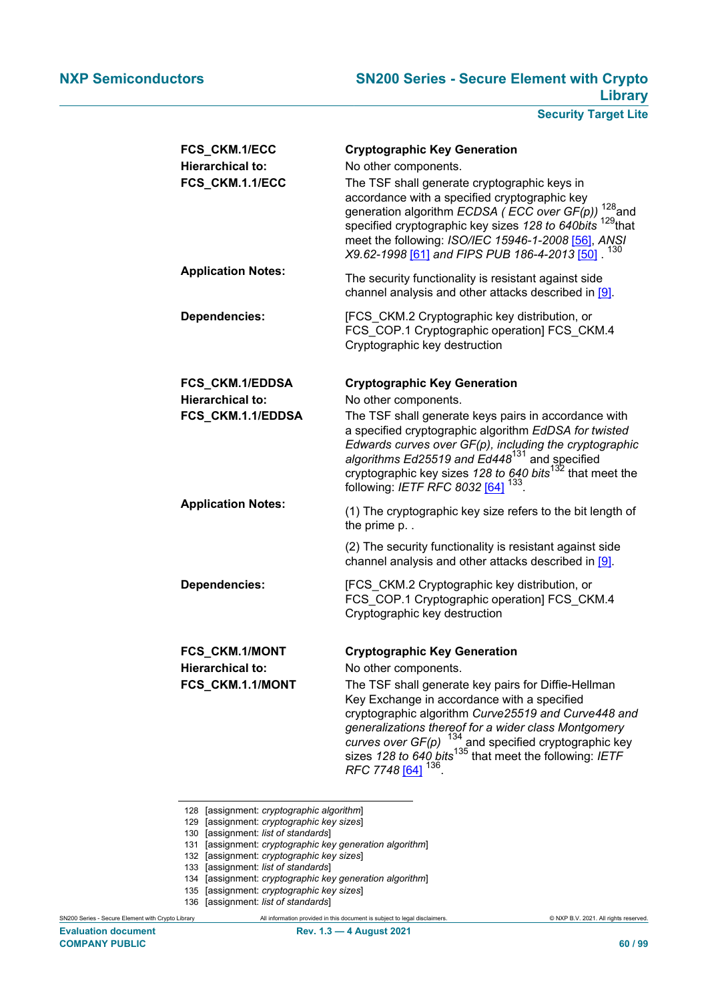| FCS_CKM.1/ECC                                                 | <b>Cryptographic Key Generation</b>                                                                                                                                                                                                                                                                                                                                                                                                                            |
|---------------------------------------------------------------|----------------------------------------------------------------------------------------------------------------------------------------------------------------------------------------------------------------------------------------------------------------------------------------------------------------------------------------------------------------------------------------------------------------------------------------------------------------|
| <b>Hierarchical to:</b><br>FCS_CKM.1.1/ECC                    | No other components.<br>The TSF shall generate cryptographic keys in<br>accordance with a specified cryptographic key<br>$128$ and<br>generation algorithm ECDSA (ECC over GF(p))<br>specified cryptographic key sizes 128 to 640bits <sup>129</sup> that<br>meet the following: ISO/IEC 15946-1-2008 [56], ANSI<br>130<br>X9.62-1998 [61] and FIPS PUB 186-4-2013 [50].                                                                                       |
| <b>Application Notes:</b>                                     | The security functionality is resistant against side<br>channel analysis and other attacks described in [9].                                                                                                                                                                                                                                                                                                                                                   |
| <b>Dependencies:</b>                                          | [FCS_CKM.2 Cryptographic key distribution, or<br>FCS_COP.1 Cryptographic operation] FCS_CKM.4<br>Cryptographic key destruction                                                                                                                                                                                                                                                                                                                                 |
| FCS_CKM.1/EDDSA                                               | <b>Cryptographic Key Generation</b>                                                                                                                                                                                                                                                                                                                                                                                                                            |
| <b>Hierarchical to:</b>                                       | No other components.                                                                                                                                                                                                                                                                                                                                                                                                                                           |
| FCS CKM.1.1/EDDSA                                             | The TSF shall generate keys pairs in accordance with<br>a specified cryptographic algorithm EdDSA for twisted<br>Edwards curves over GF(p), including the cryptographic<br>algorithms Ed25519 and Ed448 <sup>131</sup> and specified<br>cryptographic key sizes 128 to 640 bits <sup>132</sup> that meet the<br>following: IETF RFC 8032 [64] <sup>133</sup> .                                                                                                 |
| <b>Application Notes:</b>                                     | (1) The cryptographic key size refers to the bit length of<br>the prime p. .                                                                                                                                                                                                                                                                                                                                                                                   |
|                                                               | (2) The security functionality is resistant against side<br>channel analysis and other attacks described in [9].                                                                                                                                                                                                                                                                                                                                               |
| <b>Dependencies:</b>                                          | [FCS_CKM.2 Cryptographic key distribution, or<br>FCS_COP.1 Cryptographic operation] FCS_CKM.4<br>Cryptographic key destruction                                                                                                                                                                                                                                                                                                                                 |
| FCS_CKM.1/MONT<br><b>Hierarchical to:</b><br>FCS_CKM.1.1/MONT | <b>Cryptographic Key Generation</b><br>No other components.<br>The TSF shall generate key pairs for Diffie-Hellman<br>Key Exchange in accordance with a specified<br>cryptographic algorithm Curve25519 and Curve448 and<br>generalizations thereof for a wider class Montgomery<br>curves over $GF(p)$ <sup>134</sup> and specified cryptographic key<br>sizes 128 to 640 bits <sup>135</sup> that meet the following: IETF<br>RFC 7748 [64] <sup>136</sup> . |

- 128 [assignment: *cryptographic algorithm*]
- 129 [assignment: *cryptographic key sizes*]
- 130 [assignment: *list of standards*]

- 133 [assignment: *list of standards*]
- 134 [assignment: *cryptographic key generation algorithm*]
- 135 [assignment: *cryptographic key sizes*]
- 136 [assignment: *list of standards*]

<sup>131</sup> [assignment: *cryptographic key generation algorithm*]

<sup>132</sup> [assignment: *cryptographic key sizes*]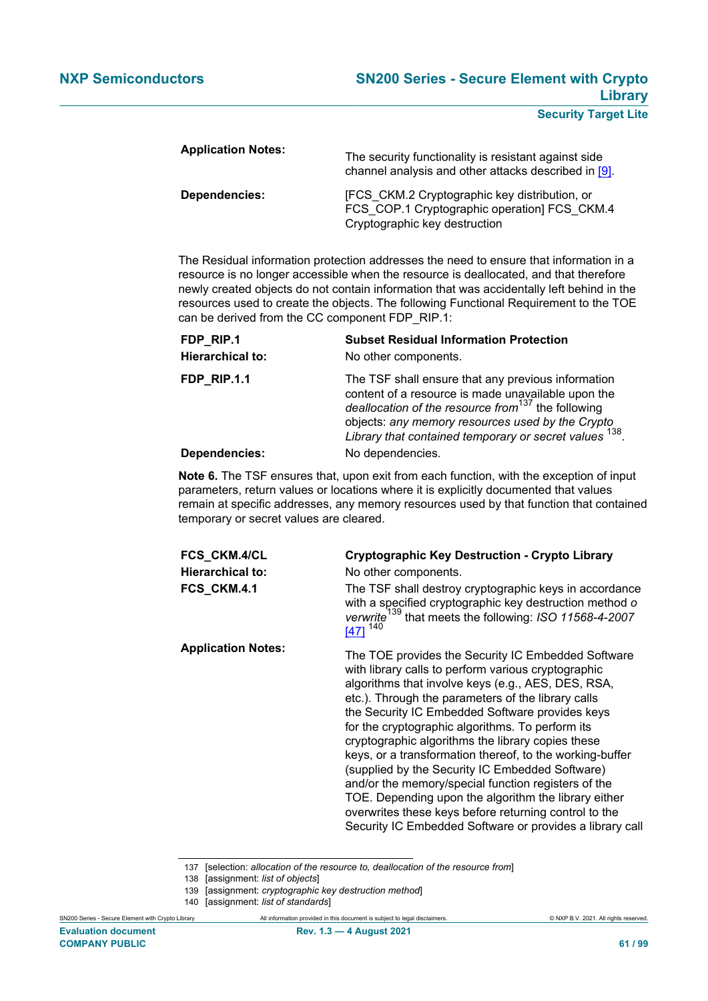| <b>Application Notes:</b> | The security functionality is resistant against side<br>channel analysis and other attacks described in [9].                   |
|---------------------------|--------------------------------------------------------------------------------------------------------------------------------|
| Dependencies:             | [FCS CKM.2 Cryptographic key distribution, or<br>FCS_COP.1 Cryptographic operation] FCS_CKM.4<br>Cryptographic key destruction |

The Residual information protection addresses the need to ensure that information in a resource is no longer accessible when the resource is deallocated, and that therefore newly created objects do not contain information that was accidentally left behind in the resources used to create the objects. The following Functional Requirement to the TOE can be derived from the CC component FDP\_RIP.1:

| FDP RIP.1<br><b>Hierarchical to:</b> | <b>Subset Residual Information Protection</b><br>No other components.                                                                                                                                                                                                           |
|--------------------------------------|---------------------------------------------------------------------------------------------------------------------------------------------------------------------------------------------------------------------------------------------------------------------------------|
| FDP RIP.1.1                          | The TSF shall ensure that any previous information<br>content of a resource is made unavailable upon the<br>deallocation of the resource from $137$ the following<br>objects: any memory resources used by the Crypto<br>Library that contained temporary or secret values 138. |
| Dependencies:                        | No dependencies.                                                                                                                                                                                                                                                                |

**Note 6.** The TSF ensures that, upon exit from each function, with the exception of input parameters, return values or locations where it is explicitly documented that values remain at specific addresses, any memory resources used by that function that contained temporary or secret values are cleared.

| FCS_CKM.4/CL<br><b>Hierarchical to:</b><br>FCS_CKM.4.1 | <b>Cryptographic Key Destruction - Crypto Library</b><br>No other components.<br>The TSF shall destroy cryptographic keys in accordance<br>with a specified cryptographic key destruction method o<br>verwrite <sup>139</sup> that meets the following: ISO 11568-4-2007<br>$[47]$ <sup>140</sup>                                                                                                                                                                                                                                                                                                                                                                                                                                    |
|--------------------------------------------------------|--------------------------------------------------------------------------------------------------------------------------------------------------------------------------------------------------------------------------------------------------------------------------------------------------------------------------------------------------------------------------------------------------------------------------------------------------------------------------------------------------------------------------------------------------------------------------------------------------------------------------------------------------------------------------------------------------------------------------------------|
| <b>Application Notes:</b>                              | The TOE provides the Security IC Embedded Software<br>with library calls to perform various cryptographic<br>algorithms that involve keys (e.g., AES, DES, RSA,<br>etc.). Through the parameters of the library calls<br>the Security IC Embedded Software provides keys<br>for the cryptographic algorithms. To perform its<br>cryptographic algorithms the library copies these<br>keys, or a transformation thereof, to the working-buffer<br>(supplied by the Security IC Embedded Software)<br>and/or the memory/special function registers of the<br>TOE. Depending upon the algorithm the library either<br>overwrites these keys before returning control to the<br>Security IC Embedded Software or provides a library call |

137 [selection: *allocation of the resource to, deallocation of the resource from*]

139 [assignment: *cryptographic key destruction method*]

<sup>138</sup> [assignment: *list of objects*]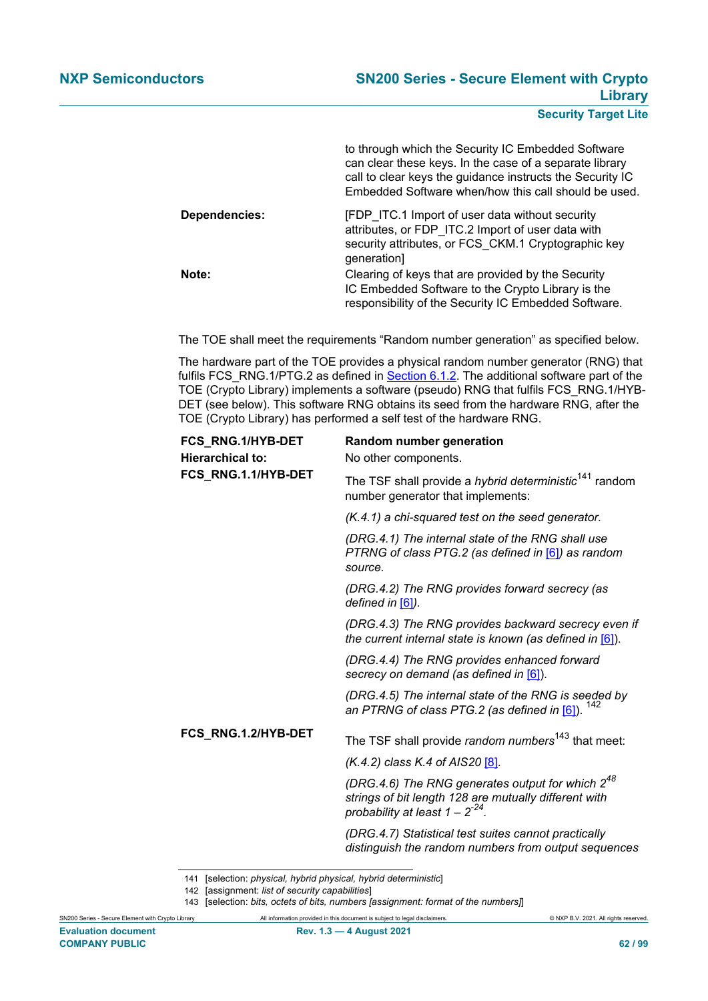|               | to through which the Security IC Embedded Software<br>can clear these keys. In the case of a separate library<br>call to clear keys the guidance instructs the Security IC<br>Embedded Software when/how this call should be used. |
|---------------|------------------------------------------------------------------------------------------------------------------------------------------------------------------------------------------------------------------------------------|
| Dependencies: | [FDP ITC.1 Import of user data without security<br>attributes, or FDP_ITC.2 Import of user data with<br>security attributes, or FCS CKM.1 Cryptographic key<br>generation]                                                         |
| Note:         | Clearing of keys that are provided by the Security<br>IC Embedded Software to the Crypto Library is the<br>responsibility of the Security IC Embedded Software.                                                                    |

The TOE shall meet the requirements "Random number generation" as specified below.

The hardware part of the TOE provides a physical random number generator (RNG) that fulfils FCS\_RNG.1/PTG.2 as defined in [Section 6.1.2.](#page-38-0) The additional software part of the TOE (Crypto Library) implements a software (pseudo) RNG that fulfils FCS\_RNG.1/HYB-DET (see below). This software RNG obtains its seed from the hardware RNG, after the TOE (Crypto Library) has performed a self test of the hardware RNG.

| FCS_RNG.1/HYB-DET<br><b>Hierarchical to:</b> | Random number generation<br>No other components.                                                                                                       |  |
|----------------------------------------------|--------------------------------------------------------------------------------------------------------------------------------------------------------|--|
| FCS_RNG.1.1/HYB-DET                          | The TSF shall provide a hybrid deterministic <sup>141</sup> random<br>number generator that implements:                                                |  |
|                                              | (K.4.1) a chi-squared test on the seed generator.                                                                                                      |  |
|                                              | (DRG.4.1) The internal state of the RNG shall use<br>PTRNG of class PTG.2 (as defined in [6]) as random<br>source.                                     |  |
|                                              | (DRG.4.2) The RNG provides forward secrecy (as<br>defined in $[6]$ ).                                                                                  |  |
|                                              | (DRG.4.3) The RNG provides backward secrecy even if<br>the current internal state is known (as defined in [6]).                                        |  |
|                                              | (DRG.4.4) The RNG provides enhanced forward<br>secrecy on demand (as defined in [6]).                                                                  |  |
|                                              | (DRG.4.5) The internal state of the RNG is seeded by<br>an PTRNG of class PTG.2 (as defined in [6]).                                                   |  |
| FCS RNG.1.2/HYB-DET                          | The TSF shall provide random numbers <sup>143</sup> that meet:                                                                                         |  |
|                                              | $(K.4.2)$ class $K.4$ of AIS20 [8].                                                                                                                    |  |
|                                              | (DRG.4.6) The RNG generates output for which $2^{48}$<br>strings of bit length 128 are mutually different with<br>probability at least $1 - 2^{-24}$ . |  |
|                                              | (DRG.4.7) Statistical test suites cannot practically<br>distinguish the random numbers from output sequences                                           |  |

141 [selection: *physical, hybrid physical, hybrid deterministic*]

<sup>142</sup> [assignment: *list of security capabilities*]

<sup>143</sup> [selection: *bits, octets of bits, numbers [assignment: format of the numbers]*]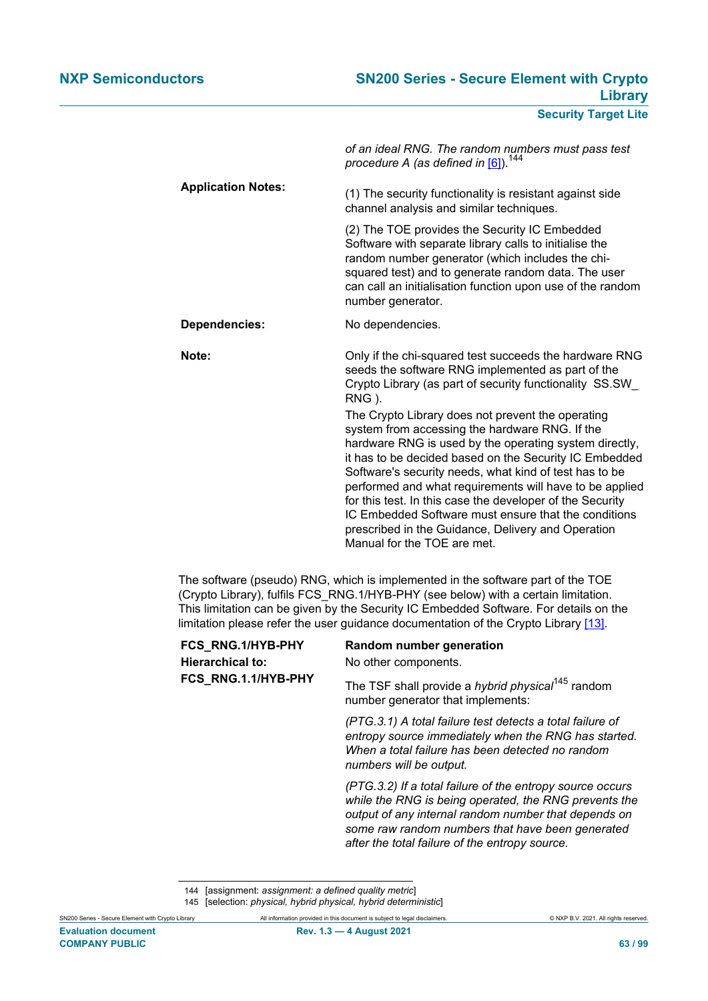*of an ideal RNG. The random numbers must pass test procedure A (as defined in* [\[6\]](#page-90-3)).<sup>144</sup>

**Application Notes:** (1) The security functionality is resistant against side channel analysis and similar techniques.

> (2) The TOE provides the Security IC Embedded Software with separate library calls to initialise the random number generator (which includes the chisquared test) and to generate random data. The user can call an initialisation function upon use of the random number generator.

**Dependencies:** No dependencies.

**Note: Note: Only if the chi-squared test succeeds the hardware RNG** seeds the software RNG implemented as part of the Crypto Library (as part of security functionality SS.SW\_ RNG ).

> The Crypto Library does not prevent the operating system from accessing the hardware RNG. If the hardware RNG is used by the operating system directly, it has to be decided based on the Security IC Embedded Software's security needs, what kind of test has to be performed and what requirements will have to be applied for this test. In this case the developer of the Security IC Embedded Software must ensure that the conditions prescribed in the Guidance, Delivery and Operation Manual for the TOE are met.

The software (pseudo) RNG, which is implemented in the software part of the TOE (Crypto Library), fulfils FCS\_RNG.1/HYB-PHY (see below) with a certain limitation. This limitation can be given by the Security IC Embedded Software. For details on the limitation please refer the user guidance documentation of the Crypto Library [\[13\]](#page-90-7).

| FCS_RNG.1/HYB-PHY<br><b>Hierarchical to:</b><br>FCS_RNG.1.1/HYB-PHY | Random number generation<br>No other components.                                                                                                                                                                                                                                 |  |
|---------------------------------------------------------------------|----------------------------------------------------------------------------------------------------------------------------------------------------------------------------------------------------------------------------------------------------------------------------------|--|
|                                                                     | The TSF shall provide a <i>hybrid physical</i> <sup>145</sup> random<br>number generator that implements:                                                                                                                                                                        |  |
|                                                                     | (PTG.3.1) A total failure test detects a total failure of<br>entropy source immediately when the RNG has started.<br>When a total failure has been detected no random<br>numbers will be output.                                                                                 |  |
|                                                                     | (PTG.3.2) If a total failure of the entropy source occurs<br>while the RNG is being operated, the RNG prevents the<br>output of any internal random number that depends on<br>some raw random numbers that have been generated<br>after the total failure of the entropy source. |  |

<sup>144</sup> [assignment: *assignment: a defined quality metric*] 145 [selection: *physical, hybrid physical, hybrid deterministic*]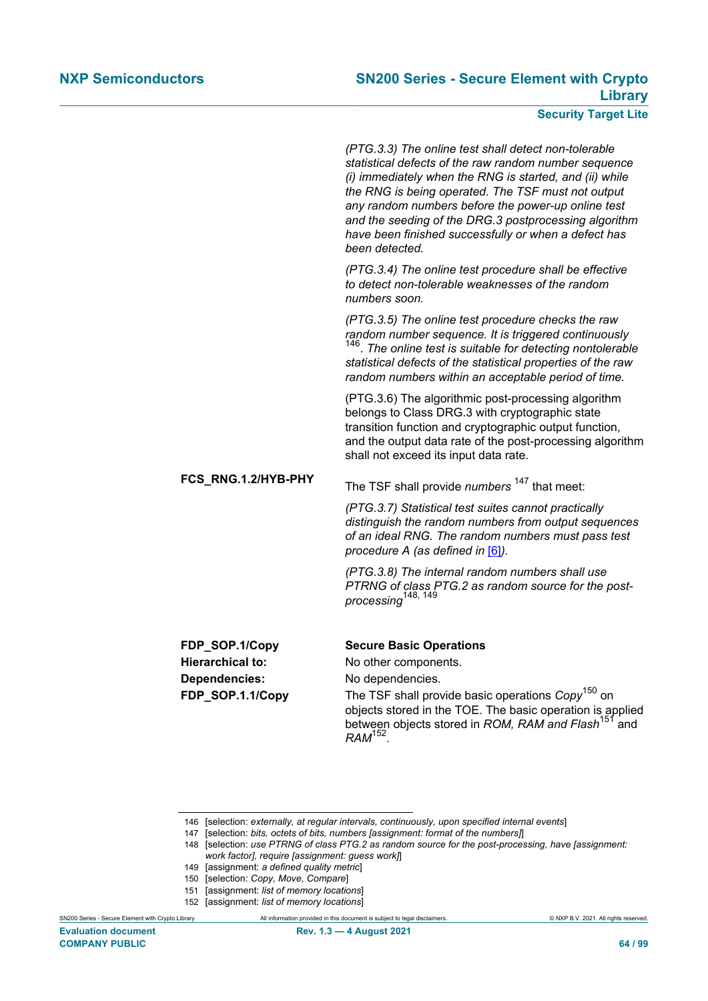*(PTG.3.3) The online test shall detect non-tolerable statistical defects of the raw random number sequence (i) immediately when the RNG is started, and (ii) while the RNG is being operated. The TSF must not output any random numbers before the power-up online test and the seeding of the DRG.3 postprocessing algorithm have been finished successfully or when a defect has been detected.*

*(PTG.3.4) The online test procedure shall be effective to detect non-tolerable weaknesses of the random numbers soon.*

*(PTG.3.5) The online test procedure checks the raw random number sequence. It is triggered continuously* 146 . *The online test is suitable for detecting nontolerable statistical defects of the statistical properties of the raw random numbers within an acceptable period of time.*

(PTG.3.6) The algorithmic post-processing algorithm belongs to Class DRG.3 with cryptographic state transition function and cryptographic output function, and the output data rate of the post-processing algorithm shall not exceed its input data rate.

**FCS\_RNG.1.2/HYB-PHY** The TSF shall provide *numbers* <sup>147</sup> that meet:

*(PTG.3.7) Statistical test suites cannot practically distinguish the random numbers from output sequences of an ideal RNG. The random numbers must pass test procedure A (as defined in* [\[6\]](#page-90-3)*).*

*(PTG.3.8) The internal random numbers shall use PTRNG of class PTG.2 as random source for the postprocessing*148, 149

**Dependencies:** No dependencies.

# **FDP\_SOP.1/Copy Secure Basic Operations**

**Hierarchical to:** No other components.

**FDP\_SOP.1.1/Copy** The TSF shall provide basic operations *Copy*150 on objects stored in the TOE. The basic operation is applied between objects stored in *ROM, RAM and Flash*151 and *RAM*<sup>152</sup> .

- 149 [assignment: *a defined quality metric*]
- 150 [selection: *Copy, Move, Compare*]
- 151 [assignment: *list of memory locations*]
- 152 [assignment: *list of memory locations*]

**COMPANY PUBLIC 64 / 99**

<sup>146</sup> [selection: *externally, at regular intervals, continuously, upon specified internal events*]

<sup>147</sup> [selection: *bits, octets of bits, numbers [assignment: format of the numbers]*]

<sup>148</sup> [selection: *use PTRNG of class PTG.2 as random source for the post-processing, have [assignment: work factor], require [assignment: guess work]*]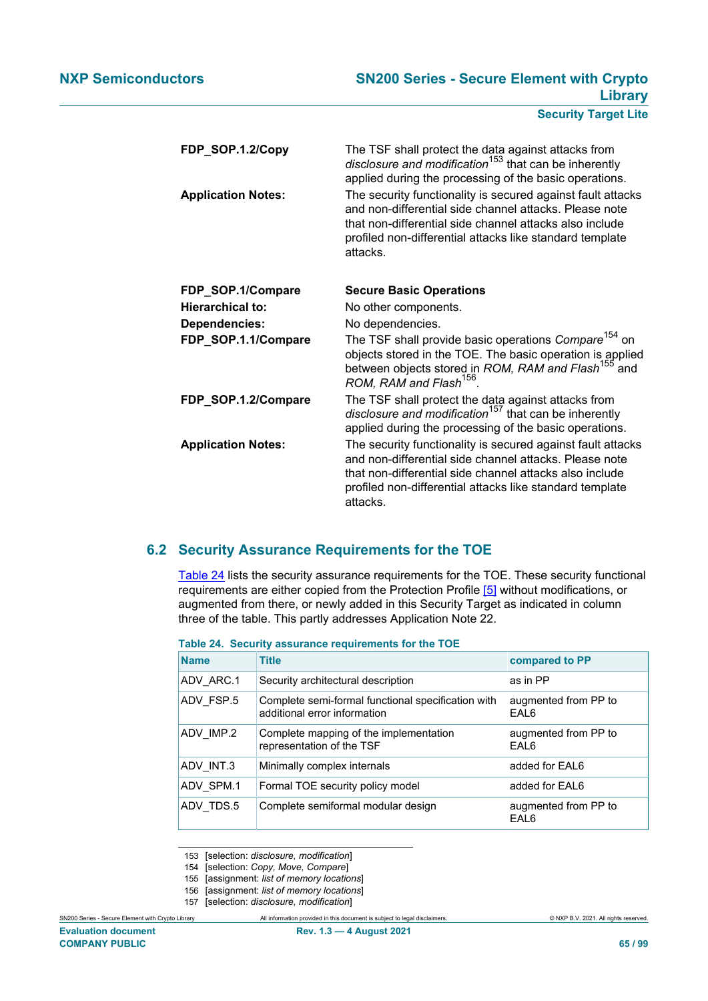| FDP_SOP.1.2/Copy          | The TSF shall protect the data against attacks from<br>disclosure and modification <sup>153</sup> that can be inherently<br>applied during the processing of the basic operations.                                                                       |
|---------------------------|----------------------------------------------------------------------------------------------------------------------------------------------------------------------------------------------------------------------------------------------------------|
| <b>Application Notes:</b> | The security functionality is secured against fault attacks<br>and non-differential side channel attacks. Please note<br>that non-differential side channel attacks also include<br>profiled non-differential attacks like standard template<br>attacks. |
| FDP_SOP.1/Compare         | <b>Secure Basic Operations</b>                                                                                                                                                                                                                           |
| Hierarchical to:          | No other components.                                                                                                                                                                                                                                     |
| <b>Dependencies:</b>      | No dependencies.                                                                                                                                                                                                                                         |
| FDP_SOP.1.1/Compare       | The TSF shall provide basic operations Compare <sup>154</sup> on<br>objects stored in the TOE. The basic operation is applied<br>between objects stored in ROM, RAM and Flash <sup>155</sup> and ROM, RAM and Flash <sup>155</sup>                       |
| FDP_SOP.1.2/Compare       | The TSF shall protect the data against attacks from<br>disclosure and modification <sup>157</sup> that can be inherently<br>applied during the processing of the basic operations.                                                                       |
| <b>Application Notes:</b> | The security functionality is secured against fault attacks<br>and non-differential side channel attacks. Please note<br>that non-differential side channel attacks also include<br>profiled non-differential attacks like standard template<br>attacks. |

# **6.2 Security Assurance Requirements for the TOE**

[Table 24](#page-64-0) lists the security assurance requirements for the TOE. These security functional requirements are either copied from the Protection Profile [\[5\]](#page-90-0) without modifications, or augmented from there, or newly added in this Security Target as indicated in column three of the table. This partly addresses Application Note 22.

| <b>Name</b> | <b>Title</b>                                                                       | compared to PP               |
|-------------|------------------------------------------------------------------------------------|------------------------------|
| ADV ARC.1   | Security architectural description                                                 | as in PP                     |
| ADV_FSP.5   | Complete semi-formal functional specification with<br>additional error information | augmented from PP to<br>EAL6 |
| ADV IMP.2   | Complete mapping of the implementation<br>representation of the TSF                | augmented from PP to<br>EAL6 |
| ADV INT.3   | Minimally complex internals                                                        | added for EAL6               |
| ADV SPM.1   | Formal TOE security policy model                                                   | added for EAL6               |
| ADV TDS.5   | Complete semiformal modular design                                                 | augmented from PP to<br>EAL6 |

# <span id="page-64-0"></span>**Table 24. Security assurance requirements for the TOE**

153 [selection: *disclosure, modification*]

- 154 [selection: *Copy, Move, Compare*]
- 155 [assignment: *list of memory locations*]
- 156 [assignment: *list of memory locations*]

157 [selection: *disclosure, modification*]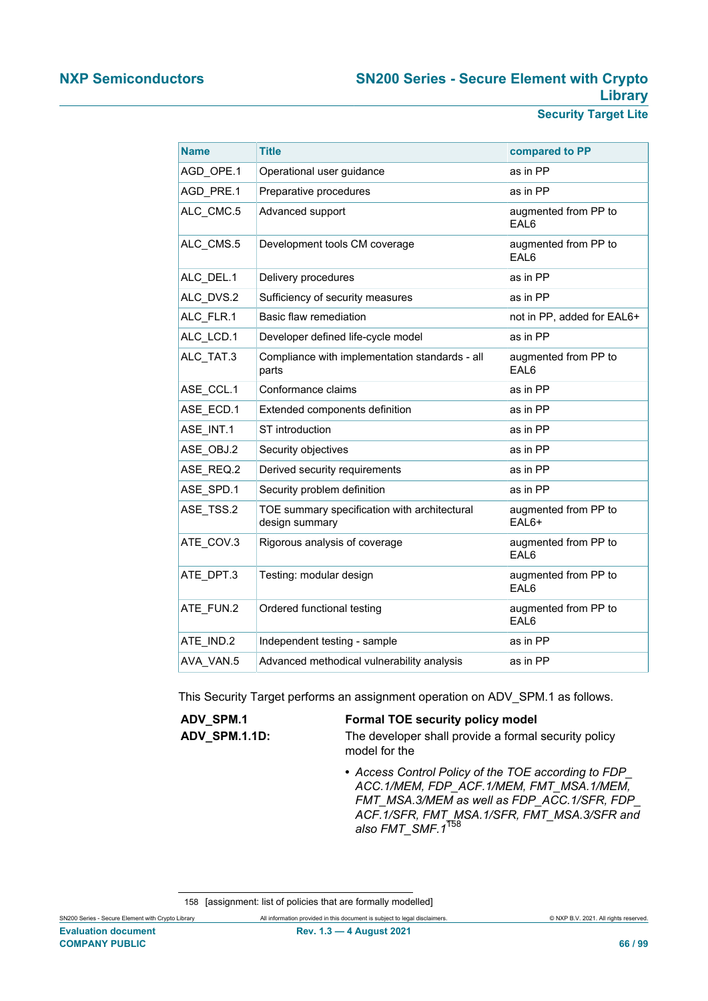| <b>Name</b> | <b>Title</b>                                                   | compared to PP                |
|-------------|----------------------------------------------------------------|-------------------------------|
| AGD_OPE.1   | Operational user guidance                                      | as in PP                      |
| AGD PRE.1   | Preparative procedures                                         | as in PP                      |
| ALC_CMC.5   | Advanced support                                               | augmented from PP to<br>EAL6  |
| ALC_CMS.5   | Development tools CM coverage                                  | augmented from PP to<br>EAL6  |
| ALC DEL.1   | Delivery procedures                                            | as in PP                      |
| ALC DVS.2   | Sufficiency of security measures                               | as in PP                      |
| ALC FLR.1   | Basic flaw remediation                                         | not in PP, added for EAL6+    |
| ALC LCD.1   | Developer defined life-cycle model                             | as in PP                      |
| ALC_TAT.3   | Compliance with implementation standards - all<br>parts        | augmented from PP to<br>EAL6  |
| ASE CCL.1   | Conformance claims                                             | as in PP                      |
| ASE ECD.1   | Extended components definition                                 | as in PP                      |
| ASE INT.1   | ST introduction                                                | as in PP                      |
| ASE OBJ.2   | Security objectives                                            | as in PP                      |
| ASE REQ.2   | Derived security requirements                                  | as in PP                      |
| ASE_SPD.1   | Security problem definition                                    | as in PP                      |
| ASE TSS.2   | TOE summary specification with architectural<br>design summary | augmented from PP to<br>EAL6+ |
| ATE_COV.3   | Rigorous analysis of coverage                                  | augmented from PP to<br>EAL6  |
| ATE DPT.3   | Testing: modular design                                        | augmented from PP to<br>EAL6  |
| ATE_FUN.2   | Ordered functional testing                                     | augmented from PP to<br>EAL6  |
| ATE_IND.2   | Independent testing - sample                                   | as in PP                      |
| AVA VAN.5   | Advanced methodical vulnerability analysis                     | as in PP                      |

This Security Target performs an assignment operation on ADV\_SPM.1 as follows.

| ADV SPM.1            | <b>Formal TOE security policy model</b>              |
|----------------------|------------------------------------------------------|
| <b>ADV SPM.1.1D:</b> | The developer shall provide a formal security policy |
|                      | model for the                                        |

**•** *Access Control Policy of the TOE according to FDP\_ ACC.1/MEM, FDP\_ACF.1/MEM, FMT\_MSA.1/MEM, FMT\_MSA.3/MEM as well as FDP\_ACC.1/SFR, FDP\_ ACF.1/SFR, FMT\_MSA.1/SFR, FMT\_MSA.3/SFR and also FMT\_SMF.1*<sup>158</sup>

<sup>158</sup> [assignment: list of policies that are formally modelled]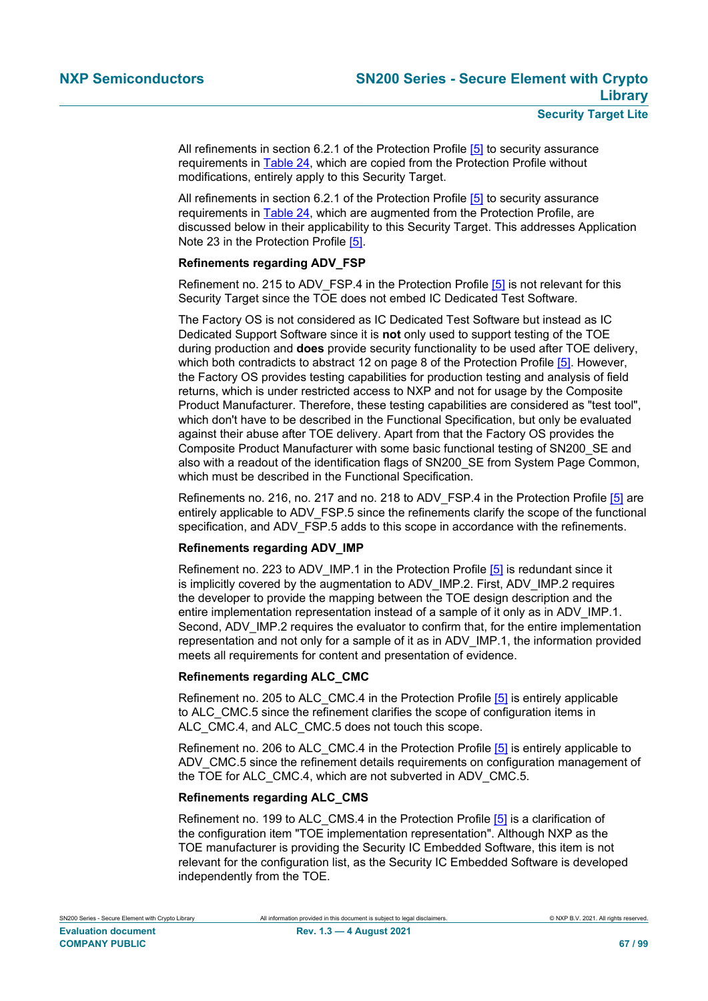All refinements in section 6.2.1 of the Protection Profile [\[5\]](#page-90-0) to security assurance requirements in [Table 24,](#page-64-0) which are copied from the Protection Profile without modifications, entirely apply to this Security Target.

All refinements in section 6.2.1 of the Protection Profile [\[5\]](#page-90-0) to security assurance requirements in [Table 24,](#page-64-0) which are augmented from the Protection Profile, are discussed below in their applicability to this Security Target. This addresses Application Note 23 in the Protection Profile [\[5\].](#page-90-0)

#### **Refinements regarding ADV\_FSP**

Refinement no. 215 to ADV FSP.4 in the Protection Profile [\[5\]](#page-90-0) is not relevant for this Security Target since the TOE does not embed IC Dedicated Test Software.

The Factory OS is not considered as IC Dedicated Test Software but instead as IC Dedicated Support Software since it is **not** only used to support testing of the TOE during production and **does** provide security functionality to be used after TOE delivery, which both contradicts to abstract 12 on page 8 of the Protection Profile [\[5\].](#page-90-0) However, the Factory OS provides testing capabilities for production testing and analysis of field returns, which is under restricted access to NXP and not for usage by the Composite Product Manufacturer. Therefore, these testing capabilities are considered as "test tool", which don't have to be described in the Functional Specification, but only be evaluated against their abuse after TOE delivery. Apart from that the Factory OS provides the Composite Product Manufacturer with some basic functional testing of SN200\_SE and also with a readout of the identification flags of SN200\_SE from System Page Common, which must be described in the Functional Specification.

Refinements no. 216, no. 217 and no. 218 to ADV\_FSP.4 in the Protection Profile [\[5\]](#page-90-0) are entirely applicable to ADV\_FSP.5 since the refinements clarify the scope of the functional specification, and ADV\_FSP.5 adds to this scope in accordance with the refinements.

# **Refinements regarding ADV\_IMP**

Refinement no. 223 to ADV IMP.1 in the Protection Profile  $[5]$  is redundant since it is implicitly covered by the augmentation to ADV\_IMP.2. First, ADV\_IMP.2 requires the developer to provide the mapping between the TOE design description and the entire implementation representation instead of a sample of it only as in ADV IMP.1. Second, ADV IMP.2 requires the evaluator to confirm that, for the entire implementation representation and not only for a sample of it as in ADV\_IMP.1, the information provided meets all requirements for content and presentation of evidence.

#### **Refinements regarding ALC\_CMC**

Refinement no. 205 to ALC CMC.4 in the Protection Profile [\[5\]](#page-90-0) is entirely applicable to ALC\_CMC.5 since the refinement clarifies the scope of configuration items in ALC CMC.4, and ALC CMC.5 does not touch this scope.

Refinement no. 206 to ALC CMC.4 in the Protection Profile [\[5\]](#page-90-0) is entirely applicable to ADV CMC.5 since the refinement details requirements on configuration management of the TOE for ALC CMC.4, which are not subverted in ADV CMC.5.

#### **Refinements regarding ALC\_CMS**

Refinement no. 199 to ALC CMS.4 in the Protection Profile [\[5\]](#page-90-0) is a clarification of the configuration item "TOE implementation representation". Although NXP as the TOE manufacturer is providing the Security IC Embedded Software, this item is not relevant for the configuration list, as the Security IC Embedded Software is developed independently from the TOE.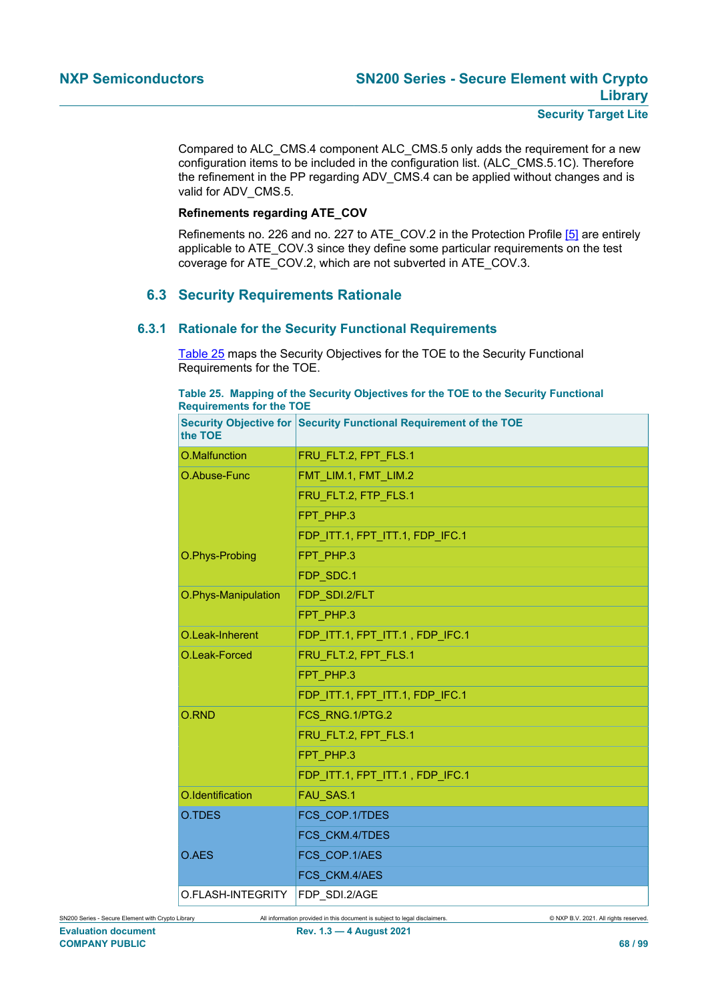Compared to ALC\_CMS.4 component ALC\_CMS.5 only adds the requirement for a new configuration items to be included in the configuration list. (ALC\_CMS.5.1C). Therefore the refinement in the PP regarding ADV\_CMS.4 can be applied without changes and is valid for ADV\_CMS.5.

#### **Refinements regarding ATE\_COV**

Refinements no. 226 and no. 227 to ATE\_COV.2 in the Protection Profile [\[5\]](#page-90-0) are entirely applicable to ATE\_COV.3 since they define some particular requirements on the test coverage for ATE\_COV.2, which are not subverted in ATE\_COV.3.

# **6.3 Security Requirements Rationale**

# **6.3.1 Rationale for the Security Functional Requirements**

[Table 25](#page-67-0) maps the Security Objectives for the TOE to the Security Functional Requirements for the TOE.

#### <span id="page-67-0"></span>**Table 25. Mapping of the Security Objectives for the TOE to the Security Functional Requirements for the TOE**

| the TOE             | Security Objective for Security Functional Requirement of the TOE |
|---------------------|-------------------------------------------------------------------|
| O.Malfunction       | FRU_FLT.2, FPT_FLS.1                                              |
| O.Abuse-Func        | FMT LIM.1, FMT LIM.2                                              |
|                     | FRU FLT.2, FTP FLS.1                                              |
|                     | FPT PHP.3                                                         |
|                     | FDP ITT.1, FPT ITT.1, FDP IFC.1                                   |
| O.Phys-Probing      | FPT PHP.3                                                         |
|                     | FDP SDC.1                                                         |
| O.Phys-Manipulation | FDP SDI.2/FLT                                                     |
|                     | FPT PHP.3                                                         |
| O.Leak-Inherent     | FDP_ITT.1, FPT_ITT.1, FDP_IFC.1                                   |
| O.Leak-Forced       | FRU FLT.2, FPT FLS.1                                              |
|                     | FPT PHP.3                                                         |
|                     | FDP ITT.1, FPT ITT.1, FDP IFC.1                                   |
| O.RND               | FCS RNG.1/PTG.2                                                   |
|                     | FRU FLT.2, FPT FLS.1                                              |
|                     | FPT PHP.3                                                         |
|                     | FDP_ITT.1, FPT_ITT.1, FDP_IFC.1                                   |
| O.Identification    | FAU SAS.1                                                         |
| O.TDES              | FCS_COP.1/TDES                                                    |
|                     | FCS CKM.4/TDES                                                    |
| O.AES               | FCS COP.1/AES                                                     |
|                     | FCS CKM.4/AES                                                     |
| O.FLASH-INTEGRITY   | FDP SDI.2/AGE                                                     |

SN200 Series - Secure Element with Crypto Library All information provided in this document is subject to legal disclaimers. © NXP B.V. 2021. All rights reserved. **Evaluation document Rev. 1.3 — 4 August 2021 COMPANY PUBLIC 68 / 99**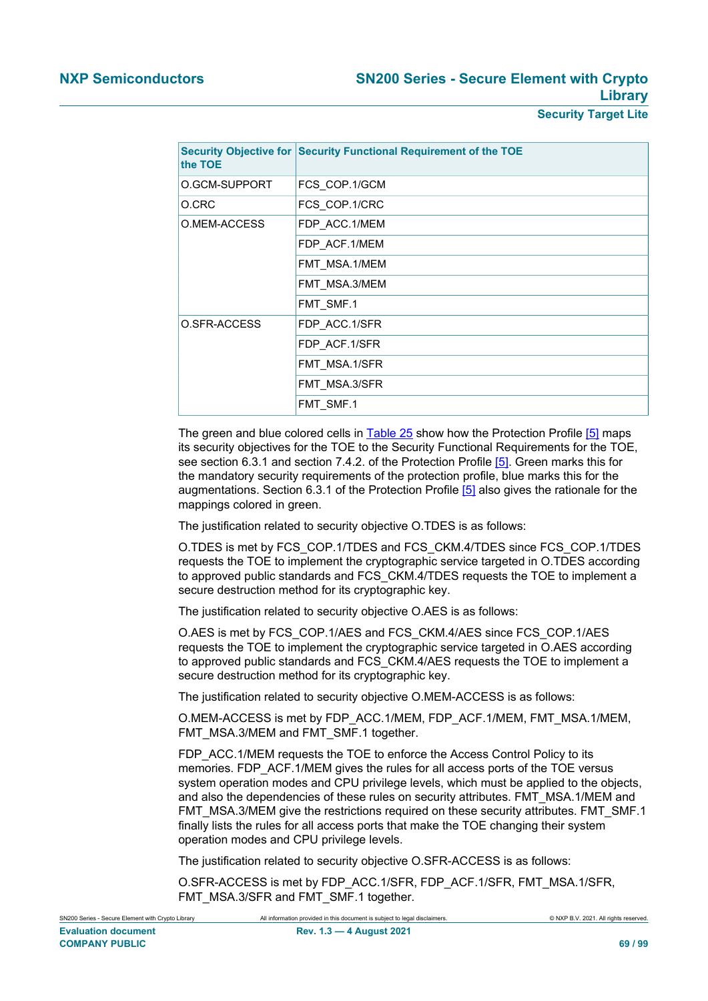| the TOE       | Security Objective for Security Functional Requirement of the TOE |
|---------------|-------------------------------------------------------------------|
| O.GCM-SUPPORT | FCS COP.1/GCM                                                     |
| O.CRC         | FCS COP.1/CRC                                                     |
| O.MEM-ACCESS  | FDP ACC.1/MEM                                                     |
|               | FDP ACF.1/MEM                                                     |
|               | FMT MSA.1/MEM                                                     |
|               | FMT MSA.3/MEM                                                     |
|               | FMT_SMF.1                                                         |
| O.SFR-ACCESS  | FDP ACC.1/SFR                                                     |
|               | FDP ACF.1/SFR                                                     |
|               | FMT MSA.1/SFR                                                     |
|               | FMT_MSA.3/SFR                                                     |
|               | FMT_SMF.1                                                         |

The green and blue colored cells in [Table 25](#page-67-0) show how the Protection Profile [\[5\]](#page-90-0) maps its security objectives for the TOE to the Security Functional Requirements for the TOE, see section 6.3.1 and section 7.4.2. of the Protection Profile [\[5\].](#page-90-0) Green marks this for the mandatory security requirements of the protection profile, blue marks this for the augmentations. Section 6.3.1 of the Protection Profile [\[5\]](#page-90-0) also gives the rationale for the mappings colored in green.

The justification related to security objective O.TDES is as follows:

O.TDES is met by FCS\_COP.1/TDES and FCS\_CKM.4/TDES since FCS\_COP.1/TDES requests the TOE to implement the cryptographic service targeted in O.TDES according to approved public standards and FCS\_CKM.4/TDES requests the TOE to implement a secure destruction method for its cryptographic key.

The justification related to security objective O.AES is as follows:

O.AES is met by FCS\_COP.1/AES and FCS\_CKM.4/AES since FCS\_COP.1/AES requests the TOE to implement the cryptographic service targeted in O.AES according to approved public standards and FCS\_CKM.4/AES requests the TOE to implement a secure destruction method for its cryptographic key.

The justification related to security objective O.MEM-ACCESS is as follows:

O.MEM-ACCESS is met by FDP\_ACC.1/MEM, FDP\_ACF.1/MEM, FMT\_MSA.1/MEM, FMT\_MSA.3/MEM and FMT\_SMF.1 together.

FDP\_ACC.1/MEM requests the TOE to enforce the Access Control Policy to its memories. FDP\_ACF.1/MEM gives the rules for all access ports of the TOE versus system operation modes and CPU privilege levels, which must be applied to the objects, and also the dependencies of these rules on security attributes. FMT\_MSA.1/MEM and FMT\_MSA.3/MEM give the restrictions required on these security attributes. FMT\_SMF.1 finally lists the rules for all access ports that make the TOE changing their system operation modes and CPU privilege levels.

The justification related to security objective O.SFR-ACCESS is as follows:

O.SFR-ACCESS is met by FDP\_ACC.1/SFR, FDP\_ACF.1/SFR, FMT\_MSA.1/SFR, FMT\_MSA.3/SFR and FMT\_SMF.1 together.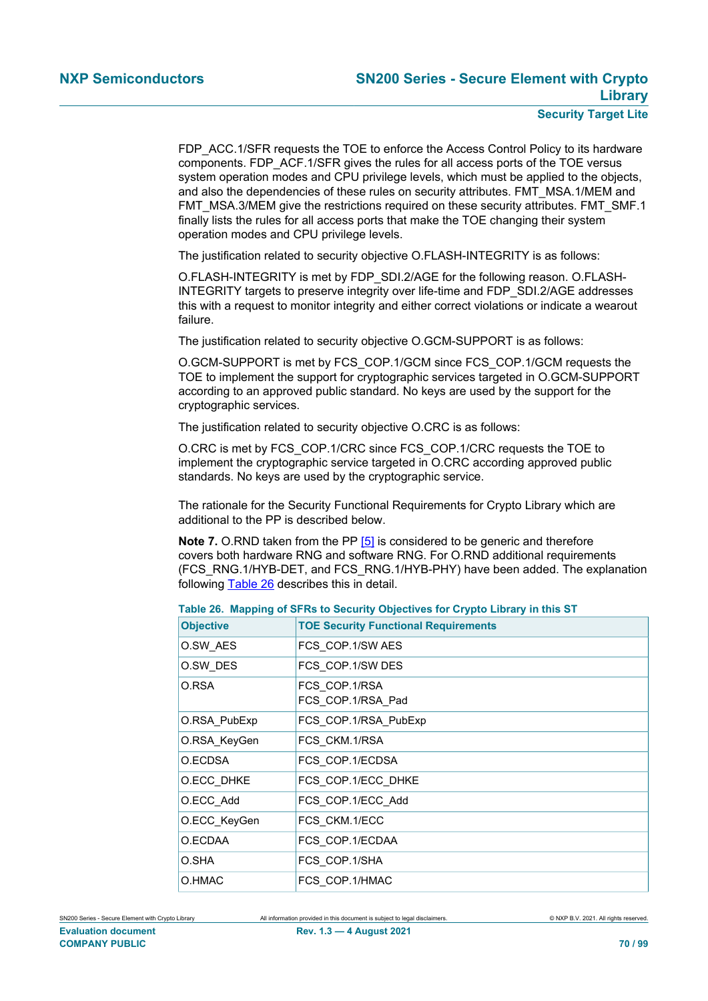FDP\_ACC.1/SFR requests the TOE to enforce the Access Control Policy to its hardware components. FDP\_ACF.1/SFR gives the rules for all access ports of the TOE versus system operation modes and CPU privilege levels, which must be applied to the objects, and also the dependencies of these rules on security attributes. FMT\_MSA.1/MEM and FMT\_MSA.3/MEM give the restrictions required on these security attributes. FMT\_SMF.1 finally lists the rules for all access ports that make the TOE changing their system operation modes and CPU privilege levels.

The justification related to security objective O.FLASH-INTEGRITY is as follows:

O.FLASH-INTEGRITY is met by FDP\_SDI.2/AGE for the following reason. O.FLASH-INTEGRITY targets to preserve integrity over life-time and FDP\_SDI.2/AGE addresses this with a request to monitor integrity and either correct violations or indicate a wearout failure.

The justification related to security objective O.GCM-SUPPORT is as follows:

O.GCM-SUPPORT is met by FCS\_COP.1/GCM since FCS\_COP.1/GCM requests the TOE to implement the support for cryptographic services targeted in O.GCM-SUPPORT according to an approved public standard. No keys are used by the support for the cryptographic services.

The justification related to security objective O.CRC is as follows:

O.CRC is met by FCS\_COP.1/CRC since FCS\_COP.1/CRC requests the TOE to implement the cryptographic service targeted in O.CRC according approved public standards. No keys are used by the cryptographic service.

The rationale for the Security Functional Requirements for Crypto Library which are additional to the PP is described below.

**Note 7.** O.RND taken from the PP [\[5\]](#page-90-0) is considered to be generic and therefore covers both hardware RNG and software RNG. For O.RND additional requirements (FCS\_RNG.1/HYB-DET, and FCS\_RNG.1/HYB-PHY) have been added. The explanation following [Table 26](#page-69-0) describes this in detail.

<span id="page-69-0"></span>

|  | Table 26. Mapping of SFRs to Security Objectives for Crypto Library in this ST |
|--|--------------------------------------------------------------------------------|
|--|--------------------------------------------------------------------------------|

| <b>Objective</b> | <b>TOE Security Functional Requirements</b> |
|------------------|---------------------------------------------|
| O.SW AES         | FCS COP.1/SW AES                            |
| O.SW DES         | FCS COP.1/SW DES                            |
| O.RSA            | FCS COP.1/RSA<br>FCS COP.1/RSA Pad          |
| O.RSA PubExp     | FCS_COP.1/RSA_PubExp                        |
| O.RSA_KeyGen     | FCS CKM.1/RSA                               |
| O.ECDSA          | FCS COP.1/ECDSA                             |
| O.ECC DHKE       | FCS COP.1/ECC DHKE                          |
| O.ECC_Add        | FCS COP.1/ECC Add                           |
| O.ECC KeyGen     | FCS CKM.1/ECC                               |
| O.ECDAA          | FCS COP.1/ECDAA                             |
| O.SHA            | FCS_COP.1/SHA                               |
| O.HMAC           | FCS COP.1/HMAC                              |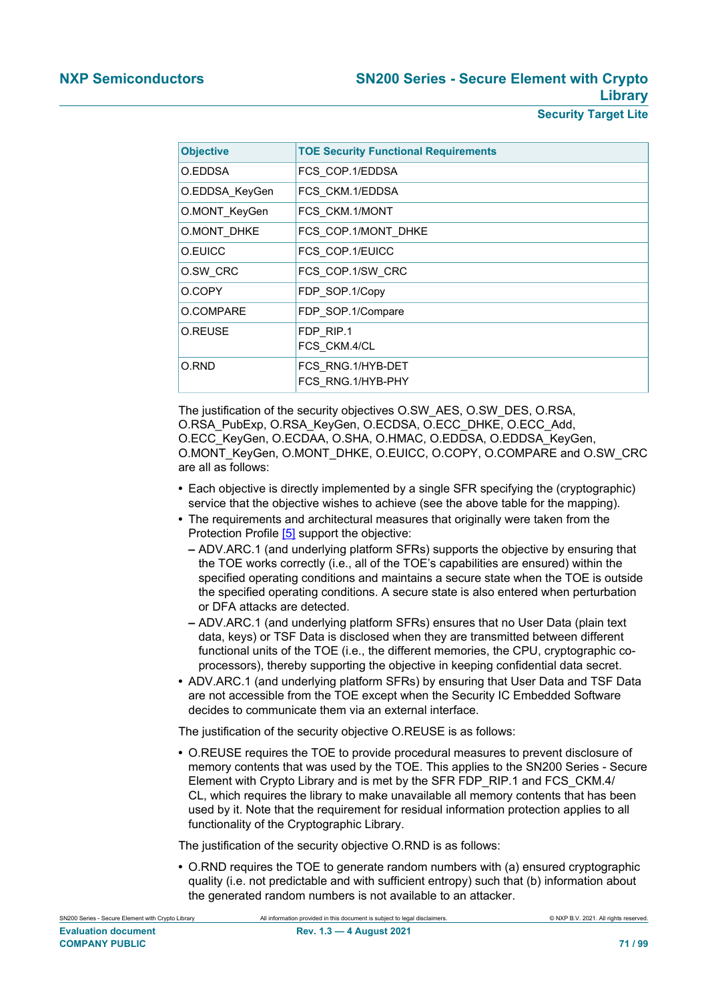| <b>Objective</b> | <b>TOE Security Functional Requirements</b> |
|------------------|---------------------------------------------|
| O.EDDSA          | FCS COP.1/EDDSA                             |
| O.EDDSA KeyGen   | FCS CKM.1/EDDSA                             |
| O.MONT KeyGen    | FCS CKM.1/MONT                              |
| O.MONT DHKE      | FCS COP.1/MONT DHKE                         |
| O.EUICC          | FCS COP.1/EUICC                             |
| O.SW CRC         | FCS COP.1/SW CRC                            |
| O.COPY           | FDP SOP.1/Copy                              |
| O.COMPARE        | FDP SOP.1/Compare                           |
| O.REUSE          | FDP RIP.1                                   |
|                  | FCS CKM.4/CL                                |
| O.RND            | FCS RNG.1/HYB-DET                           |
|                  | FCS RNG.1/HYB-PHY                           |

The justification of the security objectives O.SW\_AES, O.SW\_DES, O.RSA, O.RSA\_PubExp, O.RSA\_KeyGen, O.ECDSA, O.ECC\_DHKE, O.ECC\_Add, O.ECC\_KeyGen, O.ECDAA, O.SHA, O.HMAC, O.EDDSA, O.EDDSA\_KeyGen, O.MONT\_KeyGen, O.MONT\_DHKE, O.EUICC, O.COPY, O.COMPARE and O.SW\_CRC are all as follows:

- **•** Each objective is directly implemented by a single SFR specifying the (cryptographic) service that the objective wishes to achieve (see the above table for the mapping).
- **•** The requirements and architectural measures that originally were taken from the Protection Profile [\[5\]](#page-90-0) support the objective:
	- **–** ADV.ARC.1 (and underlying platform SFRs) supports the objective by ensuring that the TOE works correctly (i.e., all of the TOE's capabilities are ensured) within the specified operating conditions and maintains a secure state when the TOE is outside the specified operating conditions. A secure state is also entered when perturbation or DFA attacks are detected.
	- **–** ADV.ARC.1 (and underlying platform SFRs) ensures that no User Data (plain text data, keys) or TSF Data is disclosed when they are transmitted between different functional units of the TOE (i.e., the different memories, the CPU, cryptographic coprocessors), thereby supporting the objective in keeping confidential data secret.
- **•** ADV.ARC.1 (and underlying platform SFRs) by ensuring that User Data and TSF Data are not accessible from the TOE except when the Security IC Embedded Software decides to communicate them via an external interface.

The justification of the security objective O.REUSE is as follows:

**•** O.REUSE requires the TOE to provide procedural measures to prevent disclosure of memory contents that was used by the TOE. This applies to the SN200 Series - Secure Element with Crypto Library and is met by the SFR FDP\_RIP.1 and FCS\_CKM.4/ CL, which requires the library to make unavailable all memory contents that has been used by it. Note that the requirement for residual information protection applies to all functionality of the Cryptographic Library.

The justification of the security objective O.RND is as follows:

**•** O.RND requires the TOE to generate random numbers with (a) ensured cryptographic quality (i.e. not predictable and with sufficient entropy) such that (b) information about the generated random numbers is not available to an attacker.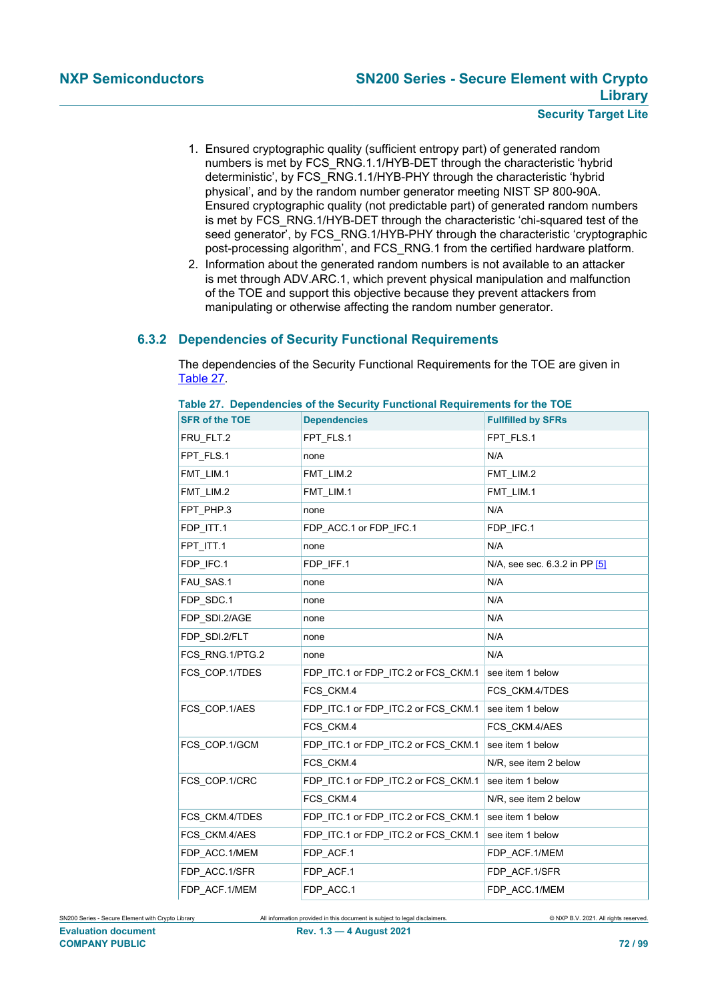- 1. Ensured cryptographic quality (sufficient entropy part) of generated random numbers is met by FCS\_RNG.1.1/HYB-DET through the characteristic 'hybrid deterministic', by FCS\_RNG.1.1/HYB-PHY through the characteristic 'hybrid physical', and by the random number generator meeting NIST SP 800-90A. Ensured cryptographic quality (not predictable part) of generated random numbers is met by FCS\_RNG.1/HYB-DET through the characteristic 'chi-squared test of the seed generator', by FCS\_RNG.1/HYB-PHY through the characteristic 'cryptographic post-processing algorithm', and FCS\_RNG.1 from the certified hardware platform.
- 2. Information about the generated random numbers is not available to an attacker is met through ADV.ARC.1, which prevent physical manipulation and malfunction of the TOE and support this objective because they prevent attackers from manipulating or otherwise affecting the random number generator.

# **6.3.2 Dependencies of Security Functional Requirements**

The dependencies of the Security Functional Requirements for the TOE are given in [Table 27.](#page-71-0)

| <b>SFR of the TOE</b> | <b>Dependencies</b>                 | <b>Fullfilled by SFRs</b>     |
|-----------------------|-------------------------------------|-------------------------------|
| FRU_FLT.2             | FPT_FLS.1                           | FPT_FLS.1                     |
| FPT_FLS.1             | none                                | N/A                           |
| FMT LIM.1             | FMT_LIM.2                           | FMT LIM.2                     |
| FMT LIM.2             | FMT LIM.1                           | FMT_LIM.1                     |
| FPT_PHP.3             | none                                | N/A                           |
| FDP_ITT.1             | FDP_ACC.1 or FDP_IFC.1              | FDP_IFC.1                     |
| FPT_ITT.1             | none                                | N/A                           |
| FDP IFC.1             | FDP IFF.1                           | N/A, see sec. 6.3.2 in PP [5] |
| FAU_SAS.1             | none                                | N/A                           |
| FDP SDC.1             | none                                | N/A                           |
| FDP_SDI.2/AGE         | none                                | N/A                           |
| FDP SDI.2/FLT         | none                                | N/A                           |
| FCS RNG 1/PTG.2       | none                                | N/A                           |
| FCS COP.1/TDES        | FDP ITC.1 or FDP ITC.2 or FCS CKM.1 | see item 1 below              |
|                       | FCS CKM.4                           | FCS CKM.4/TDES                |
| FCS COP.1/AES         | FDP_ITC.1 or FDP_ITC.2 or FCS_CKM.1 | see item 1 below              |
|                       | FCS CKM.4                           | FCS CKM.4/AES                 |
| FCS COP.1/GCM         | FDP_ITC.1 or FDP_ITC.2 or FCS_CKM.1 | see item 1 below              |
|                       | FCS CKM.4                           | N/R, see item 2 below         |
| FCS_COP.1/CRC         | FDP_ITC.1 or FDP_ITC.2 or FCS_CKM.1 | see item 1 below              |
|                       | FCS CKM.4                           | N/R, see item 2 below         |
| FCS_CKM.4/TDES        | FDP_ITC.1 or FDP_ITC.2 or FCS_CKM.1 | see item 1 below              |
| FCS CKM.4/AES         | FDP_ITC.1 or FDP_ITC.2 or FCS_CKM.1 | see item 1 below              |
| FDP ACC.1/MEM         | FDP ACF.1                           | FDP ACF.1/MEM                 |
| FDP_ACC.1/SFR         | FDP_ACF.1                           | FDP_ACF.1/SFR                 |
| FDP_ACF.1/MEM         | FDP ACC.1                           | FDP_ACC.1/MEM                 |

<span id="page-71-0"></span>**Table 27. Dependencies of the Security Functional Requirements for the TOE**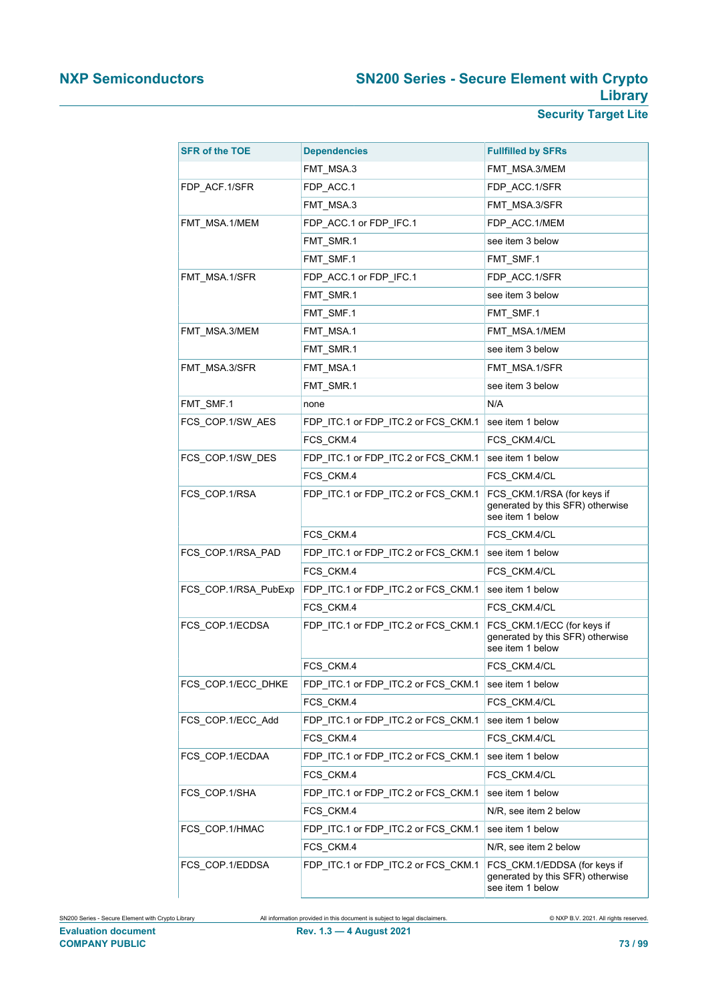# **NXP Semiconductors SN200 Series - Secure Element with Crypto Library**

**Security Target Lite**

| <b>SFR of the TOE</b> | <b>Dependencies</b>                 | <b>Fullfilled by SFRs</b>                                                            |
|-----------------------|-------------------------------------|--------------------------------------------------------------------------------------|
|                       | FMT_MSA.3                           | FMT_MSA.3/MEM                                                                        |
| FDP_ACF.1/SFR         | FDP_ACC.1                           | FDP_ACC.1/SFR                                                                        |
|                       | FMT MSA.3                           | FMT_MSA.3/SFR                                                                        |
| FMT_MSA.1/MEM         | FDP_ACC.1 or FDP_IFC.1              | FDP_ACC.1/MEM                                                                        |
|                       | FMT_SMR.1                           | see item 3 below                                                                     |
|                       | FMT_SMF.1                           | FMT_SMF.1                                                                            |
| FMT_MSA.1/SFR         | FDP_ACC.1 or FDP_IFC.1              | FDP ACC.1/SFR                                                                        |
|                       | FMT_SMR.1                           | see item 3 below                                                                     |
|                       | FMT_SMF.1                           | FMT_SMF.1                                                                            |
| FMT_MSA.3/MEM         | FMT_MSA.1                           | FMT_MSA.1/MEM                                                                        |
|                       | FMT_SMR.1                           | see item 3 below                                                                     |
| FMT_MSA.3/SFR         | FMT_MSA.1                           | FMT_MSA.1/SFR                                                                        |
|                       | FMT_SMR.1                           | see item 3 below                                                                     |
| FMT_SMF.1             | none                                | N/A                                                                                  |
| FCS_COP.1/SW_AES      | FDP_ITC.1 or FDP_ITC.2 or FCS_CKM.1 | see item 1 below                                                                     |
|                       | FCS CKM.4                           | FCS_CKM.4/CL                                                                         |
| FCS COP.1/SW DES      | FDP_ITC.1 or FDP_ITC.2 or FCS_CKM.1 | see item 1 below                                                                     |
|                       | FCS CKM.4                           | FCS CKM.4/CL                                                                         |
| FCS_COP.1/RSA         | FDP_ITC.1 or FDP_ITC.2 or FCS_CKM.1 | FCS_CKM.1/RSA (for keys if<br>generated by this SFR) otherwise<br>see item 1 below   |
|                       | FCS_CKM.4                           | FCS_CKM.4/CL                                                                         |
| FCS_COP.1/RSA_PAD     | FDP_ITC.1 or FDP_ITC.2 or FCS_CKM.1 | see item 1 below                                                                     |
|                       | FCS CKM.4                           | FCS_CKM.4/CL                                                                         |
| FCS_COP.1/RSA_PubExp  | FDP_ITC.1 or FDP_ITC.2 or FCS_CKM.1 | see item 1 below                                                                     |
|                       | FCS_CKM.4                           | FCS_CKM.4/CL                                                                         |
| FCS_COP.1/ECDSA       | FDP_ITC.1 or FDP_ITC.2 or FCS_CKM.1 | FCS_CKM.1/ECC (for keys if<br>generated by this SFR) otherwise<br>see item 1 below   |
|                       | FCS CKM.4                           | FCS CKM.4/CL                                                                         |
| FCS_COP.1/ECC_DHKE    | FDP_ITC.1 or FDP_ITC.2 or FCS_CKM.1 | see item 1 below                                                                     |
|                       | FCS_CKM.4                           | FCS_CKM.4/CL                                                                         |
| FCS COP 1/ECC Add     | FDP_ITC.1 or FDP_ITC.2 or FCS_CKM.1 | see item 1 below                                                                     |
|                       | FCS_CKM.4                           | FCS_CKM.4/CL                                                                         |
| FCS_COP.1/ECDAA       | FDP_ITC.1 or FDP_ITC.2 or FCS_CKM.1 | see item 1 below                                                                     |
|                       | FCS_CKM.4                           | FCS_CKM.4/CL                                                                         |
| FCS_COP.1/SHA         | FDP_ITC.1 or FDP_ITC.2 or FCS_CKM.1 | see item 1 below                                                                     |
|                       | FCS_CKM.4                           | N/R, see item 2 below                                                                |
| FCS_COP.1/HMAC        | FDP_ITC.1 or FDP_ITC.2 or FCS_CKM.1 | see item 1 below                                                                     |
|                       | FCS_CKM.4                           | N/R, see item 2 below                                                                |
| FCS_COP.1/EDDSA       | FDP_ITC.1 or FDP_ITC.2 or FCS_CKM.1 | FCS_CKM.1/EDDSA (for keys if<br>generated by this SFR) otherwise<br>see item 1 below |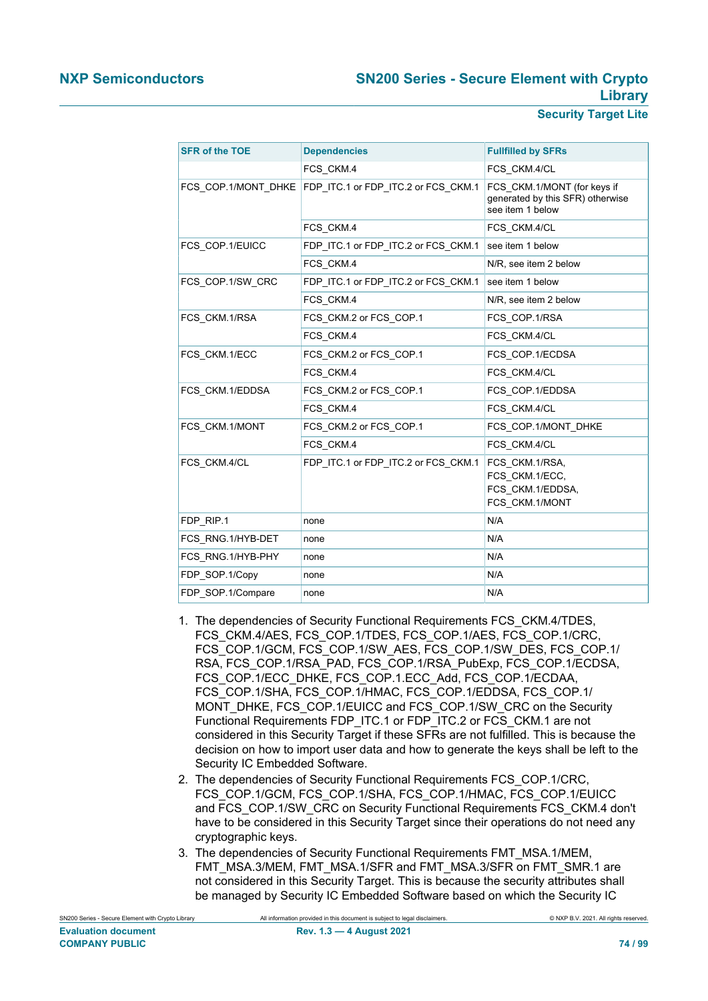# **NXP Semiconductors SN200 Series - Secure Element with Crypto Library**

**Security Target Lite**

| <b>SFR of the TOE</b> | <b>Dependencies</b>                                       | <b>Fullfilled by SFRs</b>                                                           |
|-----------------------|-----------------------------------------------------------|-------------------------------------------------------------------------------------|
|                       | FCS CKM.4                                                 | FCS CKM.4/CL                                                                        |
|                       | FCS_COP.1/MONT_DHKE   FDP_ITC.1 or FDP_ITC.2 or FCS_CKM.1 | FCS CKM.1/MONT (for keys if<br>generated by this SFR) otherwise<br>see item 1 below |
|                       | FCS CKM.4                                                 | FCS_CKM.4/CL                                                                        |
| FCS COP.1/EUICC       | FDP ITC.1 or FDP ITC.2 or FCS CKM.1                       | see item 1 below                                                                    |
|                       | FCS CKM.4                                                 | N/R, see item 2 below                                                               |
| FCS COP.1/SW CRC      | FDP_ITC.1 or FDP_ITC.2 or FCS_CKM.1                       | see item 1 below                                                                    |
|                       | FCS CKM.4                                                 | N/R, see item 2 below                                                               |
| FCS CKM.1/RSA         | FCS CKM.2 or FCS COP.1                                    | FCS COP.1/RSA                                                                       |
|                       | FCS CKM.4                                                 | FCS CKM.4/CL                                                                        |
| FCS_CKM.1/ECC         | FCS CKM.2 or FCS COP.1                                    | FCS COP.1/ECDSA                                                                     |
|                       | FCS CKM.4                                                 | FCS CKM.4/CL                                                                        |
| FCS CKM.1/EDDSA       | FCS CKM.2 or FCS COP.1                                    | FCS COP.1/EDDSA                                                                     |
|                       | FCS CKM.4                                                 | FCS CKM.4/CL                                                                        |
| FCS CKM.1/MONT        | FCS_CKM.2 or FCS_COP.1                                    | FCS_COP.1/MONT_DHKE                                                                 |
|                       | FCS CKM.4                                                 | FCS CKM.4/CL                                                                        |
| FCS CKM.4/CL          | FDP ITC.1 or FDP ITC.2 or FCS CKM.1                       | FCS CKM.1/RSA,<br>FCS_CKM.1/ECC,<br>FCS_CKM.1/EDDSA,<br>FCS_CKM.1/MONT              |
| FDP RIP.1             | none                                                      | N/A                                                                                 |
| FCS RNG.1/HYB-DET     | none                                                      | N/A                                                                                 |
| FCS RNG.1/HYB-PHY     | none                                                      | N/A                                                                                 |
| FDP SOP.1/Copy        | none                                                      | N/A                                                                                 |
| FDP SOP.1/Compare     | none                                                      | N/A                                                                                 |

- 1. The dependencies of Security Functional Requirements FCS\_CKM.4/TDES, FCS\_CKM.4/AES, FCS\_COP.1/TDES, FCS\_COP.1/AES, FCS\_COP.1/CRC, FCS\_COP.1/GCM, FCS\_COP.1/SW\_AES, FCS\_COP.1/SW\_DES, FCS\_COP.1/ RSA, FCS\_COP.1/RSA\_PAD, FCS\_COP.1/RSA\_PubExp, FCS\_COP.1/ECDSA, FCS\_COP.1/ECC\_DHKE, FCS\_COP.1.ECC\_Add, FCS\_COP.1/ECDAA, FCS\_COP.1/SHA, FCS\_COP.1/HMAC, FCS\_COP.1/EDDSA, FCS\_COP.1/ MONT\_DHKE, FCS\_COP.1/EUICC and FCS\_COP.1/SW\_CRC on the Security Functional Requirements FDP\_ITC.1 or FDP\_ITC.2 or FCS\_CKM.1 are not considered in this Security Target if these SFRs are not fulfilled. This is because the decision on how to import user data and how to generate the keys shall be left to the Security IC Embedded Software.
- 2. The dependencies of Security Functional Requirements FCS\_COP.1/CRC, FCS\_COP.1/GCM, FCS\_COP.1/SHA, FCS\_COP.1/HMAC, FCS\_COP.1/EUICC and FCS\_COP.1/SW\_CRC on Security Functional Requirements FCS\_CKM.4 don't have to be considered in this Security Target since their operations do not need any cryptographic keys.
- 3. The dependencies of Security Functional Requirements FMT\_MSA.1/MEM, FMT\_MSA.3/MEM, FMT\_MSA.1/SFR and FMT\_MSA.3/SFR on FMT\_SMR.1 are not considered in this Security Target. This is because the security attributes shall be managed by Security IC Embedded Software based on which the Security IC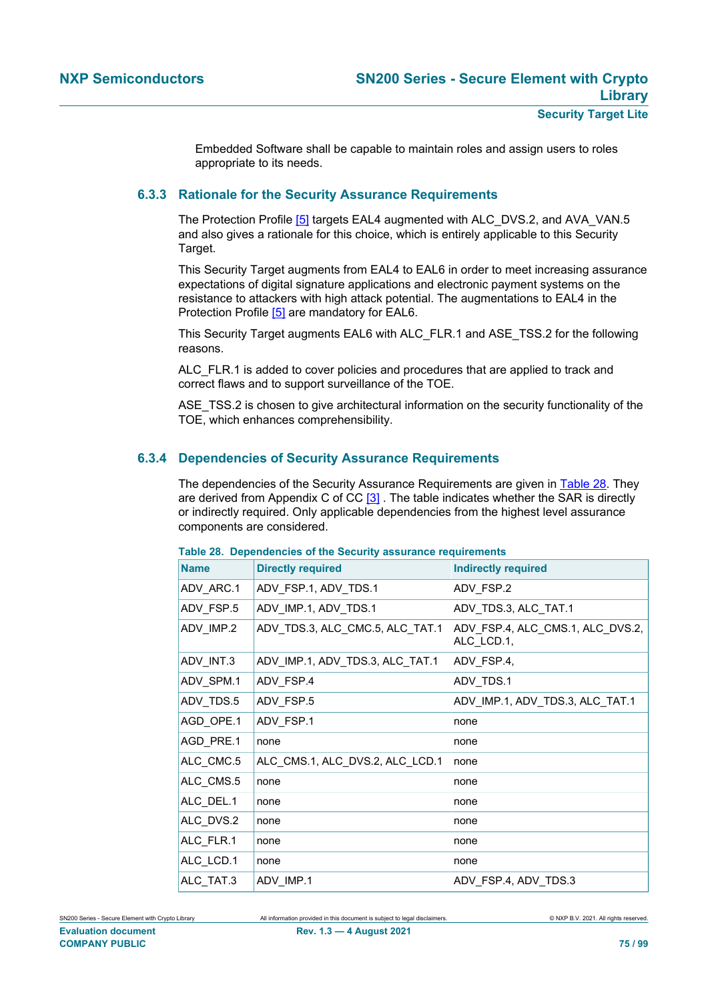Embedded Software shall be capable to maintain roles and assign users to roles appropriate to its needs.

# **6.3.3 Rationale for the Security Assurance Requirements**

<span id="page-74-1"></span>The Protection Profile [\[5\]](#page-90-0) targets EAL4 augmented with ALC\_DVS.2, and AVA\_VAN.5 and also gives a rationale for this choice, which is entirely applicable to this Security Target.

This Security Target augments from EAL4 to EAL6 in order to meet increasing assurance expectations of digital signature applications and electronic payment systems on the resistance to attackers with high attack potential. The augmentations to EAL4 in the Protection Profile [\[5\]](#page-90-0) are mandatory for EAL6.

This Security Target augments EAL6 with ALC\_FLR.1 and ASE\_TSS.2 for the following reasons.

ALC FLR.1 is added to cover policies and procedures that are applied to track and correct flaws and to support surveillance of the TOE.

ASE TSS.2 is chosen to give architectural information on the security functionality of the TOE, which enhances comprehensibility.

# **6.3.4 Dependencies of Security Assurance Requirements**

<span id="page-74-2"></span>The dependencies of the Security Assurance Requirements are given in [Table 28.](#page-74-0) They are derived from Appendix C of CC [\[3\]](#page-90-1). The table indicates whether the SAR is directly or indirectly required. Only applicable dependencies from the highest level assurance components are considered.

| <b>Name</b> | <b>Directly required</b>        | <b>Indirectly required</b>                     |
|-------------|---------------------------------|------------------------------------------------|
| ADV_ARC.1   | ADV_FSP.1, ADV_TDS.1            | ADV_FSP.2                                      |
| ADV_FSP.5   | ADV_IMP.1, ADV_TDS.1            | ADV_TDS.3, ALC_TAT.1                           |
| ADV IMP.2   | ADV_TDS.3, ALC_CMC.5, ALC_TAT.1 | ADV FSP.4, ALC CMS.1, ALC DVS.2,<br>ALC LCD.1, |
| ADV_INT.3   | ADV_IMP.1, ADV_TDS.3, ALC_TAT.1 | ADV_FSP.4,                                     |
| ADV_SPM.1   | ADV FSP.4                       | ADV TDS.1                                      |
| ADV_TDS.5   | ADV FSP.5                       | ADV_IMP.1, ADV_TDS.3, ALC_TAT.1                |
| AGD_OPE.1   | ADV_FSP.1                       | none                                           |
| AGD PRE.1   | none                            | none                                           |
| ALC CMC.5   | ALC_CMS.1, ALC_DVS.2, ALC_LCD.1 | none                                           |
| ALC CMS.5   | none                            | none                                           |
| ALC_DEL.1   | none                            | none                                           |
| ALC DVS.2   | none                            | none                                           |
| ALC_FLR.1   | none                            | none                                           |
| ALC_LCD.1   | none                            | none                                           |
| ALC TAT.3   | ADV IMP.1                       | ADV FSP.4, ADV TDS.3                           |

#### <span id="page-74-0"></span>**Table 28. Dependencies of the Security assurance requirements**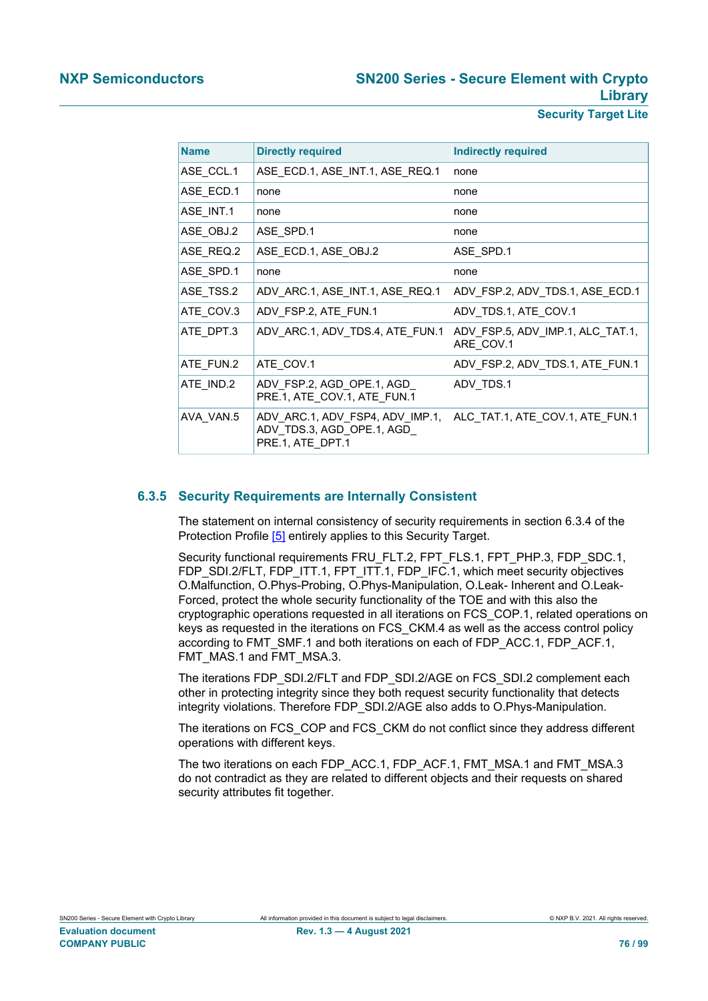| <b>Security Target Lite</b> |  |
|-----------------------------|--|
|                             |  |

| <b>Name</b> | <b>Directly required</b>                                                         | <b>Indirectly required</b>                    |
|-------------|----------------------------------------------------------------------------------|-----------------------------------------------|
| ASE_CCL.1   | ASE_ECD.1, ASE_INT.1, ASE_REQ.1                                                  | none                                          |
| ASE_ECD.1   | none                                                                             | none                                          |
| ASE INT.1   | none                                                                             | none                                          |
| ASE_OBJ.2   | ASE_SPD.1                                                                        | none                                          |
| ASE REQ.2   | ASE ECD.1, ASE OBJ.2                                                             | ASE SPD.1                                     |
| ASE_SPD.1   | none                                                                             | none                                          |
| ASE_TSS.2   | ADV ARC.1, ASE INT.1, ASE REQ.1                                                  | ADV FSP.2, ADV TDS.1, ASE ECD.1               |
| ATE_COV.3   | ADV FSP.2, ATE FUN.1                                                             | ADV TDS.1, ATE COV.1                          |
| ATE DPT.3   | ADV ARC.1, ADV TDS.4, ATE FUN.1                                                  | ADV FSP.5, ADV IMP.1, ALC TAT.1,<br>ARE_COV.1 |
| ATE FUN.2   | ATE COV.1                                                                        | ADV FSP.2, ADV TDS.1, ATE FUN.1               |
| ATE_IND.2   | ADV FSP.2, AGD OPE.1, AGD<br>PRE.1, ATE COV.1, ATE FUN.1                         | ADV_TDS.1                                     |
| AVA VAN.5   | ADV ARC.1, ADV FSP4, ADV IMP.1,<br>ADV TDS.3, AGD OPE.1, AGD<br>PRE.1, ATE_DPT.1 | ALC TAT.1, ATE COV.1, ATE FUN.1               |

# **6.3.5 Security Requirements are Internally Consistent**

<span id="page-75-0"></span>The statement on internal consistency of security requirements in section 6.3.4 of the Protection Profile [\[5\]](#page-90-0) entirely applies to this Security Target.

Security functional requirements FRU\_FLT.2, FPT\_FLS.1, FPT\_PHP.3, FDP\_SDC.1, FDP\_SDI.2/FLT, FDP\_ITT.1, FPT\_ITT.1, FDP\_IFC.1, which meet security objectives O.Malfunction, O.Phys-Probing, O.Phys-Manipulation, O.Leak- Inherent and O.Leak-Forced, protect the whole security functionality of the TOE and with this also the cryptographic operations requested in all iterations on FCS\_COP.1, related operations on keys as requested in the iterations on FCS\_CKM.4 as well as the access control policy according to FMT\_SMF.1 and both iterations on each of FDP\_ACC.1, FDP\_ACF.1, FMT\_MAS.1 and FMT\_MSA.3.

The iterations FDP\_SDI.2/FLT and FDP\_SDI.2/AGE on FCS\_SDI.2 complement each other in protecting integrity since they both request security functionality that detects integrity violations. Therefore FDP\_SDI.2/AGE also adds to O.Phys-Manipulation.

The iterations on FCS\_COP and FCS\_CKM do not conflict since they address different operations with different keys.

The two iterations on each FDP\_ACC.1, FDP\_ACF.1, FMT\_MSA.1 and FMT\_MSA.3 do not contradict as they are related to different objects and their requests on shared security attributes fit together.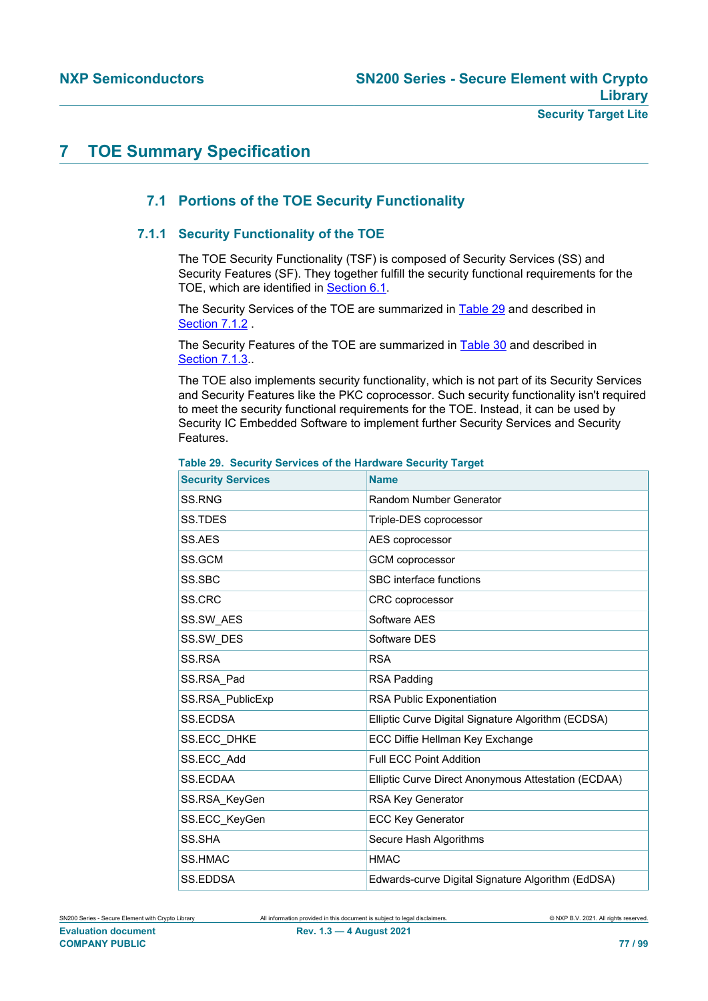# <span id="page-76-1"></span>**7 TOE Summary Specification**

# <span id="page-76-2"></span>**7.1 Portions of the TOE Security Functionality**

# **7.1.1 Security Functionality of the TOE**

<span id="page-76-3"></span>The TOE Security Functionality (TSF) is composed of Security Services (SS) and Security Features (SF). They together fulfill the security functional requirements for the TOE, which are identified in [Section 6.1.](#page-38-0)

The Security Services of the TOE are summarized in [Table 29](#page-76-0) and described in [Section 7.1.2](#page-77-0) .

The Security Features of the TOE are summarized in [Table 30](#page-77-1) and described in [Section 7.1.3](#page-84-0).

The TOE also implements security functionality, which is not part of its Security Services and Security Features like the PKC coprocessor. Such security functionality isn't required to meet the security functional requirements for the TOE. Instead, it can be used by Security IC Embedded Software to implement further Security Services and Security Features.

| <b>Security Services</b> | <b>Name</b>                                         |
|--------------------------|-----------------------------------------------------|
| SS.RNG                   | Random Number Generator                             |
| SS.TDES                  | Triple-DES coprocessor                              |
| SS.AES                   | AES coprocessor                                     |
| SS.GCM                   | <b>GCM</b> coprocessor                              |
| SS.SBC                   | SBC interface functions                             |
| SS.CRC                   | <b>CRC</b> coprocessor                              |
| <b>SS.SW AES</b>         | Software AFS                                        |
| SS.SW DES                | Software DES                                        |
| SS.RSA                   | <b>RSA</b>                                          |
| SS.RSA Pad               | RSA Padding                                         |
| SS.RSA PublicExp         | <b>RSA Public Exponentiation</b>                    |
| <b>SS.ECDSA</b>          | Elliptic Curve Digital Signature Algorithm (ECDSA)  |
| <b>SS.ECC DHKE</b>       | ECC Diffie Hellman Key Exchange                     |
| SS.ECC Add               | <b>Full ECC Point Addition</b>                      |
| <b>SS.ECDAA</b>          | Elliptic Curve Direct Anonymous Attestation (ECDAA) |
| SS.RSA KeyGen            | RSA Key Generator                                   |
| SS.ECC KeyGen            | <b>ECC Key Generator</b>                            |
| SS.SHA                   | Secure Hash Algorithms                              |
| <b>SS.HMAC</b>           | <b>HMAC</b>                                         |
| SS.EDDSA                 | Edwards-curve Digital Signature Algorithm (EdDSA)   |

<span id="page-76-0"></span>**Table 29. Security Services of the Hardware Security Target**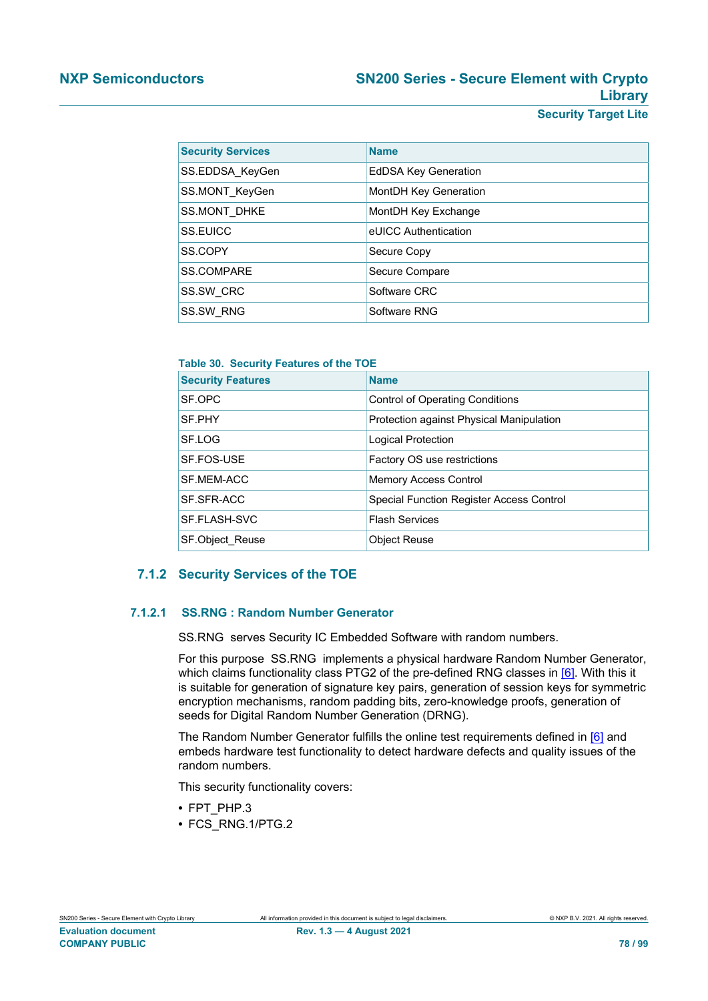| <b>Security Services</b> | <b>Name</b>                 |
|--------------------------|-----------------------------|
| SS.EDDSA_KeyGen          | <b>EdDSA Key Generation</b> |
| SS.MONT_KeyGen           | MontDH Key Generation       |
| SS.MONT DHKE             | MontDH Key Exchange         |
| SS.EUICC                 | eUICC Authentication        |
| SS.COPY                  | Secure Copy                 |
| <b>SS.COMPARE</b>        | Secure Compare              |
| SS.SW CRC                | Software CRC                |
| SS.SW RNG                | Software RNG                |

<span id="page-77-1"></span>**Table 30. Security Features of the TOE**

| <b>Security Features</b> | <b>Name</b>                              |
|--------------------------|------------------------------------------|
| SF.OPC                   | <b>Control of Operating Conditions</b>   |
| SF.PHY                   | Protection against Physical Manipulation |
| SF.LOG                   | Logical Protection                       |
| SF.FOS-USE               | Factory OS use restrictions              |
| SF.MEM-ACC               | <b>Memory Access Control</b>             |
| SF.SFR-ACC               | Special Function Register Access Control |
| SF.FLASH-SVC             | <b>Flash Services</b>                    |
| <b>SF.Object Reuse</b>   | <b>Object Reuse</b>                      |

# <span id="page-77-0"></span>**7.1.2 Security Services of the TOE**

## **7.1.2.1 SS.RNG : Random Number Generator**

<span id="page-77-2"></span>SS.RNG serves Security IC Embedded Software with random numbers.

For this purpose SS.RNG implements a physical hardware Random Number Generator, which claims functionality class PTG2 of the pre-defined RNG classes in [\[6\]](#page-90-2). With this it is suitable for generation of signature key pairs, generation of session keys for symmetric encryption mechanisms, random padding bits, zero-knowledge proofs, generation of seeds for Digital Random Number Generation (DRNG).

The Random Number Generator fulfills the online test requirements defined in [\[6\]](#page-90-2) and embeds hardware test functionality to detect hardware defects and quality issues of the random numbers.

This security functionality covers:

- **•** FPT\_PHP.3
- **•** FCS\_RNG.1/PTG.2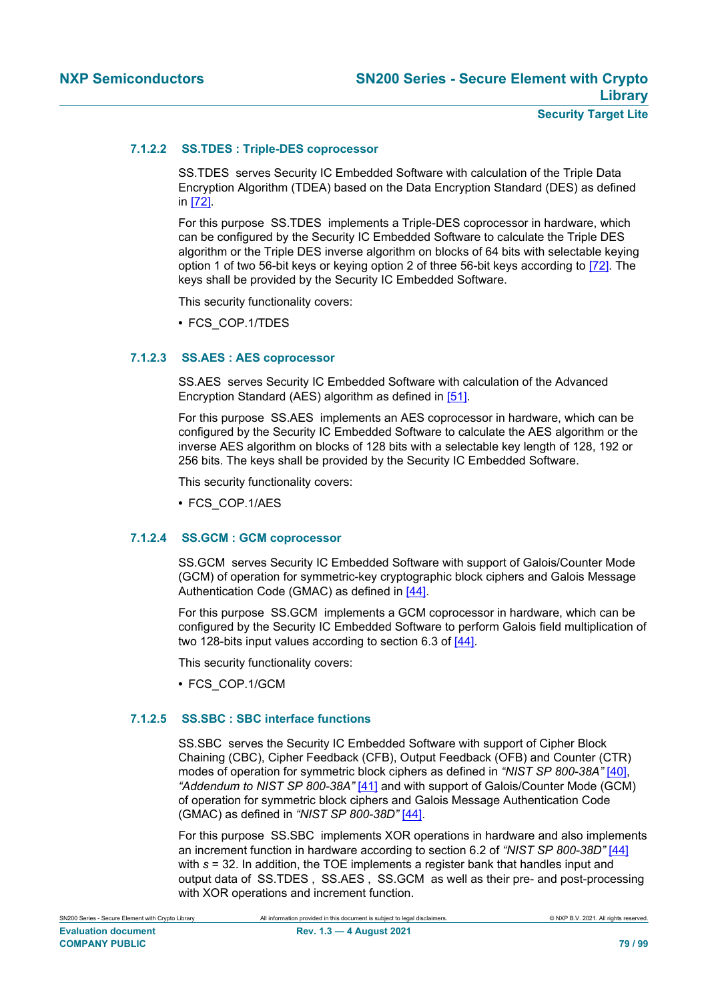# **7.1.2.2 SS.TDES : Triple-DES coprocessor**

<span id="page-78-0"></span>SS.TDES serves Security IC Embedded Software with calculation of the Triple Data Encryption Algorithm (TDEA) based on the Data Encryption Standard (DES) as defined in [\[72\]](#page-93-0).

For this purpose SS.TDES implements a Triple-DES coprocessor in hardware, which can be configured by the Security IC Embedded Software to calculate the Triple DES algorithm or the Triple DES inverse algorithm on blocks of 64 bits with selectable keying option 1 of two 56-bit keys or keying option 2 of three 56-bit keys according to [\[72\]](#page-93-0). The keys shall be provided by the Security IC Embedded Software.

This security functionality covers:

**•** FCS\_COP.1/TDES

# **7.1.2.3 SS.AES : AES coprocessor**

<span id="page-78-1"></span>SS.AES serves Security IC Embedded Software with calculation of the Advanced Encryption Standard (AES) algorithm as defined in [\[51\].](#page-92-0)

For this purpose SS.AES implements an AES coprocessor in hardware, which can be configured by the Security IC Embedded Software to calculate the AES algorithm or the inverse AES algorithm on blocks of 128 bits with a selectable key length of 128, 192 or 256 bits. The keys shall be provided by the Security IC Embedded Software.

This security functionality covers:

**•** FCS\_COP.1/AES

# **7.1.2.4 SS.GCM : GCM coprocessor**

<span id="page-78-2"></span>SS.GCM serves Security IC Embedded Software with support of Galois/Counter Mode (GCM) of operation for symmetric-key cryptographic block ciphers and Galois Message Authentication Code (GMAC) as defined in [\[44\]](#page-92-1).

For this purpose SS.GCM implements a GCM coprocessor in hardware, which can be configured by the Security IC Embedded Software to perform Galois field multiplication of two 128-bits input values according to section 6.3 of [\[44\].](#page-92-1)

This security functionality covers:

**•** FCS\_COP.1/GCM

#### **7.1.2.5 SS.SBC : SBC interface functions**

<span id="page-78-3"></span>SS.SBC serves the Security IC Embedded Software with support of Cipher Block Chaining (CBC), Cipher Feedback (CFB), Output Feedback (OFB) and Counter (CTR) modes of operation for symmetric block ciphers as defined in *"NIST SP 800-38A"* [\[40\]](#page-91-0), *"Addendum to NIST SP 800-38A"* [\[41\]](#page-91-1) and with support of Galois/Counter Mode (GCM) of operation for symmetric block ciphers and Galois Message Authentication Code (GMAC) as defined in *"NIST SP 800-38D"* [\[44\].](#page-92-1)

For this purpose SS.SBC implements XOR operations in hardware and also implements an increment function in hardware according to section 6.2 of *"NIST SP 800-38D"* [\[44\]](#page-92-1) with *s* = 32. In addition, the TOE implements a register bank that handles input and output data of SS.TDES , SS.AES , SS.GCM as well as their pre- and post-processing with XOR operations and increment function.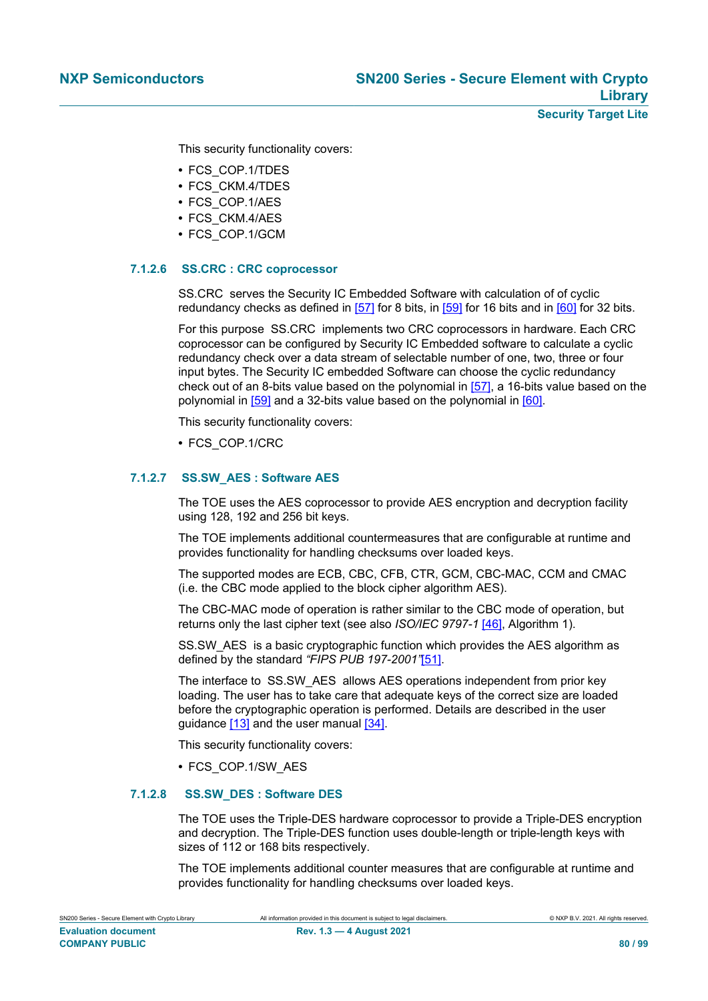This security functionality covers:

- **•** FCS\_COP.1/TDES
- **•** FCS\_CKM.4/TDES
- **•** FCS\_COP.1/AES
- **•** FCS\_CKM.4/AES
- **•** FCS\_COP.1/GCM

# **7.1.2.6 SS.CRC : CRC coprocessor**

<span id="page-79-0"></span>SS.CRC serves the Security IC Embedded Software with calculation of of cyclic redundancy checks as defined in [\[57\]](#page-92-2) for 8 bits, in [\[59\]](#page-92-3) for 16 bits and in [\[60\]](#page-92-4) for 32 bits.

For this purpose SS.CRC implements two CRC coprocessors in hardware. Each CRC coprocessor can be configured by Security IC Embedded software to calculate a cyclic redundancy check over a data stream of selectable number of one, two, three or four input bytes. The Security IC embedded Software can choose the cyclic redundancy check out of an 8-bits value based on the polynomial in [\[57\],](#page-92-2) a 16-bits value based on the polynomial in [\[59\]](#page-92-3) and a 32-bits value based on the polynomial in [\[60\]](#page-92-4).

This security functionality covers:

**•** FCS\_COP.1/CRC

# **7.1.2.7 SS.SW\_AES : Software AES**

<span id="page-79-1"></span>The TOE uses the AES coprocessor to provide AES encryption and decryption facility using 128, 192 and 256 bit keys.

The TOE implements additional countermeasures that are configurable at runtime and provides functionality for handling checksums over loaded keys.

The supported modes are ECB, CBC, CFB, CTR, GCM, CBC-MAC, CCM and CMAC (i.e. the CBC mode applied to the block cipher algorithm AES).

The CBC-MAC mode of operation is rather similar to the CBC mode of operation, but returns only the last cipher text (see also *ISO/IEC 9797-1* [\[46\]](#page-92-5), Algorithm 1).

SS.SW AES is a basic cryptographic function which provides the AES algorithm as defined by the standard *"FIPS PUB 197-2001"*[\[51\]](#page-92-0).

The interface to SS.SW\_AES allows AES operations independent from prior key loading. The user has to take care that adequate keys of the correct size are loaded before the cryptographic operation is performed. Details are described in the user guidance [\[13\]](#page-90-3) and the user manual [\[34\]](#page-91-2).

This security functionality covers:

<span id="page-79-2"></span>**•** FCS\_COP.1/SW\_AES

# **7.1.2.8 SS.SW\_DES : Software DES**

The TOE uses the Triple-DES hardware coprocessor to provide a Triple-DES encryption and decryption. The Triple-DES function uses double-length or triple-length keys with sizes of 112 or 168 bits respectively.

The TOE implements additional counter measures that are configurable at runtime and provides functionality for handling checksums over loaded keys.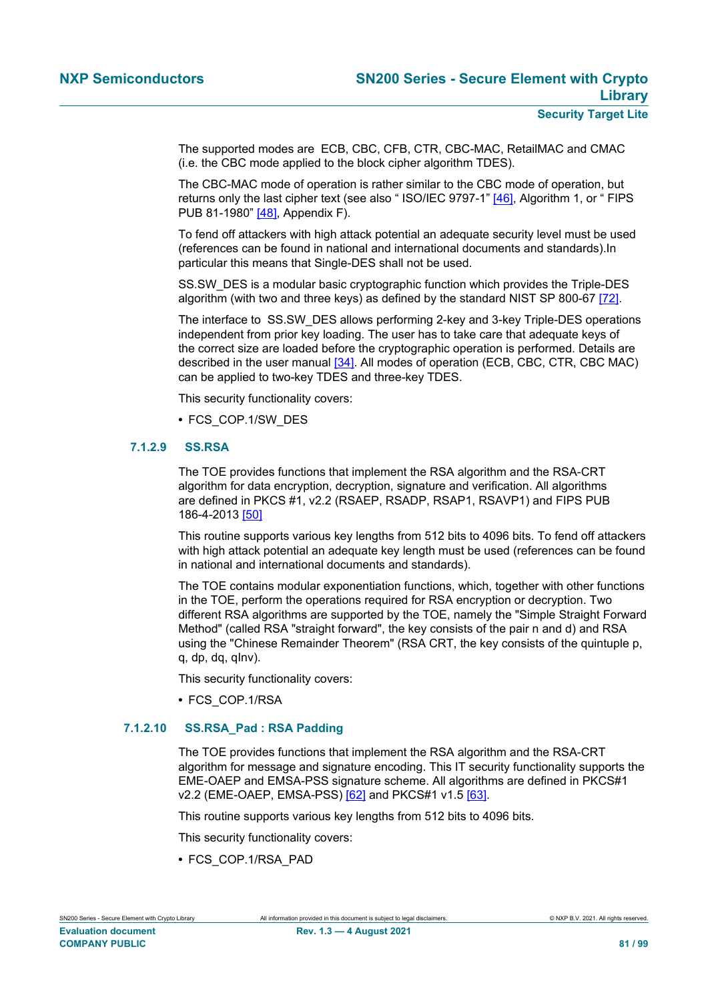The supported modes are ECB, CBC, CFB, CTR, CBC-MAC, RetailMAC and CMAC (i.e. the CBC mode applied to the block cipher algorithm TDES).

The CBC-MAC mode of operation is rather similar to the CBC mode of operation, but returns only the last cipher text (see also " ISO/IEC 9797-1" [\[46\],](#page-92-5) Algorithm 1, or " FIPS PUB 81-1980" [\[48\],](#page-92-6) Appendix F).

To fend off attackers with high attack potential an adequate security level must be used (references can be found in national and international documents and standards).In particular this means that Single-DES shall not be used.

SS.SW\_DES is a modular basic cryptographic function which provides the Triple-DES algorithm (with two and three keys) as defined by the standard NIST SP 800-67 [\[72\]](#page-93-0).

The interface to SS.SW\_DES allows performing 2-key and 3-key Triple-DES operations independent from prior key loading. The user has to take care that adequate keys of the correct size are loaded before the cryptographic operation is performed. Details are described in the user manual [\[34\].](#page-91-2) All modes of operation (ECB, CBC, CTR, CBC MAC) can be applied to two-key TDES and three-key TDES.

This security functionality covers:

<span id="page-80-0"></span>**•** FCS\_COP.1/SW\_DES

# **7.1.2.9 SS.RSA**

The TOE provides functions that implement the RSA algorithm and the RSA-CRT algorithm for data encryption, decryption, signature and verification. All algorithms are defined in PKCS #1, v2.2 (RSAEP, RSADP, RSAP1, RSAVP1) and FIPS PUB 186-4-2013 [\[50\]](#page-92-7)

This routine supports various key lengths from 512 bits to 4096 bits. To fend off attackers with high attack potential an adequate key length must be used (references can be found in national and international documents and standards).

The TOE contains modular exponentiation functions, which, together with other functions in the TOE, perform the operations required for RSA encryption or decryption. Two different RSA algorithms are supported by the TOE, namely the "Simple Straight Forward Method" (called RSA "straight forward", the key consists of the pair n and d) and RSA using the "Chinese Remainder Theorem" (RSA CRT, the key consists of the quintuple p, q, dp, dq, qInv).

This security functionality covers:

<span id="page-80-1"></span>**•** FCS\_COP.1/RSA

# **7.1.2.10 SS.RSA\_Pad : RSA Padding**

The TOE provides functions that implement the RSA algorithm and the RSA-CRT algorithm for message and signature encoding. This IT security functionality supports the EME-OAEP and EMSA-PSS signature scheme. All algorithms are defined in PKCS#1 v2.2 (EME-OAEP, EMSA-PSS) [\[62\]](#page-92-8) and PKCS#1 v1.5 [\[63\]](#page-93-1).

This routine supports various key lengths from 512 bits to 4096 bits.

This security functionality covers:

**•** FCS\_COP.1/RSA\_PAD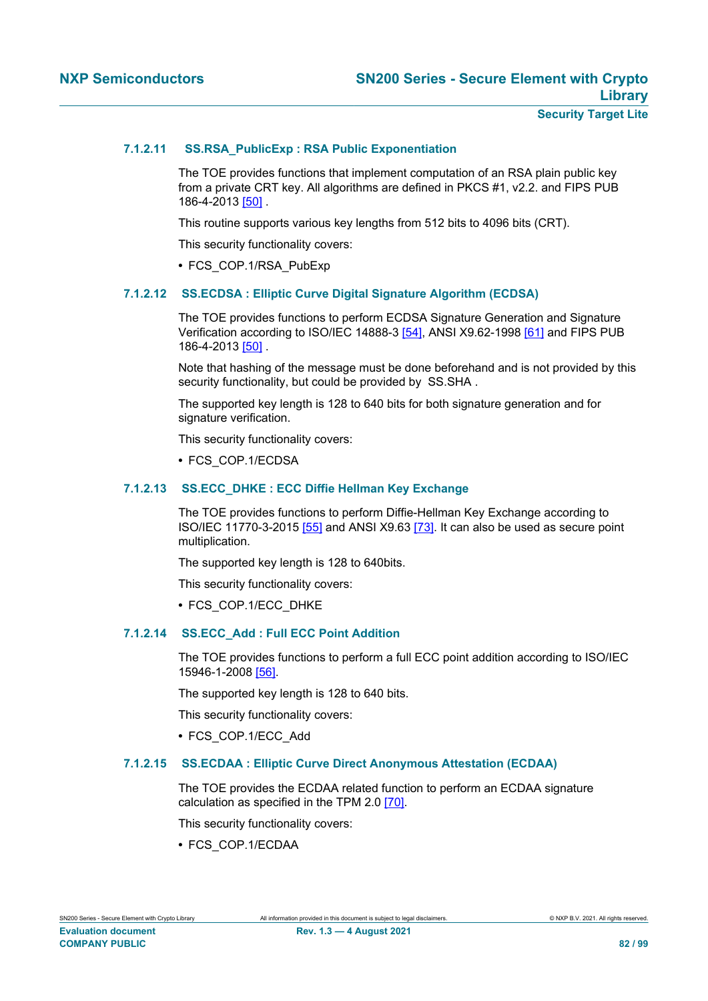### **Security Target Lite**

# **7.1.2.11 SS.RSA\_PublicExp : RSA Public Exponentiation**

<span id="page-81-0"></span>The TOE provides functions that implement computation of an RSA plain public key from a private CRT key. All algorithms are defined in PKCS #1, v2.2. and FIPS PUB 186-4-2013 [\[50\]](#page-92-7) .

This routine supports various key lengths from 512 bits to 4096 bits (CRT).

This security functionality covers:

<span id="page-81-1"></span>**•** FCS\_COP.1/RSA\_PubExp

# **7.1.2.12 SS.ECDSA : Elliptic Curve Digital Signature Algorithm (ECDSA)**

The TOE provides functions to perform ECDSA Signature Generation and Signature Verification according to ISO/IEC 14888-3 [\[54\],](#page-92-9) ANSI X9.62-1998 [\[61\]](#page-92-10) and FIPS PUB 186-4-2013 [\[50\]](#page-92-7) .

Note that hashing of the message must be done beforehand and is not provided by this security functionality, but could be provided by SS.SHA.

The supported key length is 128 to 640 bits for both signature generation and for signature verification.

This security functionality covers:

<span id="page-81-2"></span>**•** FCS\_COP.1/ECDSA

# **7.1.2.13 SS.ECC\_DHKE : ECC Diffie Hellman Key Exchange**

The TOE provides functions to perform Diffie-Hellman Key Exchange according to ISO/IEC 11770-3-2015 [\[55\]](#page-92-11) and ANSI X9.63 [\[73\].](#page-93-2) It can also be used as secure point multiplication.

The supported key length is 128 to 640bits.

This security functionality covers:

<span id="page-81-3"></span>**•** FCS\_COP.1/ECC\_DHKE

## **7.1.2.14 SS.ECC\_Add : Full ECC Point Addition**

The TOE provides functions to perform a full ECC point addition according to ISO/IEC 15946-1-2008 [\[56\].](#page-92-12)

The supported key length is 128 to 640 bits.

This security functionality covers:

<span id="page-81-4"></span>**•** FCS\_COP.1/ECC\_Add

#### **7.1.2.15 SS.ECDAA : Elliptic Curve Direct Anonymous Attestation (ECDAA)**

The TOE provides the ECDAA related function to perform an ECDAA signature calculation as specified in the TPM 2.0 [\[70\].](#page-93-3)

This security functionality covers:

**•** FCS\_COP.1/ECDAA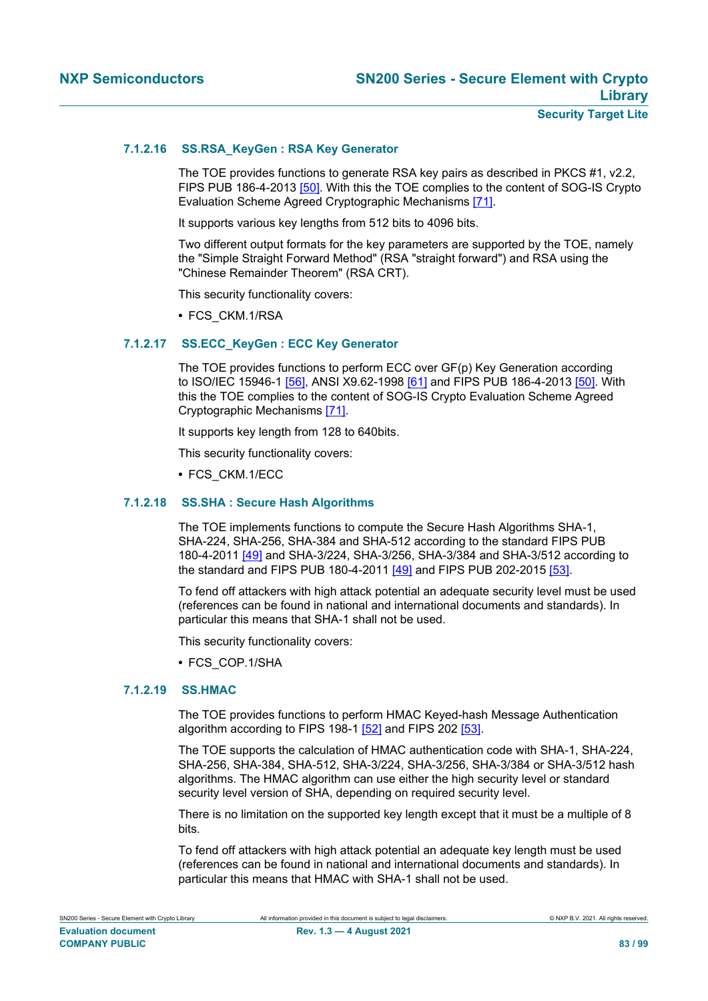# **7.1.2.16 SS.RSA\_KeyGen : RSA Key Generator**

<span id="page-82-0"></span>The TOE provides functions to generate RSA key pairs as described in PKCS #1, v2.2, FIPS PUB 186-4-2013 [\[50\].](#page-92-7) With this the TOE complies to the content of SOG-IS Crypto Evaluation Scheme Agreed Cryptographic Mechanisms [\[71\]](#page-93-4).

It supports various key lengths from 512 bits to 4096 bits.

Two different output formats for the key parameters are supported by the TOE, namely the "Simple Straight Forward Method" (RSA "straight forward") and RSA using the "Chinese Remainder Theorem" (RSA CRT).

This security functionality covers:

<span id="page-82-1"></span>**•** FCS\_CKM.1/RSA

#### **7.1.2.17 SS.ECC\_KeyGen : ECC Key Generator**

The TOE provides functions to perform ECC over GF(p) Key Generation according to ISO/IEC 15946-1 [\[56\],](#page-92-12) ANSI X9.62-1998 [\[61\]](#page-92-10) and FIPS PUB 186-4-2013 [\[50\]](#page-92-7). With this the TOE complies to the content of SOG-IS Crypto Evaluation Scheme Agreed Cryptographic Mechanisms [\[71\].](#page-93-4)

It supports key length from 128 to 640bits.

This security functionality covers:

<span id="page-82-2"></span>**•** FCS\_CKM.1/ECC

#### **7.1.2.18 SS.SHA : Secure Hash Algorithms**

The TOE implements functions to compute the Secure Hash Algorithms SHA-1, SHA-224, SHA-256, SHA-384 and SHA-512 according to the standard FIPS PUB 180-4-2011 [\[49\]](#page-92-13) and SHA-3/224, SHA-3/256, SHA-3/384 and SHA-3/512 according to the standard and FIPS PUB 180-4-2011 [\[49\]](#page-92-13) and FIPS PUB 202-2015 [\[53\].](#page-92-14)

To fend off attackers with high attack potential an adequate security level must be used (references can be found in national and international documents and standards). In particular this means that SHA-1 shall not be used.

This security functionality covers:

<span id="page-82-3"></span>**•** FCS\_COP.1/SHA

#### **7.1.2.19 SS.HMAC**

The TOE provides functions to perform HMAC Keyed-hash Message Authentication algorithm according to FIPS 198-1 [\[52\]](#page-92-15) and FIPS 202 [\[53\]](#page-92-14).

The TOE supports the calculation of HMAC authentication code with SHA-1, SHA-224, SHA-256, SHA-384, SHA-512, SHA-3/224, SHA-3/256, SHA-3/384 or SHA-3/512 hash algorithms. The HMAC algorithm can use either the high security level or standard security level version of SHA, depending on required security level.

There is no limitation on the supported key length except that it must be a multiple of 8 bits.

To fend off attackers with high attack potential an adequate key length must be used (references can be found in national and international documents and standards). In particular this means that HMAC with SHA-1 shall not be used.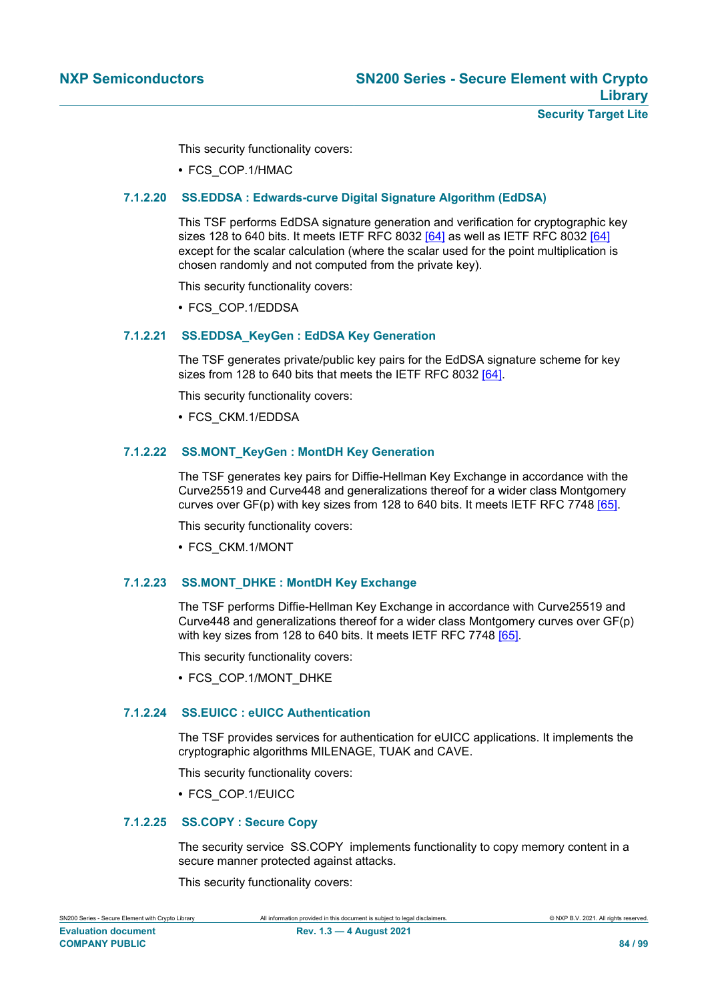This security functionality covers:

<span id="page-83-0"></span>**•** FCS\_COP.1/HMAC

### **7.1.2.20 SS.EDDSA : Edwards-curve Digital Signature Algorithm (EdDSA)**

This TSF performs EdDSA signature generation and verification for cryptographic key sizes 128 to 640 bits. It meets IETF RFC 8032  $[64]$  as well as IETF RFC 8032  $[64]$ except for the scalar calculation (where the scalar used for the point multiplication is chosen randomly and not computed from the private key).

This security functionality covers:

<span id="page-83-1"></span>**•** FCS\_COP.1/EDDSA

# **7.1.2.21 SS.EDDSA\_KeyGen : EdDSA Key Generation**

The TSF generates private/public key pairs for the EdDSA signature scheme for key sizes from 128 to 640 bits that meets the IETF RFC 8032 [\[64\]](#page-93-5).

This security functionality covers:

<span id="page-83-2"></span>**•** FCS\_CKM.1/EDDSA

## **7.1.2.22 SS.MONT\_KeyGen : MontDH Key Generation**

The TSF generates key pairs for Diffie-Hellman Key Exchange in accordance with the Curve25519 and Curve448 and generalizations thereof for a wider class Montgomery curves over GF(p) with key sizes from 128 to 640 bits. It meets IETF RFC 7748 [\[65\]](#page-93-6).

This security functionality covers:

<span id="page-83-3"></span>**•** FCS\_CKM.1/MONT

## **7.1.2.23 SS.MONT\_DHKE : MontDH Key Exchange**

The TSF performs Diffie-Hellman Key Exchange in accordance with Curve25519 and Curve448 and generalizations thereof for a wider class Montgomery curves over GF(p) with key sizes from 128 to 640 bits. It meets IETF RFC 7748 [\[65\].](#page-93-6)

This security functionality covers:

**•** FCS\_COP.1/MONT\_DHKE

# **7.1.2.24 SS.EUICC : eUICC Authentication**

<span id="page-83-4"></span>The TSF provides services for authentication for eUICC applications. It implements the cryptographic algorithms MILENAGE, TUAK and CAVE.

This security functionality covers:

<span id="page-83-5"></span>**•** FCS\_COP.1/EUICC

#### **7.1.2.25 SS.COPY : Secure Copy**

The security service SS.COPY implements functionality to copy memory content in a secure manner protected against attacks.

This security functionality covers:

SN200 Series - Secure Element with Crypto Library All information provided in this document is subject to legal disclaimers. © NXP B.V. 2021. All rights reserved.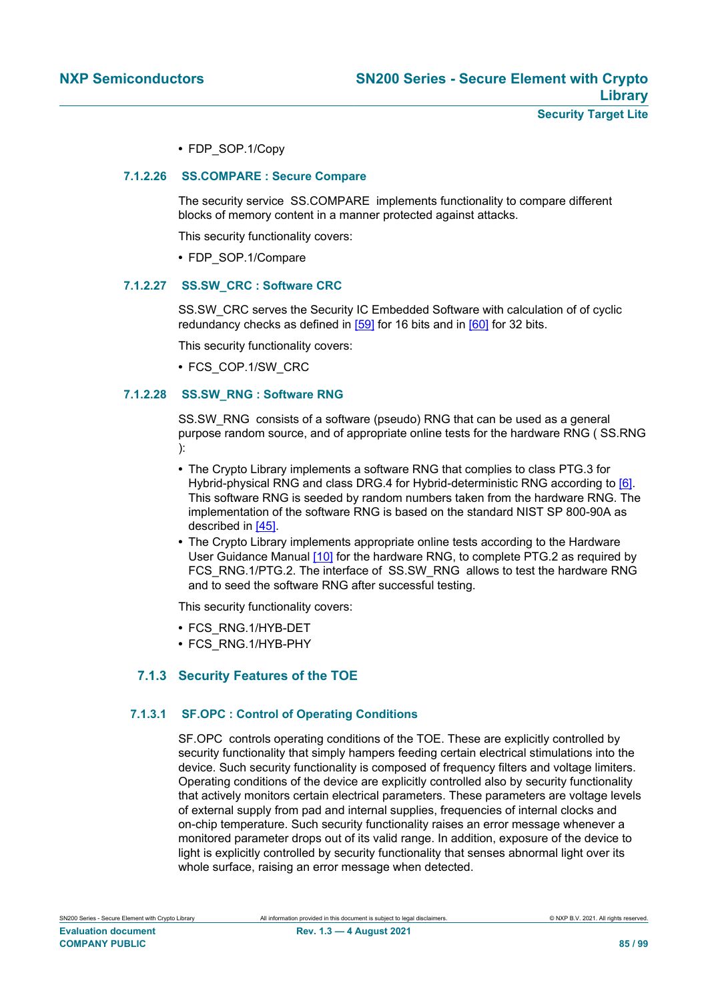<span id="page-84-1"></span>**•** FDP\_SOP.1/Copy

#### **7.1.2.26 SS.COMPARE : Secure Compare**

The security service SS.COMPARE implements functionality to compare different blocks of memory content in a manner protected against attacks.

This security functionality covers:

<span id="page-84-2"></span>**•** FDP\_SOP.1/Compare

### **7.1.2.27 SS.SW\_CRC : Software CRC**

SS.SW\_CRC serves the Security IC Embedded Software with calculation of of cyclic redundancy checks as defined in [\[59\]](#page-92-3) for 16 bits and in [\[60\]](#page-92-4) for 32 bits.

This security functionality covers:

<span id="page-84-3"></span>**•** FCS\_COP.1/SW\_CRC

### **7.1.2.28 SS.SW\_RNG : Software RNG**

SS.SW\_RNG consists of a software (pseudo) RNG that can be used as a general purpose random source, and of appropriate online tests for the hardware RNG ( SS.RNG ):

- **•** The Crypto Library implements a software RNG that complies to class PTG.3 for Hybrid-physical RNG and class DRG.4 for Hybrid-deterministic RNG according to [\[6\].](#page-90-2) This software RNG is seeded by random numbers taken from the hardware RNG. The implementation of the software RNG is based on the standard NIST SP 800-90A as described in [\[45\].](#page-92-16)
- **•** The Crypto Library implements appropriate online tests according to the Hardware User Guidance Manual [\[10\]](#page-90-4) for the hardware RNG, to complete PTG.2 as required by FCS\_RNG.1/PTG.2. The interface of SS.SW\_RNG allows to test the hardware RNG and to seed the software RNG after successful testing.

This security functionality covers:

- **•** FCS\_RNG.1/HYB-DET
- <span id="page-84-0"></span>**•** FCS\_RNG.1/HYB-PHY

# **7.1.3 Security Features of the TOE**

# **7.1.3.1 SF.OPC : Control of Operating Conditions**

<span id="page-84-4"></span>SF.OPC controls operating conditions of the TOE. These are explicitly controlled by security functionality that simply hampers feeding certain electrical stimulations into the device. Such security functionality is composed of frequency filters and voltage limiters. Operating conditions of the device are explicitly controlled also by security functionality that actively monitors certain electrical parameters. These parameters are voltage levels of external supply from pad and internal supplies, frequencies of internal clocks and on-chip temperature. Such security functionality raises an error message whenever a monitored parameter drops out of its valid range. In addition, exposure of the device to light is explicitly controlled by security functionality that senses abnormal light over its whole surface, raising an error message when detected.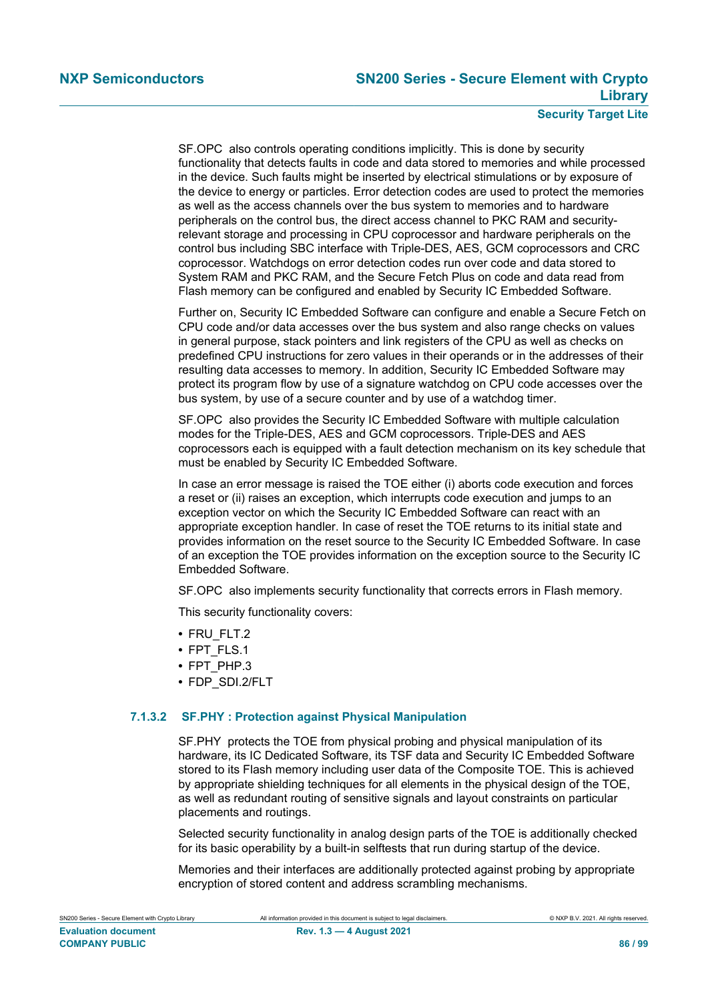# **Security Target Lite**

SF.OPC also controls operating conditions implicitly. This is done by security functionality that detects faults in code and data stored to memories and while processed in the device. Such faults might be inserted by electrical stimulations or by exposure of the device to energy or particles. Error detection codes are used to protect the memories as well as the access channels over the bus system to memories and to hardware peripherals on the control bus, the direct access channel to PKC RAM and securityrelevant storage and processing in CPU coprocessor and hardware peripherals on the control bus including SBC interface with Triple-DES, AES, GCM coprocessors and CRC coprocessor. Watchdogs on error detection codes run over code and data stored to System RAM and PKC RAM, and the Secure Fetch Plus on code and data read from Flash memory can be configured and enabled by Security IC Embedded Software.

Further on, Security IC Embedded Software can configure and enable a Secure Fetch on CPU code and/or data accesses over the bus system and also range checks on values in general purpose, stack pointers and link registers of the CPU as well as checks on predefined CPU instructions for zero values in their operands or in the addresses of their resulting data accesses to memory. In addition, Security IC Embedded Software may protect its program flow by use of a signature watchdog on CPU code accesses over the bus system, by use of a secure counter and by use of a watchdog timer.

SF.OPC also provides the Security IC Embedded Software with multiple calculation modes for the Triple-DES, AES and GCM coprocessors. Triple-DES and AES coprocessors each is equipped with a fault detection mechanism on its key schedule that must be enabled by Security IC Embedded Software.

In case an error message is raised the TOE either (i) aborts code execution and forces a reset or (ii) raises an exception, which interrupts code execution and jumps to an exception vector on which the Security IC Embedded Software can react with an appropriate exception handler. In case of reset the TOE returns to its initial state and provides information on the reset source to the Security IC Embedded Software. In case of an exception the TOE provides information on the exception source to the Security IC Embedded Software.

SF.OPC also implements security functionality that corrects errors in Flash memory.

This security functionality covers:

- **•** FRU\_FLT.2
- **•** FPT\_FLS.1
- **•** FPT\_PHP.3
- **•** FDP\_SDI.2/FLT

#### **7.1.3.2 SF.PHY : Protection against Physical Manipulation**

<span id="page-85-0"></span>SF.PHY protects the TOE from physical probing and physical manipulation of its hardware, its IC Dedicated Software, its TSF data and Security IC Embedded Software stored to its Flash memory including user data of the Composite TOE. This is achieved by appropriate shielding techniques for all elements in the physical design of the TOE, as well as redundant routing of sensitive signals and layout constraints on particular placements and routings.

Selected security functionality in analog design parts of the TOE is additionally checked for its basic operability by a built-in selftests that run during startup of the device.

Memories and their interfaces are additionally protected against probing by appropriate encryption of stored content and address scrambling mechanisms.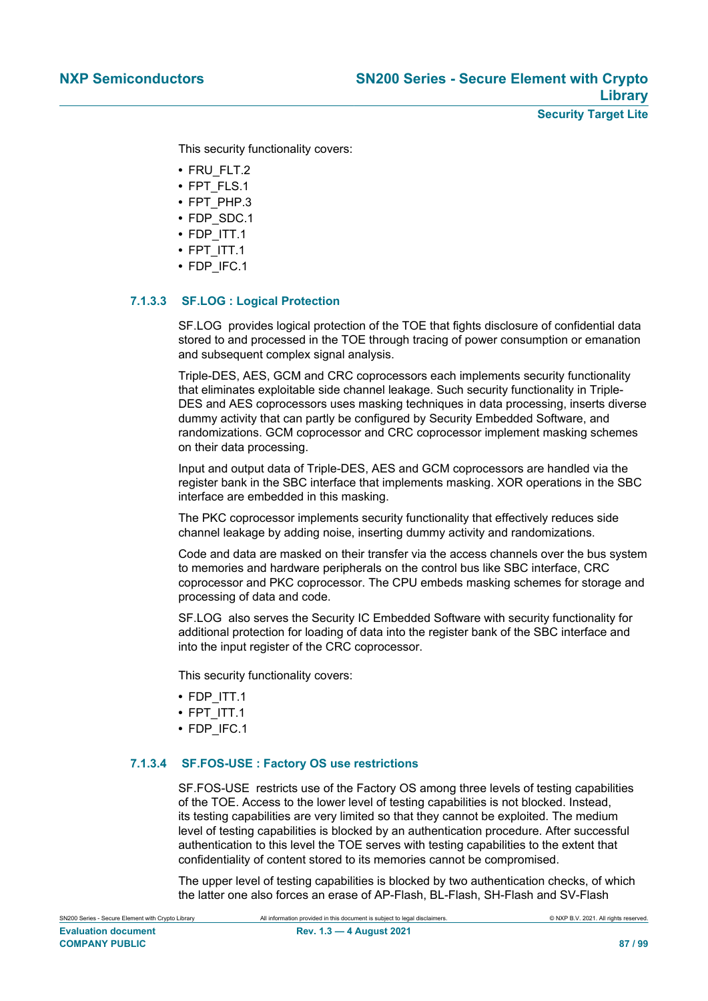**Security Target Lite**

This security functionality covers:

- **•** FRU\_FLT.2
- **•** FPT\_FLS.1
- **•** FPT\_PHP.3
- **•** FDP\_SDC.1
- **•** FDP\_ITT.1
- **•** FPT\_ITT.1
- **•** FDP\_IFC.1

# **7.1.3.3 SF.LOG : Logical Protection**

<span id="page-86-0"></span>SF.LOG provides logical protection of the TOE that fights disclosure of confidential data stored to and processed in the TOE through tracing of power consumption or emanation and subsequent complex signal analysis.

Triple-DES, AES, GCM and CRC coprocessors each implements security functionality that eliminates exploitable side channel leakage. Such security functionality in Triple-DES and AES coprocessors uses masking techniques in data processing, inserts diverse dummy activity that can partly be configured by Security Embedded Software, and randomizations. GCM coprocessor and CRC coprocessor implement masking schemes on their data processing.

Input and output data of Triple-DES, AES and GCM coprocessors are handled via the register bank in the SBC interface that implements masking. XOR operations in the SBC interface are embedded in this masking.

The PKC coprocessor implements security functionality that effectively reduces side channel leakage by adding noise, inserting dummy activity and randomizations.

Code and data are masked on their transfer via the access channels over the bus system to memories and hardware peripherals on the control bus like SBC interface, CRC coprocessor and PKC coprocessor. The CPU embeds masking schemes for storage and processing of data and code.

SF.LOG also serves the Security IC Embedded Software with security functionality for additional protection for loading of data into the register bank of the SBC interface and into the input register of the CRC coprocessor.

This security functionality covers:

- **•** FDP\_ITT.1
- **•** FPT\_ITT.1
- **•** FDP\_IFC.1

# **7.1.3.4 SF.FOS-USE : Factory OS use restrictions**

<span id="page-86-1"></span>SF.FOS-USE restricts use of the Factory OS among three levels of testing capabilities of the TOE. Access to the lower level of testing capabilities is not blocked. Instead, its testing capabilities are very limited so that they cannot be exploited. The medium level of testing capabilities is blocked by an authentication procedure. After successful authentication to this level the TOE serves with testing capabilities to the extent that confidentiality of content stored to its memories cannot be compromised.

The upper level of testing capabilities is blocked by two authentication checks, of which the latter one also forces an erase of AP-Flash, BL-Flash, SH-Flash and SV-Flash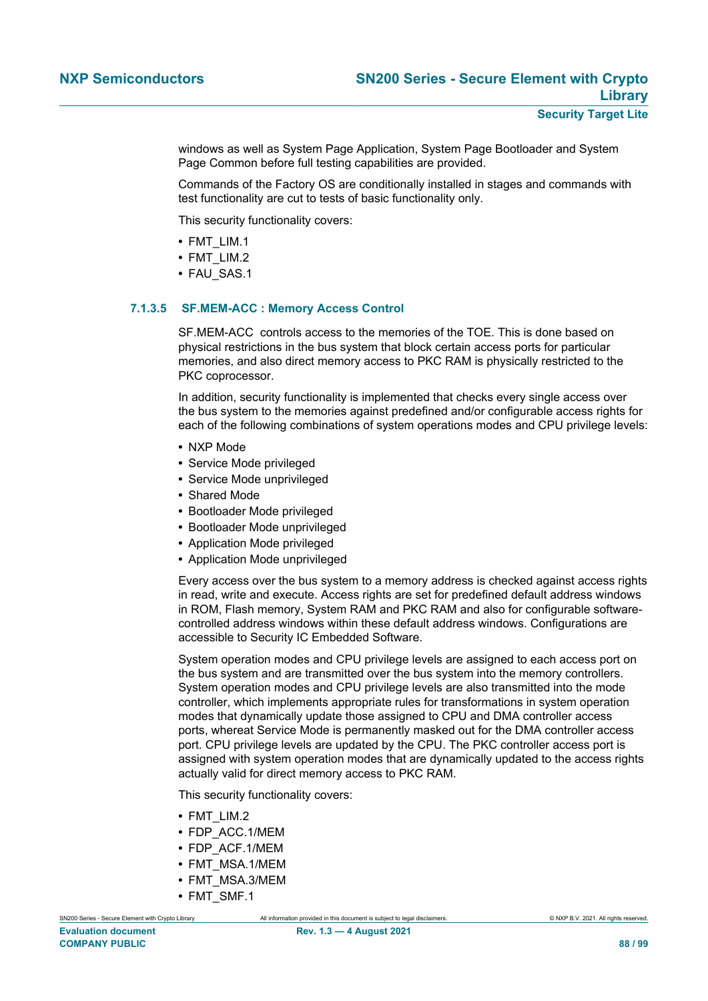windows as well as System Page Application, System Page Bootloader and System Page Common before full testing capabilities are provided.

Commands of the Factory OS are conditionally installed in stages and commands with test functionality are cut to tests of basic functionality only.

This security functionality covers:

- **•** FMT\_LIM.1
- **•** FMT\_LIM.2
- **•** FAU\_SAS.1

#### **7.1.3.5 SF.MEM-ACC : Memory Access Control**

<span id="page-87-0"></span>SF.MEM-ACC controls access to the memories of the TOE. This is done based on physical restrictions in the bus system that block certain access ports for particular memories, and also direct memory access to PKC RAM is physically restricted to the PKC coprocessor.

In addition, security functionality is implemented that checks every single access over the bus system to the memories against predefined and/or configurable access rights for each of the following combinations of system operations modes and CPU privilege levels:

- **•** NXP Mode
- **•** Service Mode privileged
- **•** Service Mode unprivileged
- **•** Shared Mode
- **•** Bootloader Mode privileged
- **•** Bootloader Mode unprivileged
- **•** Application Mode privileged
- **•** Application Mode unprivileged

Every access over the bus system to a memory address is checked against access rights in read, write and execute. Access rights are set for predefined default address windows in ROM, Flash memory, System RAM and PKC RAM and also for configurable softwarecontrolled address windows within these default address windows. Configurations are accessible to Security IC Embedded Software.

System operation modes and CPU privilege levels are assigned to each access port on the bus system and are transmitted over the bus system into the memory controllers. System operation modes and CPU privilege levels are also transmitted into the mode controller, which implements appropriate rules for transformations in system operation modes that dynamically update those assigned to CPU and DMA controller access ports, whereat Service Mode is permanently masked out for the DMA controller access port. CPU privilege levels are updated by the CPU. The PKC controller access port is assigned with system operation modes that are dynamically updated to the access rights actually valid for direct memory access to PKC RAM.

This security functionality covers:

- **•** FMT\_LIM.2
- **•** FDP\_ACC.1/MEM
- **•** FDP\_ACF.1/MEM
- **•** FMT\_MSA.1/MEM
- **•** FMT\_MSA.3/MEM
- **•** FMT\_SMF.1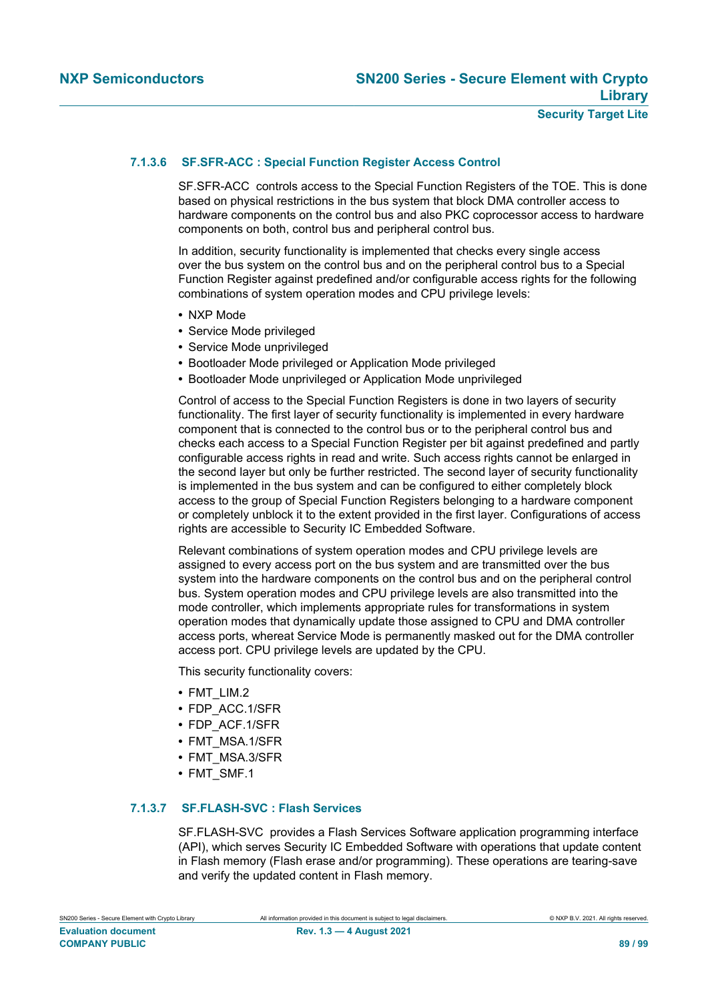# **7.1.3.6 SF.SFR-ACC : Special Function Register Access Control**

<span id="page-88-0"></span>SF.SFR-ACC controls access to the Special Function Registers of the TOE. This is done based on physical restrictions in the bus system that block DMA controller access to hardware components on the control bus and also PKC coprocessor access to hardware components on both, control bus and peripheral control bus.

In addition, security functionality is implemented that checks every single access over the bus system on the control bus and on the peripheral control bus to a Special Function Register against predefined and/or configurable access rights for the following combinations of system operation modes and CPU privilege levels:

- **•** NXP Mode
- **•** Service Mode privileged
- **•** Service Mode unprivileged
- **•** Bootloader Mode privileged or Application Mode privileged
- **•** Bootloader Mode unprivileged or Application Mode unprivileged

Control of access to the Special Function Registers is done in two layers of security functionality. The first layer of security functionality is implemented in every hardware component that is connected to the control bus or to the peripheral control bus and checks each access to a Special Function Register per bit against predefined and partly configurable access rights in read and write. Such access rights cannot be enlarged in the second layer but only be further restricted. The second layer of security functionality is implemented in the bus system and can be configured to either completely block access to the group of Special Function Registers belonging to a hardware component or completely unblock it to the extent provided in the first layer. Configurations of access rights are accessible to Security IC Embedded Software.

Relevant combinations of system operation modes and CPU privilege levels are assigned to every access port on the bus system and are transmitted over the bus system into the hardware components on the control bus and on the peripheral control bus. System operation modes and CPU privilege levels are also transmitted into the mode controller, which implements appropriate rules for transformations in system operation modes that dynamically update those assigned to CPU and DMA controller access ports, whereat Service Mode is permanently masked out for the DMA controller access port. CPU privilege levels are updated by the CPU.

This security functionality covers:

- **•** FMT\_LIM.2
- **•** FDP\_ACC.1/SFR
- **•** FDP\_ACF.1/SFR
- **•** FMT\_MSA.1/SFR
- **•** FMT\_MSA.3/SFR
- **•** FMT\_SMF.1

#### **7.1.3.7 SF.FLASH-SVC : Flash Services**

<span id="page-88-1"></span>SF.FLASH-SVC provides a Flash Services Software application programming interface (API), which serves Security IC Embedded Software with operations that update content in Flash memory (Flash erase and/or programming). These operations are tearing-save and verify the updated content in Flash memory.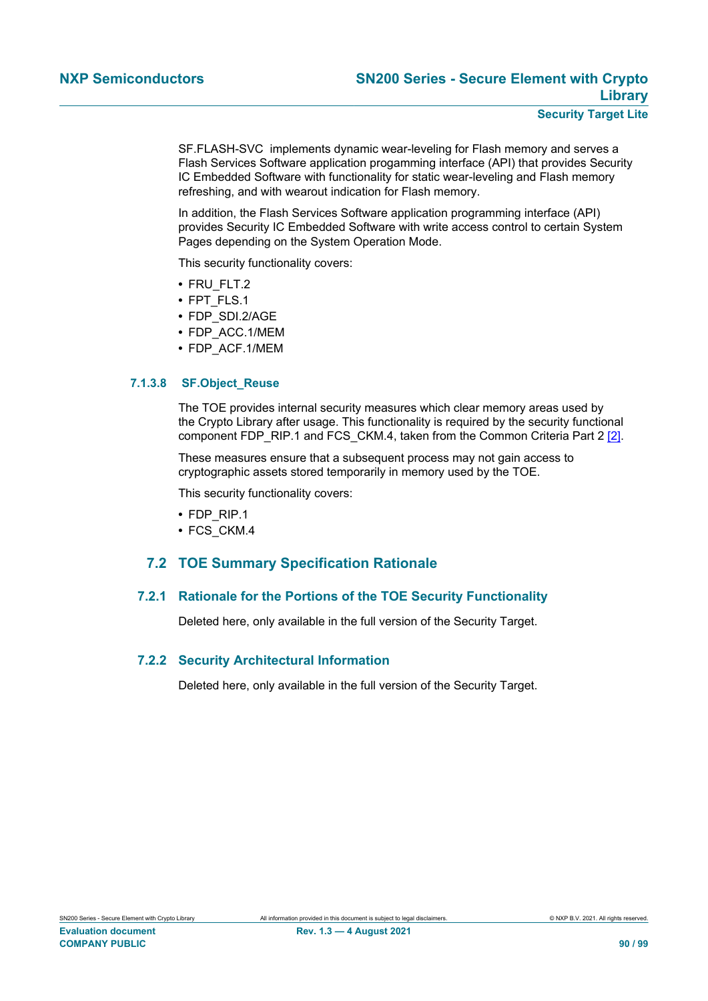SF.FLASH-SVC implements dynamic wear-leveling for Flash memory and serves a Flash Services Software application progamming interface (API) that provides Security IC Embedded Software with functionality for static wear-leveling and Flash memory refreshing, and with wearout indication for Flash memory.

In addition, the Flash Services Software application programming interface (API) provides Security IC Embedded Software with write access control to certain System Pages depending on the System Operation Mode.

This security functionality covers:

- **•** FRU\_FLT.2
- **•** FPT\_FLS.1
- **•** FDP\_SDI.2/AGE
- **•** FDP\_ACC.1/MEM
- **•** FDP\_ACF.1/MEM

#### **7.1.3.8 SF.Object\_Reuse**

<span id="page-89-0"></span>The TOE provides internal security measures which clear memory areas used by the Crypto Library after usage. This functionality is required by the security functional component FDP\_RIP.1 and FCS\_CKM.4, taken from the Common Criteria Part 2 [\[2\]](#page-90-5).

These measures ensure that a subsequent process may not gain access to cryptographic assets stored temporarily in memory used by the TOE.

This security functionality covers:

- **•** FDP\_RIP.1
- <span id="page-89-1"></span>**•** FCS\_CKM.4

# **7.2 TOE Summary Specification Rationale**

# **7.2.1 Rationale for the Portions of the TOE Security Functionality**

<span id="page-89-2"></span>Deleted here, only available in the full version of the Security Target.

#### **7.2.2 Security Architectural Information**

<span id="page-89-3"></span>Deleted here, only available in the full version of the Security Target.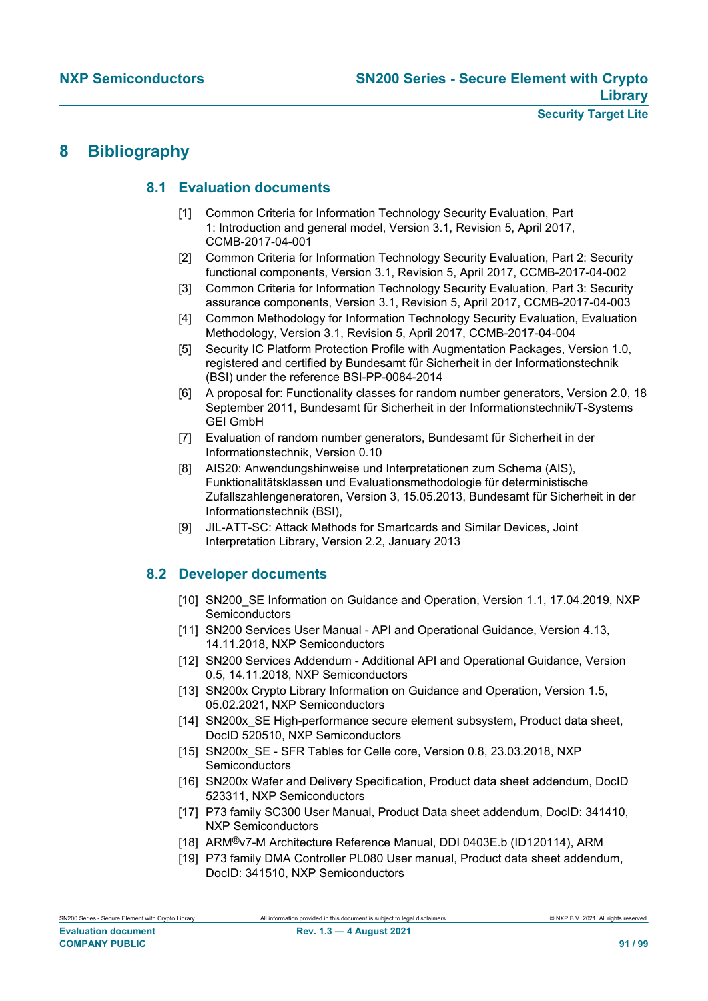# <span id="page-90-6"></span>**8 Bibliography**

# <span id="page-90-7"></span>**8.1 Evaluation documents**

- [1] Common Criteria for Information Technology Security Evaluation, Part 1: Introduction and general model, Version 3.1, Revision 5, April 2017, CCMB-2017-04-001
- <span id="page-90-5"></span>[2] Common Criteria for Information Technology Security Evaluation, Part 2: Security functional components, Version 3.1, Revision 5, April 2017, CCMB-2017-04-002
- <span id="page-90-1"></span>[3] Common Criteria for Information Technology Security Evaluation, Part 3: Security assurance components, Version 3.1, Revision 5, April 2017, CCMB-2017-04-003
- [4] Common Methodology for Information Technology Security Evaluation, Evaluation Methodology, Version 3.1, Revision 5, April 2017, CCMB-2017-04-004
- <span id="page-90-0"></span>[5] Security IC Platform Protection Profile with Augmentation Packages, Version 1.0, registered and certified by Bundesamt für Sicherheit in der Informationstechnik (BSI) under the reference BSI-PP-0084-2014
- <span id="page-90-2"></span>[6] A proposal for: Functionality classes for random number generators, Version 2.0, 18 September 2011, Bundesamt für Sicherheit in der Informationstechnik/T-Systems GEI GmbH
- [7] Evaluation of random number generators, Bundesamt für Sicherheit in der Informationstechnik, Version 0.10
- [8] AIS20: Anwendungshinweise und Interpretationen zum Schema (AIS), Funktionalitätsklassen und Evaluationsmethodologie für deterministische Zufallszahlengeneratoren, Version 3, 15.05.2013, Bundesamt für Sicherheit in der Informationstechnik (BSI),
- <span id="page-90-8"></span>[9] JIL-ATT-SC: Attack Methods for Smartcards and Similar Devices, Joint Interpretation Library, Version 2.2, January 2013

# **8.2 Developer documents**

- <span id="page-90-4"></span>[10] SN200\_SE Information on Guidance and Operation, Version 1.1, 17.04.2019, NXP **Semiconductors**
- [11] SN200 Services User Manual API and Operational Guidance, Version 4.13, 14.11.2018, NXP Semiconductors
- [12] SN200 Services Addendum Additional API and Operational Guidance, Version 0.5, 14.11.2018, NXP Semiconductors
- <span id="page-90-3"></span>[13] SN200x Crypto Library Information on Guidance and Operation, Version 1.5, 05.02.2021, NXP Semiconductors
- [14] SN200x\_SE High-performance secure element subsystem, Product data sheet, DocID 520510, NXP Semiconductors
- [15] SN200x SE SFR Tables for Celle core, Version 0.8, 23.03.2018, NXP **Semiconductors**
- [16] SN200x Wafer and Delivery Specification, Product data sheet addendum, DocID 523311, NXP Semiconductors
- [17] P73 family SC300 User Manual, Product Data sheet addendum, DocID: 341410, NXP Semiconductors
- [18] ARM®v7-M Architecture Reference Manual, DDI 0403E.b (ID120114), ARM
- [19] P73 family DMA Controller PL080 User manual, Product data sheet addendum, DocID: 341510, NXP Semiconductors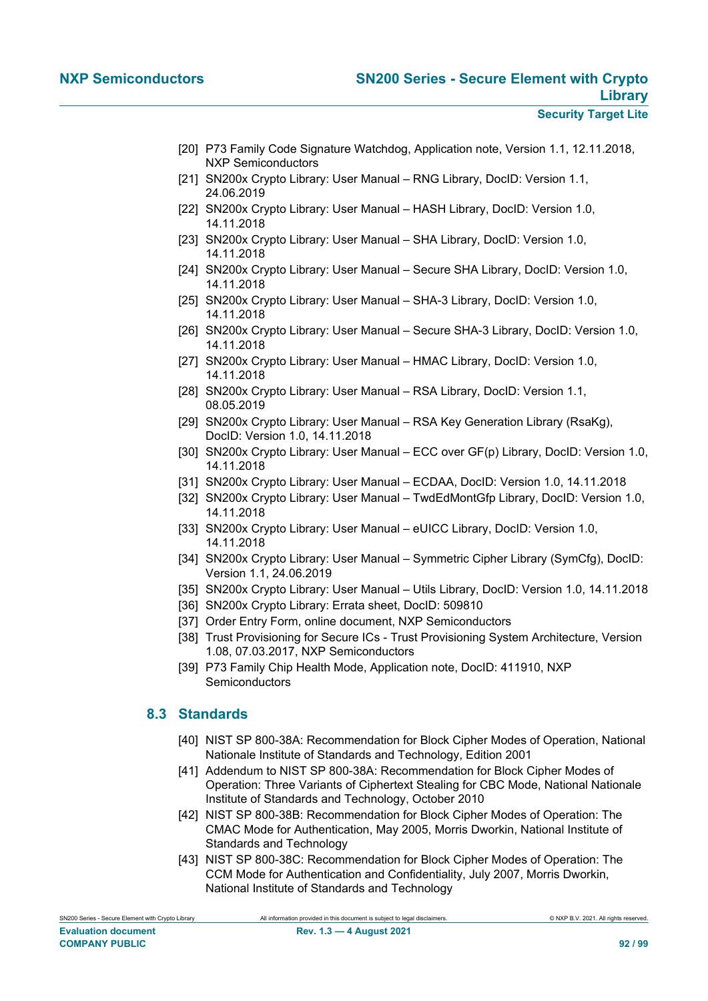- [20] P73 Family Code Signature Watchdog, Application note, Version 1.1, 12.11.2018, NXP Semiconductors
- [21] SN200x Crypto Library: User Manual RNG Library, DocID: Version 1.1, 24.06.2019
- [22] SN200x Crypto Library: User Manual HASH Library, DocID: Version 1.0, 14.11.2018
- [23] SN200x Crypto Library: User Manual SHA Library, DocID: Version 1.0, 14.11.2018
- [24] SN200x Crypto Library: User Manual Secure SHA Library, DocID: Version 1.0, 14.11.2018
- [25] SN200x Crypto Library: User Manual SHA-3 Library, DocID: Version 1.0, 14.11.2018
- [26] SN200x Crypto Library: User Manual Secure SHA-3 Library, DocID: Version 1.0, 14.11.2018
- [27] SN200x Crypto Library: User Manual HMAC Library, DocID: Version 1.0, 14.11.2018
- [28] SN200x Crypto Library: User Manual RSA Library, DocID: Version 1.1, 08.05.2019
- [29] SN200x Crypto Library: User Manual RSA Key Generation Library (RsaKg), DocID: Version 1.0, 14.11.2018
- [30] SN200x Crypto Library: User Manual ECC over GF(p) Library, DocID: Version 1.0, 14.11.2018
- [31] SN200x Crypto Library: User Manual ECDAA, DocID: Version 1.0, 14.11.2018
- [32] SN200x Crypto Library: User Manual TwdEdMontGfp Library, DocID: Version 1.0, 14.11.2018
- [33] SN200x Crypto Library: User Manual eUICC Library, DocID: Version 1.0, 14.11.2018
- <span id="page-91-2"></span>[34] SN200x Crypto Library: User Manual – Symmetric Cipher Library (SymCfg), DocID: Version 1.1, 24.06.2019
- [35] SN200x Crypto Library: User Manual Utils Library, DocID: Version 1.0, 14.11.2018
- [36] SN200x Crypto Library: Errata sheet, DocID: 509810
- [37] Order Entry Form, online document, NXP Semiconductors
- [38] Trust Provisioning for Secure ICs Trust Provisioning System Architecture, Version 1.08, 07.03.2017, NXP Semiconductors
- <span id="page-91-3"></span>[39] P73 Family Chip Health Mode, Application note, DocID: 411910, NXP **Semiconductors**

# **8.3 Standards**

- <span id="page-91-0"></span>[40] NIST SP 800-38A: Recommendation for Block Cipher Modes of Operation, National Nationale Institute of Standards and Technology, Edition 2001
- <span id="page-91-1"></span>[41] Addendum to NIST SP 800-38A: Recommendation for Block Cipher Modes of Operation: Three Variants of Ciphertext Stealing for CBC Mode, National Nationale Institute of Standards and Technology, October 2010
- [42] NIST SP 800-38B: Recommendation for Block Cipher Modes of Operation: The CMAC Mode for Authentication, May 2005, Morris Dworkin, National Institute of Standards and Technology
- [43] NIST SP 800-38C: Recommendation for Block Cipher Modes of Operation: The CCM Mode for Authentication and Confidentiality, July 2007, Morris Dworkin, National Institute of Standards and Technology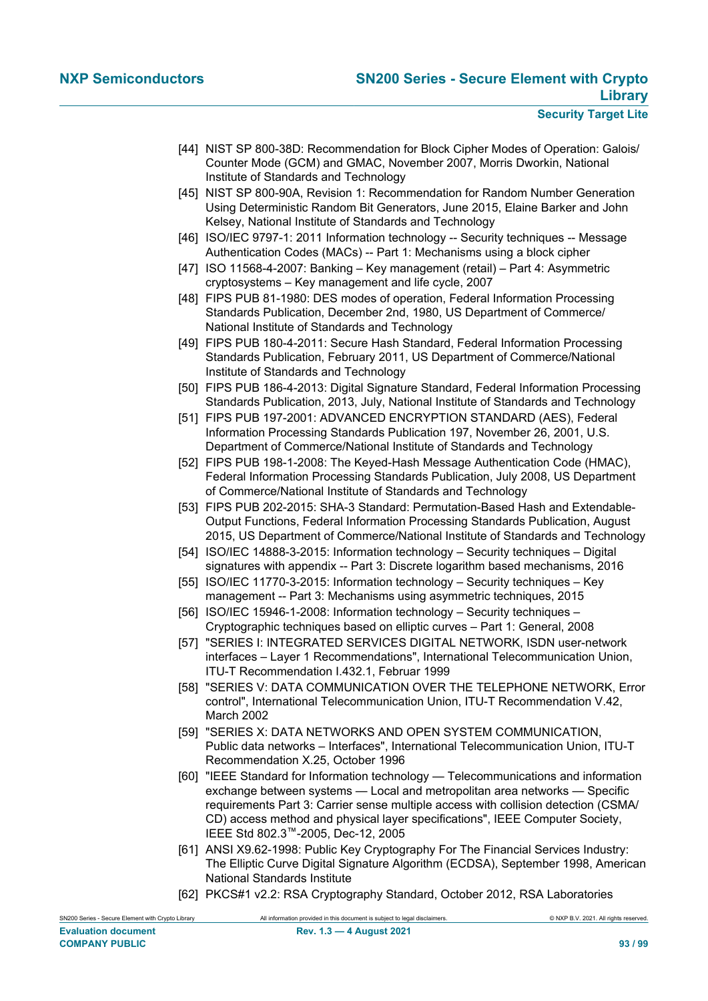- <span id="page-92-1"></span>[44] NIST SP 800-38D: Recommendation for Block Cipher Modes of Operation: Galois/ Counter Mode (GCM) and GMAC, November 2007, Morris Dworkin, National Institute of Standards and Technology
- <span id="page-92-16"></span>[45] NIST SP 800-90A, Revision 1: Recommendation for Random Number Generation Using Deterministic Random Bit Generators, June 2015, Elaine Barker and John Kelsey, National Institute of Standards and Technology
- <span id="page-92-5"></span>[46] ISO/IEC 9797-1: 2011 Information technology -- Security techniques -- Message Authentication Codes (MACs) -- Part 1: Mechanisms using a block cipher
- [47] ISO 11568-4-2007: Banking Key management (retail) Part 4: Asymmetric cryptosystems – Key management and life cycle, 2007
- <span id="page-92-6"></span>[48] FIPS PUB 81-1980: DES modes of operation, Federal Information Processing Standards Publication, December 2nd, 1980, US Department of Commerce/ National Institute of Standards and Technology
- <span id="page-92-13"></span>[49] FIPS PUB 180-4-2011: Secure Hash Standard, Federal Information Processing Standards Publication, February 2011, US Department of Commerce/National Institute of Standards and Technology
- <span id="page-92-7"></span>[50] FIPS PUB 186-4-2013: Digital Signature Standard, Federal Information Processing Standards Publication, 2013, July, National Institute of Standards and Technology
- <span id="page-92-0"></span>[51] FIPS PUB 197-2001: ADVANCED ENCRYPTION STANDARD (AES), Federal Information Processing Standards Publication 197, November 26, 2001, U.S. Department of Commerce/National Institute of Standards and Technology
- <span id="page-92-15"></span>[52] FIPS PUB 198-1-2008: The Keyed-Hash Message Authentication Code (HMAC), Federal Information Processing Standards Publication, July 2008, US Department of Commerce/National Institute of Standards and Technology
- <span id="page-92-14"></span>[53] FIPS PUB 202-2015: SHA-3 Standard: Permutation-Based Hash and Extendable-Output Functions, Federal Information Processing Standards Publication, August 2015, US Department of Commerce/National Institute of Standards and Technology
- <span id="page-92-9"></span>[54] ISO/IEC 14888-3-2015: Information technology – Security techniques – Digital signatures with appendix -- Part 3: Discrete logarithm based mechanisms, 2016
- <span id="page-92-11"></span>[55] ISO/IEC 11770-3-2015: Information technology – Security techniques – Key management -- Part 3: Mechanisms using asymmetric techniques, 2015
- <span id="page-92-12"></span>[56] ISO/IEC 15946-1-2008: Information technology – Security techniques – Cryptographic techniques based on elliptic curves – Part 1: General, 2008
- <span id="page-92-2"></span>[57] "SERIES I: INTEGRATED SERVICES DIGITAL NETWORK, ISDN user-network interfaces – Layer 1 Recommendations", International Telecommunication Union, ITU-T Recommendation I.432.1, Februar 1999
- [58] "SERIES V: DATA COMMUNICATION OVER THE TELEPHONE NETWORK, Error control", International Telecommunication Union, ITU-T Recommendation V.42, March 2002
- <span id="page-92-3"></span>[59] "SERIES X: DATA NETWORKS AND OPEN SYSTEM COMMUNICATION, Public data networks – Interfaces", International Telecommunication Union, ITU-T Recommendation X.25, October 1996
- <span id="page-92-4"></span>[60] "IEEE Standard for Information technology — Telecommunications and information exchange between systems — Local and metropolitan area networks — Specific requirements Part 3: Carrier sense multiple access with collision detection (CSMA/ CD) access method and physical layer specifications", IEEE Computer Society, IEEE Std 802.3™-2005, Dec-12, 2005
- <span id="page-92-10"></span>[61] ANSI X9.62-1998: Public Key Cryptography For The Financial Services Industry: The Elliptic Curve Digital Signature Algorithm (ECDSA), September 1998, American National Standards Institute
- <span id="page-92-8"></span>[62] PKCS#1 v2.2: RSA Cryptography Standard, October 2012, RSA Laboratories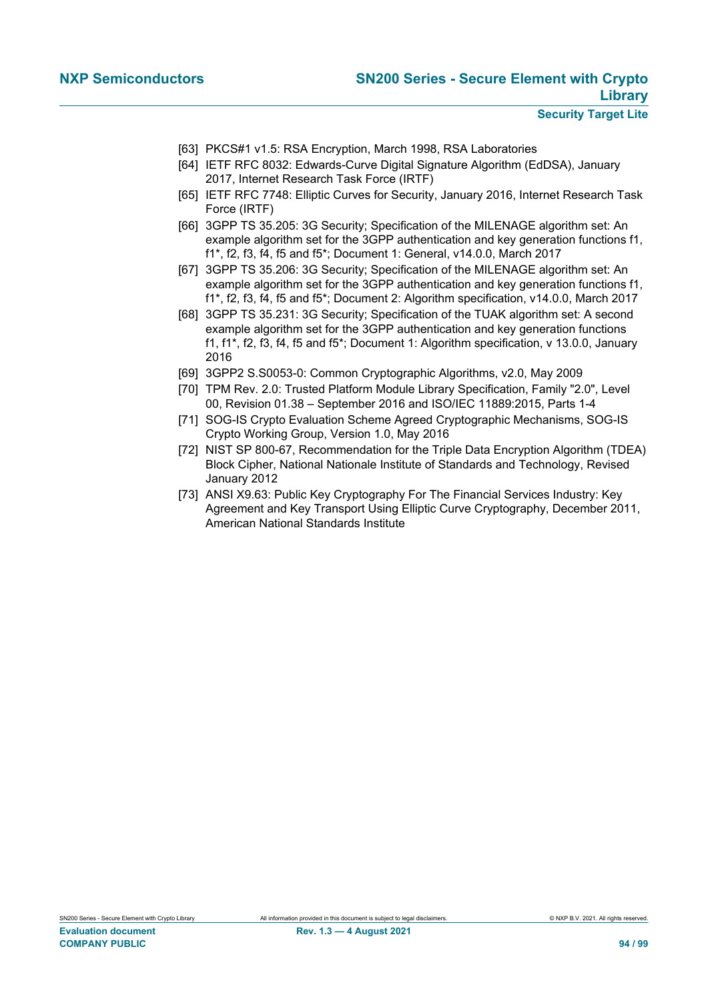- <span id="page-93-1"></span>[63] PKCS#1 v1.5: RSA Encryption, March 1998, RSA Laboratories
- <span id="page-93-5"></span>[64] IETF RFC 8032: Edwards-Curve Digital Signature Algorithm (EdDSA), January 2017, Internet Research Task Force (IRTF)
- <span id="page-93-6"></span>[65] IETF RFC 7748: Elliptic Curves for Security, January 2016, Internet Research Task Force (IRTF)
- [66] 3GPP TS 35.205: 3G Security; Specification of the MILENAGE algorithm set: An example algorithm set for the 3GPP authentication and key generation functions f1, f1\*, f2, f3, f4, f5 and f5\*; Document 1: General, v14.0.0, March 2017
- [67] 3GPP TS 35.206: 3G Security; Specification of the MILENAGE algorithm set: An example algorithm set for the 3GPP authentication and key generation functions f1, f1\*, f2, f3, f4, f5 and f5\*; Document 2: Algorithm specification, v14.0.0, March 2017
- [68] 3GPP TS 35.231: 3G Security; Specification of the TUAK algorithm set: A second example algorithm set for the 3GPP authentication and key generation functions f1, f1\*, f2, f3, f4, f5 and f5\*; Document 1: Algorithm specification, v 13.0.0, January 2016
- [69] 3GPP2 S.S0053-0: Common Cryptographic Algorithms, v2.0, May 2009
- <span id="page-93-3"></span>[70] TPM Rev. 2.0: Trusted Platform Module Library Specification, Family "2.0", Level 00, Revision 01.38 – September 2016 and ISO/IEC 11889:2015, Parts 1-4
- <span id="page-93-4"></span>[71] SOG-IS Crypto Evaluation Scheme Agreed Cryptographic Mechanisms, SOG-IS Crypto Working Group, Version 1.0, May 2016
- <span id="page-93-0"></span>[72] NIST SP 800-67, Recommendation for the Triple Data Encryption Algorithm (TDEA) Block Cipher, National Nationale Institute of Standards and Technology, Revised January 2012
- <span id="page-93-2"></span>[73] ANSI X9.63: Public Key Cryptography For The Financial Services Industry: Key Agreement and Key Transport Using Elliptic Curve Cryptography, December 2011, American National Standards Institute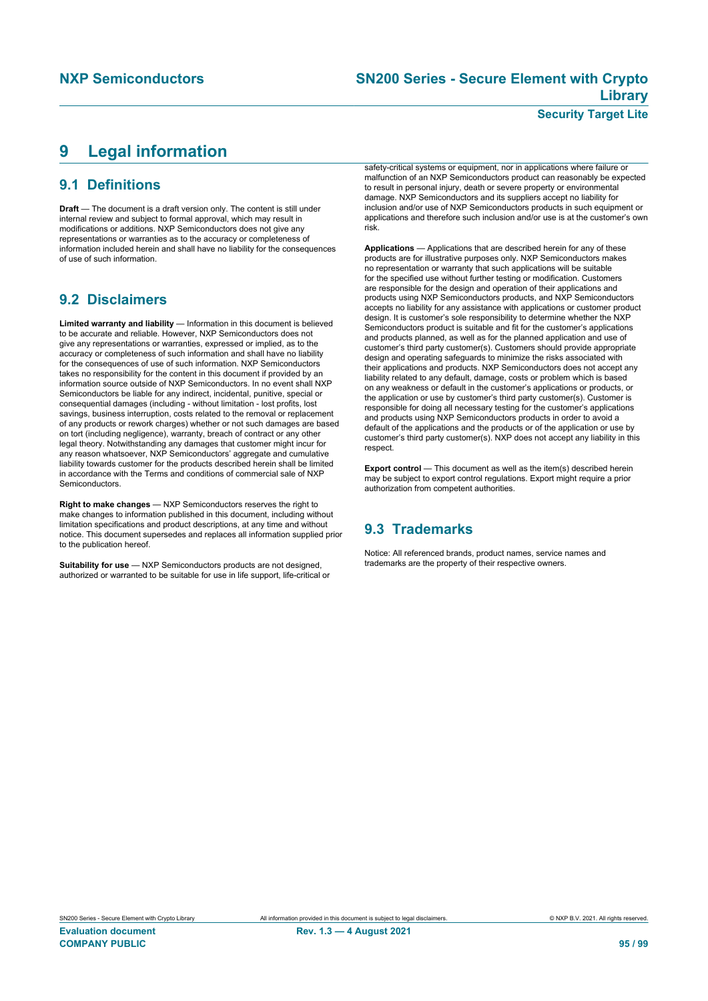# **Security Target Lite**

# <span id="page-94-0"></span>**9 Legal information**

# **9.1 Definitions**

**Draft** — The document is a draft version only. The content is still under internal review and subject to formal approval, which may result in modifications or additions. NXP Semiconductors does not give any representations or warranties as to the accuracy or completeness of information included herein and shall have no liability for the consequences of use of such information.

# **9.2 Disclaimers**

**Limited warranty and liability** — Information in this document is believed to be accurate and reliable. However, NXP Semiconductors does not give any representations or warranties, expressed or implied, as to the accuracy or completeness of such information and shall have no liability for the consequences of use of such information. NXP Semiconductors takes no responsibility for the content in this document if provided by an information source outside of NXP Semiconductors. In no event shall NXP Semiconductors be liable for any indirect, incidental, punitive, special or consequential damages (including - without limitation - lost profits, lost savings, business interruption, costs related to the removal or replacement of any products or rework charges) whether or not such damages are based on tort (including negligence), warranty, breach of contract or any other legal theory. Notwithstanding any damages that customer might incur for any reason whatsoever, NXP Semiconductors' aggregate and cumulative liability towards customer for the products described herein shall be limited in accordance with the Terms and conditions of commercial sale of NXP **Semiconductors** 

**Right to make changes** — NXP Semiconductors reserves the right to make changes to information published in this document, including without limitation specifications and product descriptions, at any time and without notice. This document supersedes and replaces all information supplied prior to the publication hereof.

**Suitability for use** — NXP Semiconductors products are not designed, authorized or warranted to be suitable for use in life support, life-critical or

safety-critical systems or equipment, nor in applications where failure or malfunction of an NXP Semiconductors product can reasonably be expected to result in personal injury, death or severe property or environmental damage. NXP Semiconductors and its suppliers accept no liability for inclusion and/or use of NXP Semiconductors products in such equipment or applications and therefore such inclusion and/or use is at the customer's own risk.

**Applications** — Applications that are described herein for any of these products are for illustrative purposes only. NXP Semiconductors makes no representation or warranty that such applications will be suitable for the specified use without further testing or modification. Customers are responsible for the design and operation of their applications and products using NXP Semiconductors products, and NXP Semiconductors accepts no liability for any assistance with applications or customer product design. It is customer's sole responsibility to determine whether the NXP Semiconductors product is suitable and fit for the customer's applications and products planned, as well as for the planned application and use of customer's third party customer(s). Customers should provide appropriate design and operating safeguards to minimize the risks associated with their applications and products. NXP Semiconductors does not accept any liability related to any default, damage, costs or problem which is based on any weakness or default in the customer's applications or products, or the application or use by customer's third party customer(s). Customer is responsible for doing all necessary testing for the customer's applications and products using NXP Semiconductors products in order to avoid a default of the applications and the products or of the application or use by customer's third party customer(s). NXP does not accept any liability in this respect.

**Export control** — This document as well as the item(s) described herein may be subject to export control regulations. Export might require a prior authorization from competent authorities.

# **9.3 Trademarks**

Notice: All referenced brands, product names, service names and trademarks are the property of their respective owners.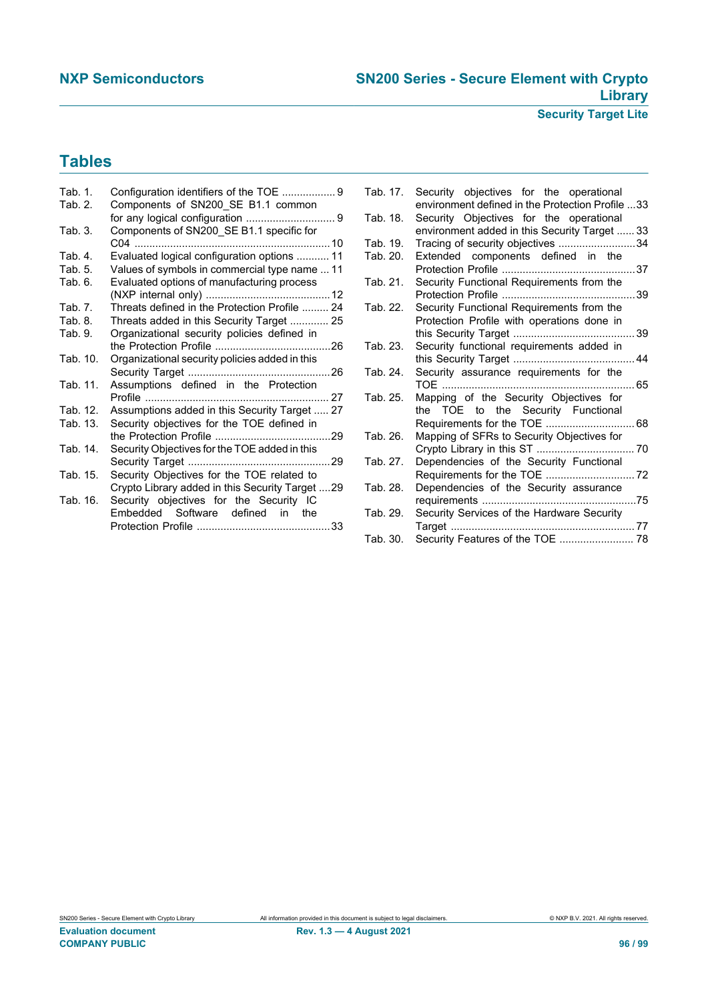# **Tables**

| Tab. 1.  | Configuration identifiers of the TOE  9         |
|----------|-------------------------------------------------|
| Tab. 2.  | Components of SN200 SE B1.1 common              |
|          |                                                 |
| Tab. 3.  | Components of SN200_SE B1.1 specific for        |
|          |                                                 |
| Tab. 4.  | Evaluated logical configuration options  11     |
| Tab. 5.  | Values of symbols in commercial type name  11   |
| Tab. 6.  | Evaluated options of manufacturing process      |
|          |                                                 |
| Tab. 7.  | Threats defined in the Protection Profile  24   |
| Tab. 8.  | Threats added in this Security Target  25       |
| Tab. 9.  | Organizational security policies defined in     |
|          |                                                 |
| Tab. 10. | Organizational security policies added in this  |
|          |                                                 |
| Tab. 11. | Assumptions defined in the Protection           |
|          | 27                                              |
| Tab. 12. | Assumptions added in this Security Target  27   |
| Tab. 13. | Security objectives for the TOE defined in      |
|          | the Protection Profile<br>29                    |
| Tab. 14. | Security Objectives for the TOE added in this   |
|          |                                                 |
| Tab. 15. | Security Objectives for the TOE related to      |
|          | Crypto Library added in this Security Target 29 |
| Tab. 16. | Security objectives for the Security IC         |
|          | Embedded Software defined in the                |
|          |                                                 |
|          |                                                 |

| Tab. 17. | Security objectives for the operational          |  |
|----------|--------------------------------------------------|--|
|          | environment defined in the Protection Profile 33 |  |
| Tab. 18. | Security Objectives for the operational          |  |
|          | environment added in this Security Target  33    |  |
| Tab. 19. | Tracing of security objectives 34                |  |
| Tab. 20. | Extended components defined in the               |  |
| Tab. 21. | Security Functional Requirements from the        |  |
|          |                                                  |  |
| Tab. 22. | Security Functional Requirements from the        |  |
|          | Protection Profile with operations done in       |  |
|          |                                                  |  |
| Tab. 23. | Security functional requirements added in        |  |
|          |                                                  |  |
| Tab. 24. | Security assurance requirements for the          |  |
|          |                                                  |  |
| Tab. 25. | Mapping of the Security Objectives for           |  |
|          | the TOE to the Security Functional               |  |
| Tab. 26. | Mapping of SFRs to Security Objectives for       |  |
|          |                                                  |  |
| Tab. 27. | Dependencies of the Security Functional          |  |
|          |                                                  |  |
| Tab. 28. | Dependencies of the Security assurance           |  |
|          |                                                  |  |
| Tab. 29. | Security Services of the Hardware Security       |  |
|          |                                                  |  |
| Tab. 30. | Security Features of the TOE  78                 |  |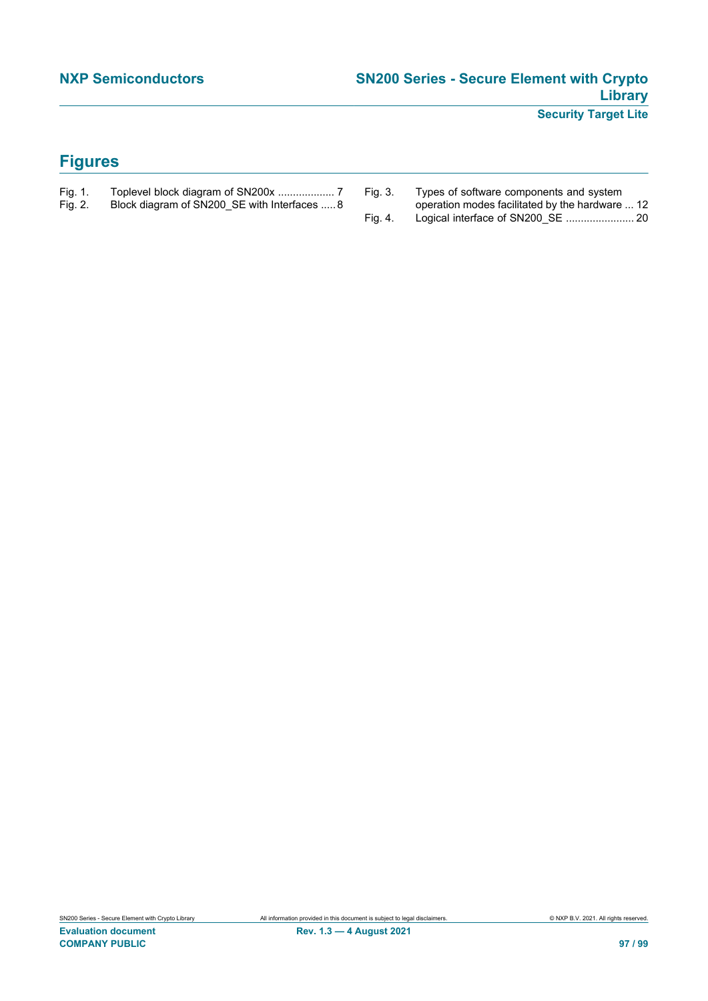# **Figures**

- [Fig. 1.](#page-6-0) [Toplevel block diagram of SN200x ...................](#page-6-0) 7
- Block diagram of SN200\_SE with Interfaces ..... 8
- [Fig. 3.](#page-11-1) [Types of software components and system](#page-11-1) [operation modes facilitated by the hardware ...](#page-11-1) 12 [Fig. 4.](#page-19-0) [Logical interface of SN200\\_SE .......................](#page-19-0) 20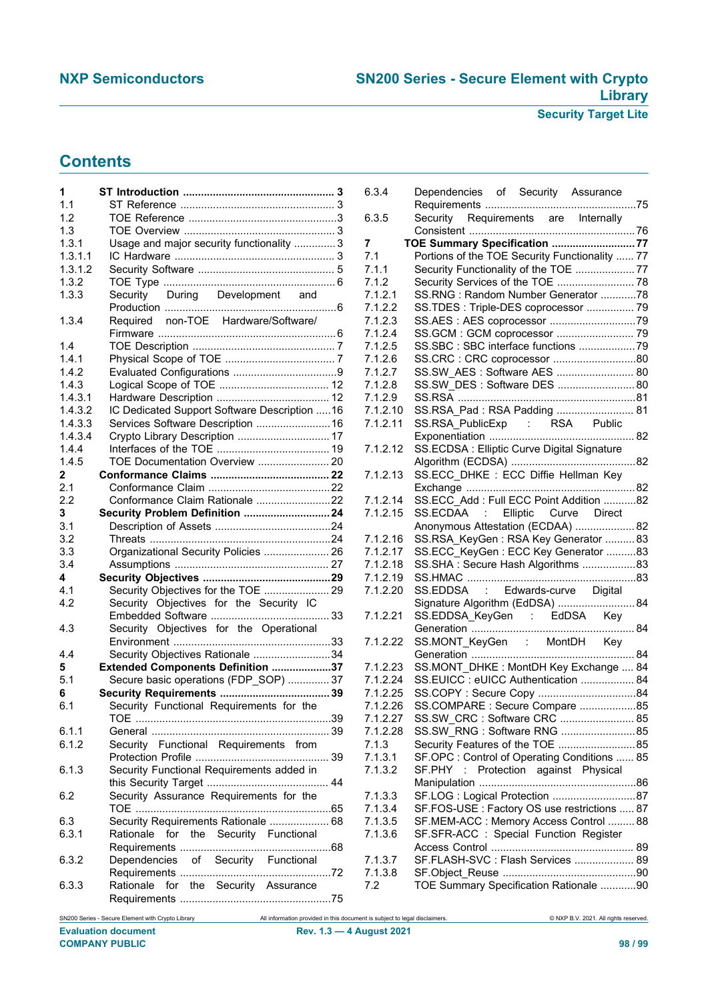# **Contents**

| 1              |                                              |
|----------------|----------------------------------------------|
| 1.1            |                                              |
| 1.2            |                                              |
| 1.3            |                                              |
| 1.3.1          | Usage and major security functionality  3    |
| 1.3.1.1        |                                              |
| 1.3.1.2        |                                              |
|                |                                              |
| 1.3.2<br>1.3.3 |                                              |
|                | Security During Development and              |
|                |                                              |
| 1.3.4          | Required non-TOE Hardware/Software/          |
|                |                                              |
| 1.4            |                                              |
| 1.4.1          |                                              |
| 1.4.2          |                                              |
| 1.4.3          |                                              |
| 1.4.3.1        |                                              |
| 1.4.3.2        | IC Dedicated Support Software Description 16 |
| 1.4.3.3        | Services Software Description  16            |
| 1.4.3.4        | Crypto Library Description  17               |
| 1.4.4          |                                              |
| 1.4.5          | TOE Documentation Overview  20               |
| 2              |                                              |
| 2.1            |                                              |
| 2.2            | Conformance Claim Rationale 22               |
| 3              | Security Problem Definition  24              |
| 3.1            |                                              |
| 3.2            |                                              |
| 3.3            | Organizational Security Policies  26         |
| 3.4            |                                              |
| 4              |                                              |
| 4.1            | Security Objectives for the TOE  29          |
| 4.2            | Security Objectives for the Security IC      |
|                |                                              |
| 4.3            | Security Objectives for the Operational      |
|                |                                              |
| 4.4            | Security Objectives Rationale 34             |
| 5              | Extended Components Definition 37            |
| 5.1            | Secure basic operations (FDP_SOP)  37        |
| 6              |                                              |
| 6.1            | Security Functional Requirements for the     |
|                |                                              |
| 6.1.1          |                                              |
| 6.1.2          | Security Functional Requirements from        |
|                |                                              |
|                |                                              |
| 6.1.3          | Security Functional Requirements added in    |
|                |                                              |
| 6.2            | Security Assurance Requirements for the      |
|                |                                              |
| 6.3            | Security Requirements Rationale  68          |
| 6.3.1          | for the Security Functional<br>Rationale     |
|                |                                              |
| 6.3.2          | Dependencies of Security Functional          |
|                |                                              |
| 6.3.3          | Rationale for the Security Assurance         |
|                |                                              |
|                |                                              |

| 6.3.4    | Dependencies of Security Assurance             |  |
|----------|------------------------------------------------|--|
|          |                                                |  |
| 6.3.5    | Security Requirements are Internally           |  |
|          |                                                |  |
| 7        | TOE Summary Specification 77                   |  |
|          |                                                |  |
| 7.1      | Portions of the TOE Security Functionality  77 |  |
| 7.1.1    | Security Functionality of the TOE  77          |  |
| 7.1.2    |                                                |  |
| 7.1.2.1  | SS.RNG: Random Number Generator 78             |  |
| 7.1.2.2  | SS.TDES: Triple-DES coprocessor  79            |  |
| 7.1.2.3  |                                                |  |
| 7.1.2.4  |                                                |  |
| 7.1.2.5  | SS.SBC: SBC interface functions 79             |  |
| 7.1.2.6  | SS.CRC: CRC coprocessor 80                     |  |
|          |                                                |  |
| 7.1.2.7  | SS.SW_AES: Software AES  80                    |  |
| 7.1.2.8  | SS.SW DES: Software DES  80                    |  |
| 7.1.2.9  |                                                |  |
| 7.1.2.10 | SS.RSA_Pad: RSA Padding  81                    |  |
| 7.1.2.11 | SS.RSA_PublicExp : RSA Public                  |  |
|          |                                                |  |
| 7.1.2.12 | SS.ECDSA : Elliptic Curve Digital Signature    |  |
|          |                                                |  |
| 7.1.2.13 | SS.ECC_DHKE: ECC Diffie Hellman Key            |  |
|          |                                                |  |
|          |                                                |  |
| 7.1.2.14 | SS.ECC_Add: Full ECC Point Addition 82         |  |
| 7.1.2.15 | SS.ECDAA : Elliptic Curve Direct               |  |
|          | Anonymous Attestation (ECDAA)  82              |  |
| 7.1.2.16 | SS.RSA_KeyGen: RSA Key Generator  83           |  |
| 7.1.2.17 | SS.ECC_KeyGen: ECC Key Generator 83            |  |
| 7.1.2.18 | SS.SHA: Secure Hash Algorithms 83              |  |
| 7.1.2.19 |                                                |  |
| 7.1.2.20 | SS.EDDSA : Edwards-curve Digital               |  |
|          | Signature Algorithm (EdDSA)  84                |  |
|          |                                                |  |
| 7.1.2.21 |                                                |  |
|          |                                                |  |
| 7.1.2.22 | SS.MONT KeyGen : MontDH Key                    |  |
|          |                                                |  |
| 7.1.2.23 | SS.MONT DHKE: MontDH Key Exchange  84          |  |
| 7.1.2.24 | SS.EUICC: eUICC Authentication  84             |  |
| 7.1.2.25 |                                                |  |
| 7.1.2.26 | SS.COMPARE : Secure Compare 85                 |  |
| 7.1.2.27 | SS.SW CRC : Software CRC  85                   |  |
| 7.1.2.28 | SS.SW RNG: Software RNG  85                    |  |
| 7.1.3    | Security Features of the TOE  85               |  |
|          |                                                |  |
| 7.1.3.1  | SF.OPC: Control of Operating Conditions  85    |  |
| 7.1.3.2  | Protection against Physical<br>SF.PHY<br>÷     |  |
|          |                                                |  |
| 7.1.3.3  | SF.LOG: Logical Protection 87                  |  |
| 7.1.3.4  | SF.FOS-USE : Factory OS use restrictions  87   |  |
| 7.1.3.5  | SF.MEM-ACC: Memory Access Control  88          |  |
| 7.1.3.6  | SF.SFR-ACC: Special Function Register          |  |
|          |                                                |  |
| 7.1.3.7  | SF.FLASH-SVC: Flash Services  89               |  |
| 7.1.3.8  |                                                |  |
|          |                                                |  |
| 7.2      | TOE Summary Specification Rationale 90         |  |